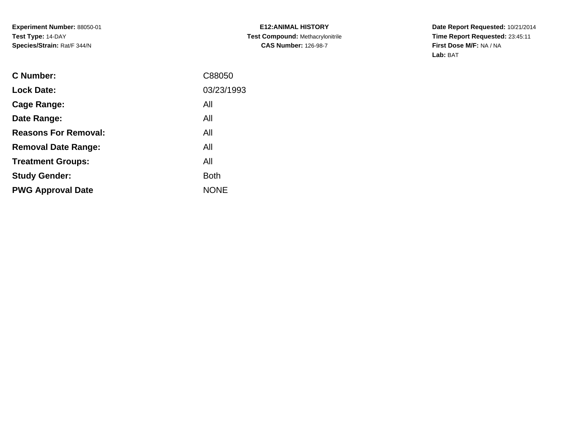**E12:ANIMAL HISTORY Test Compound:** Methacrylonitrile**CAS Number:** 126-98-7

| <b>C</b> Number:            | C88050      |
|-----------------------------|-------------|
| <b>Lock Date:</b>           | 03/23/1993  |
| Cage Range:                 | All         |
| Date Range:                 | All         |
| <b>Reasons For Removal:</b> | All         |
| <b>Removal Date Range:</b>  | All         |
| <b>Treatment Groups:</b>    | All         |
| <b>Study Gender:</b>        | <b>Both</b> |
| <b>PWG Approval Date</b>    | <b>NONE</b> |
|                             |             |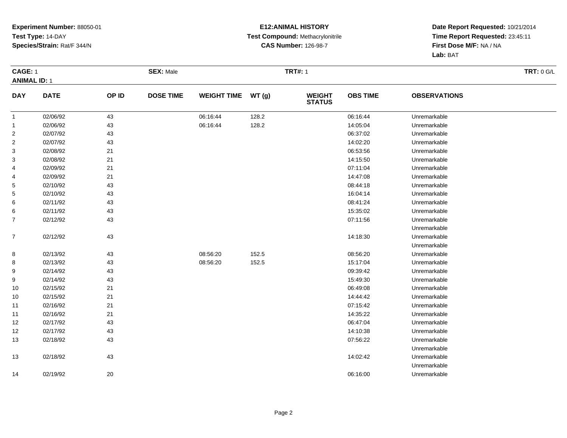#### **E12:ANIMAL HISTORY Test Compound:** Methacrylonitrile**CAS Number:** 126-98-7

|                | <b>CAGE: 1</b><br><b>ANIMAL ID: 1</b> |        | <b>SEX: Male</b> |                    |       | <b>TRT#: 1</b>                 | <b>TRT: 0 G/L</b> |                     |  |
|----------------|---------------------------------------|--------|------------------|--------------------|-------|--------------------------------|-------------------|---------------------|--|
|                |                                       |        |                  |                    |       |                                |                   |                     |  |
| <b>DAY</b>     | <b>DATE</b>                           | OP ID  | <b>DOSE TIME</b> | <b>WEIGHT TIME</b> | WT(g) | <b>WEIGHT</b><br><b>STATUS</b> | <b>OBS TIME</b>   | <b>OBSERVATIONS</b> |  |
| $\overline{1}$ | 02/06/92                              | 43     |                  | 06:16:44           | 128.2 |                                | 06:16:44          | Unremarkable        |  |
| $\mathbf{1}$   | 02/06/92                              | 43     |                  | 06:16:44           | 128.2 |                                | 14:05:04          | Unremarkable        |  |
| $\overline{2}$ | 02/07/92                              | 43     |                  |                    |       |                                | 06:37:02          | Unremarkable        |  |
| $\overline{2}$ | 02/07/92                              | 43     |                  |                    |       |                                | 14:02:20          | Unremarkable        |  |
| 3              | 02/08/92                              | 21     |                  |                    |       |                                | 06:53:56          | Unremarkable        |  |
| 3              | 02/08/92                              | 21     |                  |                    |       |                                | 14:15:50          | Unremarkable        |  |
| 4              | 02/09/92                              | 21     |                  |                    |       |                                | 07:11:04          | Unremarkable        |  |
| 4              | 02/09/92                              | 21     |                  |                    |       |                                | 14:47:08          | Unremarkable        |  |
| 5              | 02/10/92                              | 43     |                  |                    |       |                                | 08:44:18          | Unremarkable        |  |
| 5              | 02/10/92                              | 43     |                  |                    |       |                                | 16:04:14          | Unremarkable        |  |
| 6              | 02/11/92                              | 43     |                  |                    |       |                                | 08:41:24          | Unremarkable        |  |
| 6              | 02/11/92                              | 43     |                  |                    |       |                                | 15:35:02          | Unremarkable        |  |
| $\overline{7}$ | 02/12/92                              | 43     |                  |                    |       |                                | 07:11:56          | Unremarkable        |  |
|                |                                       |        |                  |                    |       |                                |                   | Unremarkable        |  |
| $\overline{7}$ | 02/12/92                              | 43     |                  |                    |       |                                | 14:18:30          | Unremarkable        |  |
|                |                                       |        |                  |                    |       |                                |                   | Unremarkable        |  |
| 8              | 02/13/92                              | 43     |                  | 08:56:20           | 152.5 |                                | 08:56:20          | Unremarkable        |  |
| 8              | 02/13/92                              | 43     |                  | 08:56:20           | 152.5 |                                | 15:17:04          | Unremarkable        |  |
| 9              | 02/14/92                              | 43     |                  |                    |       |                                | 09:39:42          | Unremarkable        |  |
| 9              | 02/14/92                              | 43     |                  |                    |       |                                | 15:49:30          | Unremarkable        |  |
| 10             | 02/15/92                              | 21     |                  |                    |       |                                | 06:49:08          | Unremarkable        |  |
| 10             | 02/15/92                              | 21     |                  |                    |       |                                | 14:44:42          | Unremarkable        |  |
| 11             | 02/16/92                              | 21     |                  |                    |       |                                | 07:15:42          | Unremarkable        |  |
| 11             | 02/16/92                              | 21     |                  |                    |       |                                | 14:35:22          | Unremarkable        |  |
| 12             | 02/17/92                              | 43     |                  |                    |       |                                | 06:47:04          | Unremarkable        |  |
| 12             | 02/17/92                              | 43     |                  |                    |       |                                | 14:10:38          | Unremarkable        |  |
| 13             | 02/18/92                              | 43     |                  |                    |       |                                | 07:56:22          | Unremarkable        |  |
|                |                                       |        |                  |                    |       |                                |                   | Unremarkable        |  |
| 13             | 02/18/92                              | 43     |                  |                    |       |                                | 14:02:42          | Unremarkable        |  |
|                |                                       |        |                  |                    |       |                                |                   | Unremarkable        |  |
| 14             | 02/19/92                              | $20\,$ |                  |                    |       |                                | 06:16:00          | Unremarkable        |  |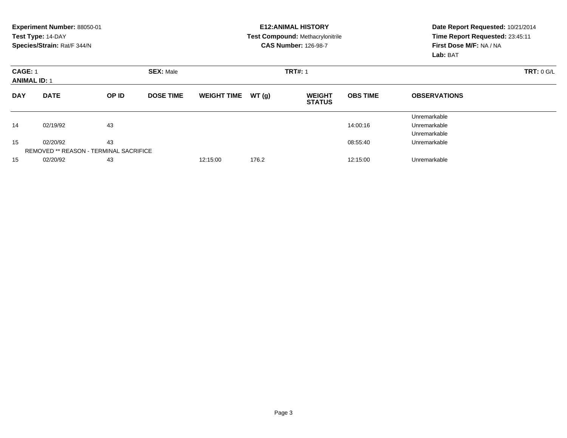|                                       | Experiment Number: 88050-01<br>Test Type: 14-DAY<br>Species/Strain: Rat/F 344/N |                  |                  |                    |                | <b>E12:ANIMAL HISTORY</b><br>Test Compound: Methacrylonitrile<br><b>CAS Number: 126-98-7</b> | Date Report Requested: 10/21/2014<br>Time Report Requested: 23:45:11<br>First Dose M/F: NA / NA<br>Lab: BAT |                                              |  |
|---------------------------------------|---------------------------------------------------------------------------------|------------------|------------------|--------------------|----------------|----------------------------------------------------------------------------------------------|-------------------------------------------------------------------------------------------------------------|----------------------------------------------|--|
| <b>CAGE: 1</b><br><b>ANIMAL ID: 1</b> |                                                                                 | <b>SEX: Male</b> |                  |                    | <b>TRT#: 1</b> |                                                                                              | <b>TRT: 0 G/L</b>                                                                                           |                                              |  |
| <b>DAY</b>                            | <b>DATE</b>                                                                     | OP ID            | <b>DOSE TIME</b> | <b>WEIGHT TIME</b> | WT(g)          | <b>WEIGHT</b><br><b>STATUS</b>                                                               | <b>OBS TIME</b>                                                                                             | <b>OBSERVATIONS</b>                          |  |
| 14                                    | 02/19/92                                                                        | 43               |                  |                    |                |                                                                                              | 14:00:16                                                                                                    | Unremarkable<br>Unremarkable<br>Unremarkable |  |
| 15                                    | 02/20/92<br><b>REMOVED ** REASON - TERMINAL SACRIFICE</b>                       | 43               |                  |                    |                |                                                                                              | 08:55:40                                                                                                    | Unremarkable                                 |  |
| 15                                    | 02/20/92                                                                        | 43               |                  | 12:15:00           | 176.2          |                                                                                              | 12:15:00                                                                                                    | Unremarkable                                 |  |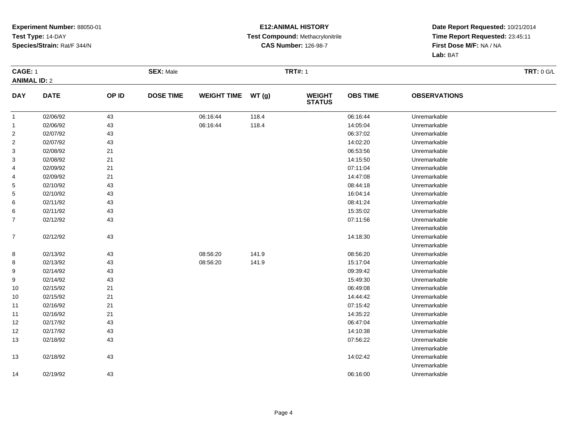#### **E12:ANIMAL HISTORY Test Compound:** Methacrylonitrile**CAS Number:** 126-98-7

| <b>CAGE: 1</b>   | <b>ANIMAL ID: 2</b> |       | <b>SEX: Male</b> |                    |       | <b>TRT#: 1</b>                 | <b>TRT: 0 G/L</b> |                     |  |
|------------------|---------------------|-------|------------------|--------------------|-------|--------------------------------|-------------------|---------------------|--|
|                  |                     |       |                  |                    |       |                                |                   |                     |  |
| <b>DAY</b>       | <b>DATE</b>         | OP ID | <b>DOSE TIME</b> | <b>WEIGHT TIME</b> | WT(g) | <b>WEIGHT</b><br><b>STATUS</b> | <b>OBS TIME</b>   | <b>OBSERVATIONS</b> |  |
| $\mathbf{1}$     | 02/06/92            | 43    |                  | 06:16:44           | 118.4 |                                | 06:16:44          | Unremarkable        |  |
| $\overline{1}$   | 02/06/92            | 43    |                  | 06:16:44           | 118.4 |                                | 14:05:04          | Unremarkable        |  |
| $\overline{2}$   | 02/07/92            | 43    |                  |                    |       |                                | 06:37:02          | Unremarkable        |  |
| $\overline{c}$   | 02/07/92            | 43    |                  |                    |       |                                | 14:02:20          | Unremarkable        |  |
| 3                | 02/08/92            | 21    |                  |                    |       |                                | 06:53:56          | Unremarkable        |  |
| 3                | 02/08/92            | 21    |                  |                    |       |                                | 14:15:50          | Unremarkable        |  |
| 4                | 02/09/92            | 21    |                  |                    |       |                                | 07:11:04          | Unremarkable        |  |
| 4                | 02/09/92            | 21    |                  |                    |       |                                | 14:47:08          | Unremarkable        |  |
| 5                | 02/10/92            | 43    |                  |                    |       |                                | 08:44:18          | Unremarkable        |  |
| 5                | 02/10/92            | 43    |                  |                    |       |                                | 16:04:14          | Unremarkable        |  |
| 6                | 02/11/92            | 43    |                  |                    |       |                                | 08:41:24          | Unremarkable        |  |
| 6                | 02/11/92            | 43    |                  |                    |       |                                | 15:35:02          | Unremarkable        |  |
| 7                | 02/12/92            | 43    |                  |                    |       |                                | 07:11:56          | Unremarkable        |  |
|                  |                     |       |                  |                    |       |                                |                   | Unremarkable        |  |
| $\boldsymbol{7}$ | 02/12/92            | 43    |                  |                    |       |                                | 14:18:30          | Unremarkable        |  |
|                  |                     |       |                  |                    |       |                                |                   | Unremarkable        |  |
| 8                | 02/13/92            | 43    |                  | 08:56:20           | 141.9 |                                | 08:56:20          | Unremarkable        |  |
| 8                | 02/13/92            | 43    |                  | 08:56:20           | 141.9 |                                | 15:17:04          | Unremarkable        |  |
| 9                | 02/14/92            | 43    |                  |                    |       |                                | 09:39:42          | Unremarkable        |  |
| 9                | 02/14/92            | 43    |                  |                    |       |                                | 15:49:30          | Unremarkable        |  |
| 10               | 02/15/92            | 21    |                  |                    |       |                                | 06:49:08          | Unremarkable        |  |
| 10               | 02/15/92            | 21    |                  |                    |       |                                | 14:44:42          | Unremarkable        |  |
| 11               | 02/16/92            | 21    |                  |                    |       |                                | 07:15:42          | Unremarkable        |  |
| 11               | 02/16/92            | 21    |                  |                    |       |                                | 14:35:22          | Unremarkable        |  |
| 12               | 02/17/92            | 43    |                  |                    |       |                                | 06:47:04          | Unremarkable        |  |
| 12               | 02/17/92            | 43    |                  |                    |       |                                | 14:10:38          | Unremarkable        |  |
| 13               | 02/18/92            | 43    |                  |                    |       |                                | 07:56:22          | Unremarkable        |  |
|                  |                     |       |                  |                    |       |                                |                   | Unremarkable        |  |
| 13               | 02/18/92            | 43    |                  |                    |       |                                | 14:02:42          | Unremarkable        |  |
|                  |                     |       |                  |                    |       |                                |                   | Unremarkable        |  |
| 14               | 02/19/92            | 43    |                  |                    |       |                                | 06:16:00          | Unremarkable        |  |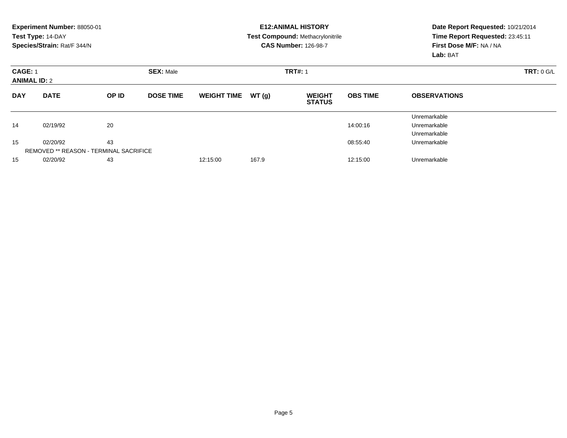|                                       | Experiment Number: 88050-01<br>Test Type: 14-DAY<br>Species/Strain: Rat/F 344/N |       |                  |                    |       | <b>E12: ANIMAL HISTORY</b><br><b>Test Compound: Methacrylonitrile</b><br><b>CAS Number: 126-98-7</b> | Date Report Requested: 10/21/2014<br>Time Report Requested: 23:45:11<br>First Dose M/F: NA / NA<br>Lab: BAT |                                              |  |
|---------------------------------------|---------------------------------------------------------------------------------|-------|------------------|--------------------|-------|------------------------------------------------------------------------------------------------------|-------------------------------------------------------------------------------------------------------------|----------------------------------------------|--|
| <b>CAGE: 1</b><br><b>ANIMAL ID: 2</b> |                                                                                 |       | <b>SEX: Male</b> |                    |       | <b>TRT#: 1</b>                                                                                       | TRT: 0 G/L                                                                                                  |                                              |  |
| <b>DAY</b>                            | <b>DATE</b>                                                                     | OP ID | <b>DOSE TIME</b> | <b>WEIGHT TIME</b> | WT(g) | <b>WEIGHT</b><br><b>STATUS</b>                                                                       | <b>OBS TIME</b>                                                                                             | <b>OBSERVATIONS</b>                          |  |
| 14                                    | 02/19/92                                                                        | 20    |                  |                    |       |                                                                                                      | 14:00:16                                                                                                    | Unremarkable<br>Unremarkable<br>Unremarkable |  |
| 15                                    | 02/20/92<br><b>REMOVED ** REASON - TERMINAL SACRIFICE</b>                       | 43    |                  |                    |       |                                                                                                      | 08:55:40                                                                                                    | Unremarkable                                 |  |
| 15                                    | 02/20/92                                                                        | 43    |                  | 12:15:00           | 167.9 |                                                                                                      | 12:15:00                                                                                                    | Unremarkable                                 |  |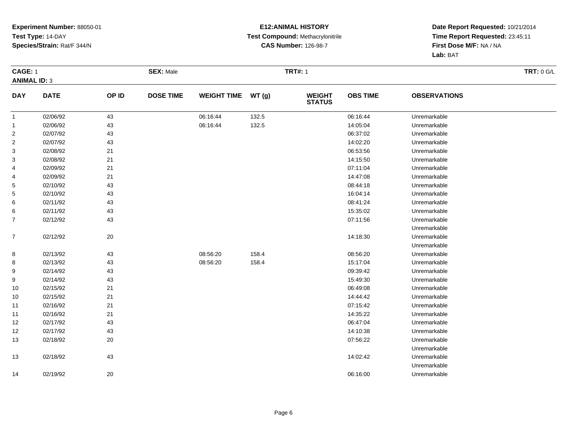#### **E12:ANIMAL HISTORY Test Compound:** Methacrylonitrile**CAS Number:** 126-98-7

| <b>CAGE: 1</b>   | <b>ANIMAL ID: 3</b> |       | <b>SEX: Male</b> |                    |       | <b>TRT#: 1</b>                 | <b>TRT: 0 G/L</b> |                     |  |
|------------------|---------------------|-------|------------------|--------------------|-------|--------------------------------|-------------------|---------------------|--|
| <b>DAY</b>       | <b>DATE</b>         | OP ID | <b>DOSE TIME</b> | <b>WEIGHT TIME</b> | WT(g) | <b>WEIGHT</b><br><b>STATUS</b> | <b>OBS TIME</b>   | <b>OBSERVATIONS</b> |  |
| $\mathbf{1}$     | 02/06/92            | 43    |                  | 06:16:44           | 132.5 |                                | 06:16:44          | Unremarkable        |  |
| $\overline{1}$   | 02/06/92            | 43    |                  | 06:16:44           | 132.5 |                                | 14:05:04          | Unremarkable        |  |
| $\overline{2}$   | 02/07/92            | 43    |                  |                    |       |                                | 06:37:02          | Unremarkable        |  |
| $\overline{c}$   | 02/07/92            | 43    |                  |                    |       |                                | 14:02:20          | Unremarkable        |  |
| 3                | 02/08/92            | 21    |                  |                    |       |                                | 06:53:56          | Unremarkable        |  |
| 3                | 02/08/92            | 21    |                  |                    |       |                                | 14:15:50          | Unremarkable        |  |
| 4                | 02/09/92            | 21    |                  |                    |       |                                | 07:11:04          | Unremarkable        |  |
| 4                | 02/09/92            | 21    |                  |                    |       |                                | 14:47:08          | Unremarkable        |  |
| 5                | 02/10/92            | 43    |                  |                    |       |                                | 08:44:18          | Unremarkable        |  |
| 5                | 02/10/92            | 43    |                  |                    |       |                                | 16:04:14          | Unremarkable        |  |
| 6                | 02/11/92            | 43    |                  |                    |       |                                | 08:41:24          | Unremarkable        |  |
| 6                | 02/11/92            | 43    |                  |                    |       |                                | 15:35:02          | Unremarkable        |  |
| 7                | 02/12/92            | 43    |                  |                    |       |                                | 07:11:56          | Unremarkable        |  |
|                  |                     |       |                  |                    |       |                                |                   | Unremarkable        |  |
| $\boldsymbol{7}$ | 02/12/92            | 20    |                  |                    |       |                                | 14:18:30          | Unremarkable        |  |
|                  |                     |       |                  |                    |       |                                |                   | Unremarkable        |  |
| 8                | 02/13/92            | 43    |                  | 08:56:20           | 158.4 |                                | 08:56:20          | Unremarkable        |  |
| 8                | 02/13/92            | 43    |                  | 08:56:20           | 158.4 |                                | 15:17:04          | Unremarkable        |  |
| 9                | 02/14/92            | 43    |                  |                    |       |                                | 09:39:42          | Unremarkable        |  |
| 9                | 02/14/92            | 43    |                  |                    |       |                                | 15:49:30          | Unremarkable        |  |
| 10               | 02/15/92            | 21    |                  |                    |       |                                | 06:49:08          | Unremarkable        |  |
| 10               | 02/15/92            | 21    |                  |                    |       |                                | 14:44:42          | Unremarkable        |  |
| 11               | 02/16/92            | 21    |                  |                    |       |                                | 07:15:42          | Unremarkable        |  |
| 11               | 02/16/92            | 21    |                  |                    |       |                                | 14:35:22          | Unremarkable        |  |
| 12               | 02/17/92            | 43    |                  |                    |       |                                | 06:47:04          | Unremarkable        |  |
| 12               | 02/17/92            | 43    |                  |                    |       |                                | 14:10:38          | Unremarkable        |  |
| 13               | 02/18/92            | 20    |                  |                    |       |                                | 07:56:22          | Unremarkable        |  |
|                  |                     |       |                  |                    |       |                                |                   | Unremarkable        |  |
| 13               | 02/18/92            | 43    |                  |                    |       |                                | 14:02:42          | Unremarkable        |  |
|                  |                     |       |                  |                    |       |                                |                   | Unremarkable        |  |
| 14               | 02/19/92            | 20    |                  |                    |       |                                | 06:16:00          | Unremarkable        |  |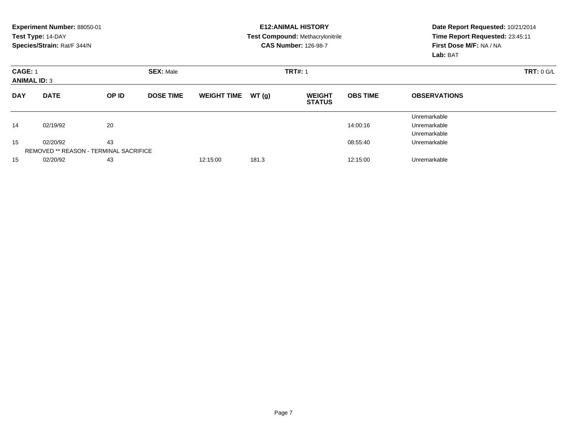|                                       | Experiment Number: 88050-01<br>Test Type: 14-DAY<br>Species/Strain: Rat/F 344/N |                  |                  |                    |                | <b>E12: ANIMAL HISTORY</b><br><b>Test Compound: Methacrylonitrile</b><br><b>CAS Number: 126-98-7</b> | Date Report Requested: 10/21/2014<br>Time Report Requested: 23:45:11<br>First Dose M/F: NA / NA<br>Lab: BAT |                                              |  |
|---------------------------------------|---------------------------------------------------------------------------------|------------------|------------------|--------------------|----------------|------------------------------------------------------------------------------------------------------|-------------------------------------------------------------------------------------------------------------|----------------------------------------------|--|
| <b>CAGE: 1</b><br><b>ANIMAL ID: 3</b> |                                                                                 | <b>SEX: Male</b> |                  |                    | <b>TRT#: 1</b> |                                                                                                      | TRT: 0 G/L                                                                                                  |                                              |  |
| <b>DAY</b>                            | <b>DATE</b>                                                                     | OP ID            | <b>DOSE TIME</b> | <b>WEIGHT TIME</b> | WT(g)          | <b>WEIGHT</b><br><b>STATUS</b>                                                                       | <b>OBS TIME</b>                                                                                             | <b>OBSERVATIONS</b>                          |  |
| 14                                    | 02/19/92                                                                        | 20               |                  |                    |                |                                                                                                      | 14:00:16                                                                                                    | Unremarkable<br>Unremarkable<br>Unremarkable |  |
| 15                                    | 02/20/92<br><b>REMOVED ** REASON - TERMINAL SACRIFICE</b>                       | 43               |                  |                    |                |                                                                                                      | 08.55.40                                                                                                    | Unremarkable                                 |  |
| 15                                    | 02/20/92                                                                        | 43               |                  | 12:15:00           | 181.3          |                                                                                                      | 12:15:00                                                                                                    | Unremarkable                                 |  |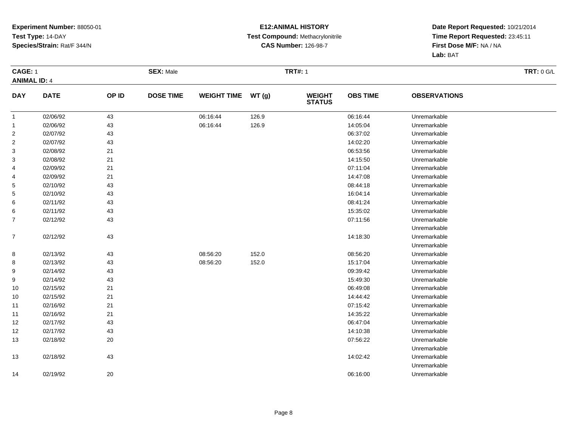#### **E12:ANIMAL HISTORY Test Compound:** Methacrylonitrile**CAS Number:** 126-98-7

| <b>CAGE: 1</b>      |             |       | <b>SEX: Male</b> |                    |       | <b>TRT#: 1</b>                 |                 |                     | <b>TRT: 0 G/L</b> |
|---------------------|-------------|-------|------------------|--------------------|-------|--------------------------------|-----------------|---------------------|-------------------|
| <b>ANIMAL ID: 4</b> |             |       |                  |                    |       |                                |                 |                     |                   |
| <b>DAY</b>          | <b>DATE</b> | OP ID | <b>DOSE TIME</b> | <b>WEIGHT TIME</b> | WT(g) | <b>WEIGHT</b><br><b>STATUS</b> | <b>OBS TIME</b> | <b>OBSERVATIONS</b> |                   |
| $\mathbf{1}$        | 02/06/92    | 43    |                  | 06:16:44           | 126.9 |                                | 06:16:44        | Unremarkable        |                   |
| $\overline{1}$      | 02/06/92    | 43    |                  | 06:16:44           | 126.9 |                                | 14:05:04        | Unremarkable        |                   |
| $\overline{2}$      | 02/07/92    | 43    |                  |                    |       |                                | 06:37:02        | Unremarkable        |                   |
| $\overline{c}$      | 02/07/92    | 43    |                  |                    |       |                                | 14:02:20        | Unremarkable        |                   |
| 3                   | 02/08/92    | 21    |                  |                    |       |                                | 06:53:56        | Unremarkable        |                   |
| 3                   | 02/08/92    | 21    |                  |                    |       |                                | 14:15:50        | Unremarkable        |                   |
| 4                   | 02/09/92    | 21    |                  |                    |       |                                | 07:11:04        | Unremarkable        |                   |
| 4                   | 02/09/92    | 21    |                  |                    |       |                                | 14:47:08        | Unremarkable        |                   |
| 5                   | 02/10/92    | 43    |                  |                    |       |                                | 08:44:18        | Unremarkable        |                   |
| 5                   | 02/10/92    | 43    |                  |                    |       |                                | 16:04:14        | Unremarkable        |                   |
| 6                   | 02/11/92    | 43    |                  |                    |       |                                | 08:41:24        | Unremarkable        |                   |
| 6                   | 02/11/92    | 43    |                  |                    |       |                                | 15:35:02        | Unremarkable        |                   |
| 7                   | 02/12/92    | 43    |                  |                    |       |                                | 07:11:56        | Unremarkable        |                   |
|                     |             |       |                  |                    |       |                                |                 | Unremarkable        |                   |
| $\boldsymbol{7}$    | 02/12/92    | 43    |                  |                    |       |                                | 14:18:30        | Unremarkable        |                   |
|                     |             |       |                  |                    |       |                                |                 | Unremarkable        |                   |
| 8                   | 02/13/92    | 43    |                  | 08:56:20           | 152.0 |                                | 08:56:20        | Unremarkable        |                   |
| 8                   | 02/13/92    | 43    |                  | 08:56:20           | 152.0 |                                | 15:17:04        | Unremarkable        |                   |
| 9                   | 02/14/92    | 43    |                  |                    |       |                                | 09:39:42        | Unremarkable        |                   |
| 9                   | 02/14/92    | 43    |                  |                    |       |                                | 15:49:30        | Unremarkable        |                   |
| 10                  | 02/15/92    | 21    |                  |                    |       |                                | 06:49:08        | Unremarkable        |                   |
| 10                  | 02/15/92    | 21    |                  |                    |       |                                | 14:44:42        | Unremarkable        |                   |
| 11                  | 02/16/92    | 21    |                  |                    |       |                                | 07:15:42        | Unremarkable        |                   |
| 11                  | 02/16/92    | 21    |                  |                    |       |                                | 14:35:22        | Unremarkable        |                   |
| 12                  | 02/17/92    | 43    |                  |                    |       |                                | 06:47:04        | Unremarkable        |                   |
| 12                  | 02/17/92    | 43    |                  |                    |       |                                | 14:10:38        | Unremarkable        |                   |
| 13                  | 02/18/92    | 20    |                  |                    |       |                                | 07:56:22        | Unremarkable        |                   |
|                     |             |       |                  |                    |       |                                |                 | Unremarkable        |                   |
| 13                  | 02/18/92    | 43    |                  |                    |       |                                | 14:02:42        | Unremarkable        |                   |
|                     |             |       |                  |                    |       |                                |                 | Unremarkable        |                   |
| 14                  | 02/19/92    | 20    |                  |                    |       |                                | 06:16:00        | Unremarkable        |                   |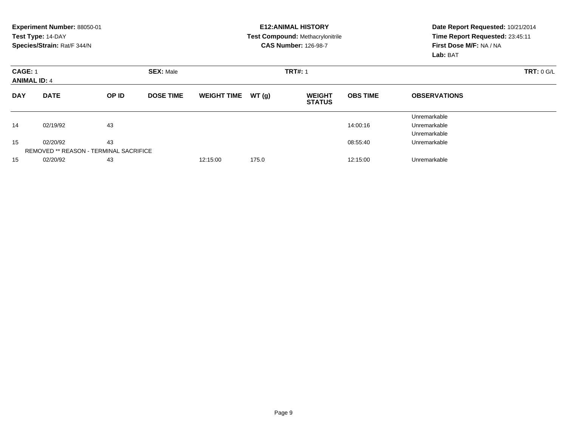|                                       | Experiment Number: 88050-01<br>Test Type: 14-DAY<br>Species/Strain: Rat/F 344/N |                                                     |                  |                    |       | <b>E12:ANIMAL HISTORY</b><br>Test Compound: Methacrylonitrile<br><b>CAS Number: 126-98-7</b> | Date Report Requested: 10/21/2014<br>Time Report Requested: 23:45:11<br>First Dose M/F: NA / NA<br>Lab: BAT |                                              |  |
|---------------------------------------|---------------------------------------------------------------------------------|-----------------------------------------------------|------------------|--------------------|-------|----------------------------------------------------------------------------------------------|-------------------------------------------------------------------------------------------------------------|----------------------------------------------|--|
| <b>CAGE: 1</b><br><b>ANIMAL ID: 4</b> |                                                                                 |                                                     | <b>SEX: Male</b> |                    |       | <b>TRT#: 1</b>                                                                               |                                                                                                             | <b>TRT: 0 G/L</b>                            |  |
| <b>DAY</b>                            | <b>DATE</b>                                                                     | OP ID                                               | <b>DOSE TIME</b> | <b>WEIGHT TIME</b> | WT(g) | <b>WEIGHT</b><br><b>STATUS</b>                                                               | <b>OBS TIME</b>                                                                                             | <b>OBSERVATIONS</b>                          |  |
| 14                                    | 02/19/92                                                                        | 43                                                  |                  |                    |       |                                                                                              | 14:00:16                                                                                                    | Unremarkable<br>Unremarkable<br>Unremarkable |  |
| 15                                    | 02/20/92                                                                        | 43<br><b>REMOVED ** REASON - TERMINAL SACRIFICE</b> |                  |                    |       |                                                                                              | 08:55:40                                                                                                    | Unremarkable                                 |  |
| 15                                    | 02/20/92                                                                        | 43                                                  |                  | 12:15:00           | 175.0 |                                                                                              | 12:15:00                                                                                                    | Unremarkable                                 |  |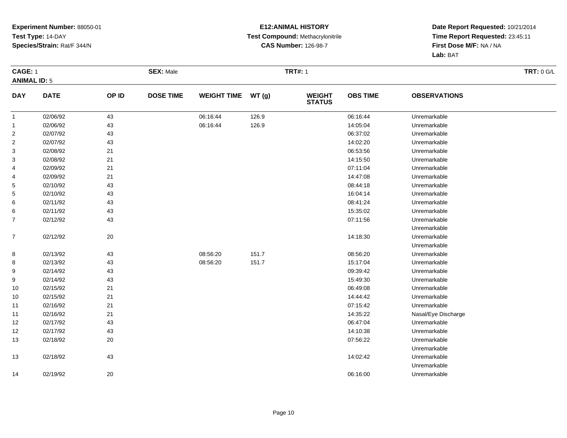#### **E12:ANIMAL HISTORY Test Compound:** Methacrylonitrile**CAS Number:** 126-98-7

| <b>CAGE: 1</b><br><b>ANIMAL ID: 5</b> |             |       | <b>SEX: Male</b> |                    |       | <b>TRT#: 1</b>                 |                 |                     | <b>TRT: 0 G/L</b> |
|---------------------------------------|-------------|-------|------------------|--------------------|-------|--------------------------------|-----------------|---------------------|-------------------|
| <b>DAY</b>                            | <b>DATE</b> | OP ID | <b>DOSE TIME</b> | <b>WEIGHT TIME</b> | WT(g) | <b>WEIGHT</b><br><b>STATUS</b> | <b>OBS TIME</b> | <b>OBSERVATIONS</b> |                   |
| $\mathbf{1}$                          | 02/06/92    | 43    |                  | 06:16:44           | 126.9 |                                | 06:16:44        | Unremarkable        |                   |
| $\overline{1}$                        | 02/06/92    | 43    |                  | 06:16:44           | 126.9 |                                | 14:05:04        | Unremarkable        |                   |
| $\overline{2}$                        | 02/07/92    | 43    |                  |                    |       |                                | 06:37:02        | Unremarkable        |                   |
| $\overline{2}$                        | 02/07/92    | 43    |                  |                    |       |                                | 14:02:20        | Unremarkable        |                   |
| 3                                     | 02/08/92    | 21    |                  |                    |       |                                | 06:53:56        | Unremarkable        |                   |
| 3                                     | 02/08/92    | 21    |                  |                    |       |                                | 14:15:50        | Unremarkable        |                   |
| 4                                     | 02/09/92    | 21    |                  |                    |       |                                | 07:11:04        | Unremarkable        |                   |
| 4                                     | 02/09/92    | 21    |                  |                    |       |                                | 14:47:08        | Unremarkable        |                   |
| 5                                     | 02/10/92    | 43    |                  |                    |       |                                | 08:44:18        | Unremarkable        |                   |
| 5                                     | 02/10/92    | 43    |                  |                    |       |                                | 16:04:14        | Unremarkable        |                   |
| 6                                     | 02/11/92    | 43    |                  |                    |       |                                | 08:41:24        | Unremarkable        |                   |
| 6                                     | 02/11/92    | 43    |                  |                    |       |                                | 15:35:02        | Unremarkable        |                   |
| 7                                     | 02/12/92    | 43    |                  |                    |       |                                | 07:11:56        | Unremarkable        |                   |
|                                       |             |       |                  |                    |       |                                |                 | Unremarkable        |                   |
| $\boldsymbol{7}$                      | 02/12/92    | 20    |                  |                    |       |                                | 14:18:30        | Unremarkable        |                   |
|                                       |             |       |                  |                    |       |                                |                 | Unremarkable        |                   |
| 8                                     | 02/13/92    | 43    |                  | 08:56:20           | 151.7 |                                | 08:56:20        | Unremarkable        |                   |
| 8                                     | 02/13/92    | 43    |                  | 08:56:20           | 151.7 |                                | 15:17:04        | Unremarkable        |                   |
| 9                                     | 02/14/92    | 43    |                  |                    |       |                                | 09:39:42        | Unremarkable        |                   |
| 9                                     | 02/14/92    | 43    |                  |                    |       |                                | 15:49:30        | Unremarkable        |                   |
| 10                                    | 02/15/92    | 21    |                  |                    |       |                                | 06:49:08        | Unremarkable        |                   |
| 10                                    | 02/15/92    | 21    |                  |                    |       |                                | 14:44:42        | Unremarkable        |                   |
| 11                                    | 02/16/92    | 21    |                  |                    |       |                                | 07:15:42        | Unremarkable        |                   |
| 11                                    | 02/16/92    | 21    |                  |                    |       |                                | 14:35:22        | Nasal/Eye Discharge |                   |
| 12                                    | 02/17/92    | 43    |                  |                    |       |                                | 06:47:04        | Unremarkable        |                   |
| 12                                    | 02/17/92    | 43    |                  |                    |       |                                | 14:10:38        | Unremarkable        |                   |
| 13                                    | 02/18/92    | 20    |                  |                    |       |                                | 07:56:22        | Unremarkable        |                   |
|                                       |             |       |                  |                    |       |                                |                 | Unremarkable        |                   |
| 13                                    | 02/18/92    | 43    |                  |                    |       |                                | 14:02:42        | Unremarkable        |                   |
|                                       |             |       |                  |                    |       |                                |                 | Unremarkable        |                   |
| 14                                    | 02/19/92    | 20    |                  |                    |       |                                | 06:16:00        | Unremarkable        |                   |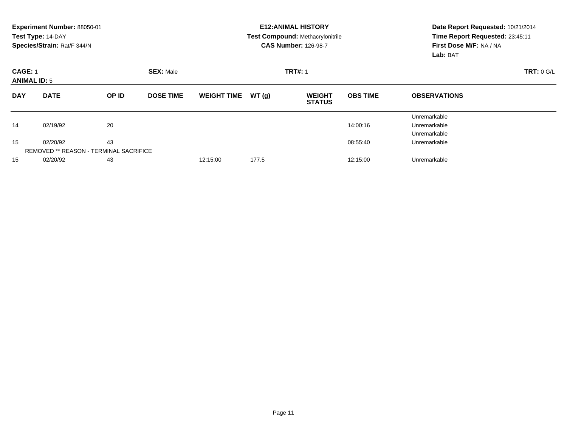|                                       | Experiment Number: 88050-01<br>Test Type: 14-DAY<br>Species/Strain: Rat/F 344/N |       |                  |                    |       | <b>E12: ANIMAL HISTORY</b><br><b>Test Compound: Methacrylonitrile</b><br><b>CAS Number: 126-98-7</b> | Date Report Requested: 10/21/2014<br>Time Report Requested: 23:45:11<br>First Dose M/F: NA / NA<br>Lab: BAT |                                              |  |
|---------------------------------------|---------------------------------------------------------------------------------|-------|------------------|--------------------|-------|------------------------------------------------------------------------------------------------------|-------------------------------------------------------------------------------------------------------------|----------------------------------------------|--|
| <b>CAGE: 1</b><br><b>ANIMAL ID: 5</b> |                                                                                 |       | <b>SEX: Male</b> |                    |       | <b>TRT#: 1</b>                                                                                       | <b>TRT: 0 G/L</b>                                                                                           |                                              |  |
| <b>DAY</b>                            | <b>DATE</b>                                                                     | OP ID | <b>DOSE TIME</b> | <b>WEIGHT TIME</b> | WT(g) | <b>WEIGHT</b><br><b>STATUS</b>                                                                       | <b>OBS TIME</b>                                                                                             | <b>OBSERVATIONS</b>                          |  |
| 14                                    | 02/19/92                                                                        | 20    |                  |                    |       |                                                                                                      | 14:00:16                                                                                                    | Unremarkable<br>Unremarkable<br>Unremarkable |  |
| 15                                    | 02/20/92<br><b>REMOVED ** REASON - TERMINAL SACRIFICE</b>                       | 43    |                  |                    |       |                                                                                                      | 08:55:40                                                                                                    | Unremarkable                                 |  |
| 15                                    | 02/20/92                                                                        | 43    |                  | 12:15:00           | 177.5 |                                                                                                      | 12:15:00                                                                                                    | Unremarkable                                 |  |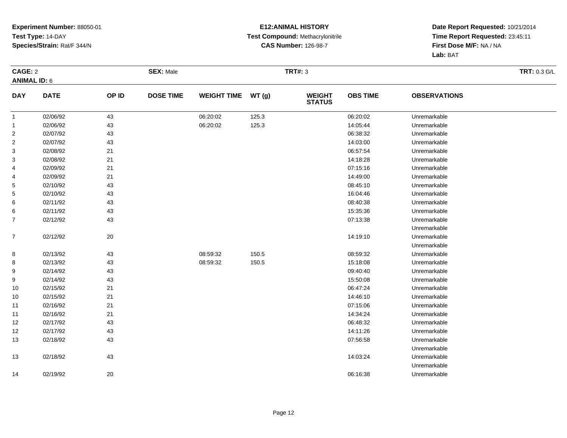#### **E12:ANIMAL HISTORY Test Compound:** Methacrylonitrile**CAS Number:** 126-98-7

| CAGE: 2             |             |       | <b>SEX: Male</b> |                    |       | <b>TRT#: 3</b>                 |                 |                     | <b>TRT: 0.3 G/L</b> |
|---------------------|-------------|-------|------------------|--------------------|-------|--------------------------------|-----------------|---------------------|---------------------|
| <b>ANIMAL ID: 6</b> |             |       |                  |                    |       |                                |                 |                     |                     |
| <b>DAY</b>          | <b>DATE</b> | OP ID | <b>DOSE TIME</b> | <b>WEIGHT TIME</b> | WT(g) | <b>WEIGHT</b><br><b>STATUS</b> | <b>OBS TIME</b> | <b>OBSERVATIONS</b> |                     |
| $\mathbf{1}$        | 02/06/92    | 43    |                  | 06:20:02           | 125.3 |                                | 06:20:02        | Unremarkable        |                     |
| $\mathbf{1}$        | 02/06/92    | 43    |                  | 06:20:02           | 125.3 |                                | 14:05:44        | Unremarkable        |                     |
| $\overline{2}$      | 02/07/92    | 43    |                  |                    |       |                                | 06:38:32        | Unremarkable        |                     |
| $\overline{2}$      | 02/07/92    | 43    |                  |                    |       |                                | 14:03:00        | Unremarkable        |                     |
| 3                   | 02/08/92    | 21    |                  |                    |       |                                | 06:57:54        | Unremarkable        |                     |
| 3                   | 02/08/92    | 21    |                  |                    |       |                                | 14:18:28        | Unremarkable        |                     |
| 4                   | 02/09/92    | 21    |                  |                    |       |                                | 07:15:16        | Unremarkable        |                     |
| 4                   | 02/09/92    | 21    |                  |                    |       |                                | 14:49:00        | Unremarkable        |                     |
| 5                   | 02/10/92    | 43    |                  |                    |       |                                | 08:45:10        | Unremarkable        |                     |
| 5                   | 02/10/92    | 43    |                  |                    |       |                                | 16:04:46        | Unremarkable        |                     |
| 6                   | 02/11/92    | 43    |                  |                    |       |                                | 08:40:38        | Unremarkable        |                     |
| 6                   | 02/11/92    | 43    |                  |                    |       |                                | 15:35:36        | Unremarkable        |                     |
| $\overline{7}$      | 02/12/92    | 43    |                  |                    |       |                                | 07:13:38        | Unremarkable        |                     |
|                     |             |       |                  |                    |       |                                |                 | Unremarkable        |                     |
| $\overline{7}$      | 02/12/92    | 20    |                  |                    |       |                                | 14:19:10        | Unremarkable        |                     |
|                     |             |       |                  |                    |       |                                |                 | Unremarkable        |                     |
| 8                   | 02/13/92    | 43    |                  | 08:59:32           | 150.5 |                                | 08:59:32        | Unremarkable        |                     |
| 8                   | 02/13/92    | 43    |                  | 08:59:32           | 150.5 |                                | 15:18:08        | Unremarkable        |                     |
| 9                   | 02/14/92    | 43    |                  |                    |       |                                | 09:40:40        | Unremarkable        |                     |
| 9                   | 02/14/92    | 43    |                  |                    |       |                                | 15:50:08        | Unremarkable        |                     |
| 10                  | 02/15/92    | $21$  |                  |                    |       |                                | 06:47:24        | Unremarkable        |                     |
| 10                  | 02/15/92    | 21    |                  |                    |       |                                | 14:46:10        | Unremarkable        |                     |
| 11                  | 02/16/92    | 21    |                  |                    |       |                                | 07:15:06        | Unremarkable        |                     |
| 11                  | 02/16/92    | 21    |                  |                    |       |                                | 14:34:24        | Unremarkable        |                     |
| 12                  | 02/17/92    | 43    |                  |                    |       |                                | 06:48:32        | Unremarkable        |                     |
| 12                  | 02/17/92    | 43    |                  |                    |       |                                | 14:11:26        | Unremarkable        |                     |
| 13                  | 02/18/92    | 43    |                  |                    |       |                                | 07:56:58        | Unremarkable        |                     |
|                     |             |       |                  |                    |       |                                |                 | Unremarkable        |                     |
| 13                  | 02/18/92    | 43    |                  |                    |       |                                | 14:03:24        | Unremarkable        |                     |
|                     |             |       |                  |                    |       |                                |                 | Unremarkable        |                     |
| 14                  | 02/19/92    | 20    |                  |                    |       |                                | 06:16:38        | Unremarkable        |                     |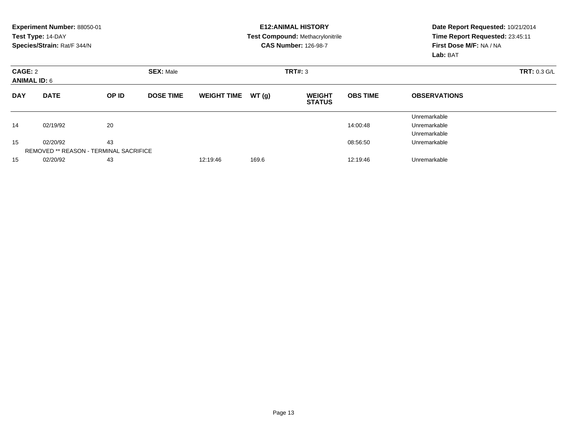|            | Experiment Number: 88050-01<br>Test Type: 14-DAY<br>Species/Strain: Rat/F 344/N |       |                  |                    |       | <b>E12: ANIMAL HISTORY</b><br>Test Compound: Methacrylonitrile<br><b>CAS Number: 126-98-7</b> | Date Report Requested: 10/21/2014<br>Time Report Requested: 23:45:11<br>First Dose M/F: NA / NA<br>Lab: BAT |                                              |
|------------|---------------------------------------------------------------------------------|-------|------------------|--------------------|-------|-----------------------------------------------------------------------------------------------|-------------------------------------------------------------------------------------------------------------|----------------------------------------------|
| CAGE: 2    | <b>SEX: Male</b><br><b>ANIMAL ID: 6</b>                                         |       |                  |                    |       | TRT#: 3                                                                                       | <b>TRT: 0.3 G/L</b>                                                                                         |                                              |
| <b>DAY</b> | <b>DATE</b>                                                                     | OP ID | <b>DOSE TIME</b> | <b>WEIGHT TIME</b> | WT(g) | <b>WEIGHT</b><br><b>STATUS</b>                                                                | <b>OBS TIME</b>                                                                                             | <b>OBSERVATIONS</b>                          |
| 14         | 02/19/92                                                                        | 20    |                  |                    |       |                                                                                               | 14:00:48                                                                                                    | Unremarkable<br>Unremarkable<br>Unremarkable |
| 15         | 02/20/92<br><b>REMOVED ** REASON - TERMINAL SACRIFICE</b>                       | 43    |                  |                    |       |                                                                                               | 08:56:50                                                                                                    | Unremarkable                                 |
| 15         | 02/20/92                                                                        | 43    |                  | 12:19:46           | 169.6 |                                                                                               | 12:19:46                                                                                                    | Unremarkable                                 |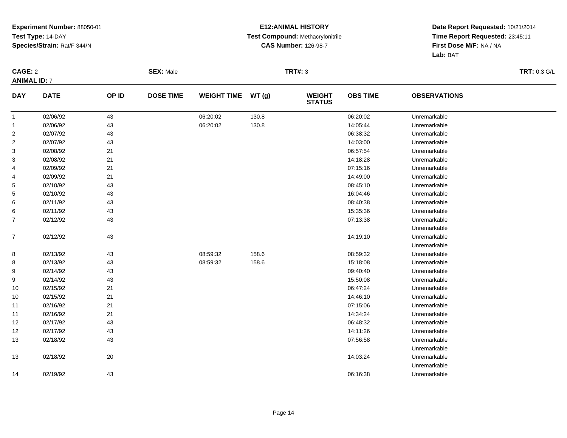#### **E12:ANIMAL HISTORY Test Compound:** Methacrylonitrile**CAS Number:** 126-98-7

|                     | CAGE: 2     |       | <b>SEX: Male</b> |                    |       | <b>TRT#: 3</b>                 |                 | <b>TRT: 0.3 G/L</b> |  |
|---------------------|-------------|-------|------------------|--------------------|-------|--------------------------------|-----------------|---------------------|--|
| <b>ANIMAL ID: 7</b> |             |       |                  |                    |       |                                |                 |                     |  |
| <b>DAY</b>          | <b>DATE</b> | OP ID | <b>DOSE TIME</b> | <b>WEIGHT TIME</b> | WT(g) | <b>WEIGHT</b><br><b>STATUS</b> | <b>OBS TIME</b> | <b>OBSERVATIONS</b> |  |
| $\mathbf{1}$        | 02/06/92    | 43    |                  | 06:20:02           | 130.8 |                                | 06:20:02        | Unremarkable        |  |
| $\mathbf{1}$        | 02/06/92    | 43    |                  | 06:20:02           | 130.8 |                                | 14:05:44        | Unremarkable        |  |
| $\overline{2}$      | 02/07/92    | 43    |                  |                    |       |                                | 06:38:32        | Unremarkable        |  |
| $\overline{2}$      | 02/07/92    | 43    |                  |                    |       |                                | 14:03:00        | Unremarkable        |  |
| 3                   | 02/08/92    | 21    |                  |                    |       |                                | 06:57:54        | Unremarkable        |  |
| 3                   | 02/08/92    | 21    |                  |                    |       |                                | 14:18:28        | Unremarkable        |  |
| 4                   | 02/09/92    | 21    |                  |                    |       |                                | 07:15:16        | Unremarkable        |  |
| 4                   | 02/09/92    | 21    |                  |                    |       |                                | 14:49:00        | Unremarkable        |  |
| 5                   | 02/10/92    | 43    |                  |                    |       |                                | 08:45:10        | Unremarkable        |  |
| 5                   | 02/10/92    | 43    |                  |                    |       |                                | 16:04:46        | Unremarkable        |  |
| 6                   | 02/11/92    | 43    |                  |                    |       |                                | 08:40:38        | Unremarkable        |  |
| 6                   | 02/11/92    | 43    |                  |                    |       |                                | 15:35:36        | Unremarkable        |  |
| $\overline{7}$      | 02/12/92    | 43    |                  |                    |       |                                | 07:13:38        | Unremarkable        |  |
|                     |             |       |                  |                    |       |                                |                 | Unremarkable        |  |
| $\overline{7}$      | 02/12/92    | 43    |                  |                    |       |                                | 14:19:10        | Unremarkable        |  |
|                     |             |       |                  |                    |       |                                |                 | Unremarkable        |  |
| 8                   | 02/13/92    | 43    |                  | 08:59:32           | 158.6 |                                | 08:59:32        | Unremarkable        |  |
| 8                   | 02/13/92    | 43    |                  | 08:59:32           | 158.6 |                                | 15:18:08        | Unremarkable        |  |
| 9                   | 02/14/92    | 43    |                  |                    |       |                                | 09:40:40        | Unremarkable        |  |
| 9                   | 02/14/92    | 43    |                  |                    |       |                                | 15:50:08        | Unremarkable        |  |
| 10                  | 02/15/92    | $21$  |                  |                    |       |                                | 06:47:24        | Unremarkable        |  |
| 10                  | 02/15/92    | 21    |                  |                    |       |                                | 14:46:10        | Unremarkable        |  |
| 11                  | 02/16/92    | 21    |                  |                    |       |                                | 07:15:06        | Unremarkable        |  |
| 11                  | 02/16/92    | 21    |                  |                    |       |                                | 14:34:24        | Unremarkable        |  |
| 12                  | 02/17/92    | 43    |                  |                    |       |                                | 06:48:32        | Unremarkable        |  |
| 12                  | 02/17/92    | 43    |                  |                    |       |                                | 14:11:26        | Unremarkable        |  |
| 13                  | 02/18/92    | 43    |                  |                    |       |                                | 07:56:58        | Unremarkable        |  |
|                     |             |       |                  |                    |       |                                |                 | Unremarkable        |  |
| 13                  | 02/18/92    | 20    |                  |                    |       |                                | 14:03:24        | Unremarkable        |  |
|                     |             |       |                  |                    |       |                                |                 | Unremarkable        |  |
| 14                  | 02/19/92    | 43    |                  |                    |       |                                | 06:16:38        | Unremarkable        |  |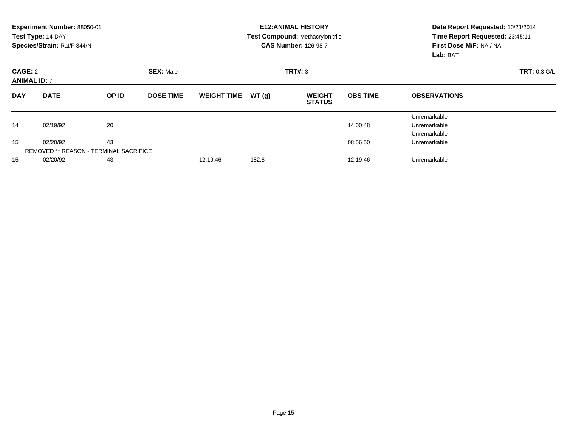|                                | Experiment Number: 88050-01<br>Test Type: 14-DAY<br>Species/Strain: Rat/F 344/N |       |                  |                    |                     | <b>E12: ANIMAL HISTORY</b><br><b>Test Compound: Methacrylonitrile</b><br><b>CAS Number: 126-98-7</b> | Date Report Requested: 10/21/2014<br>Time Report Requested: 23:45:11<br>First Dose M/F: NA / NA<br>Lab: BAT |                                              |
|--------------------------------|---------------------------------------------------------------------------------|-------|------------------|--------------------|---------------------|------------------------------------------------------------------------------------------------------|-------------------------------------------------------------------------------------------------------------|----------------------------------------------|
| CAGE: 2<br><b>ANIMAL ID: 7</b> |                                                                                 |       |                  | TRT#: 3            | <b>TRT: 0.3 G/L</b> |                                                                                                      |                                                                                                             |                                              |
| <b>DAY</b>                     | <b>DATE</b>                                                                     | OP ID | <b>DOSE TIME</b> | <b>WEIGHT TIME</b> | WT(g)               | <b>WEIGHT</b><br><b>STATUS</b>                                                                       | <b>OBS TIME</b>                                                                                             | <b>OBSERVATIONS</b>                          |
| 14                             | 02/19/92                                                                        | 20    |                  |                    |                     |                                                                                                      | 14:00:48                                                                                                    | Unremarkable<br>Unremarkable<br>Unremarkable |
| 15                             | 02/20/92<br><b>REMOVED ** REASON - TERMINAL SACRIFICE</b>                       | 43    |                  |                    |                     |                                                                                                      | 08:56:50                                                                                                    | Unremarkable                                 |
| 15                             | 02/20/92                                                                        | 43    |                  | 12:19:46           | 182.8               |                                                                                                      | 12:19:46                                                                                                    | Unremarkable                                 |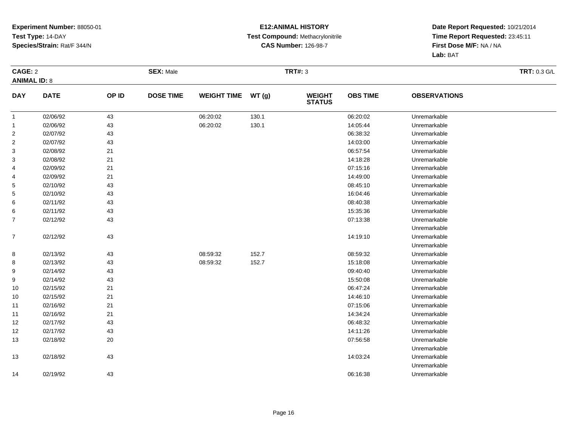#### **E12:ANIMAL HISTORY Test Compound:** Methacrylonitrile**CAS Number:** 126-98-7

|                     | CAGE: 2     |       | <b>SEX: Male</b> |                    |       | <b>TRT#: 3</b>                 |                 | <b>TRT: 0.3 G/L</b> |  |
|---------------------|-------------|-------|------------------|--------------------|-------|--------------------------------|-----------------|---------------------|--|
| <b>ANIMAL ID: 8</b> |             |       |                  |                    |       |                                |                 |                     |  |
| <b>DAY</b>          | <b>DATE</b> | OP ID | <b>DOSE TIME</b> | <b>WEIGHT TIME</b> | WT(g) | <b>WEIGHT</b><br><b>STATUS</b> | <b>OBS TIME</b> | <b>OBSERVATIONS</b> |  |
| $\mathbf{1}$        | 02/06/92    | 43    |                  | 06:20:02           | 130.1 |                                | 06:20:02        | Unremarkable        |  |
| $\mathbf{1}$        | 02/06/92    | 43    |                  | 06:20:02           | 130.1 |                                | 14:05:44        | Unremarkable        |  |
| $\overline{2}$      | 02/07/92    | 43    |                  |                    |       |                                | 06:38:32        | Unremarkable        |  |
| $\overline{2}$      | 02/07/92    | 43    |                  |                    |       |                                | 14:03:00        | Unremarkable        |  |
| 3                   | 02/08/92    | 21    |                  |                    |       |                                | 06:57:54        | Unremarkable        |  |
| 3                   | 02/08/92    | 21    |                  |                    |       |                                | 14:18:28        | Unremarkable        |  |
| 4                   | 02/09/92    | 21    |                  |                    |       |                                | 07:15:16        | Unremarkable        |  |
| 4                   | 02/09/92    | 21    |                  |                    |       |                                | 14:49:00        | Unremarkable        |  |
| 5                   | 02/10/92    | 43    |                  |                    |       |                                | 08:45:10        | Unremarkable        |  |
| 5                   | 02/10/92    | 43    |                  |                    |       |                                | 16:04:46        | Unremarkable        |  |
| 6                   | 02/11/92    | 43    |                  |                    |       |                                | 08:40:38        | Unremarkable        |  |
| 6                   | 02/11/92    | 43    |                  |                    |       |                                | 15:35:36        | Unremarkable        |  |
| $\overline{7}$      | 02/12/92    | 43    |                  |                    |       |                                | 07:13:38        | Unremarkable        |  |
|                     |             |       |                  |                    |       |                                |                 | Unremarkable        |  |
| $\overline{7}$      | 02/12/92    | 43    |                  |                    |       |                                | 14:19:10        | Unremarkable        |  |
|                     |             |       |                  |                    |       |                                |                 | Unremarkable        |  |
| 8                   | 02/13/92    | 43    |                  | 08:59:32           | 152.7 |                                | 08:59:32        | Unremarkable        |  |
| 8                   | 02/13/92    | 43    |                  | 08:59:32           | 152.7 |                                | 15:18:08        | Unremarkable        |  |
| 9                   | 02/14/92    | 43    |                  |                    |       |                                | 09:40:40        | Unremarkable        |  |
| 9                   | 02/14/92    | 43    |                  |                    |       |                                | 15:50:08        | Unremarkable        |  |
| 10                  | 02/15/92    | $21$  |                  |                    |       |                                | 06:47:24        | Unremarkable        |  |
| 10                  | 02/15/92    | 21    |                  |                    |       |                                | 14:46:10        | Unremarkable        |  |
| 11                  | 02/16/92    | 21    |                  |                    |       |                                | 07:15:06        | Unremarkable        |  |
| 11                  | 02/16/92    | 21    |                  |                    |       |                                | 14:34:24        | Unremarkable        |  |
| 12                  | 02/17/92    | 43    |                  |                    |       |                                | 06:48:32        | Unremarkable        |  |
| 12                  | 02/17/92    | 43    |                  |                    |       |                                | 14:11:26        | Unremarkable        |  |
| 13                  | 02/18/92    | 20    |                  |                    |       |                                | 07:56:58        | Unremarkable        |  |
|                     |             |       |                  |                    |       |                                |                 | Unremarkable        |  |
| 13                  | 02/18/92    | 43    |                  |                    |       |                                | 14:03:24        | Unremarkable        |  |
|                     |             |       |                  |                    |       |                                |                 | Unremarkable        |  |
| 14                  | 02/19/92    | 43    |                  |                    |       |                                | 06:16:38        | Unremarkable        |  |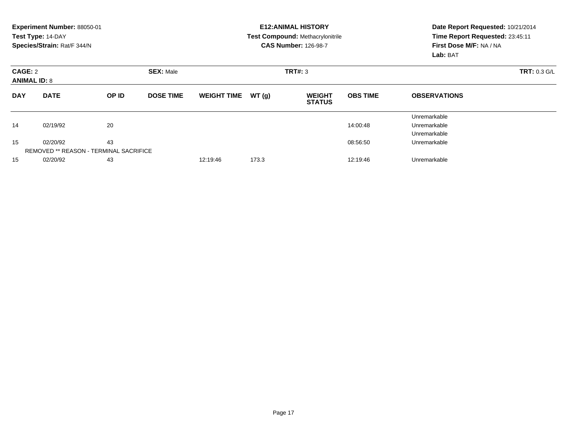|            | Experiment Number: 88050-01<br>Test Type: 14-DAY<br>Species/Strain: Rat/F 344/N |       |                  |                    |       | <b>E12: ANIMAL HISTORY</b><br>Test Compound: Methacrylonitrile<br><b>CAS Number: 126-98-7</b> | Date Report Requested: 10/21/2014<br>Time Report Requested: 23:45:11<br>First Dose M/F: NA / NA<br>Lab: BAT |                                              |
|------------|---------------------------------------------------------------------------------|-------|------------------|--------------------|-------|-----------------------------------------------------------------------------------------------|-------------------------------------------------------------------------------------------------------------|----------------------------------------------|
|            | CAGE: 2<br><b>SEX: Male</b><br><b>ANIMAL ID: 8</b>                              |       |                  |                    |       | TRT#: 3                                                                                       | <b>TRT: 0.3 G/L</b>                                                                                         |                                              |
| <b>DAY</b> | <b>DATE</b>                                                                     | OP ID | <b>DOSE TIME</b> | <b>WEIGHT TIME</b> | WT(g) | <b>WEIGHT</b><br><b>STATUS</b>                                                                | <b>OBS TIME</b>                                                                                             | <b>OBSERVATIONS</b>                          |
| 14         | 02/19/92                                                                        | 20    |                  |                    |       |                                                                                               | 14:00:48                                                                                                    | Unremarkable<br>Unremarkable<br>Unremarkable |
| 15         | 02/20/92<br>REMOVED ** REASON - TERMINAL SACRIFICE                              | 43    |                  |                    |       |                                                                                               | 08:56:50                                                                                                    | Unremarkable                                 |
| 15         | 02/20/92                                                                        | 43    |                  | 12:19:46           | 173.3 |                                                                                               | 12:19:46                                                                                                    | Unremarkable                                 |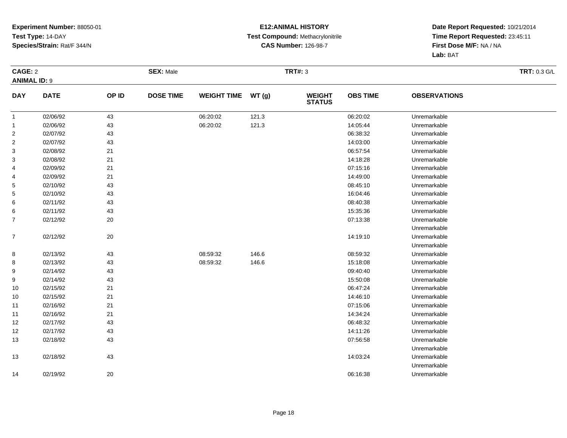#### **E12:ANIMAL HISTORY Test Compound:** Methacrylonitrile**CAS Number:** 126-98-7

|                     | CAGE: 2     |       | <b>SEX: Male</b> |                    |       | <b>TRT#: 3</b>                 |                 | <b>TRT: 0.3 G/L</b> |  |
|---------------------|-------------|-------|------------------|--------------------|-------|--------------------------------|-----------------|---------------------|--|
| <b>ANIMAL ID: 9</b> |             |       |                  |                    |       |                                |                 |                     |  |
| <b>DAY</b>          | <b>DATE</b> | OP ID | <b>DOSE TIME</b> | <b>WEIGHT TIME</b> | WT(g) | <b>WEIGHT</b><br><b>STATUS</b> | <b>OBS TIME</b> | <b>OBSERVATIONS</b> |  |
| $\mathbf{1}$        | 02/06/92    | 43    |                  | 06:20:02           | 121.3 |                                | 06:20:02        | Unremarkable        |  |
| $\mathbf{1}$        | 02/06/92    | 43    |                  | 06:20:02           | 121.3 |                                | 14:05:44        | Unremarkable        |  |
| $\overline{2}$      | 02/07/92    | 43    |                  |                    |       |                                | 06:38:32        | Unremarkable        |  |
| $\overline{2}$      | 02/07/92    | 43    |                  |                    |       |                                | 14:03:00        | Unremarkable        |  |
| 3                   | 02/08/92    | 21    |                  |                    |       |                                | 06:57:54        | Unremarkable        |  |
| 3                   | 02/08/92    | 21    |                  |                    |       |                                | 14:18:28        | Unremarkable        |  |
| 4                   | 02/09/92    | 21    |                  |                    |       |                                | 07:15:16        | Unremarkable        |  |
| 4                   | 02/09/92    | 21    |                  |                    |       |                                | 14:49:00        | Unremarkable        |  |
| 5                   | 02/10/92    | 43    |                  |                    |       |                                | 08:45:10        | Unremarkable        |  |
| 5                   | 02/10/92    | 43    |                  |                    |       |                                | 16:04:46        | Unremarkable        |  |
| 6                   | 02/11/92    | 43    |                  |                    |       |                                | 08:40:38        | Unremarkable        |  |
| 6                   | 02/11/92    | 43    |                  |                    |       |                                | 15:35:36        | Unremarkable        |  |
| $\overline{7}$      | 02/12/92    | 20    |                  |                    |       |                                | 07:13:38        | Unremarkable        |  |
|                     |             |       |                  |                    |       |                                |                 | Unremarkable        |  |
| $\overline{7}$      | 02/12/92    | 20    |                  |                    |       |                                | 14:19:10        | Unremarkable        |  |
|                     |             |       |                  |                    |       |                                |                 | Unremarkable        |  |
| 8                   | 02/13/92    | 43    |                  | 08:59:32           | 146.6 |                                | 08:59:32        | Unremarkable        |  |
| 8                   | 02/13/92    | 43    |                  | 08:59:32           | 146.6 |                                | 15:18:08        | Unremarkable        |  |
| 9                   | 02/14/92    | 43    |                  |                    |       |                                | 09:40:40        | Unremarkable        |  |
| 9                   | 02/14/92    | 43    |                  |                    |       |                                | 15:50:08        | Unremarkable        |  |
| 10                  | 02/15/92    | $21$  |                  |                    |       |                                | 06:47:24        | Unremarkable        |  |
| 10                  | 02/15/92    | 21    |                  |                    |       |                                | 14:46:10        | Unremarkable        |  |
| 11                  | 02/16/92    | 21    |                  |                    |       |                                | 07:15:06        | Unremarkable        |  |
| 11                  | 02/16/92    | 21    |                  |                    |       |                                | 14:34:24        | Unremarkable        |  |
| 12                  | 02/17/92    | 43    |                  |                    |       |                                | 06:48:32        | Unremarkable        |  |
| 12                  | 02/17/92    | 43    |                  |                    |       |                                | 14:11:26        | Unremarkable        |  |
| 13                  | 02/18/92    | 43    |                  |                    |       |                                | 07:56:58        | Unremarkable        |  |
|                     |             |       |                  |                    |       |                                |                 | Unremarkable        |  |
| 13                  | 02/18/92    | 43    |                  |                    |       |                                | 14:03:24        | Unremarkable        |  |
|                     |             |       |                  |                    |       |                                |                 | Unremarkable        |  |
| 14                  | 02/19/92    | 20    |                  |                    |       |                                | 06:16:38        | Unremarkable        |  |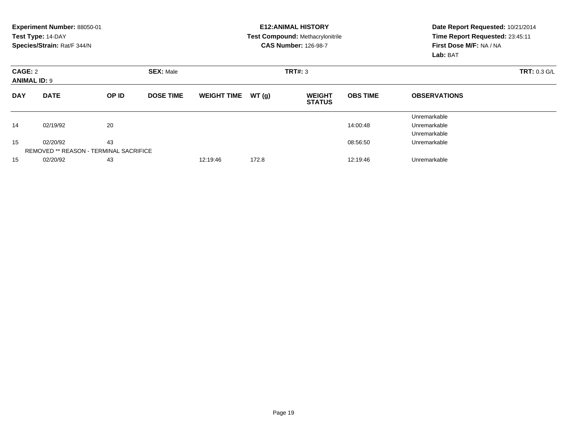|                                | Experiment Number: 88050-01<br>Test Type: 14-DAY<br>Species/Strain: Rat/F 344/N |       |                  |                    |                     | <b>E12: ANIMAL HISTORY</b><br><b>Test Compound: Methacrylonitrile</b><br><b>CAS Number: 126-98-7</b> | Date Report Requested: 10/21/2014<br>Time Report Requested: 23:45:11<br>First Dose M/F: NA / NA<br>Lab: BAT |                                              |
|--------------------------------|---------------------------------------------------------------------------------|-------|------------------|--------------------|---------------------|------------------------------------------------------------------------------------------------------|-------------------------------------------------------------------------------------------------------------|----------------------------------------------|
| CAGE: 2<br><b>ANIMAL ID: 9</b> |                                                                                 |       |                  | TRT#: 3            | <b>TRT: 0.3 G/L</b> |                                                                                                      |                                                                                                             |                                              |
| <b>DAY</b>                     | <b>DATE</b>                                                                     | OP ID | <b>DOSE TIME</b> | <b>WEIGHT TIME</b> | WT(g)               | <b>WEIGHT</b><br><b>STATUS</b>                                                                       | <b>OBS TIME</b>                                                                                             | <b>OBSERVATIONS</b>                          |
| 14                             | 02/19/92                                                                        | 20    |                  |                    |                     |                                                                                                      | 14:00:48                                                                                                    | Unremarkable<br>Unremarkable<br>Unremarkable |
| 15                             | 02/20/92<br><b>REMOVED ** REASON - TERMINAL SACRIFICE</b>                       | 43    |                  |                    |                     |                                                                                                      | 08:56:50                                                                                                    | Unremarkable                                 |
| 15                             | 02/20/92                                                                        | 43    |                  | 12:19:46           | 172.8               |                                                                                                      | 12:19:46                                                                                                    | Unremarkable                                 |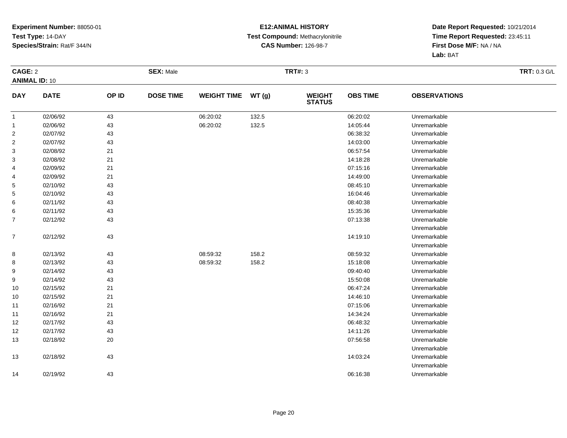#### **E12:ANIMAL HISTORY Test Compound:** Methacrylonitrile**CAS Number:** 126-98-7

| CAGE: 2              |             |        | <b>SEX: Male</b> |                    |       | <b>TRT#: 3</b>                 |                 | <b>TRT: 0.3 G/L</b> |  |
|----------------------|-------------|--------|------------------|--------------------|-------|--------------------------------|-----------------|---------------------|--|
| <b>ANIMAL ID: 10</b> |             |        |                  |                    |       |                                |                 |                     |  |
| <b>DAY</b>           | <b>DATE</b> | OP ID  | <b>DOSE TIME</b> | <b>WEIGHT TIME</b> | WT(g) | <b>WEIGHT</b><br><b>STATUS</b> | <b>OBS TIME</b> | <b>OBSERVATIONS</b> |  |
| $\mathbf{1}$         | 02/06/92    | 43     |                  | 06:20:02           | 132.5 |                                | 06:20:02        | Unremarkable        |  |
| $\mathbf{1}$         | 02/06/92    | 43     |                  | 06:20:02           | 132.5 |                                | 14:05:44        | Unremarkable        |  |
| 2                    | 02/07/92    | 43     |                  |                    |       |                                | 06:38:32        | Unremarkable        |  |
| $\overline{2}$       | 02/07/92    | 43     |                  |                    |       |                                | 14:03:00        | Unremarkable        |  |
| 3                    | 02/08/92    | 21     |                  |                    |       |                                | 06:57:54        | Unremarkable        |  |
| 3                    | 02/08/92    | 21     |                  |                    |       |                                | 14:18:28        | Unremarkable        |  |
| 4                    | 02/09/92    | 21     |                  |                    |       |                                | 07:15:16        | Unremarkable        |  |
| 4                    | 02/09/92    | 21     |                  |                    |       |                                | 14:49:00        | Unremarkable        |  |
| 5                    | 02/10/92    | 43     |                  |                    |       |                                | 08:45:10        | Unremarkable        |  |
| $\mathbf{5}$         | 02/10/92    | 43     |                  |                    |       |                                | 16:04:46        | Unremarkable        |  |
| 6                    | 02/11/92    | 43     |                  |                    |       |                                | 08:40:38        | Unremarkable        |  |
| 6                    | 02/11/92    | 43     |                  |                    |       |                                | 15:35:36        | Unremarkable        |  |
| $\overline{7}$       | 02/12/92    | 43     |                  |                    |       |                                | 07:13:38        | Unremarkable        |  |
|                      |             |        |                  |                    |       |                                |                 | Unremarkable        |  |
| $\overline{7}$       | 02/12/92    | 43     |                  |                    |       |                                | 14:19:10        | Unremarkable        |  |
|                      |             |        |                  |                    |       |                                |                 | Unremarkable        |  |
| 8                    | 02/13/92    | 43     |                  | 08:59:32           | 158.2 |                                | 08:59:32        | Unremarkable        |  |
| 8                    | 02/13/92    | 43     |                  | 08:59:32           | 158.2 |                                | 15:18:08        | Unremarkable        |  |
| 9                    | 02/14/92    | 43     |                  |                    |       |                                | 09:40:40        | Unremarkable        |  |
| 9                    | 02/14/92    | 43     |                  |                    |       |                                | 15:50:08        | Unremarkable        |  |
| 10                   | 02/15/92    | 21     |                  |                    |       |                                | 06:47:24        | Unremarkable        |  |
| 10                   | 02/15/92    | 21     |                  |                    |       |                                | 14:46:10        | Unremarkable        |  |
| 11                   | 02/16/92    | 21     |                  |                    |       |                                | 07:15:06        | Unremarkable        |  |
| 11                   | 02/16/92    | 21     |                  |                    |       |                                | 14:34:24        | Unremarkable        |  |
| 12                   | 02/17/92    | 43     |                  |                    |       |                                | 06:48:32        | Unremarkable        |  |
| 12                   | 02/17/92    | 43     |                  |                    |       |                                | 14:11:26        | Unremarkable        |  |
| 13                   | 02/18/92    | $20\,$ |                  |                    |       |                                | 07:56:58        | Unremarkable        |  |
|                      |             |        |                  |                    |       |                                |                 | Unremarkable        |  |
| 13                   | 02/18/92    | 43     |                  |                    |       |                                | 14:03:24        | Unremarkable        |  |
|                      |             |        |                  |                    |       |                                |                 | Unremarkable        |  |
| 14                   | 02/19/92    | 43     |                  |                    |       |                                | 06:16:38        | Unremarkable        |  |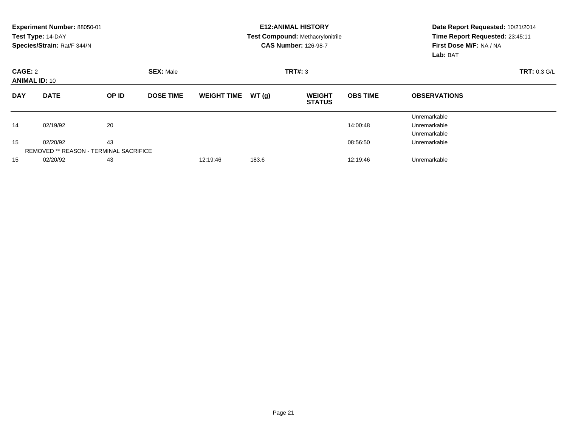|            | Experiment Number: 88050-01<br>Test Type: 14-DAY<br>Species/Strain: Rat/F 344/N |       |                  |                    |       | <b>E12: ANIMAL HISTORY</b><br><b>Test Compound: Methacrylonitrile</b><br><b>CAS Number: 126-98-7</b> | Date Report Requested: 10/21/2014<br>Time Report Requested: 23:45:11<br>First Dose M/F: NA / NA<br>Lab: BAT |                                              |
|------------|---------------------------------------------------------------------------------|-------|------------------|--------------------|-------|------------------------------------------------------------------------------------------------------|-------------------------------------------------------------------------------------------------------------|----------------------------------------------|
| CAGE: 2    | <b>SEX: Male</b><br><b>ANIMAL ID: 10</b>                                        |       |                  |                    |       | TRT#: 3                                                                                              | <b>TRT: 0.3 G/L</b>                                                                                         |                                              |
| <b>DAY</b> | <b>DATE</b>                                                                     | OP ID | <b>DOSE TIME</b> | <b>WEIGHT TIME</b> | WT(g) | <b>WEIGHT</b><br><b>STATUS</b>                                                                       | <b>OBS TIME</b>                                                                                             | <b>OBSERVATIONS</b>                          |
| 14         | 02/19/92                                                                        | 20    |                  |                    |       |                                                                                                      | 14:00:48                                                                                                    | Unremarkable<br>Unremarkable<br>Unremarkable |
| 15         | 02/20/92<br><b>REMOVED ** REASON - TERMINAL SACRIFICE</b>                       | 43    |                  |                    |       |                                                                                                      | 08:56:50                                                                                                    | Unremarkable                                 |
| 15         | 02/20/92                                                                        | 43    |                  | 12:19:46           | 183.6 |                                                                                                      | 12:19:46                                                                                                    | Unremarkable                                 |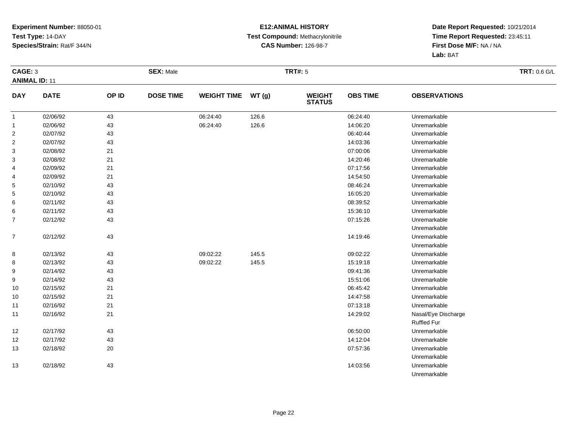#### **E12:ANIMAL HISTORY Test Compound:** Methacrylonitrile**CAS Number:** 126-98-7

|                         | CAGE: 3     |        | <b>SEX: Male</b> |                    |       | <b>TRT#: 5</b>                 |                 | TRT: 0.6 G/L        |  |
|-------------------------|-------------|--------|------------------|--------------------|-------|--------------------------------|-----------------|---------------------|--|
| <b>ANIMAL ID: 11</b>    |             |        |                  |                    |       |                                |                 |                     |  |
| <b>DAY</b>              | <b>DATE</b> | OP ID  | <b>DOSE TIME</b> | <b>WEIGHT TIME</b> | WT(g) | <b>WEIGHT</b><br><b>STATUS</b> | <b>OBS TIME</b> | <b>OBSERVATIONS</b> |  |
| $\mathbf{1}$            | 02/06/92    | 43     |                  | 06:24:40           | 126.6 |                                | 06:24:40        | Unremarkable        |  |
| $\mathbf{1}$            | 02/06/92    | 43     |                  | 06:24:40           | 126.6 |                                | 14:06:20        | Unremarkable        |  |
| $\overline{\mathbf{c}}$ | 02/07/92    | 43     |                  |                    |       |                                | 06:40:44        | Unremarkable        |  |
| $\overline{\mathbf{c}}$ | 02/07/92    | 43     |                  |                    |       |                                | 14:03:36        | Unremarkable        |  |
| 3                       | 02/08/92    | 21     |                  |                    |       |                                | 07:00:06        | Unremarkable        |  |
| 3                       | 02/08/92    | 21     |                  |                    |       |                                | 14:20:46        | Unremarkable        |  |
| 4                       | 02/09/92    | 21     |                  |                    |       |                                | 07:17:56        | Unremarkable        |  |
| 4                       | 02/09/92    | 21     |                  |                    |       |                                | 14:54:50        | Unremarkable        |  |
| 5                       | 02/10/92    | 43     |                  |                    |       |                                | 08:46:24        | Unremarkable        |  |
| 5                       | 02/10/92    | 43     |                  |                    |       |                                | 16:05:20        | Unremarkable        |  |
| 6                       | 02/11/92    | 43     |                  |                    |       |                                | 08:39:52        | Unremarkable        |  |
| 6                       | 02/11/92    | 43     |                  |                    |       |                                | 15:36:10        | Unremarkable        |  |
| $\overline{7}$          | 02/12/92    | 43     |                  |                    |       |                                | 07:15:26        | Unremarkable        |  |
|                         |             |        |                  |                    |       |                                |                 | Unremarkable        |  |
| $\overline{7}$          | 02/12/92    | 43     |                  |                    |       |                                | 14:19:46        | Unremarkable        |  |
|                         |             |        |                  |                    |       |                                |                 | Unremarkable        |  |
| 8                       | 02/13/92    | 43     |                  | 09:02:22           | 145.5 |                                | 09:02:22        | Unremarkable        |  |
| 8                       | 02/13/92    | 43     |                  | 09:02:22           | 145.5 |                                | 15:19:18        | Unremarkable        |  |
| 9                       | 02/14/92    | 43     |                  |                    |       |                                | 09:41:36        | Unremarkable        |  |
| 9                       | 02/14/92    | 43     |                  |                    |       |                                | 15:51:06        | Unremarkable        |  |
| 10                      | 02/15/92    | 21     |                  |                    |       |                                | 06:45:42        | Unremarkable        |  |
| 10                      | 02/15/92    | 21     |                  |                    |       |                                | 14:47:58        | Unremarkable        |  |
| 11                      | 02/16/92    | 21     |                  |                    |       |                                | 07:13:18        | Unremarkable        |  |
| 11                      | 02/16/92    | 21     |                  |                    |       |                                | 14:29:02        | Nasal/Eye Discharge |  |
|                         |             |        |                  |                    |       |                                |                 | Ruffled Fur         |  |
| 12                      | 02/17/92    | 43     |                  |                    |       |                                | 06:50:00        | Unremarkable        |  |
| 12                      | 02/17/92    | 43     |                  |                    |       |                                | 14:12:04        | Unremarkable        |  |
| 13                      | 02/18/92    | $20\,$ |                  |                    |       |                                | 07:57:36        | Unremarkable        |  |
|                         |             |        |                  |                    |       |                                |                 | Unremarkable        |  |
| 13                      | 02/18/92    | 43     |                  |                    |       |                                | 14:03:56        | Unremarkable        |  |
|                         |             |        |                  |                    |       |                                |                 | Unremarkable        |  |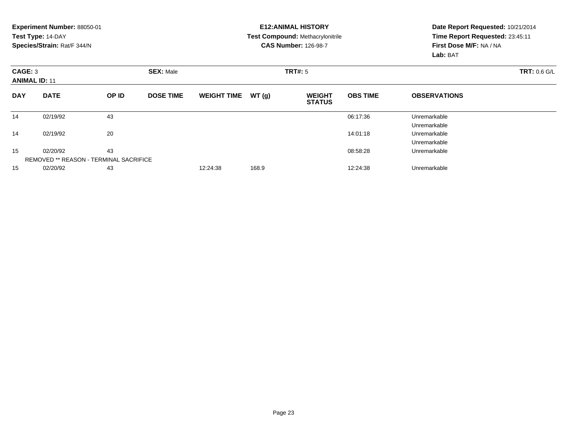|            | Experiment Number: 88050-01<br>Test Type: 14-DAY<br>Species/Strain: Rat/F 344/N |       |                  |                    |         | <b>E12: ANIMAL HISTORY</b><br><b>Test Compound: Methacrylonitrile</b><br><b>CAS Number: 126-98-7</b> |                 | Date Report Requested: 10/21/2014<br>Time Report Requested: 23:45:11<br>First Dose M/F: NA / NA<br>Lab: BAT |  |  |
|------------|---------------------------------------------------------------------------------|-------|------------------|--------------------|---------|------------------------------------------------------------------------------------------------------|-----------------|-------------------------------------------------------------------------------------------------------------|--|--|
| CAGE: 3    | <b>ANIMAL ID: 11</b>                                                            |       | <b>SEX: Male</b> |                    | TRT#: 5 |                                                                                                      |                 | <b>TRT: 0.6 G/L</b>                                                                                         |  |  |
| <b>DAY</b> | <b>DATE</b>                                                                     | OP ID | <b>DOSE TIME</b> | <b>WEIGHT TIME</b> | WT(g)   | <b>WEIGHT</b><br><b>STATUS</b>                                                                       | <b>OBS TIME</b> | <b>OBSERVATIONS</b>                                                                                         |  |  |
| 14         | 02/19/92                                                                        | 43    |                  |                    |         |                                                                                                      | 06:17:36        | Unremarkable<br>Unremarkable                                                                                |  |  |
| 14         | 02/19/92                                                                        | 20    |                  |                    |         |                                                                                                      | 14:01:18        | Unremarkable<br>Unremarkable                                                                                |  |  |
| 15         | 02/20/92<br>REMOVED ** REASON - TERMINAL SACRIFICE                              | 43    |                  |                    |         |                                                                                                      | 08:58:28        | Unremarkable                                                                                                |  |  |
| 15         | 02/20/92                                                                        | 43    |                  | 12:24:38           | 168.9   |                                                                                                      | 12:24:38        | Unremarkable                                                                                                |  |  |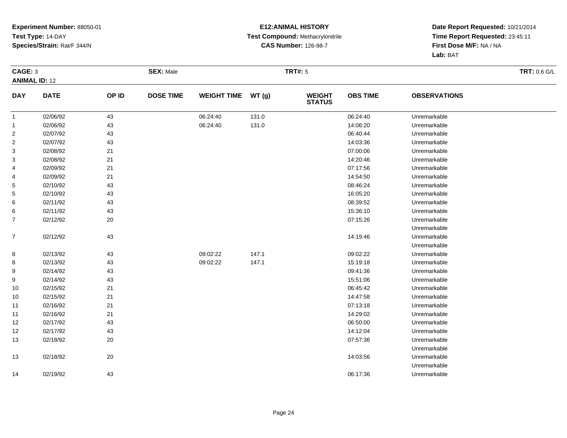#### **E12:ANIMAL HISTORY Test Compound:** Methacrylonitrile**CAS Number:** 126-98-7

|                      | CAGE: 3     |       | <b>SEX: Male</b> |                    |       | <b>TRT#: 5</b>                 |                 | <b>TRT: 0.6 G/L</b> |  |
|----------------------|-------------|-------|------------------|--------------------|-------|--------------------------------|-----------------|---------------------|--|
| <b>ANIMAL ID: 12</b> |             |       |                  |                    |       |                                |                 |                     |  |
| <b>DAY</b>           | <b>DATE</b> | OP ID | <b>DOSE TIME</b> | <b>WEIGHT TIME</b> | WT(g) | <b>WEIGHT</b><br><b>STATUS</b> | <b>OBS TIME</b> | <b>OBSERVATIONS</b> |  |
| $\mathbf{1}$         | 02/06/92    | 43    |                  | 06:24:40           | 131.0 |                                | 06:24:40        | Unremarkable        |  |
| $\overline{1}$       | 02/06/92    | 43    |                  | 06:24:40           | 131.0 |                                | 14:06:20        | Unremarkable        |  |
| $\overline{2}$       | 02/07/92    | 43    |                  |                    |       |                                | 06:40:44        | Unremarkable        |  |
| $\overline{c}$       | 02/07/92    | 43    |                  |                    |       |                                | 14:03:36        | Unremarkable        |  |
| $\mathbf{3}$         | 02/08/92    | 21    |                  |                    |       |                                | 07:00:06        | Unremarkable        |  |
| 3                    | 02/08/92    | 21    |                  |                    |       |                                | 14:20:46        | Unremarkable        |  |
| 4                    | 02/09/92    | 21    |                  |                    |       |                                | 07:17:56        | Unremarkable        |  |
| 4                    | 02/09/92    | 21    |                  |                    |       |                                | 14:54:50        | Unremarkable        |  |
| 5                    | 02/10/92    | 43    |                  |                    |       |                                | 08:46:24        | Unremarkable        |  |
| 5                    | 02/10/92    | 43    |                  |                    |       |                                | 16:05:20        | Unremarkable        |  |
| 6                    | 02/11/92    | 43    |                  |                    |       |                                | 08:39:52        | Unremarkable        |  |
| 6                    | 02/11/92    | 43    |                  |                    |       |                                | 15:36:10        | Unremarkable        |  |
| 7                    | 02/12/92    | 20    |                  |                    |       |                                | 07:15:26        | Unremarkable        |  |
|                      |             |       |                  |                    |       |                                |                 | Unremarkable        |  |
| $\boldsymbol{7}$     | 02/12/92    | 43    |                  |                    |       |                                | 14:19:46        | Unremarkable        |  |
|                      |             |       |                  |                    |       |                                |                 | Unremarkable        |  |
| 8                    | 02/13/92    | 43    |                  | 09:02:22           | 147.1 |                                | 09:02:22        | Unremarkable        |  |
| 8                    | 02/13/92    | 43    |                  | 09:02:22           | 147.1 |                                | 15:19:18        | Unremarkable        |  |
| 9                    | 02/14/92    | 43    |                  |                    |       |                                | 09:41:36        | Unremarkable        |  |
| 9                    | 02/14/92    | 43    |                  |                    |       |                                | 15:51:06        | Unremarkable        |  |
| 10                   | 02/15/92    | 21    |                  |                    |       |                                | 06:45:42        | Unremarkable        |  |
| 10                   | 02/15/92    | 21    |                  |                    |       |                                | 14:47:58        | Unremarkable        |  |
| 11                   | 02/16/92    | 21    |                  |                    |       |                                | 07:13:18        | Unremarkable        |  |
| 11                   | 02/16/92    | 21    |                  |                    |       |                                | 14:29:02        | Unremarkable        |  |
| 12                   | 02/17/92    | 43    |                  |                    |       |                                | 06:50:00        | Unremarkable        |  |
| 12                   | 02/17/92    | 43    |                  |                    |       |                                | 14:12:04        | Unremarkable        |  |
| 13                   | 02/18/92    | 20    |                  |                    |       |                                | 07:57:36        | Unremarkable        |  |
|                      |             |       |                  |                    |       |                                |                 | Unremarkable        |  |
| 13                   | 02/18/92    | 20    |                  |                    |       |                                | 14:03:56        | Unremarkable        |  |
|                      |             |       |                  |                    |       |                                |                 | Unremarkable        |  |
| 14                   | 02/19/92    | 43    |                  |                    |       |                                | 06:17:36        | Unremarkable        |  |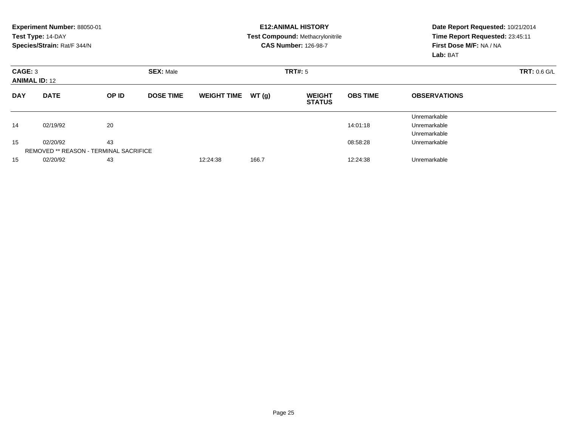|                                 | Experiment Number: 88050-01                   |       |                  |                    |       | <b>E12: ANIMAL HISTORY</b>              | Date Report Requested: 10/21/2014   |                                 |  |  |
|---------------------------------|-----------------------------------------------|-------|------------------|--------------------|-------|-----------------------------------------|-------------------------------------|---------------------------------|--|--|
|                                 | Test Type: 14-DAY                             |       |                  |                    |       | <b>Test Compound: Methacrylonitrile</b> |                                     | Time Report Requested: 23:45:11 |  |  |
|                                 | Species/Strain: Rat/F 344/N                   |       |                  |                    |       | <b>CAS Number: 126-98-7</b>             | First Dose M/F: NA / NA<br>Lab: BAT |                                 |  |  |
| CAGE: 3<br><b>ANIMAL ID: 12</b> |                                               |       | <b>SEX: Male</b> |                    |       | <b>TRT#: 5</b>                          | <b>TRT: 0.6 G/L</b>                 |                                 |  |  |
| <b>DAY</b>                      | <b>DATE</b>                                   | OP ID | <b>DOSE TIME</b> | <b>WEIGHT TIME</b> | WT(g) | <b>WEIGHT</b><br><b>STATUS</b>          | <b>OBS TIME</b>                     | <b>OBSERVATIONS</b>             |  |  |
|                                 |                                               |       |                  |                    |       |                                         |                                     | Unremarkable                    |  |  |
| 14                              | 02/19/92                                      | 20    |                  |                    |       |                                         | 14:01:18                            | Unremarkable                    |  |  |
|                                 |                                               |       |                  |                    |       |                                         |                                     | Unremarkable                    |  |  |
| 15                              | 02/20/92                                      | 43    |                  |                    |       |                                         | 08:58:28                            | Unremarkable                    |  |  |
|                                 | <b>REMOVED ** REASON - TERMINAL SACRIFICE</b> |       |                  |                    |       |                                         |                                     |                                 |  |  |
| 15                              | 02/20/92                                      | 43    |                  | 12:24:38           | 166.7 |                                         | 12:24:38                            | Unremarkable                    |  |  |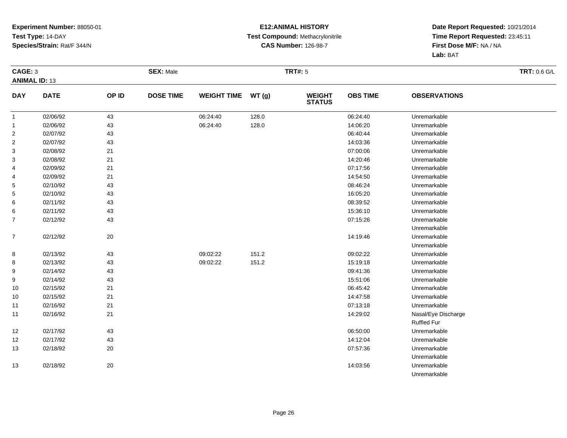#### **E12:ANIMAL HISTORY Test Compound:** Methacrylonitrile**CAS Number:** 126-98-7

| CAGE: 3                 |             | <b>SEX: Male</b> |                  |                    | <b>TRT#: 5</b> |                                | TRT: 0.6 G/L    |                     |  |
|-------------------------|-------------|------------------|------------------|--------------------|----------------|--------------------------------|-----------------|---------------------|--|
| <b>ANIMAL ID: 13</b>    |             |                  |                  |                    |                |                                |                 |                     |  |
| <b>DAY</b>              | <b>DATE</b> | OP ID            | <b>DOSE TIME</b> | <b>WEIGHT TIME</b> | WT(g)          | <b>WEIGHT</b><br><b>STATUS</b> | <b>OBS TIME</b> | <b>OBSERVATIONS</b> |  |
| $\mathbf{1}$            | 02/06/92    | 43               |                  | 06:24:40           | 128.0          |                                | 06:24:40        | Unremarkable        |  |
| $\mathbf{1}$            | 02/06/92    | 43               |                  | 06:24:40           | 128.0          |                                | 14:06:20        | Unremarkable        |  |
| $\overline{\mathbf{c}}$ | 02/07/92    | 43               |                  |                    |                |                                | 06:40:44        | Unremarkable        |  |
| $\overline{\mathbf{c}}$ | 02/07/92    | 43               |                  |                    |                |                                | 14:03:36        | Unremarkable        |  |
| 3                       | 02/08/92    | 21               |                  |                    |                |                                | 07:00:06        | Unremarkable        |  |
| 3                       | 02/08/92    | 21               |                  |                    |                |                                | 14:20:46        | Unremarkable        |  |
| 4                       | 02/09/92    | 21               |                  |                    |                |                                | 07:17:56        | Unremarkable        |  |
| 4                       | 02/09/92    | 21               |                  |                    |                |                                | 14:54:50        | Unremarkable        |  |
| 5                       | 02/10/92    | 43               |                  |                    |                |                                | 08:46:24        | Unremarkable        |  |
| 5                       | 02/10/92    | 43               |                  |                    |                |                                | 16:05:20        | Unremarkable        |  |
| 6                       | 02/11/92    | 43               |                  |                    |                |                                | 08:39:52        | Unremarkable        |  |
| 6                       | 02/11/92    | 43               |                  |                    |                |                                | 15:36:10        | Unremarkable        |  |
| $\overline{7}$          | 02/12/92    | 43               |                  |                    |                |                                | 07:15:26        | Unremarkable        |  |
|                         |             |                  |                  |                    |                |                                |                 | Unremarkable        |  |
| $\overline{7}$          | 02/12/92    | 20               |                  |                    |                |                                | 14:19:46        | Unremarkable        |  |
|                         |             |                  |                  |                    |                |                                |                 | Unremarkable        |  |
| 8                       | 02/13/92    | 43               |                  | 09:02:22           | 151.2          |                                | 09:02:22        | Unremarkable        |  |
| 8                       | 02/13/92    | 43               |                  | 09:02:22           | 151.2          |                                | 15:19:18        | Unremarkable        |  |
| 9                       | 02/14/92    | 43               |                  |                    |                |                                | 09:41:36        | Unremarkable        |  |
| 9                       | 02/14/92    | 43               |                  |                    |                |                                | 15:51:06        | Unremarkable        |  |
| 10                      | 02/15/92    | 21               |                  |                    |                |                                | 06:45:42        | Unremarkable        |  |
| 10                      | 02/15/92    | 21               |                  |                    |                |                                | 14:47:58        | Unremarkable        |  |
| 11                      | 02/16/92    | 21               |                  |                    |                |                                | 07:13:18        | Unremarkable        |  |
| 11                      | 02/16/92    | 21               |                  |                    |                |                                | 14:29:02        | Nasal/Eye Discharge |  |
|                         |             |                  |                  |                    |                |                                |                 | Ruffled Fur         |  |
| 12                      | 02/17/92    | 43               |                  |                    |                |                                | 06:50:00        | Unremarkable        |  |
| 12                      | 02/17/92    | 43               |                  |                    |                |                                | 14:12:04        | Unremarkable        |  |
| 13                      | 02/18/92    | $20\,$           |                  |                    |                |                                | 07:57:36        | Unremarkable        |  |
|                         |             |                  |                  |                    |                |                                |                 | Unremarkable        |  |
| 13                      | 02/18/92    | $20\,$           |                  |                    |                |                                | 14:03:56        | Unremarkable        |  |
|                         |             |                  |                  |                    |                |                                |                 | Unremarkable        |  |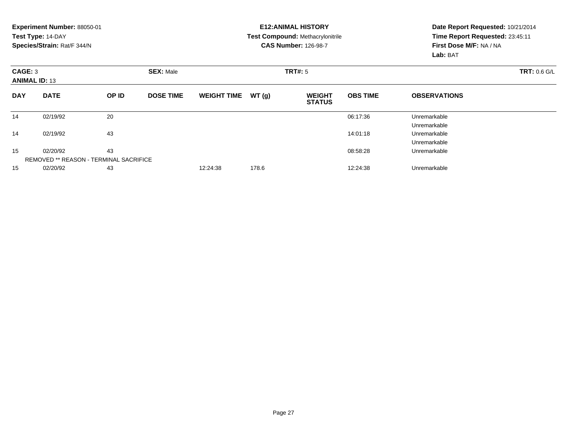|                                 | Experiment Number: 88050-01<br>Test Type: 14-DAY<br>Species/Strain: Rat/F 344/N |       |                  |                    |       | <b>E12: ANIMAL HISTORY</b><br><b>Test Compound: Methacrylonitrile</b><br><b>CAS Number: 126-98-7</b> |                 | Date Report Requested: 10/21/2014<br>Time Report Requested: 23:45:11<br>First Dose M/F: NA / NA<br>Lab: BAT |  |  |
|---------------------------------|---------------------------------------------------------------------------------|-------|------------------|--------------------|-------|------------------------------------------------------------------------------------------------------|-----------------|-------------------------------------------------------------------------------------------------------------|--|--|
| CAGE: 3<br><b>ANIMAL ID: 13</b> |                                                                                 |       | <b>SEX: Male</b> |                    |       | TRT#: 5                                                                                              |                 | <b>TRT: 0.6 G/L</b>                                                                                         |  |  |
| <b>DAY</b>                      | <b>DATE</b>                                                                     | OP ID | <b>DOSE TIME</b> | <b>WEIGHT TIME</b> | WT(g) | <b>WEIGHT</b><br><b>STATUS</b>                                                                       | <b>OBS TIME</b> | <b>OBSERVATIONS</b>                                                                                         |  |  |
| 14                              | 02/19/92                                                                        | 20    |                  |                    |       |                                                                                                      | 06:17:36        | Unremarkable<br>Unremarkable                                                                                |  |  |
| 14                              | 02/19/92                                                                        | 43    |                  |                    |       |                                                                                                      | 14:01:18        | Unremarkable<br>Unremarkable                                                                                |  |  |
| 15                              | 02/20/92<br>REMOVED ** REASON - TERMINAL SACRIFICE                              | 43    |                  |                    |       |                                                                                                      | 08:58:28        | Unremarkable                                                                                                |  |  |
| 15                              | 02/20/92                                                                        | 43    |                  | 12:24:38           | 178.6 |                                                                                                      | 12:24:38        | Unremarkable                                                                                                |  |  |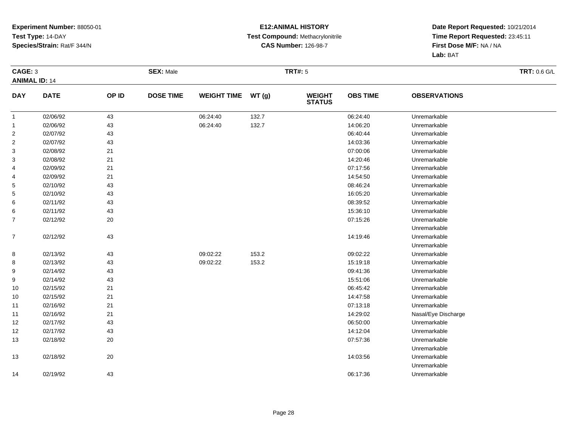#### **E12:ANIMAL HISTORY Test Compound:** Methacrylonitrile**CAS Number:** 126-98-7

|                         | CAGE: 3<br><b>ANIMAL ID: 14</b> |       | <b>SEX: Male</b> |                    |       | <b>TRT#: 5</b>                 | <b>TRT: 0.6 G/L</b> |                     |  |
|-------------------------|---------------------------------|-------|------------------|--------------------|-------|--------------------------------|---------------------|---------------------|--|
| <b>DAY</b>              | <b>DATE</b>                     | OP ID | <b>DOSE TIME</b> | <b>WEIGHT TIME</b> | WT(g) | <b>WEIGHT</b><br><b>STATUS</b> | <b>OBS TIME</b>     | <b>OBSERVATIONS</b> |  |
| $\mathbf{1}$            | 02/06/92                        | 43    |                  | 06:24:40           | 132.7 |                                | 06:24:40            | Unremarkable        |  |
| $\mathbf{1}$            | 02/06/92                        | 43    |                  | 06:24:40           | 132.7 |                                | 14:06:20            | Unremarkable        |  |
| $\overline{\mathbf{c}}$ | 02/07/92                        | 43    |                  |                    |       |                                | 06:40:44            | Unremarkable        |  |
| $\overline{\mathbf{c}}$ | 02/07/92                        | 43    |                  |                    |       |                                | 14:03:36            | Unremarkable        |  |
| 3                       | 02/08/92                        | 21    |                  |                    |       |                                | 07:00:06            | Unremarkable        |  |
| 3                       | 02/08/92                        | 21    |                  |                    |       |                                | 14:20:46            | Unremarkable        |  |
| 4                       | 02/09/92                        | 21    |                  |                    |       |                                | 07:17:56            | Unremarkable        |  |
| 4                       | 02/09/92                        | 21    |                  |                    |       |                                | 14:54:50            | Unremarkable        |  |
| 5                       | 02/10/92                        | 43    |                  |                    |       |                                | 08:46:24            | Unremarkable        |  |
| 5                       | 02/10/92                        | 43    |                  |                    |       |                                | 16:05:20            | Unremarkable        |  |
| 6                       | 02/11/92                        | 43    |                  |                    |       |                                | 08:39:52            | Unremarkable        |  |
| 6                       | 02/11/92                        | 43    |                  |                    |       |                                | 15:36:10            | Unremarkable        |  |
| 7                       | 02/12/92                        | 20    |                  |                    |       |                                | 07:15:26            | Unremarkable        |  |
|                         |                                 |       |                  |                    |       |                                |                     | Unremarkable        |  |
| $\boldsymbol{7}$        | 02/12/92                        | 43    |                  |                    |       |                                | 14:19:46            | Unremarkable        |  |
|                         |                                 |       |                  |                    |       |                                |                     | Unremarkable        |  |
| 8                       | 02/13/92                        | 43    |                  | 09:02:22           | 153.2 |                                | 09:02:22            | Unremarkable        |  |
| 8                       | 02/13/92                        | 43    |                  | 09:02:22           | 153.2 |                                | 15:19:18            | Unremarkable        |  |
| 9                       | 02/14/92                        | 43    |                  |                    |       |                                | 09:41:36            | Unremarkable        |  |
| 9                       | 02/14/92                        | 43    |                  |                    |       |                                | 15:51:06            | Unremarkable        |  |
| 10                      | 02/15/92                        | 21    |                  |                    |       |                                | 06:45:42            | Unremarkable        |  |
| 10                      | 02/15/92                        | 21    |                  |                    |       |                                | 14:47:58            | Unremarkable        |  |
| 11                      | 02/16/92                        | 21    |                  |                    |       |                                | 07:13:18            | Unremarkable        |  |
| 11                      | 02/16/92                        | 21    |                  |                    |       |                                | 14:29:02            | Nasal/Eye Discharge |  |
| 12                      | 02/17/92                        | 43    |                  |                    |       |                                | 06:50:00            | Unremarkable        |  |
| 12                      | 02/17/92                        | 43    |                  |                    |       |                                | 14:12:04            | Unremarkable        |  |
| 13                      | 02/18/92                        | 20    |                  |                    |       |                                | 07:57:36            | Unremarkable        |  |
|                         |                                 |       |                  |                    |       |                                |                     | Unremarkable        |  |
| 13                      | 02/18/92                        | 20    |                  |                    |       |                                | 14:03:56            | Unremarkable        |  |
|                         |                                 |       |                  |                    |       |                                |                     | Unremarkable        |  |
| 14                      | 02/19/92                        | 43    |                  |                    |       |                                | 06:17:36            | Unremarkable        |  |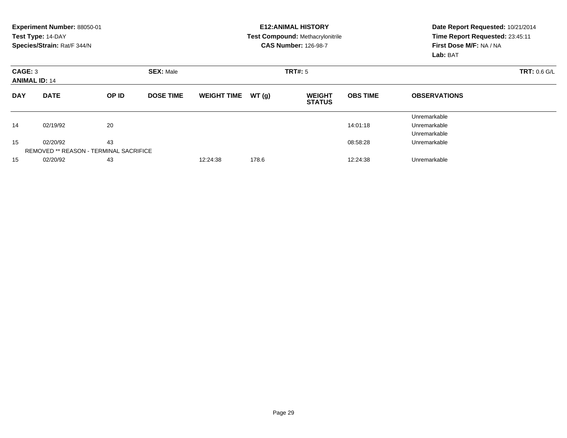|                                 | Experiment Number: 88050-01<br>Test Type: 14-DAY<br>Species/Strain: Rat/F 344/N |                                                     |                  |                    |                     | <b>E12: ANIMAL HISTORY</b><br><b>Test Compound: Methacrylonitrile</b><br><b>CAS Number: 126-98-7</b> | Date Report Requested: 10/21/2014<br>Time Report Requested: 23:45:11<br>First Dose M/F: NA / NA<br>Lab: BAT |                                              |
|---------------------------------|---------------------------------------------------------------------------------|-----------------------------------------------------|------------------|--------------------|---------------------|------------------------------------------------------------------------------------------------------|-------------------------------------------------------------------------------------------------------------|----------------------------------------------|
| CAGE: 3<br><b>ANIMAL ID: 14</b> |                                                                                 |                                                     |                  | <b>TRT#:</b> 5     | <b>TRT: 0.6 G/L</b> |                                                                                                      |                                                                                                             |                                              |
| <b>DAY</b>                      | <b>DATE</b>                                                                     | OP ID                                               | <b>DOSE TIME</b> | <b>WEIGHT TIME</b> | WT(g)               | <b>WEIGHT</b><br><b>STATUS</b>                                                                       | <b>OBS TIME</b>                                                                                             | <b>OBSERVATIONS</b>                          |
| 14                              | 02/19/92                                                                        | 20                                                  |                  |                    |                     |                                                                                                      | 14:01:18                                                                                                    | Unremarkable<br>Unremarkable<br>Unremarkable |
| 15                              | 02/20/92                                                                        | 43<br><b>REMOVED ** REASON - TERMINAL SACRIFICE</b> |                  |                    |                     |                                                                                                      | 08:58:28                                                                                                    | Unremarkable                                 |
| 15                              | 02/20/92                                                                        | 43                                                  |                  | 12:24:38           | 178.6               |                                                                                                      | 12:24:38                                                                                                    | Unremarkable                                 |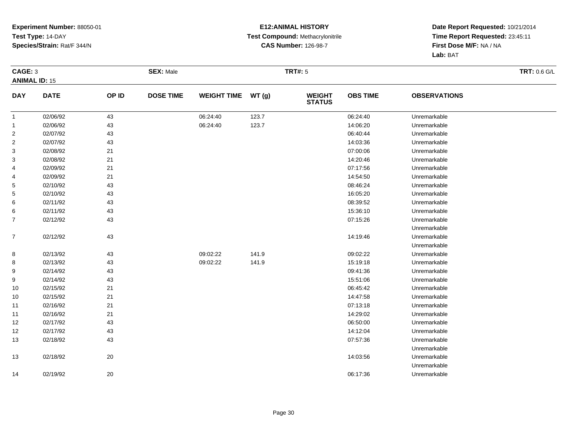#### **E12:ANIMAL HISTORY Test Compound:** Methacrylonitrile**CAS Number:** 126-98-7

|                      | CAGE: 3     |       | <b>SEX: Male</b> |                    |       | <b>TRT#: 5</b>                 |                 | <b>TRT: 0.6 G/L</b> |  |
|----------------------|-------------|-------|------------------|--------------------|-------|--------------------------------|-----------------|---------------------|--|
| <b>ANIMAL ID: 15</b> |             |       |                  |                    |       |                                |                 |                     |  |
| <b>DAY</b>           | <b>DATE</b> | OP ID | <b>DOSE TIME</b> | <b>WEIGHT TIME</b> | WT(g) | <b>WEIGHT</b><br><b>STATUS</b> | <b>OBS TIME</b> | <b>OBSERVATIONS</b> |  |
| $\mathbf{1}$         | 02/06/92    | 43    |                  | 06:24:40           | 123.7 |                                | 06:24:40        | Unremarkable        |  |
| $\mathbf{1}$         | 02/06/92    | 43    |                  | 06:24:40           | 123.7 |                                | 14:06:20        | Unremarkable        |  |
| $\overline{2}$       | 02/07/92    | 43    |                  |                    |       |                                | 06:40:44        | Unremarkable        |  |
| $\overline{2}$       | 02/07/92    | 43    |                  |                    |       |                                | 14:03:36        | Unremarkable        |  |
| 3                    | 02/08/92    | 21    |                  |                    |       |                                | 07:00:06        | Unremarkable        |  |
| 3                    | 02/08/92    | 21    |                  |                    |       |                                | 14:20:46        | Unremarkable        |  |
| 4                    | 02/09/92    | 21    |                  |                    |       |                                | 07:17:56        | Unremarkable        |  |
| 4                    | 02/09/92    | 21    |                  |                    |       |                                | 14:54:50        | Unremarkable        |  |
| 5                    | 02/10/92    | 43    |                  |                    |       |                                | 08:46:24        | Unremarkable        |  |
| 5                    | 02/10/92    | 43    |                  |                    |       |                                | 16:05:20        | Unremarkable        |  |
| 6                    | 02/11/92    | 43    |                  |                    |       |                                | 08:39:52        | Unremarkable        |  |
| 6                    | 02/11/92    | 43    |                  |                    |       |                                | 15:36:10        | Unremarkable        |  |
| $\overline{7}$       | 02/12/92    | 43    |                  |                    |       |                                | 07:15:26        | Unremarkable        |  |
|                      |             |       |                  |                    |       |                                |                 | Unremarkable        |  |
| $\overline{7}$       | 02/12/92    | 43    |                  |                    |       |                                | 14:19:46        | Unremarkable        |  |
|                      |             |       |                  |                    |       |                                |                 | Unremarkable        |  |
| 8                    | 02/13/92    | 43    |                  | 09:02:22           | 141.9 |                                | 09:02:22        | Unremarkable        |  |
| 8                    | 02/13/92    | 43    |                  | 09:02:22           | 141.9 |                                | 15:19:18        | Unremarkable        |  |
| 9                    | 02/14/92    | 43    |                  |                    |       |                                | 09:41:36        | Unremarkable        |  |
| 9                    | 02/14/92    | 43    |                  |                    |       |                                | 15:51:06        | Unremarkable        |  |
| 10                   | 02/15/92    | $21$  |                  |                    |       |                                | 06:45:42        | Unremarkable        |  |
| 10                   | 02/15/92    | 21    |                  |                    |       |                                | 14:47:58        | Unremarkable        |  |
| 11                   | 02/16/92    | 21    |                  |                    |       |                                | 07:13:18        | Unremarkable        |  |
| 11                   | 02/16/92    | 21    |                  |                    |       |                                | 14:29:02        | Unremarkable        |  |
| 12                   | 02/17/92    | 43    |                  |                    |       |                                | 06:50:00        | Unremarkable        |  |
| 12                   | 02/17/92    | 43    |                  |                    |       |                                | 14:12:04        | Unremarkable        |  |
| 13                   | 02/18/92    | 43    |                  |                    |       |                                | 07:57:36        | Unremarkable        |  |
|                      |             |       |                  |                    |       |                                |                 | Unremarkable        |  |
| 13                   | 02/18/92    | 20    |                  |                    |       |                                | 14:03:56        | Unremarkable        |  |
|                      |             |       |                  |                    |       |                                |                 | Unremarkable        |  |
| 14                   | 02/19/92    | 20    |                  |                    |       |                                | 06:17:36        | Unremarkable        |  |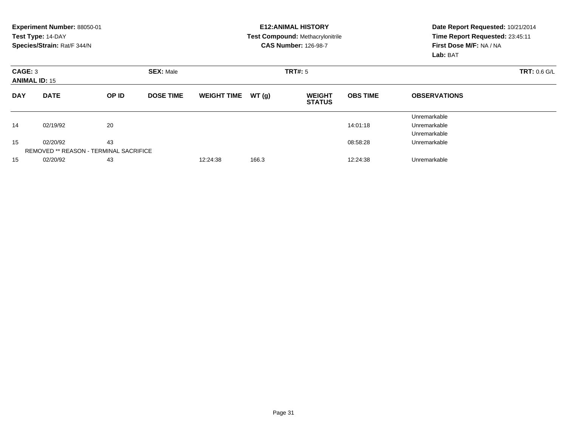|                                 | Experiment Number: 88050-01                   |       |                  |                    |                     | <b>E12: ANIMAL HISTORY</b>              | Date Report Requested: 10/21/2014   |                                 |  |  |
|---------------------------------|-----------------------------------------------|-------|------------------|--------------------|---------------------|-----------------------------------------|-------------------------------------|---------------------------------|--|--|
|                                 | Test Type: 14-DAY                             |       |                  |                    |                     | <b>Test Compound: Methacrylonitrile</b> |                                     | Time Report Requested: 23:45:11 |  |  |
|                                 | Species/Strain: Rat/F 344/N                   |       |                  |                    |                     | <b>CAS Number: 126-98-7</b>             | First Dose M/F: NA / NA<br>Lab: BAT |                                 |  |  |
| CAGE: 3<br><b>ANIMAL ID: 15</b> |                                               |       |                  | <b>TRT#: 5</b>     | <b>TRT: 0.6 G/L</b> |                                         |                                     |                                 |  |  |
| <b>DAY</b>                      | <b>DATE</b>                                   | OP ID | <b>DOSE TIME</b> | <b>WEIGHT TIME</b> | WT(g)               | <b>WEIGHT</b><br><b>STATUS</b>          | <b>OBS TIME</b>                     | <b>OBSERVATIONS</b>             |  |  |
|                                 |                                               |       |                  |                    |                     |                                         |                                     | Unremarkable                    |  |  |
| 14                              | 02/19/92                                      | 20    |                  |                    |                     |                                         | 14:01:18                            | Unremarkable                    |  |  |
|                                 |                                               |       |                  |                    |                     |                                         |                                     | Unremarkable                    |  |  |
| 15                              | 02/20/92                                      | 43    |                  |                    |                     |                                         | 08:58:28                            | Unremarkable                    |  |  |
|                                 | <b>REMOVED ** REASON - TERMINAL SACRIFICE</b> |       |                  |                    |                     |                                         |                                     |                                 |  |  |
| 15                              | 43<br>02/20/92                                |       |                  | 12:24:38           | 166.3               |                                         | 12:24:38                            | Unremarkable                    |  |  |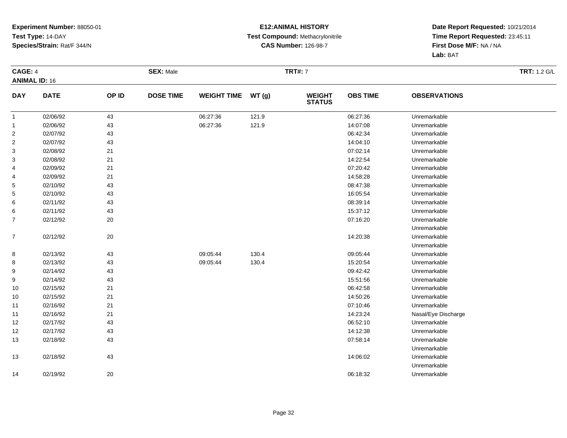#### **E12:ANIMAL HISTORY Test Compound:** Methacrylonitrile**CAS Number:** 126-98-7

|                         | CAGE: 4<br><b>ANIMAL ID: 16</b> |        | <b>SEX: Male</b> |                    |       | <b>TRT#: 7</b>                 | <b>TRT: 1.2 G/L</b> |                     |  |
|-------------------------|---------------------------------|--------|------------------|--------------------|-------|--------------------------------|---------------------|---------------------|--|
| <b>DAY</b>              | <b>DATE</b>                     | OP ID  | <b>DOSE TIME</b> | <b>WEIGHT TIME</b> | WT(g) | <b>WEIGHT</b><br><b>STATUS</b> | <b>OBS TIME</b>     | <b>OBSERVATIONS</b> |  |
| $\mathbf{1}$            | 02/06/92                        | 43     |                  | 06:27:36           | 121.9 |                                | 06:27:36            | Unremarkable        |  |
| $\mathbf{1}$            | 02/06/92                        | 43     |                  | 06:27:36           | 121.9 |                                | 14:07:08            | Unremarkable        |  |
| $\overline{\mathbf{c}}$ | 02/07/92                        | 43     |                  |                    |       |                                | 06:42:34            | Unremarkable        |  |
| $\overline{\mathbf{c}}$ | 02/07/92                        | 43     |                  |                    |       |                                | 14:04:10            | Unremarkable        |  |
| 3                       | 02/08/92                        | 21     |                  |                    |       |                                | 07:02:14            | Unremarkable        |  |
| 3                       | 02/08/92                        | 21     |                  |                    |       |                                | 14:22:54            | Unremarkable        |  |
| 4                       | 02/09/92                        | 21     |                  |                    |       |                                | 07:20:42            | Unremarkable        |  |
| 4                       | 02/09/92                        | 21     |                  |                    |       |                                | 14:58:28            | Unremarkable        |  |
| 5                       | 02/10/92                        | 43     |                  |                    |       |                                | 08:47:38            | Unremarkable        |  |
| 5                       | 02/10/92                        | 43     |                  |                    |       |                                | 16:05:54            | Unremarkable        |  |
| 6                       | 02/11/92                        | 43     |                  |                    |       |                                | 08:39:14            | Unremarkable        |  |
| 6                       | 02/11/92                        | 43     |                  |                    |       |                                | 15:37:12            | Unremarkable        |  |
| $\overline{7}$          | 02/12/92                        | 20     |                  |                    |       |                                | 07:16:20            | Unremarkable        |  |
|                         |                                 |        |                  |                    |       |                                |                     | Unremarkable        |  |
| $\boldsymbol{7}$        | 02/12/92                        | 20     |                  |                    |       |                                | 14:20:38            | Unremarkable        |  |
|                         |                                 |        |                  |                    |       |                                |                     | Unremarkable        |  |
| 8                       | 02/13/92                        | 43     |                  | 09:05:44           | 130.4 |                                | 09:05:44            | Unremarkable        |  |
| 8                       | 02/13/92                        | 43     |                  | 09:05:44           | 130.4 |                                | 15:20:54            | Unremarkable        |  |
| 9                       | 02/14/92                        | 43     |                  |                    |       |                                | 09:42:42            | Unremarkable        |  |
| 9                       | 02/14/92                        | 43     |                  |                    |       |                                | 15:51:56            | Unremarkable        |  |
| 10                      | 02/15/92                        | 21     |                  |                    |       |                                | 06:42:58            | Unremarkable        |  |
| 10                      | 02/15/92                        | 21     |                  |                    |       |                                | 14:50:26            | Unremarkable        |  |
| 11                      | 02/16/92                        | 21     |                  |                    |       |                                | 07:10:46            | Unremarkable        |  |
| 11                      | 02/16/92                        | 21     |                  |                    |       |                                | 14:23:24            | Nasal/Eye Discharge |  |
| 12                      | 02/17/92                        | 43     |                  |                    |       |                                | 06:52:10            | Unremarkable        |  |
| 12                      | 02/17/92                        | 43     |                  |                    |       |                                | 14:12:38            | Unremarkable        |  |
| 13                      | 02/18/92                        | 43     |                  |                    |       |                                | 07:58:14            | Unremarkable        |  |
|                         |                                 |        |                  |                    |       |                                |                     | Unremarkable        |  |
| 13                      | 02/18/92                        | 43     |                  |                    |       |                                | 14:06:02            | Unremarkable        |  |
|                         |                                 |        |                  |                    |       |                                |                     | Unremarkable        |  |
| 14                      | 02/19/92                        | $20\,$ |                  |                    |       |                                | 06:18:32            | Unremarkable        |  |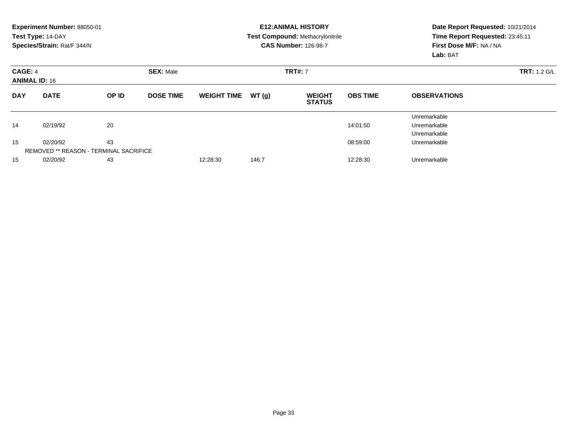|                                 | Experiment Number: 88050-01<br>Test Type: 14-DAY<br>Species/Strain: Rat/F 344/N |                                                     |                  |                    |       | <b>E12: ANIMAL HISTORY</b><br><b>Test Compound: Methacrylonitrile</b><br><b>CAS Number: 126-98-7</b> | Date Report Requested: 10/21/2014<br>Time Report Requested: 23:45:11<br>First Dose M/F: NA / NA<br>Lab: BAT |                                              |
|---------------------------------|---------------------------------------------------------------------------------|-----------------------------------------------------|------------------|--------------------|-------|------------------------------------------------------------------------------------------------------|-------------------------------------------------------------------------------------------------------------|----------------------------------------------|
| CAGE: 4<br><b>ANIMAL ID: 16</b> |                                                                                 |                                                     | <b>SEX: Male</b> |                    |       | <b>TRT#: 7</b>                                                                                       | <b>TRT: 1.2 G/L</b>                                                                                         |                                              |
| <b>DAY</b>                      | <b>DATE</b>                                                                     | OP ID                                               | <b>DOSE TIME</b> | <b>WEIGHT TIME</b> | WT(g) | <b>WEIGHT</b><br><b>STATUS</b>                                                                       | <b>OBS TIME</b>                                                                                             | <b>OBSERVATIONS</b>                          |
| 14                              | 02/19/92                                                                        | 20                                                  |                  |                    |       |                                                                                                      | 14:01:50                                                                                                    | Unremarkable<br>Unremarkable<br>Unremarkable |
| 15                              | 02/20/92                                                                        | 43<br><b>REMOVED ** REASON - TERMINAL SACRIFICE</b> |                  |                    |       |                                                                                                      | 08:59:00                                                                                                    | Unremarkable                                 |
| 15                              | 02/20/92                                                                        | 43                                                  |                  | 12:28:30           | 146.7 |                                                                                                      | 12:28:30                                                                                                    | Unremarkable                                 |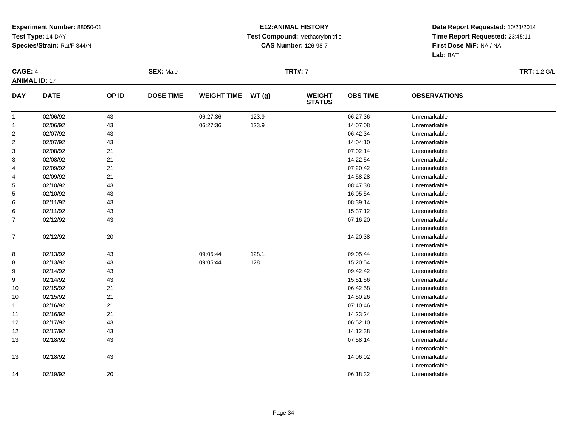#### **E12:ANIMAL HISTORY Test Compound:** Methacrylonitrile**CAS Number:** 126-98-7

|                | <b>CAGE: 4</b><br><b>ANIMAL ID: 17</b> |       | <b>SEX: Male</b> |                    |       | <b>TRT#: 7</b>                 | <b>TRT: 1.2 G/L</b> |                     |  |
|----------------|----------------------------------------|-------|------------------|--------------------|-------|--------------------------------|---------------------|---------------------|--|
| <b>DAY</b>     | <b>DATE</b>                            | OP ID | <b>DOSE TIME</b> | <b>WEIGHT TIME</b> | WT(g) | <b>WEIGHT</b><br><b>STATUS</b> | <b>OBS TIME</b>     | <b>OBSERVATIONS</b> |  |
| $\mathbf{1}$   | 02/06/92                               | 43    |                  | 06:27:36           | 123.9 |                                | 06:27:36            | Unremarkable        |  |
| $\mathbf{1}$   | 02/06/92                               | 43    |                  | 06:27:36           | 123.9 |                                | 14:07:08            | Unremarkable        |  |
| $\overline{c}$ | 02/07/92                               | 43    |                  |                    |       |                                | 06:42:34            | Unremarkable        |  |
| $\overline{2}$ | 02/07/92                               | 43    |                  |                    |       |                                | 14:04:10            | Unremarkable        |  |
| 3              | 02/08/92                               | 21    |                  |                    |       |                                | 07:02:14            | Unremarkable        |  |
| 3              | 02/08/92                               | 21    |                  |                    |       |                                | 14:22:54            | Unremarkable        |  |
| 4              | 02/09/92                               | 21    |                  |                    |       |                                | 07:20:42            | Unremarkable        |  |
| 4              | 02/09/92                               | 21    |                  |                    |       |                                | 14:58:28            | Unremarkable        |  |
| 5              | 02/10/92                               | 43    |                  |                    |       |                                | 08:47:38            | Unremarkable        |  |
| 5              | 02/10/92                               | 43    |                  |                    |       |                                | 16:05:54            | Unremarkable        |  |
| 6              | 02/11/92                               | 43    |                  |                    |       |                                | 08:39:14            | Unremarkable        |  |
| 6              | 02/11/92                               | 43    |                  |                    |       |                                | 15:37:12            | Unremarkable        |  |
| 7              | 02/12/92                               | 43    |                  |                    |       |                                | 07:16:20            | Unremarkable        |  |
|                |                                        |       |                  |                    |       |                                |                     | Unremarkable        |  |
| $\overline{7}$ | 02/12/92                               | 20    |                  |                    |       |                                | 14:20:38            | Unremarkable        |  |
|                |                                        |       |                  |                    |       |                                |                     | Unremarkable        |  |
| 8              | 02/13/92                               | 43    |                  | 09:05:44           | 128.1 |                                | 09:05:44            | Unremarkable        |  |
| 8              | 02/13/92                               | 43    |                  | 09:05:44           | 128.1 |                                | 15:20:54            | Unremarkable        |  |
| 9              | 02/14/92                               | 43    |                  |                    |       |                                | 09:42:42            | Unremarkable        |  |
| 9              | 02/14/92                               | 43    |                  |                    |       |                                | 15:51:56            | Unremarkable        |  |
| 10             | 02/15/92                               | 21    |                  |                    |       |                                | 06:42:58            | Unremarkable        |  |
| 10             | 02/15/92                               | 21    |                  |                    |       |                                | 14:50:26            | Unremarkable        |  |
| 11             | 02/16/92                               | 21    |                  |                    |       |                                | 07:10:46            | Unremarkable        |  |
| 11             | 02/16/92                               | 21    |                  |                    |       |                                | 14:23:24            | Unremarkable        |  |
| 12             | 02/17/92                               | 43    |                  |                    |       |                                | 06:52:10            | Unremarkable        |  |
| 12             | 02/17/92                               | 43    |                  |                    |       |                                | 14:12:38            | Unremarkable        |  |
| 13             | 02/18/92                               | 43    |                  |                    |       |                                | 07:58:14            | Unremarkable        |  |
|                |                                        |       |                  |                    |       |                                |                     | Unremarkable        |  |
| 13             | 02/18/92                               | 43    |                  |                    |       |                                | 14:06:02            | Unremarkable        |  |
|                |                                        |       |                  |                    |       |                                |                     | Unremarkable        |  |
| 14             | 02/19/92                               | 20    |                  |                    |       |                                | 06:18:32            | Unremarkable        |  |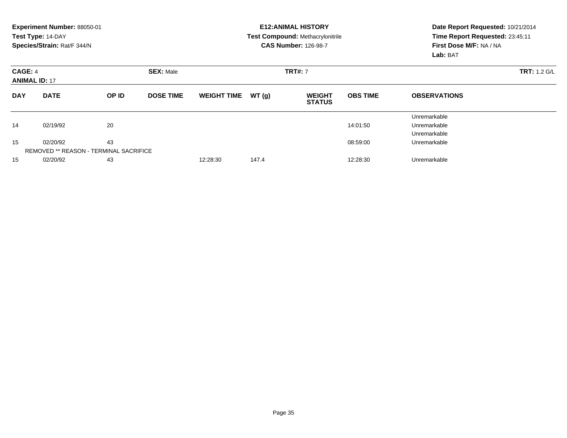|                                 | Experiment Number: 88050-01<br>Test Type: 14-DAY<br>Species/Strain: Rat/F 344/N |                                                     |                  |                    |       | <b>E12: ANIMAL HISTORY</b><br><b>Test Compound: Methacrylonitrile</b><br><b>CAS Number: 126-98-7</b> | Date Report Requested: 10/21/2014<br>Time Report Requested: 23:45:11<br>First Dose M/F: NA / NA<br>Lab: BAT |                                              |
|---------------------------------|---------------------------------------------------------------------------------|-----------------------------------------------------|------------------|--------------------|-------|------------------------------------------------------------------------------------------------------|-------------------------------------------------------------------------------------------------------------|----------------------------------------------|
| CAGE: 4<br><b>ANIMAL ID: 17</b> |                                                                                 |                                                     | <b>SEX: Male</b> |                    |       | <b>TRT#: 7</b>                                                                                       | <b>TRT: 1.2 G/L</b>                                                                                         |                                              |
| <b>DAY</b>                      | <b>DATE</b>                                                                     | OP ID                                               | <b>DOSE TIME</b> | <b>WEIGHT TIME</b> | WT(g) | <b>WEIGHT</b><br><b>STATUS</b>                                                                       | <b>OBS TIME</b>                                                                                             | <b>OBSERVATIONS</b>                          |
| 14                              | 02/19/92                                                                        | 20                                                  |                  |                    |       |                                                                                                      | 14:01:50                                                                                                    | Unremarkable<br>Unremarkable<br>Unremarkable |
| 15                              | 02/20/92                                                                        | 43<br><b>REMOVED ** REASON - TERMINAL SACRIFICE</b> |                  |                    |       |                                                                                                      | 08:59:00                                                                                                    | Unremarkable                                 |
| 15                              | 02/20/92                                                                        | 43                                                  |                  | 12:28:30           | 147.4 |                                                                                                      | 12:28:30                                                                                                    | Unremarkable                                 |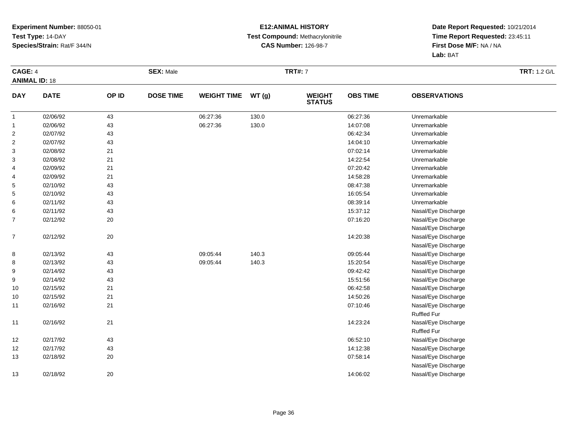#### **E12:ANIMAL HISTORY Test Compound:** Methacrylonitrile**CAS Number:** 126-98-7

|                | <b>CAGE: 4</b><br><b>ANIMAL ID: 18</b> |       | <b>SEX: Male</b> |                    |       | <b>TRT#: 7</b>                 | <b>TRT: 1.2 G/L</b> |                     |  |
|----------------|----------------------------------------|-------|------------------|--------------------|-------|--------------------------------|---------------------|---------------------|--|
| <b>DAY</b>     | <b>DATE</b>                            | OP ID | <b>DOSE TIME</b> | <b>WEIGHT TIME</b> | WT(g) | <b>WEIGHT</b><br><b>STATUS</b> | <b>OBS TIME</b>     | <b>OBSERVATIONS</b> |  |
| $\overline{1}$ | 02/06/92                               | 43    |                  | 06:27:36           | 130.0 |                                | 06:27:36            | Unremarkable        |  |
| $\mathbf{1}$   | 02/06/92                               | 43    |                  | 06:27:36           | 130.0 |                                | 14:07:08            | Unremarkable        |  |
| $\overline{c}$ | 02/07/92                               | 43    |                  |                    |       |                                | 06:42:34            | Unremarkable        |  |
| 2              | 02/07/92                               | 43    |                  |                    |       |                                | 14:04:10            | Unremarkable        |  |
| 3              | 02/08/92                               | 21    |                  |                    |       |                                | 07:02:14            | Unremarkable        |  |
| 3              | 02/08/92                               | 21    |                  |                    |       |                                | 14:22:54            | Unremarkable        |  |
| 4              | 02/09/92                               | 21    |                  |                    |       |                                | 07:20:42            | Unremarkable        |  |
| 4              | 02/09/92                               | 21    |                  |                    |       |                                | 14:58:28            | Unremarkable        |  |
| 5              | 02/10/92                               | 43    |                  |                    |       |                                | 08:47:38            | Unremarkable        |  |
| 5              | 02/10/92                               | 43    |                  |                    |       |                                | 16:05:54            | Unremarkable        |  |
| 6              | 02/11/92                               | 43    |                  |                    |       |                                | 08:39:14            | Unremarkable        |  |
| 6              | 02/11/92                               | 43    |                  |                    |       |                                | 15:37:12            | Nasal/Eye Discharge |  |
| 7              | 02/12/92                               | 20    |                  |                    |       |                                | 07:16:20            | Nasal/Eye Discharge |  |
|                |                                        |       |                  |                    |       |                                |                     | Nasal/Eye Discharge |  |
| $\overline{7}$ | 02/12/92                               | 20    |                  |                    |       |                                | 14:20:38            | Nasal/Eye Discharge |  |
|                |                                        |       |                  |                    |       |                                |                     | Nasal/Eye Discharge |  |
| 8              | 02/13/92                               | 43    |                  | 09:05:44           | 140.3 |                                | 09:05:44            | Nasal/Eye Discharge |  |
| 8              | 02/13/92                               | 43    |                  | 09:05:44           | 140.3 |                                | 15:20:54            | Nasal/Eye Discharge |  |
| 9              | 02/14/92                               | 43    |                  |                    |       |                                | 09:42:42            | Nasal/Eye Discharge |  |
| 9              | 02/14/92                               | 43    |                  |                    |       |                                | 15:51:56            | Nasal/Eye Discharge |  |
| 10             | 02/15/92                               | 21    |                  |                    |       |                                | 06:42:58            | Nasal/Eye Discharge |  |
| 10             | 02/15/92                               | 21    |                  |                    |       |                                | 14:50:26            | Nasal/Eye Discharge |  |
| 11             | 02/16/92                               | 21    |                  |                    |       |                                | 07:10:46            | Nasal/Eye Discharge |  |
|                |                                        |       |                  |                    |       |                                |                     | <b>Ruffled Fur</b>  |  |
| 11             | 02/16/92                               | 21    |                  |                    |       |                                | 14:23:24            | Nasal/Eye Discharge |  |
|                |                                        |       |                  |                    |       |                                |                     | <b>Ruffled Fur</b>  |  |
| 12             | 02/17/92                               | 43    |                  |                    |       |                                | 06:52:10            | Nasal/Eye Discharge |  |
| 12             | 02/17/92                               | 43    |                  |                    |       |                                | 14:12:38            | Nasal/Eye Discharge |  |
| 13             | 02/18/92                               | 20    |                  |                    |       |                                | 07:58:14            | Nasal/Eye Discharge |  |
|                |                                        |       |                  |                    |       |                                |                     | Nasal/Eye Discharge |  |
| 13             | 02/18/92                               | 20    |                  |                    |       |                                | 14:06:02            | Nasal/Eye Discharge |  |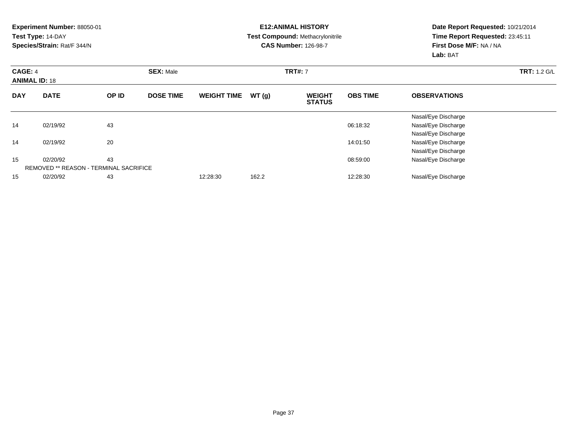|            | <b>Experiment Number: 88050-01</b>            |    |                  |                    |       | <b>E12:ANIMAL HISTORY</b>               |                 | Date Report Requested: 10/21/2014 |                     |  |
|------------|-----------------------------------------------|----|------------------|--------------------|-------|-----------------------------------------|-----------------|-----------------------------------|---------------------|--|
|            | Test Type: 14-DAY                             |    |                  |                    |       | <b>Test Compound: Methacrylonitrile</b> |                 | Time Report Requested: 23:45:11   |                     |  |
|            | Species/Strain: Rat/F 344/N                   |    |                  |                    |       | <b>CAS Number: 126-98-7</b>             |                 | First Dose M/F: NA / NA           |                     |  |
|            |                                               |    |                  |                    |       |                                         |                 | Lab: BAT                          |                     |  |
| CAGE: 4    |                                               |    | <b>SEX: Male</b> |                    |       | <b>TRT#: 7</b>                          |                 |                                   | <b>TRT: 1.2 G/L</b> |  |
|            | <b>ANIMAL ID: 18</b><br><b>DATE</b><br>OP ID  |    |                  |                    |       |                                         |                 |                                   |                     |  |
| <b>DAY</b> |                                               |    | <b>DOSE TIME</b> | <b>WEIGHT TIME</b> | WT(g) | <b>WEIGHT</b><br><b>STATUS</b>          | <b>OBS TIME</b> | <b>OBSERVATIONS</b>               |                     |  |
|            |                                               |    |                  |                    |       |                                         |                 | Nasal/Eye Discharge               |                     |  |
| 14         | 02/19/92                                      | 43 |                  |                    |       |                                         | 06:18:32        | Nasal/Eye Discharge               |                     |  |
|            |                                               |    |                  |                    |       |                                         |                 | Nasal/Eye Discharge               |                     |  |
| 14         | 02/19/92                                      | 20 |                  |                    |       |                                         | 14:01:50        | Nasal/Eye Discharge               |                     |  |
|            |                                               |    |                  |                    |       |                                         |                 | Nasal/Eye Discharge               |                     |  |
| 15         | 02/20/92                                      | 43 |                  |                    |       |                                         | 08:59:00        | Nasal/Eye Discharge               |                     |  |
|            | <b>REMOVED ** REASON - TERMINAL SACRIFICE</b> |    |                  |                    |       |                                         |                 |                                   |                     |  |
| 15         | 02/20/92                                      | 43 |                  | 12:28:30           | 162.2 |                                         | 12:28:30        | Nasal/Eye Discharge               |                     |  |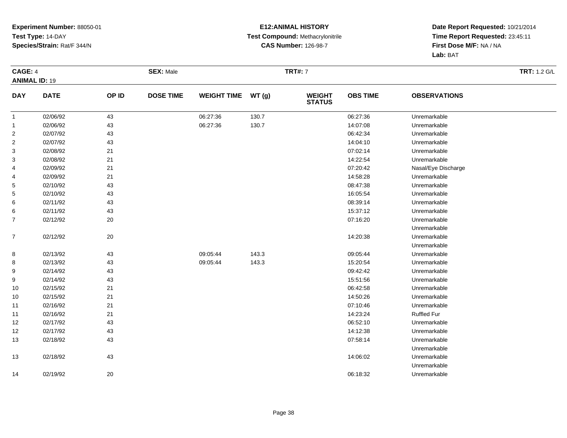#### **E12:ANIMAL HISTORY Test Compound:** Methacrylonitrile**CAS Number:** 126-98-7

| <b>CAGE: 4</b>       |             |        | <b>SEX: Male</b> |                    |       | <b>TRT#: 7</b>                 |                 |                     | <b>TRT: 1.2 G/L</b> |
|----------------------|-------------|--------|------------------|--------------------|-------|--------------------------------|-----------------|---------------------|---------------------|
| <b>ANIMAL ID: 19</b> |             |        |                  |                    |       |                                |                 |                     |                     |
| <b>DAY</b>           | <b>DATE</b> | OP ID  | <b>DOSE TIME</b> | <b>WEIGHT TIME</b> | WT(g) | <b>WEIGHT</b><br><b>STATUS</b> | <b>OBS TIME</b> | <b>OBSERVATIONS</b> |                     |
| $\mathbf{1}$         | 02/06/92    | 43     |                  | 06:27:36           | 130.7 |                                | 06:27:36        | Unremarkable        |                     |
| $\mathbf{1}$         | 02/06/92    | 43     |                  | 06:27:36           | 130.7 |                                | 14:07:08        | Unremarkable        |                     |
| $\overline{2}$       | 02/07/92    | 43     |                  |                    |       |                                | 06:42:34        | Unremarkable        |                     |
| $\overline{c}$       | 02/07/92    | 43     |                  |                    |       |                                | 14:04:10        | Unremarkable        |                     |
| 3                    | 02/08/92    | 21     |                  |                    |       |                                | 07:02:14        | Unremarkable        |                     |
| 3                    | 02/08/92    | 21     |                  |                    |       |                                | 14:22:54        | Unremarkable        |                     |
| 4                    | 02/09/92    | 21     |                  |                    |       |                                | 07:20:42        | Nasal/Eye Discharge |                     |
| 4                    | 02/09/92    | 21     |                  |                    |       |                                | 14:58:28        | Unremarkable        |                     |
| 5                    | 02/10/92    | 43     |                  |                    |       |                                | 08:47:38        | Unremarkable        |                     |
| 5                    | 02/10/92    | 43     |                  |                    |       |                                | 16:05:54        | Unremarkable        |                     |
| 6                    | 02/11/92    | 43     |                  |                    |       |                                | 08:39:14        | Unremarkable        |                     |
| 6                    | 02/11/92    | 43     |                  |                    |       |                                | 15:37:12        | Unremarkable        |                     |
| $\overline{7}$       | 02/12/92    | 20     |                  |                    |       |                                | 07:16:20        | Unremarkable        |                     |
|                      |             |        |                  |                    |       |                                |                 | Unremarkable        |                     |
| $\overline{7}$       | 02/12/92    | $20\,$ |                  |                    |       |                                | 14:20:38        | Unremarkable        |                     |
|                      |             |        |                  |                    |       |                                |                 | Unremarkable        |                     |
| 8                    | 02/13/92    | 43     |                  | 09:05:44           | 143.3 |                                | 09:05:44        | Unremarkable        |                     |
| 8                    | 02/13/92    | 43     |                  | 09:05:44           | 143.3 |                                | 15:20:54        | Unremarkable        |                     |
| 9                    | 02/14/92    | 43     |                  |                    |       |                                | 09:42:42        | Unremarkable        |                     |
| 9                    | 02/14/92    | 43     |                  |                    |       |                                | 15:51:56        | Unremarkable        |                     |
| 10                   | 02/15/92    | 21     |                  |                    |       |                                | 06:42:58        | Unremarkable        |                     |
| 10                   | 02/15/92    | 21     |                  |                    |       |                                | 14:50:26        | Unremarkable        |                     |
| 11                   | 02/16/92    | 21     |                  |                    |       |                                | 07:10:46        | Unremarkable        |                     |
| 11                   | 02/16/92    | 21     |                  |                    |       |                                | 14:23:24        | <b>Ruffled Fur</b>  |                     |
| 12                   | 02/17/92    | 43     |                  |                    |       |                                | 06:52:10        | Unremarkable        |                     |
| 12                   | 02/17/92    | 43     |                  |                    |       |                                | 14:12:38        | Unremarkable        |                     |
| 13                   | 02/18/92    | 43     |                  |                    |       |                                | 07:58:14        | Unremarkable        |                     |
|                      |             |        |                  |                    |       |                                |                 | Unremarkable        |                     |
| 13                   | 02/18/92    | 43     |                  |                    |       |                                | 14:06:02        | Unremarkable        |                     |
|                      |             |        |                  |                    |       |                                |                 | Unremarkable        |                     |
| 14                   | 02/19/92    | $20\,$ |                  |                    |       |                                | 06:18:32        | Unremarkable        |                     |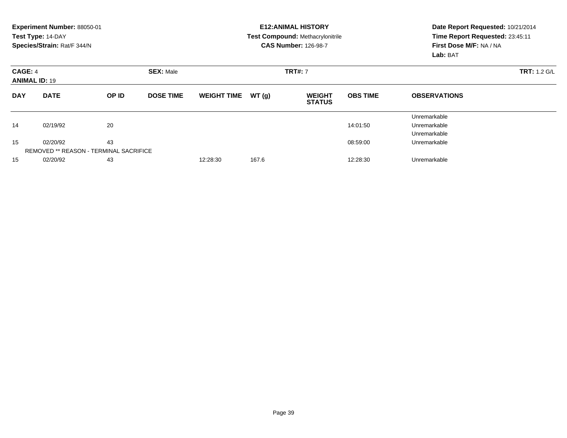|            | Experiment Number: 88050-01<br>Test Type: 14-DAY<br>Species/Strain: Rat/F 344/N |       |                  |                    |       | <b>E12: ANIMAL HISTORY</b><br>Test Compound: Methacrylonitrile<br><b>CAS Number: 126-98-7</b> | Date Report Requested: 10/21/2014<br>Time Report Requested: 23:45:11<br>First Dose M/F: NA / NA<br>Lab: BAT |                                              |
|------------|---------------------------------------------------------------------------------|-------|------------------|--------------------|-------|-----------------------------------------------------------------------------------------------|-------------------------------------------------------------------------------------------------------------|----------------------------------------------|
| CAGE: 4    | <b>SEX: Male</b><br><b>ANIMAL ID: 19</b>                                        |       |                  |                    |       | <b>TRT#: 7</b>                                                                                | <b>TRT: 1.2 G/L</b>                                                                                         |                                              |
| <b>DAY</b> | <b>DATE</b>                                                                     | OP ID | <b>DOSE TIME</b> | <b>WEIGHT TIME</b> | WT(g) | <b>WEIGHT</b><br><b>STATUS</b>                                                                | <b>OBS TIME</b>                                                                                             | <b>OBSERVATIONS</b>                          |
| 14         | 02/19/92                                                                        | 20    |                  |                    |       |                                                                                               | 14:01:50                                                                                                    | Unremarkable<br>Unremarkable<br>Unremarkable |
| 15         | 02/20/92<br><b>REMOVED ** REASON - TERMINAL SACRIFICE</b>                       | 43    |                  |                    |       |                                                                                               | 08:59:00                                                                                                    | Unremarkable                                 |
| 15         | 02/20/92                                                                        | 43    |                  | 12:28:30           | 167.6 |                                                                                               | 12:28:30                                                                                                    | Unremarkable                                 |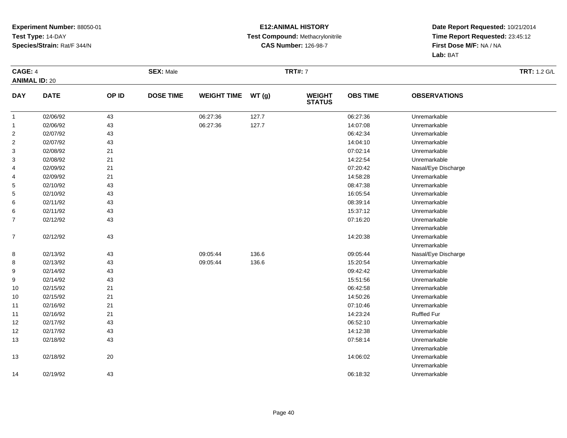#### **E12:ANIMAL HISTORY Test Compound:** Methacrylonitrile**CAS Number:** 126-98-7

| <b>CAGE: 4</b><br><b>ANIMAL ID: 20</b> |             |       | <b>SEX: Male</b> |                    |       | <b>TRT#: 7</b>                 |                 |                     | <b>TRT: 1.2 G/L</b> |
|----------------------------------------|-------------|-------|------------------|--------------------|-------|--------------------------------|-----------------|---------------------|---------------------|
| <b>DAY</b>                             | <b>DATE</b> | OP ID | <b>DOSE TIME</b> | <b>WEIGHT TIME</b> | WT(g) | <b>WEIGHT</b><br><b>STATUS</b> | <b>OBS TIME</b> | <b>OBSERVATIONS</b> |                     |
| $\mathbf{1}$                           | 02/06/92    | 43    |                  | 06:27:36           | 127.7 |                                | 06:27:36        | Unremarkable        |                     |
| $\mathbf{1}$                           | 02/06/92    | 43    |                  | 06:27:36           | 127.7 |                                | 14:07:08        | Unremarkable        |                     |
| $\overline{c}$                         | 02/07/92    | 43    |                  |                    |       |                                | 06:42:34        | Unremarkable        |                     |
| $\overline{\mathbf{c}}$                | 02/07/92    | 43    |                  |                    |       |                                | 14:04:10        | Unremarkable        |                     |
| 3                                      | 02/08/92    | 21    |                  |                    |       |                                | 07:02:14        | Unremarkable        |                     |
| 3                                      | 02/08/92    | 21    |                  |                    |       |                                | 14:22:54        | Unremarkable        |                     |
| 4                                      | 02/09/92    | 21    |                  |                    |       |                                | 07:20:42        | Nasal/Eye Discharge |                     |
| 4                                      | 02/09/92    | 21    |                  |                    |       |                                | 14:58:28        | Unremarkable        |                     |
| 5                                      | 02/10/92    | 43    |                  |                    |       |                                | 08:47:38        | Unremarkable        |                     |
| 5                                      | 02/10/92    | 43    |                  |                    |       |                                | 16:05:54        | Unremarkable        |                     |
| 6                                      | 02/11/92    | 43    |                  |                    |       |                                | 08:39:14        | Unremarkable        |                     |
| 6                                      | 02/11/92    | 43    |                  |                    |       |                                | 15:37:12        | Unremarkable        |                     |
| 7                                      | 02/12/92    | 43    |                  |                    |       |                                | 07:16:20        | Unremarkable        |                     |
|                                        |             |       |                  |                    |       |                                |                 | Unremarkable        |                     |
| $\overline{7}$                         | 02/12/92    | 43    |                  |                    |       |                                | 14:20:38        | Unremarkable        |                     |
|                                        |             |       |                  |                    |       |                                |                 | Unremarkable        |                     |
| 8                                      | 02/13/92    | 43    |                  | 09:05:44           | 136.6 |                                | 09:05:44        | Nasal/Eye Discharge |                     |
| 8                                      | 02/13/92    | 43    |                  | 09:05:44           | 136.6 |                                | 15:20:54        | Unremarkable        |                     |
| 9                                      | 02/14/92    | 43    |                  |                    |       |                                | 09:42:42        | Unremarkable        |                     |
| 9                                      | 02/14/92    | 43    |                  |                    |       |                                | 15:51:56        | Unremarkable        |                     |
| 10                                     | 02/15/92    | 21    |                  |                    |       |                                | 06:42:58        | Unremarkable        |                     |
| 10                                     | 02/15/92    | 21    |                  |                    |       |                                | 14:50:26        | Unremarkable        |                     |
| 11                                     | 02/16/92    | 21    |                  |                    |       |                                | 07:10:46        | Unremarkable        |                     |
| 11                                     | 02/16/92    | 21    |                  |                    |       |                                | 14:23:24        | <b>Ruffled Fur</b>  |                     |
| 12                                     | 02/17/92    | 43    |                  |                    |       |                                | 06:52:10        | Unremarkable        |                     |
| 12                                     | 02/17/92    | 43    |                  |                    |       |                                | 14:12:38        | Unremarkable        |                     |
| 13                                     | 02/18/92    | 43    |                  |                    |       |                                | 07:58:14        | Unremarkable        |                     |
|                                        |             |       |                  |                    |       |                                |                 | Unremarkable        |                     |
| 13                                     | 02/18/92    | 20    |                  |                    |       |                                | 14:06:02        | Unremarkable        |                     |
|                                        |             |       |                  |                    |       |                                |                 | Unremarkable        |                     |
| 14                                     | 02/19/92    | 43    |                  |                    |       |                                | 06:18:32        | Unremarkable        |                     |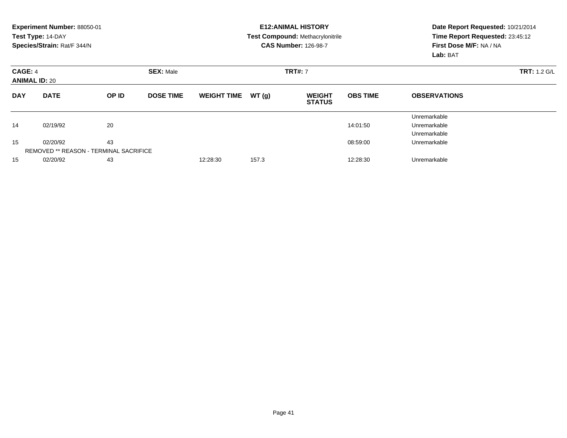|            | Experiment Number: 88050-01<br>Test Type: 14-DAY<br>Species/Strain: Rat/F 344/N |       |                  |                    |       | <b>E12: ANIMAL HISTORY</b><br>Test Compound: Methacrylonitrile<br><b>CAS Number: 126-98-7</b> | Date Report Requested: 10/21/2014<br>Time Report Requested: 23:45:12<br>First Dose M/F: NA / NA<br>Lab: BAT |                                              |
|------------|---------------------------------------------------------------------------------|-------|------------------|--------------------|-------|-----------------------------------------------------------------------------------------------|-------------------------------------------------------------------------------------------------------------|----------------------------------------------|
| CAGE: 4    | <b>SEX: Male</b><br><b>ANIMAL ID: 20</b>                                        |       |                  |                    |       | <b>TRT#: 7</b>                                                                                | <b>TRT: 1.2 G/L</b>                                                                                         |                                              |
| <b>DAY</b> | <b>DATE</b>                                                                     | OP ID | <b>DOSE TIME</b> | <b>WEIGHT TIME</b> | WT(g) | <b>WEIGHT</b><br><b>STATUS</b>                                                                | <b>OBS TIME</b>                                                                                             | <b>OBSERVATIONS</b>                          |
| 14         | 02/19/92                                                                        | 20    |                  |                    |       |                                                                                               | 14:01:50                                                                                                    | Unremarkable<br>Unremarkable<br>Unremarkable |
| 15         | 02/20/92<br><b>REMOVED ** REASON - TERMINAL SACRIFICE</b>                       | 43    |                  |                    |       |                                                                                               | 08:59:00                                                                                                    | Unremarkable                                 |
| 15         | 02/20/92                                                                        | 43    |                  | 12:28:30           | 157.3 |                                                                                               | 12:28:30                                                                                                    | Unremarkable                                 |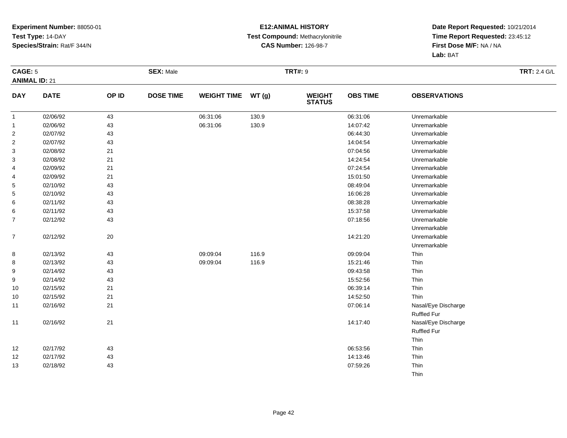#### **E12:ANIMAL HISTORY Test Compound:** Methacrylonitrile**CAS Number:** 126-98-7

| CAGE: 5                 |             |       | <b>SEX: Male</b> |                    |       | <b>TRT#: 9</b>                 |                 |                     | <b>TRT: 2.4 G/L</b> |
|-------------------------|-------------|-------|------------------|--------------------|-------|--------------------------------|-----------------|---------------------|---------------------|
| <b>ANIMAL ID: 21</b>    |             |       |                  |                    |       |                                |                 |                     |                     |
| <b>DAY</b>              | <b>DATE</b> | OP ID | <b>DOSE TIME</b> | <b>WEIGHT TIME</b> | WT(g) | <b>WEIGHT</b><br><b>STATUS</b> | <b>OBS TIME</b> | <b>OBSERVATIONS</b> |                     |
| $\mathbf{1}$            | 02/06/92    | 43    |                  | 06:31:06           | 130.9 |                                | 06:31:06        | Unremarkable        |                     |
| $\mathbf{1}$            | 02/06/92    | 43    |                  | 06:31:06           | 130.9 |                                | 14:07:42        | Unremarkable        |                     |
| $\overline{\mathbf{c}}$ | 02/07/92    | 43    |                  |                    |       |                                | 06:44:30        | Unremarkable        |                     |
| $\overline{2}$          | 02/07/92    | 43    |                  |                    |       |                                | 14:04:54        | Unremarkable        |                     |
| 3                       | 02/08/92    | 21    |                  |                    |       |                                | 07:04:56        | Unremarkable        |                     |
| 3                       | 02/08/92    | 21    |                  |                    |       |                                | 14:24:54        | Unremarkable        |                     |
| 4                       | 02/09/92    | 21    |                  |                    |       |                                | 07:24:54        | Unremarkable        |                     |
| 4                       | 02/09/92    | 21    |                  |                    |       |                                | 15:01:50        | Unremarkable        |                     |
| 5                       | 02/10/92    | 43    |                  |                    |       |                                | 08:49:04        | Unremarkable        |                     |
| 5                       | 02/10/92    | 43    |                  |                    |       |                                | 16:06:28        | Unremarkable        |                     |
| 6                       | 02/11/92    | 43    |                  |                    |       |                                | 08:38:28        | Unremarkable        |                     |
| 6                       | 02/11/92    | 43    |                  |                    |       |                                | 15:37:58        | Unremarkable        |                     |
| $\overline{7}$          | 02/12/92    | 43    |                  |                    |       |                                | 07:18:56        | Unremarkable        |                     |
|                         |             |       |                  |                    |       |                                |                 | Unremarkable        |                     |
| $\overline{7}$          | 02/12/92    | 20    |                  |                    |       |                                | 14:21:20        | Unremarkable        |                     |
|                         |             |       |                  |                    |       |                                |                 | Unremarkable        |                     |
| 8                       | 02/13/92    | 43    |                  | 09:09:04           | 116.9 |                                | 09:09:04        | Thin                |                     |
| 8                       | 02/13/92    | 43    |                  | 09:09:04           | 116.9 |                                | 15:21:46        | Thin                |                     |
| 9                       | 02/14/92    | 43    |                  |                    |       |                                | 09:43:58        | Thin                |                     |
| 9                       | 02/14/92    | 43    |                  |                    |       |                                | 15:52:56        | Thin                |                     |
| 10                      | 02/15/92    | 21    |                  |                    |       |                                | 06:39:14        | Thin                |                     |
| 10                      | 02/15/92    | 21    |                  |                    |       |                                | 14:52:50        | Thin                |                     |
| 11                      | 02/16/92    | 21    |                  |                    |       |                                | 07:06:14        | Nasal/Eye Discharge |                     |
|                         |             |       |                  |                    |       |                                |                 | Ruffled Fur         |                     |
| 11                      | 02/16/92    | 21    |                  |                    |       |                                | 14:17:40        | Nasal/Eye Discharge |                     |
|                         |             |       |                  |                    |       |                                |                 | <b>Ruffled Fur</b>  |                     |
|                         |             |       |                  |                    |       |                                |                 | Thin                |                     |
| 12                      | 02/17/92    | 43    |                  |                    |       |                                | 06:53:56        | Thin                |                     |
| 12                      | 02/17/92    | 43    |                  |                    |       |                                | 14:13:46        | Thin                |                     |
| 13                      | 02/18/92    | 43    |                  |                    |       |                                | 07:59:26        | Thin                |                     |
|                         |             |       |                  |                    |       |                                |                 | Thin                |                     |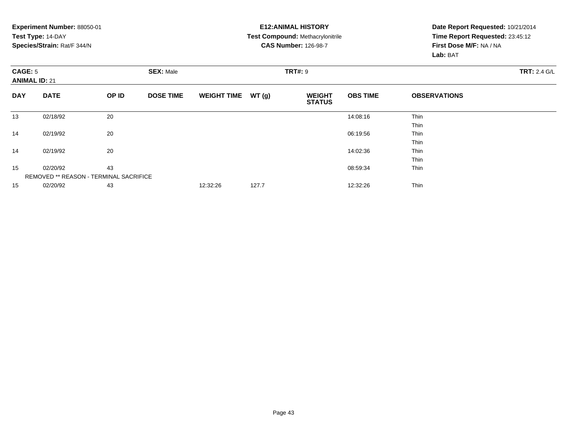|                | Experiment Number: 88050-01            |       |                  |                    |       | <b>E12: ANIMAL HISTORY</b>              |                 | Date Report Requested: 10/21/2014 |  |  |
|----------------|----------------------------------------|-------|------------------|--------------------|-------|-----------------------------------------|-----------------|-----------------------------------|--|--|
|                | Test Type: 14-DAY                      |       |                  |                    |       | <b>Test Compound: Methacrylonitrile</b> |                 | Time Report Requested: 23:45:12   |  |  |
|                | Species/Strain: Rat/F 344/N            |       |                  |                    |       | <b>CAS Number: 126-98-7</b>             |                 | First Dose M/F: NA / NA           |  |  |
|                |                                        |       |                  |                    |       |                                         |                 | Lab: BAT                          |  |  |
| <b>CAGE: 5</b> |                                        |       | <b>SEX: Male</b> |                    |       | <b>TRT#: 9</b>                          |                 | <b>TRT: 2.4 G/L</b>               |  |  |
|                | <b>ANIMAL ID: 21</b>                   |       |                  |                    |       |                                         |                 |                                   |  |  |
| <b>DAY</b>     | <b>DATE</b>                            | OP ID | <b>DOSE TIME</b> | <b>WEIGHT TIME</b> | WT(g) | <b>WEIGHT</b><br><b>STATUS</b>          | <b>OBS TIME</b> | <b>OBSERVATIONS</b>               |  |  |
| 13             | 02/18/92                               | 20    |                  |                    |       |                                         | 14:08:16        | Thin                              |  |  |
|                |                                        |       |                  |                    |       |                                         |                 | Thin                              |  |  |
| 14             | 02/19/92                               | 20    |                  |                    |       |                                         | 06:19:56        | <b>Thin</b>                       |  |  |
|                |                                        |       |                  |                    |       |                                         |                 | <b>Thin</b>                       |  |  |
| 14             | 02/19/92                               | 20    |                  |                    |       |                                         | 14:02:36        | Thin                              |  |  |
|                |                                        |       |                  |                    |       |                                         |                 | <b>Thin</b>                       |  |  |
| 15             | 02/20/92                               | 43    |                  |                    |       |                                         | 08:59:34        | Thin                              |  |  |
|                | REMOVED ** REASON - TERMINAL SACRIFICE |       |                  |                    |       |                                         |                 |                                   |  |  |
| 15             | 02/20/92                               | 43    |                  | 12:32:26           | 127.7 |                                         | 12:32:26        | Thin                              |  |  |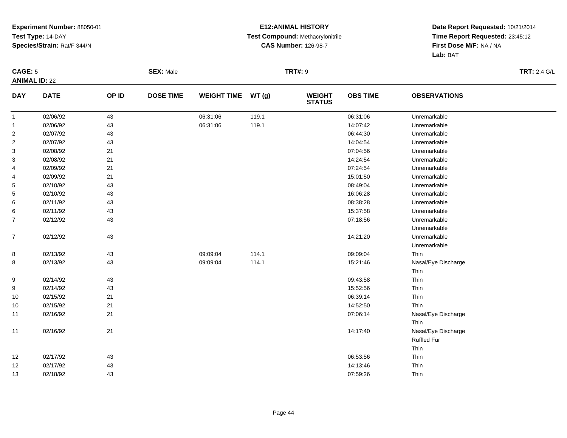#### **E12:ANIMAL HISTORY Test Compound:** Methacrylonitrile**CAS Number:** 126-98-7

| CAGE: 5                 |             |       | <b>SEX: Male</b> |                    |       | <b>TRT#: 9</b>                 |                 |                     | <b>TRT: 2.4 G/L</b> |
|-------------------------|-------------|-------|------------------|--------------------|-------|--------------------------------|-----------------|---------------------|---------------------|
| <b>ANIMAL ID: 22</b>    |             |       |                  |                    |       |                                |                 |                     |                     |
| <b>DAY</b>              | <b>DATE</b> | OP ID | <b>DOSE TIME</b> | <b>WEIGHT TIME</b> | WT(g) | <b>WEIGHT</b><br><b>STATUS</b> | <b>OBS TIME</b> | <b>OBSERVATIONS</b> |                     |
| $\mathbf{1}$            | 02/06/92    | 43    |                  | 06:31:06           | 119.1 |                                | 06:31:06        | Unremarkable        |                     |
| $\mathbf{1}$            | 02/06/92    | 43    |                  | 06:31:06           | 119.1 |                                | 14:07:42        | Unremarkable        |                     |
| $\overline{\mathbf{c}}$ | 02/07/92    | 43    |                  |                    |       |                                | 06:44:30        | Unremarkable        |                     |
| $\overline{\mathbf{c}}$ | 02/07/92    | 43    |                  |                    |       |                                | 14:04:54        | Unremarkable        |                     |
| 3                       | 02/08/92    | 21    |                  |                    |       |                                | 07:04:56        | Unremarkable        |                     |
| 3                       | 02/08/92    | 21    |                  |                    |       |                                | 14:24:54        | Unremarkable        |                     |
| 4                       | 02/09/92    | 21    |                  |                    |       |                                | 07:24:54        | Unremarkable        |                     |
| 4                       | 02/09/92    | 21    |                  |                    |       |                                | 15:01:50        | Unremarkable        |                     |
| 5                       | 02/10/92    | 43    |                  |                    |       |                                | 08:49:04        | Unremarkable        |                     |
| 5                       | 02/10/92    | 43    |                  |                    |       |                                | 16:06:28        | Unremarkable        |                     |
| 6                       | 02/11/92    | 43    |                  |                    |       |                                | 08:38:28        | Unremarkable        |                     |
| 6                       | 02/11/92    | 43    |                  |                    |       |                                | 15:37:58        | Unremarkable        |                     |
| $\overline{7}$          | 02/12/92    | 43    |                  |                    |       |                                | 07:18:56        | Unremarkable        |                     |
|                         |             |       |                  |                    |       |                                |                 | Unremarkable        |                     |
| $\overline{7}$          | 02/12/92    | 43    |                  |                    |       |                                | 14:21:20        | Unremarkable        |                     |
|                         |             |       |                  |                    |       |                                |                 | Unremarkable        |                     |
| 8                       | 02/13/92    | 43    |                  | 09:09:04           | 114.1 |                                | 09:09:04        | Thin                |                     |
| 8                       | 02/13/92    | 43    |                  | 09:09:04           | 114.1 |                                | 15:21:46        | Nasal/Eye Discharge |                     |
|                         |             |       |                  |                    |       |                                |                 | Thin                |                     |
| 9                       | 02/14/92    | 43    |                  |                    |       |                                | 09:43:58        | Thin                |                     |
| 9                       | 02/14/92    | 43    |                  |                    |       |                                | 15:52:56        | Thin                |                     |
| 10                      | 02/15/92    | 21    |                  |                    |       |                                | 06:39:14        | Thin                |                     |
| 10                      | 02/15/92    | 21    |                  |                    |       |                                | 14:52:50        | Thin                |                     |
| 11                      | 02/16/92    | 21    |                  |                    |       |                                | 07:06:14        | Nasal/Eye Discharge |                     |
|                         |             |       |                  |                    |       |                                |                 | Thin                |                     |
| 11                      | 02/16/92    | 21    |                  |                    |       |                                | 14:17:40        | Nasal/Eye Discharge |                     |
|                         |             |       |                  |                    |       |                                |                 | Ruffled Fur         |                     |
|                         |             |       |                  |                    |       |                                |                 | Thin                |                     |
| 12                      | 02/17/92    | 43    |                  |                    |       |                                | 06:53:56        | Thin                |                     |
| 12                      | 02/17/92    | 43    |                  |                    |       |                                | 14:13:46        | Thin                |                     |
| 13                      | 02/18/92    | 43    |                  |                    |       |                                | 07:59:26        | Thin                |                     |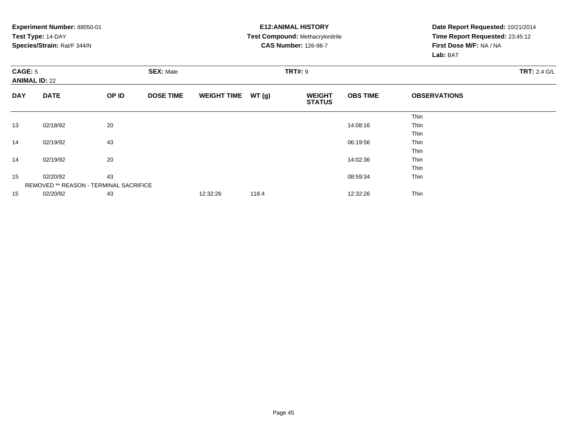**Experiment Number:** 88050-01**Test Type:** 14-DAY **Species/Strain:** Rat/F 344/N**E12:ANIMAL HISTORY Test Compound:** Methacrylonitrile**CAS Number:** 126-98-7**Date Report Requested:** 10/21/2014 **Time Report Requested:** 23:45:12**First Dose M/F:** NA / NA**Lab:** BAT**CAGE:** 5 **SEX:** Male **TRT#:** <sup>9</sup> **TRT:** 2.4 G/L **ANIMAL ID:** 22**DAY DATE OP IDDOSE TIME WEIGHT TIME WT** (g) **STATUSOBS TIME OBSERVATIONS** ThinThin 13 02/18/92 <sup>20</sup> 14:08:16 Thin ThinThin 14 02/19/92 <sup>43</sup> 06:19:56 Thin ThinThin 14 02/19/92 <sup>20</sup> 14:02:36 Thin ThinThin 155 02/20/92 43 43 43 5 02/20/92 5 0.02/20/92 5 0.02/20/92 43 5 0.02/20/92 5 0.02/20/92 43 5 0.02/20/92 5 0.02/20 REMOVED \*\* REASON - TERMINAL SACRIFICE155 02/20/92 43 43 12:32:26 118.4 12:41 12:32 12:32 12:32:26 Thin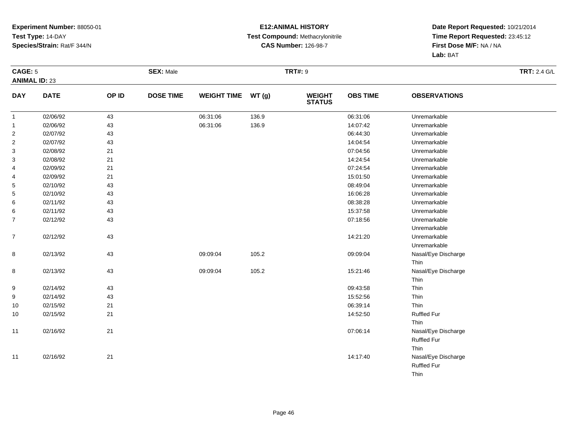#### **E12:ANIMAL HISTORY Test Compound:** Methacrylonitrile**CAS Number:** 126-98-7

| CAGE: 5              |             |        | <b>SEX: Male</b> |                    |       | <b>TRT#: 9</b>                 |                 |                     | <b>TRT: 2.4 G/L</b> |
|----------------------|-------------|--------|------------------|--------------------|-------|--------------------------------|-----------------|---------------------|---------------------|
| <b>ANIMAL ID: 23</b> |             |        |                  |                    |       |                                |                 |                     |                     |
| <b>DAY</b>           | <b>DATE</b> | OP ID  | <b>DOSE TIME</b> | <b>WEIGHT TIME</b> | WT(g) | <b>WEIGHT</b><br><b>STATUS</b> | <b>OBS TIME</b> | <b>OBSERVATIONS</b> |                     |
| $\mathbf{1}$         | 02/06/92    | 43     |                  | 06:31:06           | 136.9 |                                | 06:31:06        | Unremarkable        |                     |
| $\mathbf{1}$         | 02/06/92    | 43     |                  | 06:31:06           | 136.9 |                                | 14:07:42        | Unremarkable        |                     |
| $\overline{2}$       | 02/07/92    | 43     |                  |                    |       |                                | 06:44:30        | Unremarkable        |                     |
| $\overline{2}$       | 02/07/92    | 43     |                  |                    |       |                                | 14:04:54        | Unremarkable        |                     |
| 3                    | 02/08/92    | 21     |                  |                    |       |                                | 07:04:56        | Unremarkable        |                     |
| 3                    | 02/08/92    | 21     |                  |                    |       |                                | 14:24:54        | Unremarkable        |                     |
| 4                    | 02/09/92    | 21     |                  |                    |       |                                | 07:24:54        | Unremarkable        |                     |
| 4                    | 02/09/92    | 21     |                  |                    |       |                                | 15:01:50        | Unremarkable        |                     |
| 5                    | 02/10/92    | 43     |                  |                    |       |                                | 08:49:04        | Unremarkable        |                     |
| 5                    | 02/10/92    | $43\,$ |                  |                    |       |                                | 16:06:28        | Unremarkable        |                     |
| 6                    | 02/11/92    | 43     |                  |                    |       |                                | 08:38:28        | Unremarkable        |                     |
| 6                    | 02/11/92    | 43     |                  |                    |       |                                | 15:37:58        | Unremarkable        |                     |
| $\overline{7}$       | 02/12/92    | 43     |                  |                    |       |                                | 07:18:56        | Unremarkable        |                     |
|                      |             |        |                  |                    |       |                                |                 | Unremarkable        |                     |
| $\overline{7}$       | 02/12/92    | 43     |                  |                    |       |                                | 14:21:20        | Unremarkable        |                     |
|                      |             |        |                  |                    |       |                                |                 | Unremarkable        |                     |
| 8                    | 02/13/92    | 43     |                  | 09:09:04           | 105.2 |                                | 09:09:04        | Nasal/Eye Discharge |                     |
|                      |             |        |                  |                    |       |                                |                 | Thin                |                     |
| 8                    | 02/13/92    | 43     |                  | 09:09:04           | 105.2 |                                | 15:21:46        | Nasal/Eye Discharge |                     |
|                      |             |        |                  |                    |       |                                |                 | Thin                |                     |
| 9                    | 02/14/92    | 43     |                  |                    |       |                                | 09:43:58        | Thin                |                     |
| 9                    | 02/14/92    | 43     |                  |                    |       |                                | 15:52:56        | Thin                |                     |
| 10                   | 02/15/92    | 21     |                  |                    |       |                                | 06:39:14        | Thin                |                     |
| 10                   | 02/15/92    | 21     |                  |                    |       |                                | 14:52:50        | <b>Ruffled Fur</b>  |                     |
|                      |             |        |                  |                    |       |                                |                 | Thin                |                     |
| 11                   | 02/16/92    | 21     |                  |                    |       |                                | 07:06:14        | Nasal/Eye Discharge |                     |
|                      |             |        |                  |                    |       |                                |                 | <b>Ruffled Fur</b>  |                     |
|                      |             |        |                  |                    |       |                                |                 | Thin                |                     |
| 11                   | 02/16/92    | 21     |                  |                    |       |                                | 14:17:40        | Nasal/Eye Discharge |                     |
|                      |             |        |                  |                    |       |                                |                 | Ruffled Fur         |                     |
|                      |             |        |                  |                    |       |                                |                 | Thin                |                     |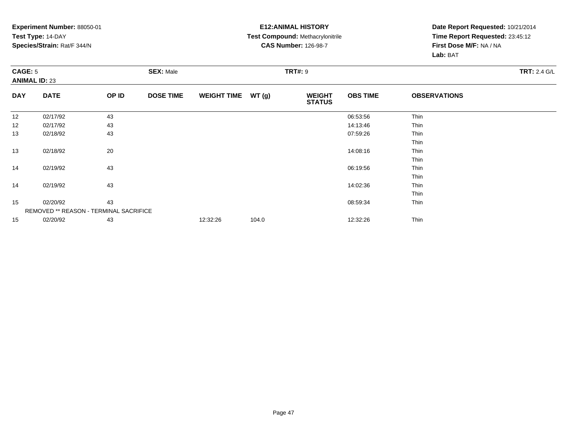#### **E12:ANIMAL HISTORY Test Compound:** Methacrylonitrile**CAS Number:** 126-98-7

|            | CAGE: 5<br><b>ANIMAL ID: 23</b>        |       | <b>SEX: Male</b> |                    |       | <b>TRT#: 9</b>                 | <b>TRT: 2.4 G/L</b> |                     |  |
|------------|----------------------------------------|-------|------------------|--------------------|-------|--------------------------------|---------------------|---------------------|--|
| <b>DAY</b> | <b>DATE</b>                            | OP ID | <b>DOSE TIME</b> | <b>WEIGHT TIME</b> | WT(g) | <b>WEIGHT</b><br><b>STATUS</b> | <b>OBS TIME</b>     | <b>OBSERVATIONS</b> |  |
| 12         | 02/17/92                               | 43    |                  |                    |       |                                | 06:53:56            | Thin                |  |
| 12         | 02/17/92                               | 43    |                  |                    |       |                                | 14:13:46            | Thin                |  |
| 13         | 02/18/92                               | 43    |                  |                    |       |                                | 07:59:26            | Thin                |  |
|            |                                        |       |                  |                    |       |                                |                     | Thin                |  |
| 13         | 02/18/92                               | 20    |                  |                    |       |                                | 14:08:16            | Thin                |  |
|            |                                        |       |                  |                    |       |                                |                     | Thin                |  |
| 14         | 02/19/92                               | 43    |                  |                    |       |                                | 06:19:56            | Thin                |  |
|            |                                        |       |                  |                    |       |                                |                     | Thin                |  |
| 14         | 02/19/92                               | 43    |                  |                    |       |                                | 14:02:36            | Thin                |  |
|            |                                        |       |                  |                    |       |                                |                     | Thin                |  |
| 15         | 02/20/92                               | 43    |                  |                    |       |                                | 08:59:34            | Thin                |  |
|            | REMOVED ** REASON - TERMINAL SACRIFICE |       |                  |                    |       |                                |                     |                     |  |
| 15         | 02/20/92                               | 43    |                  | 12:32:26           | 104.0 |                                | 12:32:26            | Thin                |  |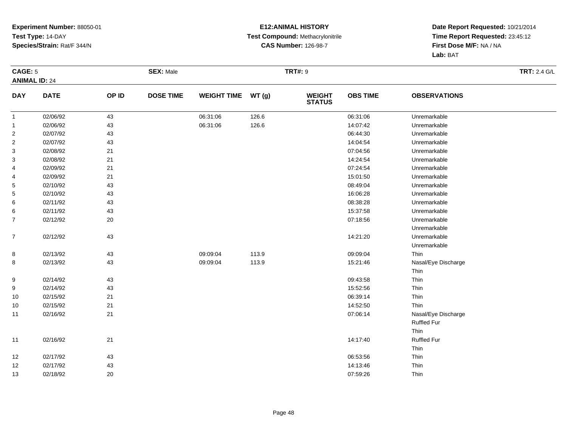#### **E12:ANIMAL HISTORY Test Compound:** Methacrylonitrile**CAS Number:** 126-98-7

| CAGE: 5                 |             |        | <b>SEX: Male</b> |                    |       | <b>TRT#: 9</b>                 |                 |                     | <b>TRT: 2.4 G/L</b> |
|-------------------------|-------------|--------|------------------|--------------------|-------|--------------------------------|-----------------|---------------------|---------------------|
| <b>ANIMAL ID: 24</b>    |             |        |                  |                    |       |                                |                 |                     |                     |
| <b>DAY</b>              | <b>DATE</b> | OP ID  | <b>DOSE TIME</b> | <b>WEIGHT TIME</b> | WT(g) | <b>WEIGHT</b><br><b>STATUS</b> | <b>OBS TIME</b> | <b>OBSERVATIONS</b> |                     |
| $\mathbf{1}$            | 02/06/92    | 43     |                  | 06:31:06           | 126.6 |                                | 06:31:06        | Unremarkable        |                     |
| $\mathbf{1}$            | 02/06/92    | 43     |                  | 06:31:06           | 126.6 |                                | 14:07:42        | Unremarkable        |                     |
| $\overline{\mathbf{c}}$ | 02/07/92    | 43     |                  |                    |       |                                | 06:44:30        | Unremarkable        |                     |
| $\overline{\mathbf{c}}$ | 02/07/92    | 43     |                  |                    |       |                                | 14:04:54        | Unremarkable        |                     |
| 3                       | 02/08/92    | 21     |                  |                    |       |                                | 07:04:56        | Unremarkable        |                     |
| 3                       | 02/08/92    | 21     |                  |                    |       |                                | 14:24:54        | Unremarkable        |                     |
| 4                       | 02/09/92    | 21     |                  |                    |       |                                | 07:24:54        | Unremarkable        |                     |
| 4                       | 02/09/92    | 21     |                  |                    |       |                                | 15:01:50        | Unremarkable        |                     |
| 5                       | 02/10/92    | 43     |                  |                    |       |                                | 08:49:04        | Unremarkable        |                     |
| 5                       | 02/10/92    | 43     |                  |                    |       |                                | 16:06:28        | Unremarkable        |                     |
| 6                       | 02/11/92    | 43     |                  |                    |       |                                | 08:38:28        | Unremarkable        |                     |
| 6                       | 02/11/92    | 43     |                  |                    |       |                                | 15:37:58        | Unremarkable        |                     |
| $\overline{7}$          | 02/12/92    | 20     |                  |                    |       |                                | 07:18:56        | Unremarkable        |                     |
|                         |             |        |                  |                    |       |                                |                 | Unremarkable        |                     |
| $\overline{7}$          | 02/12/92    | 43     |                  |                    |       |                                | 14:21:20        | Unremarkable        |                     |
|                         |             |        |                  |                    |       |                                |                 | Unremarkable        |                     |
| 8                       | 02/13/92    | 43     |                  | 09:09:04           | 113.9 |                                | 09:09:04        | Thin                |                     |
| 8                       | 02/13/92    | 43     |                  | 09:09:04           | 113.9 |                                | 15:21:46        | Nasal/Eye Discharge |                     |
|                         |             |        |                  |                    |       |                                |                 | Thin                |                     |
| 9                       | 02/14/92    | 43     |                  |                    |       |                                | 09:43:58        | Thin                |                     |
| 9                       | 02/14/92    | 43     |                  |                    |       |                                | 15:52:56        | Thin                |                     |
| 10                      | 02/15/92    | 21     |                  |                    |       |                                | 06:39:14        | Thin                |                     |
| 10                      | 02/15/92    | 21     |                  |                    |       |                                | 14:52:50        | Thin                |                     |
| 11                      | 02/16/92    | 21     |                  |                    |       |                                | 07:06:14        | Nasal/Eye Discharge |                     |
|                         |             |        |                  |                    |       |                                |                 | Ruffled Fur         |                     |
|                         |             |        |                  |                    |       |                                |                 | Thin                |                     |
| 11                      | 02/16/92    | 21     |                  |                    |       |                                | 14:17:40        | <b>Ruffled Fur</b>  |                     |
|                         |             |        |                  |                    |       |                                |                 | Thin                |                     |
| 12                      | 02/17/92    | 43     |                  |                    |       |                                | 06:53:56        | Thin                |                     |
| 12                      | 02/17/92    | 43     |                  |                    |       |                                | 14:13:46        | Thin                |                     |
| 13                      | 02/18/92    | $20\,$ |                  |                    |       |                                | 07:59:26        | Thin                |                     |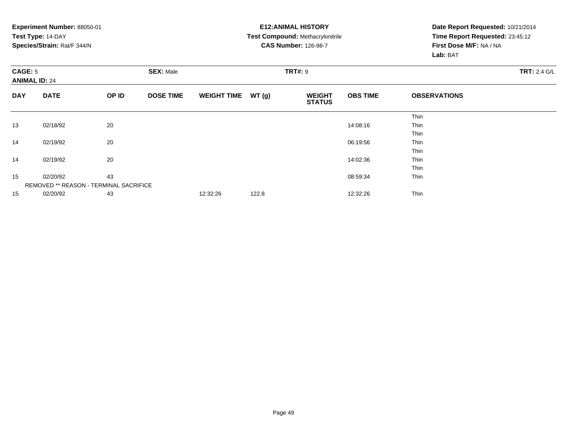**Experiment Number:** 88050-01**Test Type:** 14-DAY **Species/Strain:** Rat/F 344/N**E12:ANIMAL HISTORY Test Compound:** Methacrylonitrile**CAS Number:** 126-98-7**Date Report Requested:** 10/21/2014 **Time Report Requested:** 23:45:12**First Dose M/F:** NA / NA**Lab:** BAT**CAGE:** 5 **SEX:** Male **TRT#:** <sup>9</sup> **TRT:** 2.4 G/L **ANIMAL ID:** 24**DAY DATE OP IDDOSE TIME WEIGHT TIME WT** (g) **STATUSOBS TIME OBSERVATIONS** ThinThin 13 02/18/92 <sup>20</sup> 14:08:16 Thin ThinThin 14 02/19/92 <sup>20</sup> 06:19:56 Thin ThinThin 14 02/19/92 <sup>20</sup> 14:02:36 Thin ThinThin 155 02/20/92 43 43 43 5 02/20/92 5 0.02/20/92 5 0.02/20/92 43 5 0.02/20/92 5 0.02/20/92 43 5 0.02/20/92 5 0.02/20 REMOVED \*\* REASON - TERMINAL SACRIFICE1502/20/92 <sup>43</sup> 12:32:26 122.8 12:32:26 Thin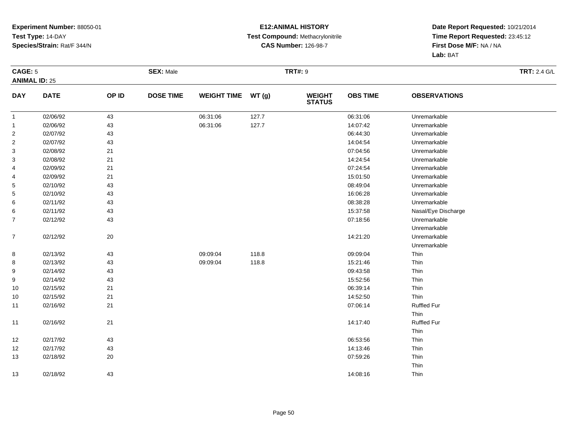#### **E12:ANIMAL HISTORY Test Compound:** Methacrylonitrile**CAS Number:** 126-98-7

| CAGE: 5                 |             |       | <b>SEX: Male</b> |                    |       | <b>TRT#: 9</b>                 |                 |                     | <b>TRT: 2.4 G/L</b> |
|-------------------------|-------------|-------|------------------|--------------------|-------|--------------------------------|-----------------|---------------------|---------------------|
| <b>ANIMAL ID: 25</b>    |             |       |                  |                    |       |                                |                 |                     |                     |
| <b>DAY</b>              | <b>DATE</b> | OP ID | <b>DOSE TIME</b> | <b>WEIGHT TIME</b> | WT(g) | <b>WEIGHT</b><br><b>STATUS</b> | <b>OBS TIME</b> | <b>OBSERVATIONS</b> |                     |
| $\mathbf{1}$            | 02/06/92    | 43    |                  | 06:31:06           | 127.7 |                                | 06:31:06        | Unremarkable        |                     |
| $\mathbf{1}$            | 02/06/92    | 43    |                  | 06:31:06           | 127.7 |                                | 14:07:42        | Unremarkable        |                     |
| $\overline{\mathbf{c}}$ | 02/07/92    | 43    |                  |                    |       |                                | 06:44:30        | Unremarkable        |                     |
| $\overline{\mathbf{c}}$ | 02/07/92    | 43    |                  |                    |       |                                | 14:04:54        | Unremarkable        |                     |
| 3                       | 02/08/92    | 21    |                  |                    |       |                                | 07:04:56        | Unremarkable        |                     |
| 3                       | 02/08/92    | 21    |                  |                    |       |                                | 14:24:54        | Unremarkable        |                     |
| 4                       | 02/09/92    | 21    |                  |                    |       |                                | 07:24:54        | Unremarkable        |                     |
| 4                       | 02/09/92    | 21    |                  |                    |       |                                | 15:01:50        | Unremarkable        |                     |
| 5                       | 02/10/92    | 43    |                  |                    |       |                                | 08:49:04        | Unremarkable        |                     |
| 5                       | 02/10/92    | 43    |                  |                    |       |                                | 16:06:28        | Unremarkable        |                     |
| 6                       | 02/11/92    | 43    |                  |                    |       |                                | 08:38:28        | Unremarkable        |                     |
| 6                       | 02/11/92    | 43    |                  |                    |       |                                | 15:37:58        | Nasal/Eye Discharge |                     |
| $\overline{7}$          | 02/12/92    | 43    |                  |                    |       |                                | 07:18:56        | Unremarkable        |                     |
|                         |             |       |                  |                    |       |                                |                 | Unremarkable        |                     |
| $\overline{7}$          | 02/12/92    | 20    |                  |                    |       |                                | 14:21:20        | Unremarkable        |                     |
|                         |             |       |                  |                    |       |                                |                 | Unremarkable        |                     |
| 8                       | 02/13/92    | 43    |                  | 09:09:04           | 118.8 |                                | 09:09:04        | Thin                |                     |
| 8                       | 02/13/92    | 43    |                  | 09:09:04           | 118.8 |                                | 15:21:46        | Thin                |                     |
| 9                       | 02/14/92    | 43    |                  |                    |       |                                | 09:43:58        | Thin                |                     |
| 9                       | 02/14/92    | 43    |                  |                    |       |                                | 15:52:56        | Thin                |                     |
| 10                      | 02/15/92    | 21    |                  |                    |       |                                | 06:39:14        | Thin                |                     |
| 10                      | 02/15/92    | 21    |                  |                    |       |                                | 14:52:50        | Thin                |                     |
| 11                      | 02/16/92    | 21    |                  |                    |       |                                | 07:06:14        | <b>Ruffled Fur</b>  |                     |
|                         |             |       |                  |                    |       |                                |                 | Thin                |                     |
| 11                      | 02/16/92    | 21    |                  |                    |       |                                | 14:17:40        | <b>Ruffled Fur</b>  |                     |
|                         |             |       |                  |                    |       |                                |                 | Thin                |                     |
| 12                      | 02/17/92    | 43    |                  |                    |       |                                | 06:53:56        | Thin                |                     |
| 12                      | 02/17/92    | 43    |                  |                    |       |                                | 14:13:46        | Thin                |                     |
| 13                      | 02/18/92    | 20    |                  |                    |       |                                | 07:59:26        | Thin                |                     |
|                         |             |       |                  |                    |       |                                |                 | Thin                |                     |
| 13                      | 02/18/92    | 43    |                  |                    |       |                                | 14:08:16        | Thin                |                     |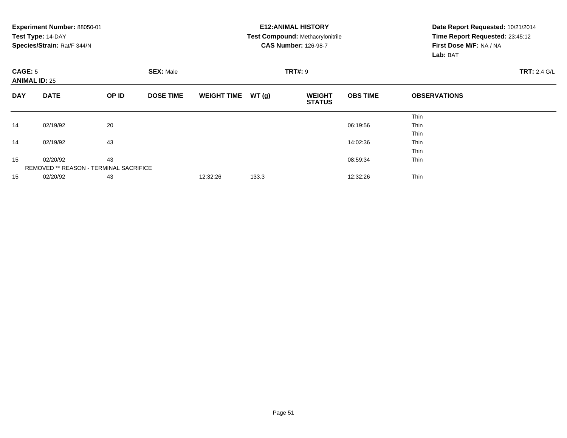|            | <b>Experiment Number: 88050-01</b><br>Test Type: 14-DAY<br>Species/Strain: Rat/F 344/N |    |                  |                    |       | <b>E12:ANIMAL HISTORY</b><br><b>Test Compound: Methacrylonitrile</b><br><b>CAS Number: 126-98-7</b> | Date Report Requested: 10/21/2014<br>Time Report Requested: 23:45:12<br>First Dose M/F: NA / NA<br>Lab: BAT |                     |                     |
|------------|----------------------------------------------------------------------------------------|----|------------------|--------------------|-------|-----------------------------------------------------------------------------------------------------|-------------------------------------------------------------------------------------------------------------|---------------------|---------------------|
|            | CAGE: 5<br><b>ANIMAL ID: 25</b><br><b>DATE</b><br>OP ID                                |    | <b>SEX: Male</b> |                    |       | <b>TRT#: 9</b>                                                                                      |                                                                                                             |                     | <b>TRT: 2.4 G/L</b> |
| <b>DAY</b> |                                                                                        |    | <b>DOSE TIME</b> | <b>WEIGHT TIME</b> | WT(g) | <b>WEIGHT</b><br><b>STATUS</b>                                                                      | <b>OBS TIME</b>                                                                                             | <b>OBSERVATIONS</b> |                     |
|            |                                                                                        |    |                  |                    |       |                                                                                                     |                                                                                                             | Thin                |                     |
| 14         | 02/19/92                                                                               | 20 |                  |                    |       |                                                                                                     | 06:19:56                                                                                                    | Thin                |                     |
|            |                                                                                        |    |                  |                    |       |                                                                                                     |                                                                                                             | Thin                |                     |
| 14         | 02/19/92                                                                               | 43 |                  |                    |       |                                                                                                     | 14:02:36                                                                                                    | Thin                |                     |
|            |                                                                                        |    |                  |                    |       |                                                                                                     |                                                                                                             | Thin                |                     |
| 15         | 02/20/92                                                                               | 43 |                  |                    |       |                                                                                                     | 08:59:34                                                                                                    | Thin                |                     |
|            | <b>REMOVED ** REASON - TERMINAL SACRIFICE</b>                                          |    |                  |                    |       |                                                                                                     |                                                                                                             |                     |                     |
| 15         | 02/20/92                                                                               | 43 |                  | 12:32:26           | 133.3 |                                                                                                     | 12:32:26                                                                                                    | Thin                |                     |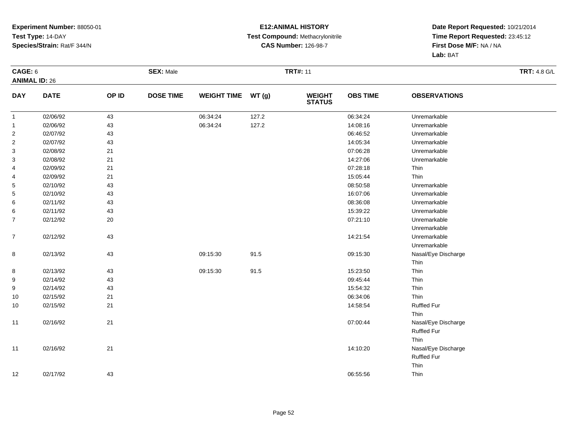#### **E12:ANIMAL HISTORY Test Compound:** Methacrylonitrile**CAS Number:** 126-98-7

| CAGE: 6          | <b>ANIMAL ID: 26</b> |       | <b>SEX: Male</b> |                    |          | <b>TRT#: 11</b>                |                 |                     | <b>TRT: 4.8 G/L</b> |
|------------------|----------------------|-------|------------------|--------------------|----------|--------------------------------|-----------------|---------------------|---------------------|
| <b>DAY</b>       | <b>DATE</b>          | OP ID | <b>DOSE TIME</b> | <b>WEIGHT TIME</b> | WT(g)    | <b>WEIGHT</b><br><b>STATUS</b> | <b>OBS TIME</b> | <b>OBSERVATIONS</b> |                     |
| $\mathbf{1}$     | 02/06/92             | 43    |                  | 06:34:24           | 127.2    |                                | 06:34:24        | Unremarkable        |                     |
| $\mathbf{1}$     | 02/06/92             | 43    |                  | 06:34:24           | 127.2    |                                | 14:08:16        | Unremarkable        |                     |
| $\sqrt{2}$       | 02/07/92             | 43    |                  |                    |          |                                | 06:46:52        | Unremarkable        |                     |
| $\sqrt{2}$       | 02/07/92             | 43    |                  |                    |          |                                | 14:05:34        | Unremarkable        |                     |
| 3                | 02/08/92             | 21    |                  |                    |          |                                | 07:06:28        | Unremarkable        |                     |
| 3                | 02/08/92             | 21    |                  |                    |          |                                | 14:27:06        | Unremarkable        |                     |
| 4                | 02/09/92             | 21    |                  |                    |          |                                | 07:28:18        | Thin                |                     |
| 4                | 02/09/92             | 21    |                  |                    |          |                                | 15:05:44        | Thin                |                     |
| 5                | 02/10/92             | 43    |                  |                    |          |                                | 08:50:58        | Unremarkable        |                     |
| 5                | 02/10/92             | 43    |                  |                    |          |                                | 16:07:06        | Unremarkable        |                     |
| 6                | 02/11/92             | 43    |                  |                    |          |                                | 08:36:08        | Unremarkable        |                     |
| 6                | 02/11/92             | 43    |                  |                    |          |                                | 15:39:22        | Unremarkable        |                     |
| $\overline{7}$   | 02/12/92             | 20    |                  |                    |          |                                | 07:21:10        | Unremarkable        |                     |
|                  |                      |       |                  |                    |          |                                |                 | Unremarkable        |                     |
| $\boldsymbol{7}$ | 02/12/92             | 43    |                  |                    |          |                                | 14:21:54        | Unremarkable        |                     |
|                  |                      |       |                  |                    |          |                                |                 | Unremarkable        |                     |
| 8                | 02/13/92             | 43    |                  | 09:15:30           | 91.5     |                                | 09:15:30        | Nasal/Eye Discharge |                     |
|                  |                      |       |                  |                    |          |                                |                 | Thin                |                     |
| 8                | 02/13/92             | 43    |                  | 09:15:30           | $91.5\,$ |                                | 15:23:50        | Thin                |                     |
| 9                | 02/14/92             | 43    |                  |                    |          |                                | 09:45:44        | Thin                |                     |
| 9                | 02/14/92             | 43    |                  |                    |          |                                | 15:54:32        | Thin                |                     |
| 10               | 02/15/92             | 21    |                  |                    |          |                                | 06:34:06        | Thin                |                     |
| 10               | 02/15/92             | 21    |                  |                    |          |                                | 14:58:54        | <b>Ruffled Fur</b>  |                     |
|                  |                      |       |                  |                    |          |                                |                 | Thin                |                     |
| 11               | 02/16/92             | 21    |                  |                    |          |                                | 07:00:44        | Nasal/Eye Discharge |                     |
|                  |                      |       |                  |                    |          |                                |                 | <b>Ruffled Fur</b>  |                     |
|                  |                      |       |                  |                    |          |                                |                 | Thin                |                     |
| 11               | 02/16/92             | 21    |                  |                    |          |                                | 14:10:20        | Nasal/Eye Discharge |                     |
|                  |                      |       |                  |                    |          |                                |                 | <b>Ruffled Fur</b>  |                     |
|                  |                      |       |                  |                    |          |                                |                 | Thin                |                     |
| 12               | 02/17/92             | 43    |                  |                    |          |                                | 06:55:56        | Thin                |                     |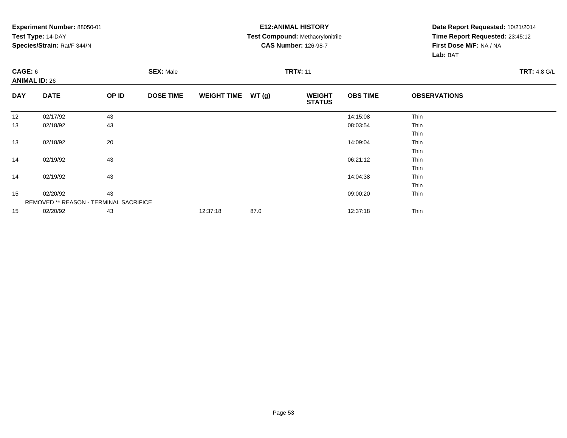#### **E12:ANIMAL HISTORY Test Compound:** Methacrylonitrile**CAS Number:** 126-98-7

| CAGE: 6    | <b>ANIMAL ID: 26</b>                   |       | <b>SEX: Male</b> |                    |               | <b>TRT#: 11</b>                |                 |                     | <b>TRT: 4.8 G/L</b> |
|------------|----------------------------------------|-------|------------------|--------------------|---------------|--------------------------------|-----------------|---------------------|---------------------|
| <b>DAY</b> | <b>DATE</b>                            | OP ID | <b>DOSE TIME</b> | <b>WEIGHT TIME</b> | <b>WT (g)</b> | <b>WEIGHT</b><br><b>STATUS</b> | <b>OBS TIME</b> | <b>OBSERVATIONS</b> |                     |
| 12         | 02/17/92                               | 43    |                  |                    |               |                                | 14:15:08        | Thin                |                     |
| 13         | 02/18/92                               | 43    |                  |                    |               |                                | 08:03:54        | Thin                |                     |
|            |                                        |       |                  |                    |               |                                |                 | Thin                |                     |
| 13         | 02/18/92                               | 20    |                  |                    |               |                                | 14:09:04        | Thin                |                     |
|            |                                        |       |                  |                    |               |                                |                 | Thin                |                     |
| 14         | 02/19/92                               | 43    |                  |                    |               |                                | 06:21:12        | Thin                |                     |
|            |                                        |       |                  |                    |               |                                |                 | Thin                |                     |
| 14         | 02/19/92                               | 43    |                  |                    |               |                                | 14:04:38        | Thin                |                     |
|            |                                        |       |                  |                    |               |                                |                 | Thin                |                     |
| 15         | 02/20/92                               | 43    |                  |                    |               |                                | 09:00:20        | Thin                |                     |
|            | REMOVED ** REASON - TERMINAL SACRIFICE |       |                  |                    |               |                                |                 |                     |                     |
| 15         | 02/20/92                               | 43    |                  | 12:37:18           | 87.0          |                                | 12:37:18        | Thin                |                     |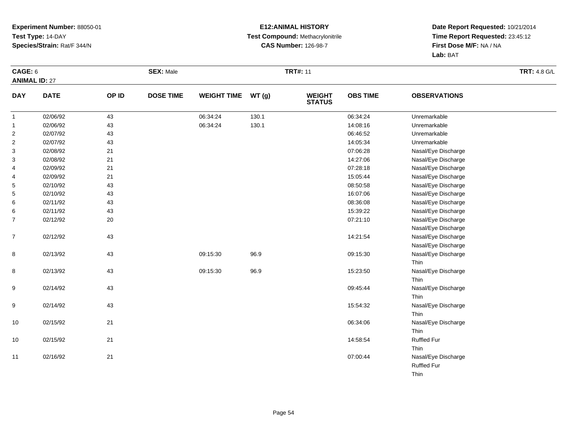#### **E12:ANIMAL HISTORY Test Compound:** Methacrylonitrile**CAS Number:** 126-98-7

| CAGE: 6              |             |        | <b>SEX: Male</b> |                    |       | <b>TRT#: 11</b>                |                 |                     | <b>TRT: 4.8 G/L</b> |
|----------------------|-------------|--------|------------------|--------------------|-------|--------------------------------|-----------------|---------------------|---------------------|
| <b>ANIMAL ID: 27</b> |             |        |                  |                    |       |                                |                 |                     |                     |
| <b>DAY</b>           | <b>DATE</b> | OP ID  | <b>DOSE TIME</b> | <b>WEIGHT TIME</b> | WT(g) | <b>WEIGHT</b><br><b>STATUS</b> | <b>OBS TIME</b> | <b>OBSERVATIONS</b> |                     |
| $\mathbf{1}$         | 02/06/92    | 43     |                  | 06:34:24           | 130.1 |                                | 06:34:24        | Unremarkable        |                     |
| $\mathbf{1}$         | 02/06/92    | 43     |                  | 06:34:24           | 130.1 |                                | 14:08:16        | Unremarkable        |                     |
| $\overline{2}$       | 02/07/92    | 43     |                  |                    |       |                                | 06:46:52        | Unremarkable        |                     |
| $\overline{2}$       | 02/07/92    | 43     |                  |                    |       |                                | 14:05:34        | Unremarkable        |                     |
| 3                    | 02/08/92    | 21     |                  |                    |       |                                | 07:06:28        | Nasal/Eye Discharge |                     |
| 3                    | 02/08/92    | 21     |                  |                    |       |                                | 14:27:06        | Nasal/Eye Discharge |                     |
| 4                    | 02/09/92    | 21     |                  |                    |       |                                | 07:28:18        | Nasal/Eye Discharge |                     |
| 4                    | 02/09/92    | 21     |                  |                    |       |                                | 15:05:44        | Nasal/Eye Discharge |                     |
| 5                    | 02/10/92    | 43     |                  |                    |       |                                | 08:50:58        | Nasal/Eye Discharge |                     |
| 5                    | 02/10/92    | 43     |                  |                    |       |                                | 16:07:06        | Nasal/Eye Discharge |                     |
| 6                    | 02/11/92    | 43     |                  |                    |       |                                | 08:36:08        | Nasal/Eye Discharge |                     |
| 6                    | 02/11/92    | 43     |                  |                    |       |                                | 15:39:22        | Nasal/Eye Discharge |                     |
| $\overline{7}$       | 02/12/92    | $20\,$ |                  |                    |       |                                | 07:21:10        | Nasal/Eye Discharge |                     |
|                      |             |        |                  |                    |       |                                |                 | Nasal/Eye Discharge |                     |
| $\overline{7}$       | 02/12/92    | 43     |                  |                    |       |                                | 14:21:54        | Nasal/Eye Discharge |                     |
|                      |             |        |                  |                    |       |                                |                 | Nasal/Eye Discharge |                     |
| 8                    | 02/13/92    | 43     |                  | 09:15:30           | 96.9  |                                | 09:15:30        | Nasal/Eye Discharge |                     |
|                      |             |        |                  |                    |       |                                |                 | Thin                |                     |
| 8                    | 02/13/92    | 43     |                  | 09:15:30           | 96.9  |                                | 15:23:50        | Nasal/Eye Discharge |                     |
|                      |             |        |                  |                    |       |                                |                 | Thin                |                     |
| 9                    | 02/14/92    | 43     |                  |                    |       |                                | 09:45:44        | Nasal/Eye Discharge |                     |
|                      |             |        |                  |                    |       |                                |                 | Thin                |                     |
| 9                    | 02/14/92    | 43     |                  |                    |       |                                | 15:54:32        | Nasal/Eye Discharge |                     |
|                      |             |        |                  |                    |       |                                |                 | Thin                |                     |
| 10                   | 02/15/92    | 21     |                  |                    |       |                                | 06:34:06        | Nasal/Eye Discharge |                     |
|                      |             |        |                  |                    |       |                                |                 | Thin                |                     |
| 10                   | 02/15/92    | 21     |                  |                    |       |                                | 14:58:54        | <b>Ruffled Fur</b>  |                     |
|                      |             |        |                  |                    |       |                                |                 | Thin                |                     |
| 11                   | 02/16/92    | 21     |                  |                    |       |                                | 07:00:44        | Nasal/Eye Discharge |                     |
|                      |             |        |                  |                    |       |                                |                 | <b>Ruffled Fur</b>  |                     |
|                      |             |        |                  |                    |       |                                |                 | Thin                |                     |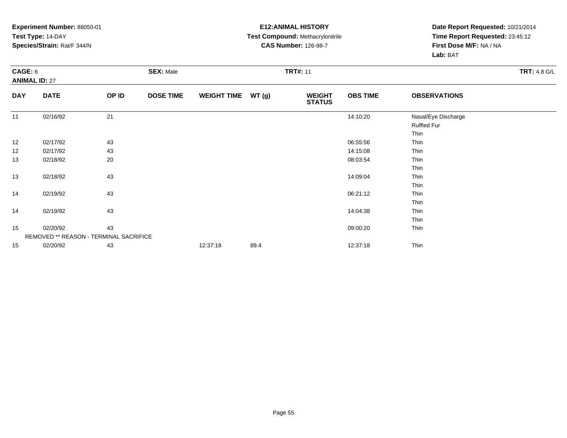#### **E12:ANIMAL HISTORY Test Compound:** Methacrylonitrile**CAS Number:** 126-98-7

| CAGE: 6    | <b>ANIMAL ID: 27</b>                   |       | <b>SEX: Male</b> |                    |       | <b>TRT#: 11</b>                |                 |                                            | <b>TRT: 4.8 G/L</b> |
|------------|----------------------------------------|-------|------------------|--------------------|-------|--------------------------------|-----------------|--------------------------------------------|---------------------|
| <b>DAY</b> | <b>DATE</b>                            | OP ID | <b>DOSE TIME</b> | <b>WEIGHT TIME</b> | WT(g) | <b>WEIGHT</b><br><b>STATUS</b> | <b>OBS TIME</b> | <b>OBSERVATIONS</b>                        |                     |
| 11         | 02/16/92                               | 21    |                  |                    |       |                                | 14:10:20        | Nasal/Eye Discharge<br>Ruffled Fur<br>Thin |                     |
| 12         | 02/17/92                               | 43    |                  |                    |       |                                | 06:55:56        | Thin                                       |                     |
| 12         | 02/17/92                               | 43    |                  |                    |       |                                | 14:15:08        | Thin                                       |                     |
| 13         | 02/18/92                               | 20    |                  |                    |       |                                | 08:03:54        | Thin<br>Thin                               |                     |
| 13         | 02/18/92                               | 43    |                  |                    |       |                                | 14:09:04        | Thin                                       |                     |
| 14         | 02/19/92                               | 43    |                  |                    |       |                                | 06:21:12        | Thin<br>Thin                               |                     |
| 14         | 02/19/92                               | 43    |                  |                    |       |                                | 14:04:38        | Thin<br>Thin                               |                     |
| 15         | 02/20/92                               | 43    |                  |                    |       |                                | 09:00:20        | Thin<br>Thin                               |                     |
|            | REMOVED ** REASON - TERMINAL SACRIFICE |       |                  |                    |       |                                |                 |                                            |                     |
| 15         | 02/20/92                               | 43    |                  | 12:37:18           | 89.4  |                                | 12:37:18        | Thin                                       |                     |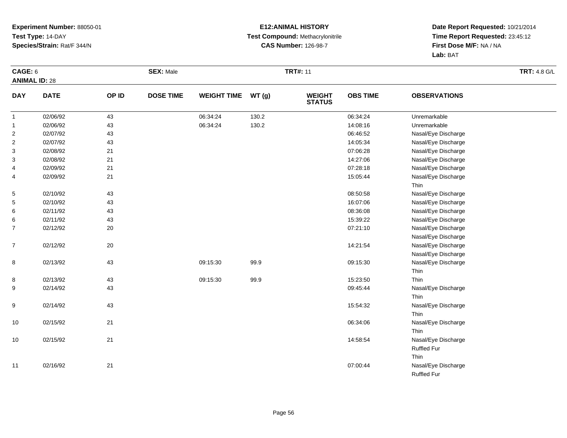#### **E12:ANIMAL HISTORY Test Compound:** Methacrylonitrile**CAS Number:** 126-98-7

| CAGE: 6<br><b>ANIMAL ID: 28</b> |             |       | <b>SEX: Male</b> |                    |       | <b>TRT#: 11</b>                |                 |                     | <b>TRT: 4.8 G/L</b> |
|---------------------------------|-------------|-------|------------------|--------------------|-------|--------------------------------|-----------------|---------------------|---------------------|
| <b>DAY</b>                      | <b>DATE</b> | OP ID | <b>DOSE TIME</b> | <b>WEIGHT TIME</b> | WT(g) | <b>WEIGHT</b><br><b>STATUS</b> | <b>OBS TIME</b> | <b>OBSERVATIONS</b> |                     |
| $\mathbf{1}$                    | 02/06/92    | 43    |                  | 06:34:24           | 130.2 |                                | 06:34:24        | Unremarkable        |                     |
| $\mathbf{1}$                    | 02/06/92    | 43    |                  | 06:34:24           | 130.2 |                                | 14:08:16        | Unremarkable        |                     |
| $\overline{c}$                  | 02/07/92    | 43    |                  |                    |       |                                | 06:46:52        | Nasal/Eye Discharge |                     |
| $\overline{2}$                  | 02/07/92    | 43    |                  |                    |       |                                | 14:05:34        | Nasal/Eye Discharge |                     |
| 3                               | 02/08/92    | 21    |                  |                    |       |                                | 07:06:28        | Nasal/Eye Discharge |                     |
| 3                               | 02/08/92    | 21    |                  |                    |       |                                | 14:27:06        | Nasal/Eye Discharge |                     |
| 4                               | 02/09/92    | 21    |                  |                    |       |                                | 07:28:18        | Nasal/Eye Discharge |                     |
| 4                               | 02/09/92    | 21    |                  |                    |       |                                | 15:05:44        | Nasal/Eye Discharge |                     |
|                                 |             |       |                  |                    |       |                                |                 | Thin                |                     |
| $\,$ 5 $\,$                     | 02/10/92    | 43    |                  |                    |       |                                | 08:50:58        | Nasal/Eye Discharge |                     |
| 5                               | 02/10/92    | 43    |                  |                    |       |                                | 16:07:06        | Nasal/Eye Discharge |                     |
| 6                               | 02/11/92    | 43    |                  |                    |       |                                | 08:36:08        | Nasal/Eye Discharge |                     |
| 6                               | 02/11/92    | 43    |                  |                    |       |                                | 15:39:22        | Nasal/Eye Discharge |                     |
| 7                               | 02/12/92    | 20    |                  |                    |       |                                | 07:21:10        | Nasal/Eye Discharge |                     |
|                                 |             |       |                  |                    |       |                                |                 | Nasal/Eye Discharge |                     |
| $\overline{7}$                  | 02/12/92    | 20    |                  |                    |       |                                | 14:21:54        | Nasal/Eye Discharge |                     |
|                                 |             |       |                  |                    |       |                                |                 | Nasal/Eye Discharge |                     |
| 8                               | 02/13/92    | 43    |                  | 09:15:30           | 99.9  |                                | 09:15:30        | Nasal/Eye Discharge |                     |
|                                 |             |       |                  |                    |       |                                |                 | Thin                |                     |
| 8                               | 02/13/92    | 43    |                  | 09:15:30           | 99.9  |                                | 15:23:50        | Thin                |                     |
| 9                               | 02/14/92    | 43    |                  |                    |       |                                | 09:45:44        | Nasal/Eye Discharge |                     |
|                                 |             |       |                  |                    |       |                                |                 | Thin                |                     |
| 9                               | 02/14/92    | 43    |                  |                    |       |                                | 15:54:32        | Nasal/Eye Discharge |                     |
|                                 |             |       |                  |                    |       |                                |                 | Thin                |                     |
| 10                              | 02/15/92    | 21    |                  |                    |       |                                | 06:34:06        | Nasal/Eye Discharge |                     |
|                                 |             |       |                  |                    |       |                                |                 | Thin                |                     |
| 10                              | 02/15/92    | 21    |                  |                    |       |                                | 14:58:54        | Nasal/Eye Discharge |                     |
|                                 |             |       |                  |                    |       |                                |                 | <b>Ruffled Fur</b>  |                     |
|                                 |             |       |                  |                    |       |                                |                 | Thin                |                     |
| 11                              | 02/16/92    | 21    |                  |                    |       |                                | 07:00:44        | Nasal/Eye Discharge |                     |
|                                 |             |       |                  |                    |       |                                |                 | <b>Ruffled Fur</b>  |                     |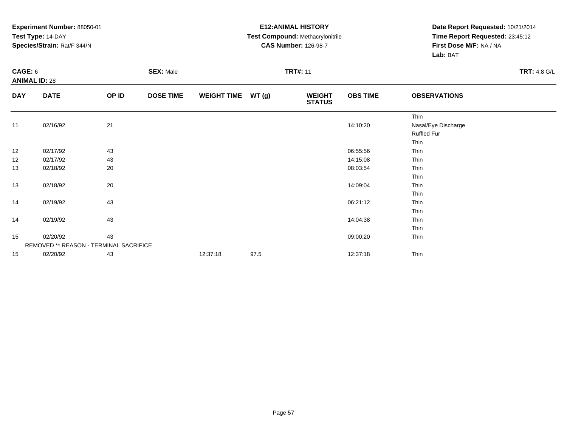#### **E12:ANIMAL HISTORY Test Compound:** Methacrylonitrile**CAS Number:** 126-98-7

| CAGE: 6    | <b>ANIMAL ID: 28</b>                   |       | <b>SEX: Male</b> |                    |      | <b>TRT#: 11</b>                |                 |                                                           | <b>TRT: 4.8 G/L</b> |
|------------|----------------------------------------|-------|------------------|--------------------|------|--------------------------------|-----------------|-----------------------------------------------------------|---------------------|
| <b>DAY</b> | <b>DATE</b>                            | OP ID | <b>DOSE TIME</b> | WEIGHT TIME WT (g) |      | <b>WEIGHT</b><br><b>STATUS</b> | <b>OBS TIME</b> | <b>OBSERVATIONS</b>                                       |                     |
| 11         | 02/16/92                               | 21    |                  |                    |      |                                | 14:10:20        | Thin<br>Nasal/Eye Discharge<br><b>Ruffled Fur</b><br>Thin |                     |
| 12         | 02/17/92                               | 43    |                  |                    |      |                                | 06:55:56        | Thin                                                      |                     |
| 12         | 02/17/92                               | 43    |                  |                    |      |                                | 14:15:08        | Thin                                                      |                     |
| 13         | 02/18/92                               | 20    |                  |                    |      |                                | 08:03:54        | Thin<br>Thin                                              |                     |
| 13         | 02/18/92                               | 20    |                  |                    |      |                                | 14:09:04        | Thin<br>Thin                                              |                     |
| 14         | 02/19/92                               | 43    |                  |                    |      |                                | 06:21:12        | Thin<br>Thin                                              |                     |
| 14         | 02/19/92                               | 43    |                  |                    |      |                                | 14:04:38        | Thin<br>Thin                                              |                     |
| 15         | 02/20/92                               | 43    |                  |                    |      |                                | 09:00:20        | Thin                                                      |                     |
|            | REMOVED ** REASON - TERMINAL SACRIFICE |       |                  |                    |      |                                |                 |                                                           |                     |
| 15         | 02/20/92                               | 43    |                  | 12:37:18           | 97.5 |                                | 12:37:18        | Thin                                                      |                     |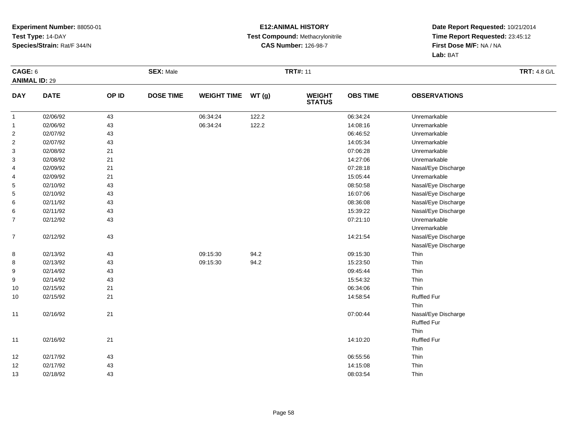#### **E12:ANIMAL HISTORY Test Compound:** Methacrylonitrile**CAS Number:** 126-98-7

| CAGE: 6                   |             |       | <b>SEX: Male</b> |                    |       | <b>TRT#: 11</b>                |                 |                     | <b>TRT: 4.8 G/L</b> |
|---------------------------|-------------|-------|------------------|--------------------|-------|--------------------------------|-----------------|---------------------|---------------------|
| <b>ANIMAL ID: 29</b>      |             |       |                  |                    |       |                                |                 |                     |                     |
| <b>DAY</b>                | <b>DATE</b> | OP ID | <b>DOSE TIME</b> | <b>WEIGHT TIME</b> | WT(g) | <b>WEIGHT</b><br><b>STATUS</b> | <b>OBS TIME</b> | <b>OBSERVATIONS</b> |                     |
| $\mathbf{1}$              | 02/06/92    | 43    |                  | 06:34:24           | 122.2 |                                | 06:34:24        | Unremarkable        |                     |
| $\mathbf{1}$              | 02/06/92    | 43    |                  | 06:34:24           | 122.2 |                                | 14:08:16        | Unremarkable        |                     |
| $\overline{\mathbf{c}}$   | 02/07/92    | 43    |                  |                    |       |                                | 06:46:52        | Unremarkable        |                     |
| $\boldsymbol{2}$          | 02/07/92    | 43    |                  |                    |       |                                | 14:05:34        | Unremarkable        |                     |
| $\ensuremath{\mathsf{3}}$ | 02/08/92    | 21    |                  |                    |       |                                | 07:06:28        | Unremarkable        |                     |
| 3                         | 02/08/92    | 21    |                  |                    |       |                                | 14:27:06        | Unremarkable        |                     |
| 4                         | 02/09/92    | 21    |                  |                    |       |                                | 07:28:18        | Nasal/Eye Discharge |                     |
| 4                         | 02/09/92    | 21    |                  |                    |       |                                | 15:05:44        | Unremarkable        |                     |
| 5                         | 02/10/92    | 43    |                  |                    |       |                                | 08:50:58        | Nasal/Eye Discharge |                     |
| 5                         | 02/10/92    | 43    |                  |                    |       |                                | 16:07:06        | Nasal/Eye Discharge |                     |
| 6                         | 02/11/92    | 43    |                  |                    |       |                                | 08:36:08        | Nasal/Eye Discharge |                     |
| 6                         | 02/11/92    | 43    |                  |                    |       |                                | 15:39:22        | Nasal/Eye Discharge |                     |
| $\overline{7}$            | 02/12/92    | 43    |                  |                    |       |                                | 07:21:10        | Unremarkable        |                     |
|                           |             |       |                  |                    |       |                                |                 | Unremarkable        |                     |
| $\overline{7}$            | 02/12/92    | 43    |                  |                    |       |                                | 14:21:54        | Nasal/Eye Discharge |                     |
|                           |             |       |                  |                    |       |                                |                 | Nasal/Eye Discharge |                     |
| 8                         | 02/13/92    | 43    |                  | 09:15:30           | 94.2  |                                | 09:15:30        | Thin                |                     |
| 8                         | 02/13/92    | 43    |                  | 09:15:30           | 94.2  |                                | 15:23:50        | Thin                |                     |
| $\boldsymbol{9}$          | 02/14/92    | 43    |                  |                    |       |                                | 09:45:44        | Thin                |                     |
| 9                         | 02/14/92    | 43    |                  |                    |       |                                | 15:54:32        | Thin                |                     |
| 10                        | 02/15/92    | 21    |                  |                    |       |                                | 06:34:06        | Thin                |                     |
| 10                        | 02/15/92    | 21    |                  |                    |       |                                | 14:58:54        | <b>Ruffled Fur</b>  |                     |
|                           |             |       |                  |                    |       |                                |                 | Thin                |                     |
| 11                        | 02/16/92    | 21    |                  |                    |       |                                | 07:00:44        | Nasal/Eye Discharge |                     |
|                           |             |       |                  |                    |       |                                |                 | <b>Ruffled Fur</b>  |                     |
|                           |             |       |                  |                    |       |                                |                 | Thin                |                     |
| 11                        | 02/16/92    | 21    |                  |                    |       |                                | 14:10:20        | <b>Ruffled Fur</b>  |                     |
|                           |             |       |                  |                    |       |                                |                 | Thin                |                     |
| 12                        | 02/17/92    | 43    |                  |                    |       |                                | 06:55:56        | Thin                |                     |
| 12                        | 02/17/92    | 43    |                  |                    |       |                                | 14:15:08        | Thin                |                     |
| 13                        | 02/18/92    | 43    |                  |                    |       |                                | 08:03:54        | Thin                |                     |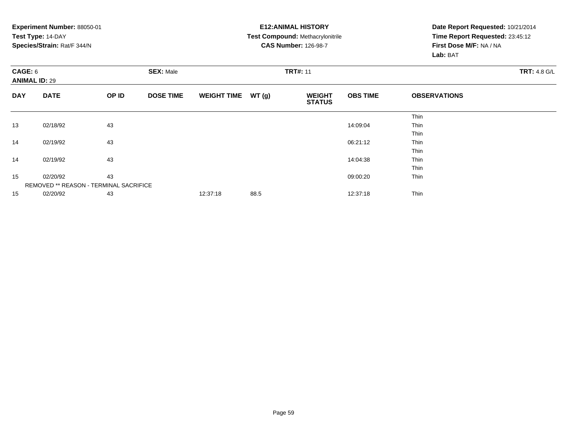|                                 | Experiment Number: 88050-01            |       |                  | <b>E12: ANIMAL HISTORY</b> |       | Date Report Requested: 10/21/2014       |                 |                                 |                     |  |
|---------------------------------|----------------------------------------|-------|------------------|----------------------------|-------|-----------------------------------------|-----------------|---------------------------------|---------------------|--|
|                                 | Test Type: 14-DAY                      |       |                  |                            |       | <b>Test Compound: Methacrylonitrile</b> |                 | Time Report Requested: 23:45:12 |                     |  |
|                                 | Species/Strain: Rat/F 344/N            |       |                  |                            |       | <b>CAS Number: 126-98-7</b>             |                 | First Dose M/F: NA / NA         |                     |  |
|                                 |                                        |       |                  |                            |       |                                         |                 | Lab: BAT                        |                     |  |
| CAGE: 6<br><b>ANIMAL ID: 29</b> |                                        |       | <b>SEX: Male</b> |                            |       | <b>TRT#: 11</b>                         |                 |                                 | <b>TRT: 4.8 G/L</b> |  |
| <b>DAY</b>                      | <b>DATE</b>                            | OP ID | <b>DOSE TIME</b> | <b>WEIGHT TIME</b>         | WT(g) | <b>WEIGHT</b><br><b>STATUS</b>          | <b>OBS TIME</b> | <b>OBSERVATIONS</b>             |                     |  |
|                                 |                                        |       |                  |                            |       |                                         |                 | Thin                            |                     |  |
| 13                              | 02/18/92                               | 43    |                  |                            |       |                                         | 14:09:04        | Thin                            |                     |  |
|                                 |                                        |       |                  |                            |       |                                         |                 | Thin                            |                     |  |
| 14                              | 02/19/92                               | 43    |                  |                            |       |                                         | 06:21:12        | Thin                            |                     |  |
|                                 |                                        |       |                  |                            |       |                                         |                 | Thin                            |                     |  |
| 14                              | 02/19/92                               | 43    |                  |                            |       |                                         | 14:04:38        | Thin                            |                     |  |
|                                 |                                        |       |                  |                            |       |                                         |                 | Thin                            |                     |  |
| 15                              | 02/20/92                               | 43    |                  |                            |       |                                         | 09:00:20        | Thin                            |                     |  |
|                                 | REMOVED ** REASON - TERMINAL SACRIFICE |       |                  |                            |       |                                         |                 |                                 |                     |  |
| 15                              | 43<br>02/20/92                         |       | 12:37:18         | 88.5                       |       | 12:37:18                                | Thin            |                                 |                     |  |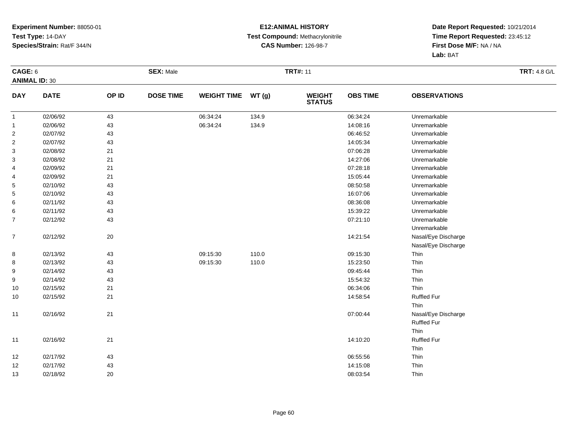#### **E12:ANIMAL HISTORY Test Compound:** Methacrylonitrile**CAS Number:** 126-98-7

| CAGE: 6                 |             |       | <b>SEX: Male</b> |                    |       | <b>TRT#: 11</b>                |                 |                     | <b>TRT: 4.8 G/L</b> |
|-------------------------|-------------|-------|------------------|--------------------|-------|--------------------------------|-----------------|---------------------|---------------------|
| <b>ANIMAL ID: 30</b>    |             |       |                  |                    |       |                                |                 |                     |                     |
| <b>DAY</b>              | <b>DATE</b> | OP ID | <b>DOSE TIME</b> | <b>WEIGHT TIME</b> | WT(g) | <b>WEIGHT</b><br><b>STATUS</b> | <b>OBS TIME</b> | <b>OBSERVATIONS</b> |                     |
| $\mathbf{1}$            | 02/06/92    | 43    |                  | 06:34:24           | 134.9 |                                | 06:34:24        | Unremarkable        |                     |
| $\mathbf{1}$            | 02/06/92    | 43    |                  | 06:34:24           | 134.9 |                                | 14:08:16        | Unremarkable        |                     |
| $\overline{\mathbf{c}}$ | 02/07/92    | 43    |                  |                    |       |                                | 06:46:52        | Unremarkable        |                     |
| $\boldsymbol{2}$        | 02/07/92    | 43    |                  |                    |       |                                | 14:05:34        | Unremarkable        |                     |
| 3                       | 02/08/92    | 21    |                  |                    |       |                                | 07:06:28        | Unremarkable        |                     |
| 3                       | 02/08/92    | 21    |                  |                    |       |                                | 14:27:06        | Unremarkable        |                     |
| 4                       | 02/09/92    | 21    |                  |                    |       |                                | 07:28:18        | Unremarkable        |                     |
| 4                       | 02/09/92    | 21    |                  |                    |       |                                | 15:05:44        | Unremarkable        |                     |
| 5                       | 02/10/92    | 43    |                  |                    |       |                                | 08:50:58        | Unremarkable        |                     |
| 5                       | 02/10/92    | 43    |                  |                    |       |                                | 16:07:06        | Unremarkable        |                     |
| 6                       | 02/11/92    | 43    |                  |                    |       |                                | 08:36:08        | Unremarkable        |                     |
| 6                       | 02/11/92    | 43    |                  |                    |       |                                | 15:39:22        | Unremarkable        |                     |
| $\overline{7}$          | 02/12/92    | 43    |                  |                    |       |                                | 07:21:10        | Unremarkable        |                     |
|                         |             |       |                  |                    |       |                                |                 | Unremarkable        |                     |
| $\overline{7}$          | 02/12/92    | 20    |                  |                    |       |                                | 14:21:54        | Nasal/Eye Discharge |                     |
|                         |             |       |                  |                    |       |                                |                 | Nasal/Eye Discharge |                     |
| 8                       | 02/13/92    | 43    |                  | 09:15:30           | 110.0 |                                | 09:15:30        | Thin                |                     |
| 8                       | 02/13/92    | 43    |                  | 09:15:30           | 110.0 |                                | 15:23:50        | Thin                |                     |
| 9                       | 02/14/92    | 43    |                  |                    |       |                                | 09:45:44        | Thin                |                     |
| 9                       | 02/14/92    | 43    |                  |                    |       |                                | 15:54:32        | Thin                |                     |
| 10                      | 02/15/92    | 21    |                  |                    |       |                                | 06:34:06        | Thin                |                     |
| 10                      | 02/15/92    | 21    |                  |                    |       |                                | 14:58:54        | <b>Ruffled Fur</b>  |                     |
|                         |             |       |                  |                    |       |                                |                 | Thin                |                     |
| 11                      | 02/16/92    | 21    |                  |                    |       |                                | 07:00:44        | Nasal/Eye Discharge |                     |
|                         |             |       |                  |                    |       |                                |                 | <b>Ruffled Fur</b>  |                     |
|                         |             |       |                  |                    |       |                                |                 | Thin                |                     |
| 11                      | 02/16/92    | 21    |                  |                    |       |                                | 14:10:20        | <b>Ruffled Fur</b>  |                     |
|                         |             |       |                  |                    |       |                                |                 | Thin                |                     |
| 12                      | 02/17/92    | 43    |                  |                    |       |                                | 06:55:56        | Thin                |                     |
| 12                      | 02/17/92    | 43    |                  |                    |       |                                | 14:15:08        | Thin                |                     |
| 13                      | 02/18/92    | 20    |                  |                    |       |                                | 08:03:54        | Thin                |                     |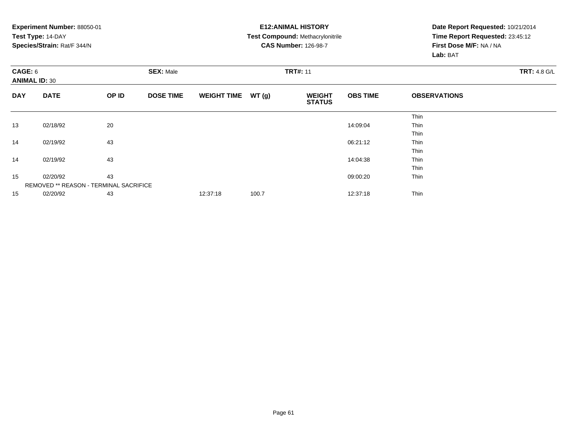|                                 | Experiment Number: 88050-01            |       |                  |                    |       | <b>E12: ANIMAL HISTORY</b>              |                 | Date Report Requested: 10/21/2014 |                     |  |
|---------------------------------|----------------------------------------|-------|------------------|--------------------|-------|-----------------------------------------|-----------------|-----------------------------------|---------------------|--|
|                                 | Test Type: 14-DAY                      |       |                  |                    |       | <b>Test Compound: Methacrylonitrile</b> |                 | Time Report Requested: 23:45:12   |                     |  |
|                                 | Species/Strain: Rat/F 344/N            |       |                  |                    |       | <b>CAS Number: 126-98-7</b>             |                 | First Dose M/F: NA / NA           |                     |  |
|                                 |                                        |       |                  |                    |       |                                         |                 | Lab: BAT                          |                     |  |
| CAGE: 6<br><b>ANIMAL ID: 30</b> |                                        |       | <b>SEX: Male</b> |                    |       | <b>TRT#: 11</b>                         |                 |                                   | <b>TRT: 4.8 G/L</b> |  |
| <b>DAY</b>                      | <b>DATE</b>                            | OP ID | <b>DOSE TIME</b> | <b>WEIGHT TIME</b> | WT(g) | <b>WEIGHT</b><br><b>STATUS</b>          | <b>OBS TIME</b> | <b>OBSERVATIONS</b>               |                     |  |
|                                 |                                        |       |                  |                    |       |                                         |                 | Thin                              |                     |  |
| 13                              | 02/18/92                               | 20    |                  |                    |       |                                         | 14:09:04        | Thin                              |                     |  |
|                                 |                                        |       |                  |                    |       |                                         |                 | Thin                              |                     |  |
| 14                              | 02/19/92                               | 43    |                  |                    |       |                                         | 06:21:12        | Thin                              |                     |  |
|                                 |                                        |       |                  |                    |       |                                         |                 | Thin                              |                     |  |
| 14                              | 02/19/92                               | 43    |                  |                    |       |                                         | 14:04:38        | Thin                              |                     |  |
|                                 |                                        |       |                  |                    |       |                                         |                 | Thin                              |                     |  |
| 15                              | 02/20/92                               | 43    |                  |                    |       |                                         | 09:00:20        | Thin                              |                     |  |
|                                 | REMOVED ** REASON - TERMINAL SACRIFICE |       |                  |                    |       |                                         |                 |                                   |                     |  |
| 15                              | 43<br>02/20/92                         |       | 12:37:18         | 100.7              |       | 12:37:18                                | Thin            |                                   |                     |  |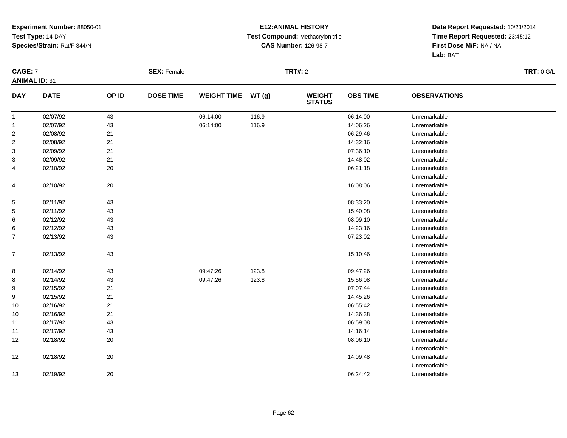#### **E12:ANIMAL HISTORY Test Compound:** Methacrylonitrile**CAS Number:** 126-98-7

| CAGE: 7              |             |       | <b>SEX: Female</b> |                    |       | <b>TRT#: 2</b>                 |                 |                     | <b>TRT: 0 G/L</b> |
|----------------------|-------------|-------|--------------------|--------------------|-------|--------------------------------|-----------------|---------------------|-------------------|
| <b>ANIMAL ID: 31</b> |             |       |                    |                    |       |                                |                 |                     |                   |
| <b>DAY</b>           | <b>DATE</b> | OP ID | <b>DOSE TIME</b>   | <b>WEIGHT TIME</b> | WT(g) | <b>WEIGHT</b><br><b>STATUS</b> | <b>OBS TIME</b> | <b>OBSERVATIONS</b> |                   |
| $\mathbf{1}$         | 02/07/92    | 43    |                    | 06:14:00           | 116.9 |                                | 06:14:00        | Unremarkable        |                   |
| $\mathbf{1}$         | 02/07/92    | 43    |                    | 06:14:00           | 116.9 |                                | 14:06:26        | Unremarkable        |                   |
| $\overline{2}$       | 02/08/92    | 21    |                    |                    |       |                                | 06:29:46        | Unremarkable        |                   |
| $\overline{2}$       | 02/08/92    | 21    |                    |                    |       |                                | 14:32:16        | Unremarkable        |                   |
| 3                    | 02/09/92    | 21    |                    |                    |       |                                | 07:36:10        | Unremarkable        |                   |
| 3                    | 02/09/92    | 21    |                    |                    |       |                                | 14:48:02        | Unremarkable        |                   |
| 4                    | 02/10/92    | 20    |                    |                    |       |                                | 06:21:18        | Unremarkable        |                   |
|                      |             |       |                    |                    |       |                                |                 | Unremarkable        |                   |
| 4                    | 02/10/92    | 20    |                    |                    |       |                                | 16:08:06        | Unremarkable        |                   |
|                      |             |       |                    |                    |       |                                |                 | Unremarkable        |                   |
| $\sqrt{5}$           | 02/11/92    | 43    |                    |                    |       |                                | 08:33:20        | Unremarkable        |                   |
| 5                    | 02/11/92    | 43    |                    |                    |       |                                | 15:40:08        | Unremarkable        |                   |
| 6                    | 02/12/92    | 43    |                    |                    |       |                                | 08:09:10        | Unremarkable        |                   |
| 6                    | 02/12/92    | 43    |                    |                    |       |                                | 14:23:16        | Unremarkable        |                   |
| $\overline{7}$       | 02/13/92    | 43    |                    |                    |       |                                | 07:23:02        | Unremarkable        |                   |
|                      |             |       |                    |                    |       |                                |                 | Unremarkable        |                   |
| $\overline{7}$       | 02/13/92    | 43    |                    |                    |       |                                | 15:10:46        | Unremarkable        |                   |
|                      |             |       |                    |                    |       |                                |                 | Unremarkable        |                   |
| 8                    | 02/14/92    | 43    |                    | 09:47:26           | 123.8 |                                | 09:47:26        | Unremarkable        |                   |
| 8                    | 02/14/92    | 43    |                    | 09:47:26           | 123.8 |                                | 15:56:08        | Unremarkable        |                   |
| 9                    | 02/15/92    | 21    |                    |                    |       |                                | 07:07:44        | Unremarkable        |                   |
| 9                    | 02/15/92    | 21    |                    |                    |       |                                | 14:45:26        | Unremarkable        |                   |
| 10                   | 02/16/92    | 21    |                    |                    |       |                                | 06:55:42        | Unremarkable        |                   |
| 10                   | 02/16/92    | 21    |                    |                    |       |                                | 14:36:38        | Unremarkable        |                   |
| 11                   | 02/17/92    | 43    |                    |                    |       |                                | 06:59:08        | Unremarkable        |                   |
| 11                   | 02/17/92    | 43    |                    |                    |       |                                | 14:16:14        | Unremarkable        |                   |
| 12                   | 02/18/92    | 20    |                    |                    |       |                                | 08:06:10        | Unremarkable        |                   |
|                      |             |       |                    |                    |       |                                |                 | Unremarkable        |                   |
| 12                   | 02/18/92    | 20    |                    |                    |       |                                | 14:09:48        | Unremarkable        |                   |
|                      |             |       |                    |                    |       |                                |                 | Unremarkable        |                   |
| 13                   | 02/19/92    | 20    |                    |                    |       |                                | 06:24:42        | Unremarkable        |                   |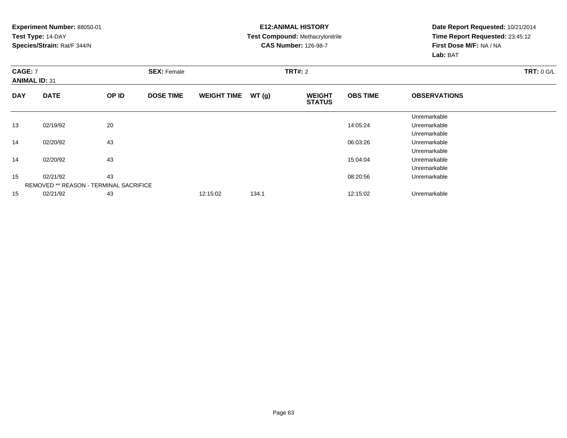#### **E12:ANIMAL HISTORY Test Compound:** Methacrylonitrile**CAS Number:** 126-98-7

| <b>CAGE: 7</b><br><b>ANIMAL ID: 31</b> |                                               |       | <b>SEX: Female</b> |                    |       | <b>TRT#: 2</b>                 | TRT: 0 G/L      |                     |  |
|----------------------------------------|-----------------------------------------------|-------|--------------------|--------------------|-------|--------------------------------|-----------------|---------------------|--|
| <b>DAY</b>                             | <b>DATE</b>                                   | OP ID | <b>DOSE TIME</b>   | <b>WEIGHT TIME</b> | WT(g) | <b>WEIGHT</b><br><b>STATUS</b> | <b>OBS TIME</b> | <b>OBSERVATIONS</b> |  |
|                                        |                                               |       |                    |                    |       |                                |                 | Unremarkable        |  |
| 13                                     | 02/19/92                                      | 20    |                    |                    |       |                                | 14:05:24        | Unremarkable        |  |
|                                        |                                               |       |                    |                    |       |                                |                 | Unremarkable        |  |
| 14                                     | 02/20/92                                      | 43    |                    |                    |       |                                | 06:03:26        | Unremarkable        |  |
|                                        |                                               |       |                    |                    |       |                                |                 | Unremarkable        |  |
| 14                                     | 02/20/92                                      | 43    |                    |                    |       |                                | 15:04:04        | Unremarkable        |  |
|                                        |                                               |       |                    |                    |       |                                |                 | Unremarkable        |  |
| 15                                     | 02/21/92                                      | 43    |                    |                    |       |                                | 08:20:56        | Unremarkable        |  |
|                                        | <b>REMOVED ** REASON - TERMINAL SACRIFICE</b> |       |                    |                    |       |                                |                 |                     |  |
| 15                                     | 02/21/92                                      | 43    |                    | 12:15:02           | 134.1 |                                | 12:15:02        | Unremarkable        |  |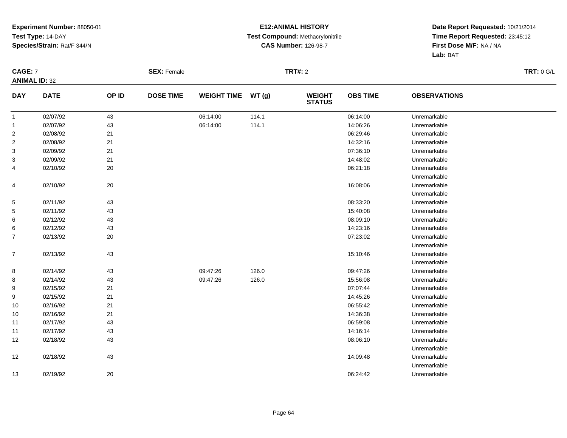#### **E12:ANIMAL HISTORY Test Compound:** Methacrylonitrile**CAS Number:** 126-98-7

| CAGE: 7        |                      |       | <b>SEX: Female</b> |                    |       | <b>TRT#: 2</b>                 |                 |                     | <b>TRT: 0 G/L</b> |
|----------------|----------------------|-------|--------------------|--------------------|-------|--------------------------------|-----------------|---------------------|-------------------|
|                | <b>ANIMAL ID: 32</b> |       |                    |                    |       |                                |                 |                     |                   |
| <b>DAY</b>     | <b>DATE</b>          | OP ID | <b>DOSE TIME</b>   | <b>WEIGHT TIME</b> | WT(g) | <b>WEIGHT</b><br><b>STATUS</b> | <b>OBS TIME</b> | <b>OBSERVATIONS</b> |                   |
| $\mathbf{1}$   | 02/07/92             | 43    |                    | 06:14:00           | 114.1 |                                | 06:14:00        | Unremarkable        |                   |
| $\mathbf{1}$   | 02/07/92             | 43    |                    | 06:14:00           | 114.1 |                                | 14:06:26        | Unremarkable        |                   |
| $\overline{2}$ | 02/08/92             | 21    |                    |                    |       |                                | 06:29:46        | Unremarkable        |                   |
| $\overline{2}$ | 02/08/92             | 21    |                    |                    |       |                                | 14:32:16        | Unremarkable        |                   |
| 3              | 02/09/92             | 21    |                    |                    |       |                                | 07:36:10        | Unremarkable        |                   |
| 3              | 02/09/92             | 21    |                    |                    |       |                                | 14:48:02        | Unremarkable        |                   |
| 4              | 02/10/92             | 20    |                    |                    |       |                                | 06:21:18        | Unremarkable        |                   |
|                |                      |       |                    |                    |       |                                |                 | Unremarkable        |                   |
| 4              | 02/10/92             | 20    |                    |                    |       |                                | 16:08:06        | Unremarkable        |                   |
|                |                      |       |                    |                    |       |                                |                 | Unremarkable        |                   |
| $\sqrt{5}$     | 02/11/92             | 43    |                    |                    |       |                                | 08:33:20        | Unremarkable        |                   |
| 5              | 02/11/92             | 43    |                    |                    |       |                                | 15:40:08        | Unremarkable        |                   |
| 6              | 02/12/92             | 43    |                    |                    |       |                                | 08:09:10        | Unremarkable        |                   |
| 6              | 02/12/92             | 43    |                    |                    |       |                                | 14:23:16        | Unremarkable        |                   |
| $\overline{7}$ | 02/13/92             | 20    |                    |                    |       |                                | 07:23:02        | Unremarkable        |                   |
|                |                      |       |                    |                    |       |                                |                 | Unremarkable        |                   |
| $\overline{7}$ | 02/13/92             | 43    |                    |                    |       |                                | 15:10:46        | Unremarkable        |                   |
|                |                      |       |                    |                    |       |                                |                 | Unremarkable        |                   |
| 8              | 02/14/92             | 43    |                    | 09:47:26           | 126.0 |                                | 09:47:26        | Unremarkable        |                   |
| 8              | 02/14/92             | 43    |                    | 09:47:26           | 126.0 |                                | 15:56:08        | Unremarkable        |                   |
| 9              | 02/15/92             | 21    |                    |                    |       |                                | 07:07:44        | Unremarkable        |                   |
| 9              | 02/15/92             | 21    |                    |                    |       |                                | 14:45:26        | Unremarkable        |                   |
| 10             | 02/16/92             | 21    |                    |                    |       |                                | 06:55:42        | Unremarkable        |                   |
| 10             | 02/16/92             | 21    |                    |                    |       |                                | 14:36:38        | Unremarkable        |                   |
| 11             | 02/17/92             | 43    |                    |                    |       |                                | 06:59:08        | Unremarkable        |                   |
| 11             | 02/17/92             | 43    |                    |                    |       |                                | 14:16:14        | Unremarkable        |                   |
| 12             | 02/18/92             | 43    |                    |                    |       |                                | 08:06:10        | Unremarkable        |                   |
|                |                      |       |                    |                    |       |                                |                 | Unremarkable        |                   |
| 12             | 02/18/92             | 43    |                    |                    |       |                                | 14:09:48        | Unremarkable        |                   |
|                |                      |       |                    |                    |       |                                |                 | Unremarkable        |                   |
| 13             | 02/19/92             | 20    |                    |                    |       |                                | 06:24:42        | Unremarkable        |                   |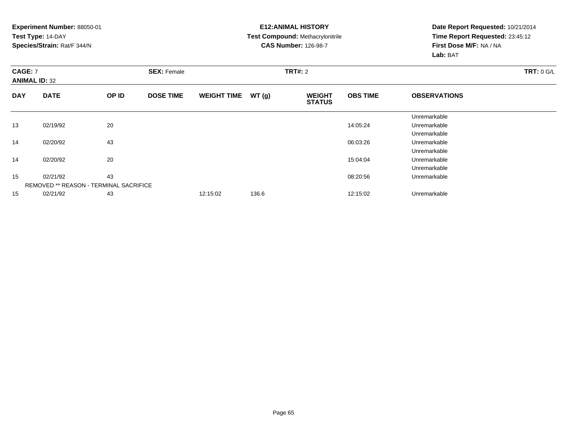#### **E12:ANIMAL HISTORY Test Compound:** Methacrylonitrile**CAS Number:** 126-98-7

| <b>CAGE: 7</b><br><b>ANIMAL ID: 32</b> |                                               | <b>SEX: Female</b> |                  |                    | <b>TRT#: 2</b> | <b>TRT: 0 G/L</b>              |                 |                     |  |
|----------------------------------------|-----------------------------------------------|--------------------|------------------|--------------------|----------------|--------------------------------|-----------------|---------------------|--|
| <b>DAY</b>                             | <b>DATE</b>                                   | OP ID              | <b>DOSE TIME</b> | <b>WEIGHT TIME</b> | WT(g)          | <b>WEIGHT</b><br><b>STATUS</b> | <b>OBS TIME</b> | <b>OBSERVATIONS</b> |  |
|                                        |                                               |                    |                  |                    |                |                                |                 | Unremarkable        |  |
| 13                                     | 02/19/92                                      | 20                 |                  |                    |                |                                | 14:05:24        | Unremarkable        |  |
|                                        |                                               |                    |                  |                    |                |                                |                 | Unremarkable        |  |
| 14                                     | 02/20/92                                      | 43                 |                  |                    |                |                                | 06:03:26        | Unremarkable        |  |
|                                        |                                               |                    |                  |                    |                |                                |                 | Unremarkable        |  |
| 14                                     | 02/20/92                                      | 20                 |                  |                    |                |                                | 15:04:04        | Unremarkable        |  |
|                                        |                                               |                    |                  |                    |                |                                |                 | Unremarkable        |  |
| 15                                     | 02/21/92                                      | 43                 |                  |                    |                |                                | 08:20:56        | Unremarkable        |  |
|                                        | <b>REMOVED ** REASON - TERMINAL SACRIFICE</b> |                    |                  |                    |                |                                |                 |                     |  |
| 15                                     | 02/21/92                                      | 43                 |                  | 12:15:02           | 136.6          |                                | 12:15:02        | Unremarkable        |  |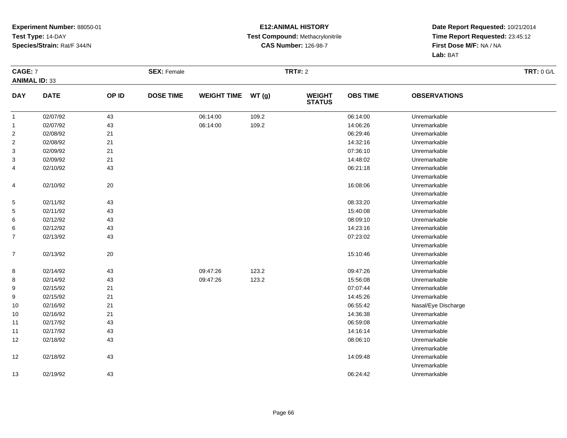#### **E12:ANIMAL HISTORY Test Compound:** Methacrylonitrile**CAS Number:** 126-98-7

| CAGE: 7              |             |        | <b>SEX: Female</b> |                    |       | <b>TRT#: 2</b>                 | TRT: 0 G/L      |                     |  |
|----------------------|-------------|--------|--------------------|--------------------|-------|--------------------------------|-----------------|---------------------|--|
| <b>ANIMAL ID: 33</b> |             |        |                    |                    |       |                                |                 |                     |  |
| <b>DAY</b>           | <b>DATE</b> | OP ID  | <b>DOSE TIME</b>   | <b>WEIGHT TIME</b> | WT(g) | <b>WEIGHT</b><br><b>STATUS</b> | <b>OBS TIME</b> | <b>OBSERVATIONS</b> |  |
| $\mathbf{1}$         | 02/07/92    | 43     |                    | 06:14:00           | 109.2 |                                | 06:14:00        | Unremarkable        |  |
| $\mathbf{1}$         | 02/07/92    | 43     |                    | 06:14:00           | 109.2 |                                | 14:06:26        | Unremarkable        |  |
| $\overline{2}$       | 02/08/92    | 21     |                    |                    |       |                                | 06:29:46        | Unremarkable        |  |
| $\overline{2}$       | 02/08/92    | 21     |                    |                    |       |                                | 14:32:16        | Unremarkable        |  |
| 3                    | 02/09/92    | 21     |                    |                    |       |                                | 07:36:10        | Unremarkable        |  |
| 3                    | 02/09/92    | 21     |                    |                    |       |                                | 14:48:02        | Unremarkable        |  |
| 4                    | 02/10/92    | 43     |                    |                    |       |                                | 06:21:18        | Unremarkable        |  |
|                      |             |        |                    |                    |       |                                |                 | Unremarkable        |  |
| 4                    | 02/10/92    | $20\,$ |                    |                    |       |                                | 16:08:06        | Unremarkable        |  |
|                      |             |        |                    |                    |       |                                |                 | Unremarkable        |  |
| 5                    | 02/11/92    | 43     |                    |                    |       |                                | 08:33:20        | Unremarkable        |  |
| 5                    | 02/11/92    | 43     |                    |                    |       |                                | 15:40:08        | Unremarkable        |  |
| 6                    | 02/12/92    | 43     |                    |                    |       |                                | 08:09:10        | Unremarkable        |  |
| 6                    | 02/12/92    | 43     |                    |                    |       |                                | 14:23:16        | Unremarkable        |  |
| $\overline{7}$       | 02/13/92    | 43     |                    |                    |       |                                | 07:23:02        | Unremarkable        |  |
|                      |             |        |                    |                    |       |                                |                 | Unremarkable        |  |
| $\overline{7}$       | 02/13/92    | $20\,$ |                    |                    |       |                                | 15:10:46        | Unremarkable        |  |
|                      |             |        |                    |                    |       |                                |                 | Unremarkable        |  |
| 8                    | 02/14/92    | 43     |                    | 09:47:26           | 123.2 |                                | 09:47:26        | Unremarkable        |  |
| 8                    | 02/14/92    | 43     |                    | 09:47:26           | 123.2 |                                | 15:56:08        | Unremarkable        |  |
| 9                    | 02/15/92    | 21     |                    |                    |       |                                | 07:07:44        | Unremarkable        |  |
| 9                    | 02/15/92    | 21     |                    |                    |       |                                | 14:45:26        | Unremarkable        |  |
| 10                   | 02/16/92    | 21     |                    |                    |       |                                | 06:55:42        | Nasal/Eye Discharge |  |
| 10                   | 02/16/92    | 21     |                    |                    |       |                                | 14:36:38        | Unremarkable        |  |
| 11                   | 02/17/92    | 43     |                    |                    |       |                                | 06:59:08        | Unremarkable        |  |
| 11                   | 02/17/92    | 43     |                    |                    |       |                                | 14:16:14        | Unremarkable        |  |
| 12                   | 02/18/92    | 43     |                    |                    |       |                                | 08:06:10        | Unremarkable        |  |
|                      |             |        |                    |                    |       |                                |                 | Unremarkable        |  |
| 12                   | 02/18/92    | 43     |                    |                    |       |                                | 14:09:48        | Unremarkable        |  |
|                      |             |        |                    |                    |       |                                |                 | Unremarkable        |  |
| 13                   | 02/19/92    | 43     |                    |                    |       |                                | 06:24:42        | Unremarkable        |  |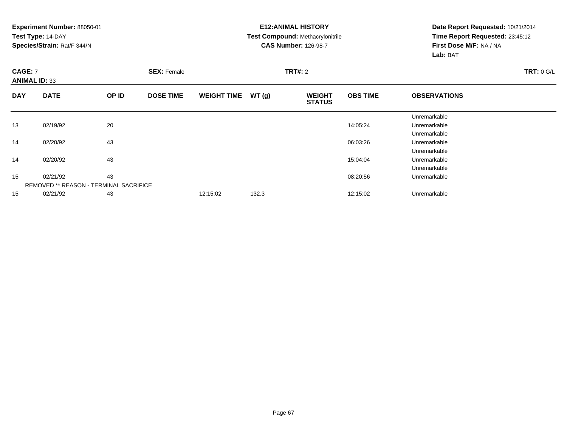#### **E12:ANIMAL HISTORY Test Compound:** Methacrylonitrile**CAS Number:** 126-98-7

| <b>CAGE: 7</b><br><b>ANIMAL ID: 33</b> |                                               |       | <b>SEX: Female</b> |                    |       | <b>TRT#: 2</b>                 | <b>TRT: 0 G/L</b> |                     |  |
|----------------------------------------|-----------------------------------------------|-------|--------------------|--------------------|-------|--------------------------------|-------------------|---------------------|--|
| <b>DAY</b>                             | <b>DATE</b>                                   | OP ID | <b>DOSE TIME</b>   | <b>WEIGHT TIME</b> | WT(g) | <b>WEIGHT</b><br><b>STATUS</b> | <b>OBS TIME</b>   | <b>OBSERVATIONS</b> |  |
|                                        |                                               |       |                    |                    |       |                                |                   | Unremarkable        |  |
| 13                                     | 02/19/92                                      | 20    |                    |                    |       |                                | 14:05:24          | Unremarkable        |  |
|                                        |                                               |       |                    |                    |       |                                |                   | Unremarkable        |  |
| 14                                     | 02/20/92                                      | 43    |                    |                    |       |                                | 06:03:26          | Unremarkable        |  |
|                                        |                                               |       |                    |                    |       |                                |                   | Unremarkable        |  |
| 14                                     | 02/20/92                                      | 43    |                    |                    |       |                                | 15:04:04          | Unremarkable        |  |
|                                        |                                               |       |                    |                    |       |                                |                   | Unremarkable        |  |
| 15                                     | 02/21/92                                      | 43    |                    |                    |       |                                | 08:20:56          | Unremarkable        |  |
|                                        | <b>REMOVED ** REASON - TERMINAL SACRIFICE</b> |       |                    |                    |       |                                |                   |                     |  |
| 15                                     | 02/21/92                                      | 43    |                    | 12:15:02           | 132.3 |                                | 12:15:02          | Unremarkable        |  |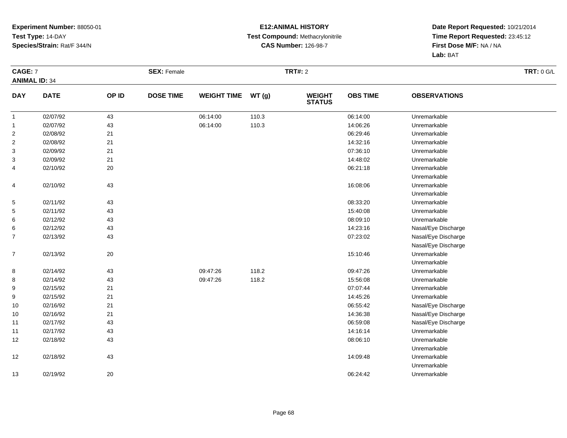#### **E12:ANIMAL HISTORY Test Compound:** Methacrylonitrile**CAS Number:** 126-98-7

| CAGE: 7              |             |        | <b>SEX: Female</b> |                    |       | <b>TRT#: 2</b>                 |                 |                     | <b>TRT: 0 G/L</b> |
|----------------------|-------------|--------|--------------------|--------------------|-------|--------------------------------|-----------------|---------------------|-------------------|
| <b>ANIMAL ID: 34</b> |             |        |                    |                    |       |                                |                 |                     |                   |
| <b>DAY</b>           | <b>DATE</b> | OP ID  | <b>DOSE TIME</b>   | <b>WEIGHT TIME</b> | WT(g) | <b>WEIGHT</b><br><b>STATUS</b> | <b>OBS TIME</b> | <b>OBSERVATIONS</b> |                   |
| $\mathbf{1}$         | 02/07/92    | 43     |                    | 06:14:00           | 110.3 |                                | 06:14:00        | Unremarkable        |                   |
| $\mathbf{1}$         | 02/07/92    | 43     |                    | 06:14:00           | 110.3 |                                | 14:06:26        | Unremarkable        |                   |
| $\overline{2}$       | 02/08/92    | 21     |                    |                    |       |                                | 06:29:46        | Unremarkable        |                   |
| $\overline{2}$       | 02/08/92    | 21     |                    |                    |       |                                | 14:32:16        | Unremarkable        |                   |
| 3                    | 02/09/92    | 21     |                    |                    |       |                                | 07:36:10        | Unremarkable        |                   |
| 3                    | 02/09/92    | 21     |                    |                    |       |                                | 14:48:02        | Unremarkable        |                   |
| 4                    | 02/10/92    | $20\,$ |                    |                    |       |                                | 06:21:18        | Unremarkable        |                   |
|                      |             |        |                    |                    |       |                                |                 | Unremarkable        |                   |
| 4                    | 02/10/92    | 43     |                    |                    |       |                                | 16:08:06        | Unremarkable        |                   |
|                      |             |        |                    |                    |       |                                |                 | Unremarkable        |                   |
| $\mathbf{5}$         | 02/11/92    | 43     |                    |                    |       |                                | 08:33:20        | Unremarkable        |                   |
| 5                    | 02/11/92    | 43     |                    |                    |       |                                | 15:40:08        | Unremarkable        |                   |
| 6                    | 02/12/92    | 43     |                    |                    |       |                                | 08:09:10        | Unremarkable        |                   |
| 6                    | 02/12/92    | 43     |                    |                    |       |                                | 14:23:16        | Nasal/Eye Discharge |                   |
| $\overline{7}$       | 02/13/92    | 43     |                    |                    |       |                                | 07:23:02        | Nasal/Eye Discharge |                   |
|                      |             |        |                    |                    |       |                                |                 | Nasal/Eye Discharge |                   |
| $\overline{7}$       | 02/13/92    | 20     |                    |                    |       |                                | 15:10:46        | Unremarkable        |                   |
|                      |             |        |                    |                    |       |                                |                 | Unremarkable        |                   |
| 8                    | 02/14/92    | 43     |                    | 09:47:26           | 118.2 |                                | 09:47:26        | Unremarkable        |                   |
| 8                    | 02/14/92    | 43     |                    | 09:47:26           | 118.2 |                                | 15:56:08        | Unremarkable        |                   |
| 9                    | 02/15/92    | 21     |                    |                    |       |                                | 07:07:44        | Unremarkable        |                   |
| 9                    | 02/15/92    | 21     |                    |                    |       |                                | 14:45:26        | Unremarkable        |                   |
| 10                   | 02/16/92    | 21     |                    |                    |       |                                | 06:55:42        | Nasal/Eye Discharge |                   |
| 10                   | 02/16/92    | 21     |                    |                    |       |                                | 14:36:38        | Nasal/Eye Discharge |                   |
| 11                   | 02/17/92    | 43     |                    |                    |       |                                | 06:59:08        | Nasal/Eye Discharge |                   |
| 11                   | 02/17/92    | 43     |                    |                    |       |                                | 14:16:14        | Unremarkable        |                   |
| 12                   | 02/18/92    | 43     |                    |                    |       |                                | 08:06:10        | Unremarkable        |                   |
|                      |             |        |                    |                    |       |                                |                 | Unremarkable        |                   |
| 12                   | 02/18/92    | 43     |                    |                    |       |                                | 14:09:48        | Unremarkable        |                   |
|                      |             |        |                    |                    |       |                                |                 | Unremarkable        |                   |
| 13                   | 02/19/92    | 20     |                    |                    |       |                                | 06:24:42        | Unremarkable        |                   |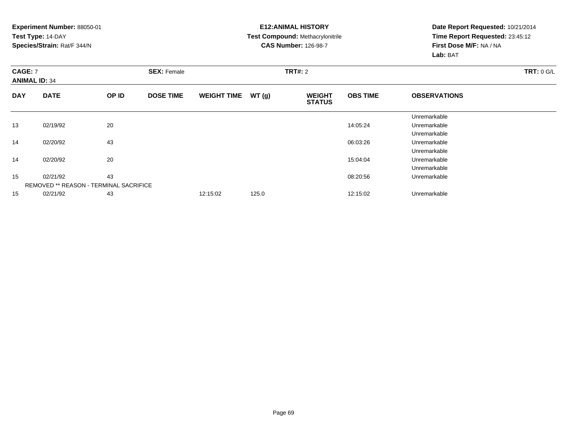#### **E12:ANIMAL HISTORY Test Compound:** Methacrylonitrile**CAS Number:** 126-98-7

| <b>CAGE: 7</b><br><b>ANIMAL ID: 34</b> |                                               |       | <b>SEX: Female</b> |                    |       | <b>TRT#: 2</b>                 | <b>TRT: 0 G/L</b> |                     |  |
|----------------------------------------|-----------------------------------------------|-------|--------------------|--------------------|-------|--------------------------------|-------------------|---------------------|--|
| <b>DAY</b>                             | <b>DATE</b>                                   | OP ID | <b>DOSE TIME</b>   | <b>WEIGHT TIME</b> | WT(g) | <b>WEIGHT</b><br><b>STATUS</b> | <b>OBS TIME</b>   | <b>OBSERVATIONS</b> |  |
|                                        |                                               |       |                    |                    |       |                                |                   | Unremarkable        |  |
| 13                                     | 02/19/92                                      | 20    |                    |                    |       |                                | 14:05:24          | Unremarkable        |  |
|                                        |                                               |       |                    |                    |       |                                |                   | Unremarkable        |  |
| 14                                     | 02/20/92                                      | 43    |                    |                    |       |                                | 06:03:26          | Unremarkable        |  |
|                                        |                                               |       |                    |                    |       |                                |                   | Unremarkable        |  |
| 14                                     | 02/20/92                                      | 20    |                    |                    |       |                                | 15:04:04          | Unremarkable        |  |
|                                        |                                               |       |                    |                    |       |                                |                   | Unremarkable        |  |
| 15                                     | 02/21/92                                      | 43    |                    |                    |       |                                | 08:20:56          | Unremarkable        |  |
|                                        | <b>REMOVED ** REASON - TERMINAL SACRIFICE</b> |       |                    |                    |       |                                |                   |                     |  |
| 15                                     | 02/21/92                                      | 43    |                    | 12:15:02           | 125.0 |                                | 12:15:02          | Unremarkable        |  |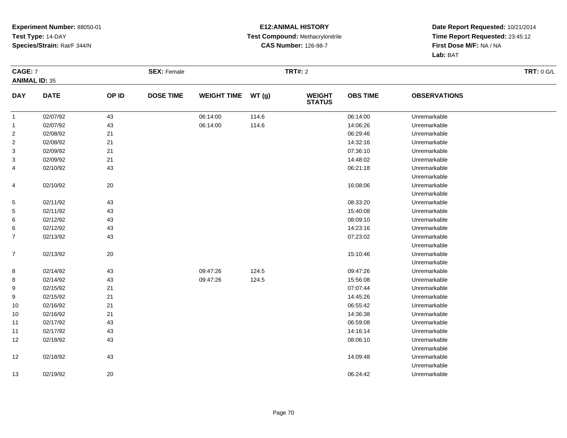#### **E12:ANIMAL HISTORY Test Compound:** Methacrylonitrile**CAS Number:** 126-98-7

| CAGE: 7              |             |        | <b>SEX: Female</b> |                    |       | <b>TRT#: 2</b>                 | <b>TRT: 0 G/L</b> |                     |  |
|----------------------|-------------|--------|--------------------|--------------------|-------|--------------------------------|-------------------|---------------------|--|
| <b>ANIMAL ID: 35</b> |             |        |                    |                    |       |                                |                   |                     |  |
| <b>DAY</b>           | <b>DATE</b> | OP ID  | <b>DOSE TIME</b>   | <b>WEIGHT TIME</b> | WT(g) | <b>WEIGHT</b><br><b>STATUS</b> | <b>OBS TIME</b>   | <b>OBSERVATIONS</b> |  |
| $\mathbf{1}$         | 02/07/92    | 43     |                    | 06:14:00           | 114.6 |                                | 06:14:00          | Unremarkable        |  |
| $\mathbf{1}$         | 02/07/92    | 43     |                    | 06:14:00           | 114.6 |                                | 14:06:26          | Unremarkable        |  |
| $\overline{a}$       | 02/08/92    | 21     |                    |                    |       |                                | 06:29:46          | Unremarkable        |  |
| $\overline{a}$       | 02/08/92    | 21     |                    |                    |       |                                | 14:32:16          | Unremarkable        |  |
| 3                    | 02/09/92    | 21     |                    |                    |       |                                | 07:36:10          | Unremarkable        |  |
| 3                    | 02/09/92    | 21     |                    |                    |       |                                | 14:48:02          | Unremarkable        |  |
| 4                    | 02/10/92    | 43     |                    |                    |       |                                | 06:21:18          | Unremarkable        |  |
|                      |             |        |                    |                    |       |                                |                   | Unremarkable        |  |
| 4                    | 02/10/92    | $20\,$ |                    |                    |       |                                | 16:08:06          | Unremarkable        |  |
|                      |             |        |                    |                    |       |                                |                   | Unremarkable        |  |
| 5                    | 02/11/92    | 43     |                    |                    |       |                                | 08:33:20          | Unremarkable        |  |
| 5                    | 02/11/92    | 43     |                    |                    |       |                                | 15:40:08          | Unremarkable        |  |
| 6                    | 02/12/92    | 43     |                    |                    |       |                                | 08:09:10          | Unremarkable        |  |
| 6                    | 02/12/92    | 43     |                    |                    |       |                                | 14:23:16          | Unremarkable        |  |
| $\overline{7}$       | 02/13/92    | 43     |                    |                    |       |                                | 07:23:02          | Unremarkable        |  |
|                      |             |        |                    |                    |       |                                |                   | Unremarkable        |  |
| $\overline{7}$       | 02/13/92    | 20     |                    |                    |       |                                | 15:10:46          | Unremarkable        |  |
|                      |             |        |                    |                    |       |                                |                   | Unremarkable        |  |
| 8                    | 02/14/92    | 43     |                    | 09:47:26           | 124.5 |                                | 09:47:26          | Unremarkable        |  |
| 8                    | 02/14/92    | 43     |                    | 09:47:26           | 124.5 |                                | 15:56:08          | Unremarkable        |  |
| 9                    | 02/15/92    | 21     |                    |                    |       |                                | 07:07:44          | Unremarkable        |  |
| 9                    | 02/15/92    | 21     |                    |                    |       |                                | 14:45:26          | Unremarkable        |  |
| 10                   | 02/16/92    | 21     |                    |                    |       |                                | 06:55:42          | Unremarkable        |  |
| 10                   | 02/16/92    | 21     |                    |                    |       |                                | 14:36:38          | Unremarkable        |  |
| 11                   | 02/17/92    | 43     |                    |                    |       |                                | 06:59:08          | Unremarkable        |  |
| 11                   | 02/17/92    | 43     |                    |                    |       |                                | 14:16:14          | Unremarkable        |  |
| 12                   | 02/18/92    | 43     |                    |                    |       |                                | 08:06:10          | Unremarkable        |  |
|                      |             |        |                    |                    |       |                                |                   | Unremarkable        |  |
| 12                   | 02/18/92    | 43     |                    |                    |       |                                | 14:09:48          | Unremarkable        |  |
|                      |             |        |                    |                    |       |                                |                   | Unremarkable        |  |
| 13                   | 02/19/92    | 20     |                    |                    |       |                                | 06:24:42          | Unremarkable        |  |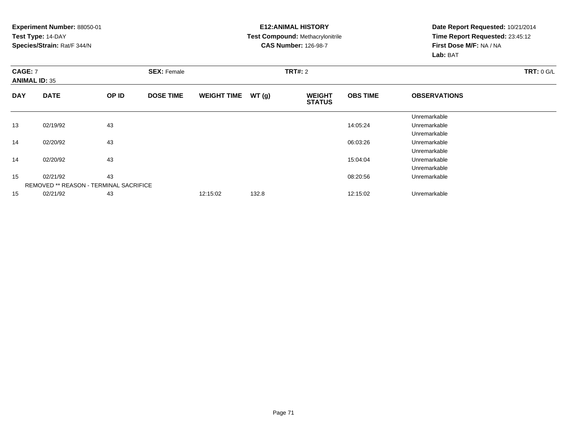#### **E12:ANIMAL HISTORY Test Compound:** Methacrylonitrile**CAS Number:** 126-98-7

| <b>CAGE: 7</b><br><b>ANIMAL ID: 35</b> |                                               | <b>SEX: Female</b> |                  |                    | <b>TRT#: 2</b> | <b>TRT: 0 G/L</b>              |                 |                     |  |
|----------------------------------------|-----------------------------------------------|--------------------|------------------|--------------------|----------------|--------------------------------|-----------------|---------------------|--|
| <b>DAY</b>                             | <b>DATE</b>                                   | OP ID              | <b>DOSE TIME</b> | <b>WEIGHT TIME</b> | WT(g)          | <b>WEIGHT</b><br><b>STATUS</b> | <b>OBS TIME</b> | <b>OBSERVATIONS</b> |  |
|                                        |                                               |                    |                  |                    |                |                                |                 | Unremarkable        |  |
| 13                                     | 02/19/92                                      | 43                 |                  |                    |                |                                | 14:05:24        | Unremarkable        |  |
|                                        |                                               |                    |                  |                    |                |                                |                 | Unremarkable        |  |
| 14                                     | 02/20/92                                      | 43                 |                  |                    |                |                                | 06:03:26        | Unremarkable        |  |
|                                        |                                               |                    |                  |                    |                |                                |                 | Unremarkable        |  |
| 14                                     | 02/20/92                                      | 43                 |                  |                    |                |                                | 15:04:04        | Unremarkable        |  |
|                                        |                                               |                    |                  |                    |                |                                |                 | Unremarkable        |  |
| 15                                     | 02/21/92                                      | 43                 |                  |                    |                |                                | 08:20:56        | Unremarkable        |  |
|                                        | <b>REMOVED ** REASON - TERMINAL SACRIFICE</b> |                    |                  |                    |                |                                |                 |                     |  |
| 15                                     | 02/21/92                                      | 43                 |                  | 12:15:02           | 132.8          |                                | 12:15:02        | Unremarkable        |  |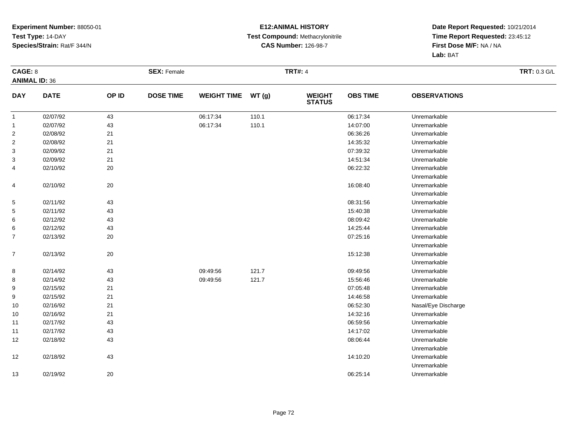#### **E12:ANIMAL HISTORY Test Compound:** Methacrylonitrile**CAS Number:** 126-98-7

| CAGE: 8              |             |       | <b>SEX: Female</b> |                    |       | <b>TRT#: 4</b>                 |                 |                     | <b>TRT: 0.3 G/L</b> |
|----------------------|-------------|-------|--------------------|--------------------|-------|--------------------------------|-----------------|---------------------|---------------------|
| <b>ANIMAL ID: 36</b> |             |       |                    |                    |       |                                |                 |                     |                     |
| <b>DAY</b>           | <b>DATE</b> | OP ID | <b>DOSE TIME</b>   | <b>WEIGHT TIME</b> | WT(g) | <b>WEIGHT</b><br><b>STATUS</b> | <b>OBS TIME</b> | <b>OBSERVATIONS</b> |                     |
| $\overline{1}$       | 02/07/92    | 43    |                    | 06:17:34           | 110.1 |                                | 06:17:34        | Unremarkable        |                     |
| $\mathbf{1}$         | 02/07/92    | 43    |                    | 06:17:34           | 110.1 |                                | 14:07:00        | Unremarkable        |                     |
| $\overline{c}$       | 02/08/92    | 21    |                    |                    |       |                                | 06:36:26        | Unremarkable        |                     |
| $\overline{c}$       | 02/08/92    | 21    |                    |                    |       |                                | 14:35:32        | Unremarkable        |                     |
| 3                    | 02/09/92    | 21    |                    |                    |       |                                | 07:39:32        | Unremarkable        |                     |
| 3                    | 02/09/92    | 21    |                    |                    |       |                                | 14:51:34        | Unremarkable        |                     |
| 4                    | 02/10/92    | 20    |                    |                    |       |                                | 06:22:32        | Unremarkable        |                     |
|                      |             |       |                    |                    |       |                                |                 | Unremarkable        |                     |
| 4                    | 02/10/92    | 20    |                    |                    |       |                                | 16:08:40        | Unremarkable        |                     |
|                      |             |       |                    |                    |       |                                |                 | Unremarkable        |                     |
| 5                    | 02/11/92    | 43    |                    |                    |       |                                | 08:31:56        | Unremarkable        |                     |
| 5                    | 02/11/92    | 43    |                    |                    |       |                                | 15:40:38        | Unremarkable        |                     |
| 6                    | 02/12/92    | 43    |                    |                    |       |                                | 08:09:42        | Unremarkable        |                     |
| 6                    | 02/12/92    | 43    |                    |                    |       |                                | 14:25:44        | Unremarkable        |                     |
| 7                    | 02/13/92    | 20    |                    |                    |       |                                | 07:25:16        | Unremarkable        |                     |
|                      |             |       |                    |                    |       |                                |                 | Unremarkable        |                     |
| $\boldsymbol{7}$     | 02/13/92    | 20    |                    |                    |       |                                | 15:12:38        | Unremarkable        |                     |
|                      |             |       |                    |                    |       |                                |                 | Unremarkable        |                     |
| 8                    | 02/14/92    | 43    |                    | 09:49:56           | 121.7 |                                | 09:49:56        | Unremarkable        |                     |
| 8                    | 02/14/92    | 43    |                    | 09:49:56           | 121.7 |                                | 15:56:46        | Unremarkable        |                     |
| 9                    | 02/15/92    | 21    |                    |                    |       |                                | 07:05:48        | Unremarkable        |                     |
| 9                    | 02/15/92    | 21    |                    |                    |       |                                | 14:46:58        | Unremarkable        |                     |
| 10                   | 02/16/92    | 21    |                    |                    |       |                                | 06:52:30        | Nasal/Eye Discharge |                     |
| 10                   | 02/16/92    | 21    |                    |                    |       |                                | 14:32:16        | Unremarkable        |                     |
| 11                   | 02/17/92    | 43    |                    |                    |       |                                | 06:59:56        | Unremarkable        |                     |
| 11                   | 02/17/92    | 43    |                    |                    |       |                                | 14:17:02        | Unremarkable        |                     |
| 12                   | 02/18/92    | 43    |                    |                    |       |                                | 08:06:44        | Unremarkable        |                     |
|                      |             |       |                    |                    |       |                                |                 | Unremarkable        |                     |
| 12                   | 02/18/92    | 43    |                    |                    |       |                                | 14:10:20        | Unremarkable        |                     |
|                      |             |       |                    |                    |       |                                |                 | Unremarkable        |                     |
| 13                   | 02/19/92    | 20    |                    |                    |       |                                | 06:25:14        | Unremarkable        |                     |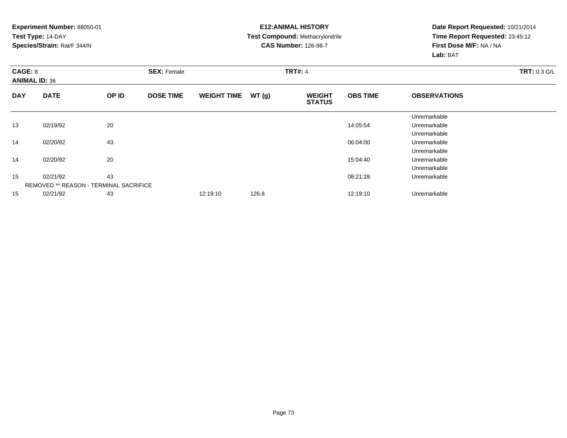#### **E12:ANIMAL HISTORY Test Compound:** Methacrylonitrile**CAS Number:** 126-98-7

| CAGE: 8    | <b>ANIMAL ID: 36</b>                          |       | <b>SEX: Female</b> |                    |       | <b>TRT#: 4</b>                 | <b>TRT: 0.3 G/L</b> |                     |  |
|------------|-----------------------------------------------|-------|--------------------|--------------------|-------|--------------------------------|---------------------|---------------------|--|
| <b>DAY</b> | <b>DATE</b>                                   | OP ID | <b>DOSE TIME</b>   | <b>WEIGHT TIME</b> | WT(g) | <b>WEIGHT</b><br><b>STATUS</b> | <b>OBS TIME</b>     | <b>OBSERVATIONS</b> |  |
|            |                                               |       |                    |                    |       |                                |                     | Unremarkable        |  |
| 13         | 02/19/92                                      | 20    |                    |                    |       |                                | 14:05:54            | Unremarkable        |  |
|            |                                               |       |                    |                    |       |                                |                     | Unremarkable        |  |
| 14         | 02/20/92                                      | 43    |                    |                    |       |                                | 06:04:00            | Unremarkable        |  |
|            |                                               |       |                    |                    |       |                                |                     | Unremarkable        |  |
| 14         | 02/20/92                                      | 20    |                    |                    |       |                                | 15:04:40            | Unremarkable        |  |
|            |                                               |       |                    |                    |       |                                |                     | Unremarkable        |  |
| 15         | 02/21/92                                      | 43    |                    |                    |       |                                | 08:21:28            | Unremarkable        |  |
|            | <b>REMOVED ** REASON - TERMINAL SACRIFICE</b> |       |                    |                    |       |                                |                     |                     |  |
| 15         | 02/21/92                                      | 43    |                    | 12:19:10           | 126.8 |                                | 12:19:10            | Unremarkable        |  |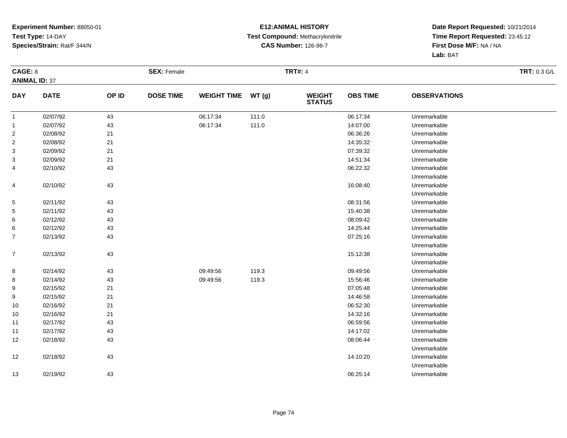#### **E12:ANIMAL HISTORY Test Compound:** Methacrylonitrile**CAS Number:** 126-98-7

| CAGE: 8              |             |       | <b>SEX: Female</b> |                    |       | <b>TRT#: 4</b>                 |                 |                     | <b>TRT: 0.3 G/L</b> |
|----------------------|-------------|-------|--------------------|--------------------|-------|--------------------------------|-----------------|---------------------|---------------------|
| <b>ANIMAL ID: 37</b> |             |       |                    |                    |       |                                |                 |                     |                     |
| <b>DAY</b>           | <b>DATE</b> | OP ID | <b>DOSE TIME</b>   | <b>WEIGHT TIME</b> | WT(g) | <b>WEIGHT</b><br><b>STATUS</b> | <b>OBS TIME</b> | <b>OBSERVATIONS</b> |                     |
| $\mathbf{1}$         | 02/07/92    | 43    |                    | 06:17:34           | 111.0 |                                | 06:17:34        | Unremarkable        |                     |
| $\mathbf{1}$         | 02/07/92    | 43    |                    | 06:17:34           | 111.0 |                                | 14:07:00        | Unremarkable        |                     |
| $\overline{a}$       | 02/08/92    | 21    |                    |                    |       |                                | 06:36:26        | Unremarkable        |                     |
| $\overline{2}$       | 02/08/92    | 21    |                    |                    |       |                                | 14:35:32        | Unremarkable        |                     |
| $\mathbf{3}$         | 02/09/92    | 21    |                    |                    |       |                                | 07:39:32        | Unremarkable        |                     |
| 3                    | 02/09/92    | 21    |                    |                    |       |                                | 14:51:34        | Unremarkable        |                     |
| 4                    | 02/10/92    | 43    |                    |                    |       |                                | 06:22:32        | Unremarkable        |                     |
|                      |             |       |                    |                    |       |                                |                 | Unremarkable        |                     |
| 4                    | 02/10/92    | 43    |                    |                    |       |                                | 16:08:40        | Unremarkable        |                     |
|                      |             |       |                    |                    |       |                                |                 | Unremarkable        |                     |
| 5                    | 02/11/92    | 43    |                    |                    |       |                                | 08:31:56        | Unremarkable        |                     |
| 5                    | 02/11/92    | 43    |                    |                    |       |                                | 15:40:38        | Unremarkable        |                     |
| 6                    | 02/12/92    | 43    |                    |                    |       |                                | 08:09:42        | Unremarkable        |                     |
| 6                    | 02/12/92    | 43    |                    |                    |       |                                | 14:25:44        | Unremarkable        |                     |
| $\overline{7}$       | 02/13/92    | 43    |                    |                    |       |                                | 07:25:16        | Unremarkable        |                     |
|                      |             |       |                    |                    |       |                                |                 | Unremarkable        |                     |
| $\overline{7}$       | 02/13/92    | 43    |                    |                    |       |                                | 15:12:38        | Unremarkable        |                     |
|                      |             |       |                    |                    |       |                                |                 | Unremarkable        |                     |
| 8                    | 02/14/92    | 43    |                    | 09:49:56           | 119.3 |                                | 09:49:56        | Unremarkable        |                     |
| 8                    | 02/14/92    | 43    |                    | 09:49:56           | 119.3 |                                | 15:56:46        | Unremarkable        |                     |
| 9                    | 02/15/92    | 21    |                    |                    |       |                                | 07:05:48        | Unremarkable        |                     |
| 9                    | 02/15/92    | 21    |                    |                    |       |                                | 14:46:58        | Unremarkable        |                     |
| 10                   | 02/16/92    | 21    |                    |                    |       |                                | 06:52:30        | Unremarkable        |                     |
| 10                   | 02/16/92    | 21    |                    |                    |       |                                | 14:32:16        | Unremarkable        |                     |
| 11                   | 02/17/92    | 43    |                    |                    |       |                                | 06:59:56        | Unremarkable        |                     |
| 11                   | 02/17/92    | 43    |                    |                    |       |                                | 14:17:02        | Unremarkable        |                     |
| 12                   | 02/18/92    | 43    |                    |                    |       |                                | 08:06:44        | Unremarkable        |                     |
|                      |             |       |                    |                    |       |                                |                 | Unremarkable        |                     |
| 12                   | 02/18/92    | 43    |                    |                    |       |                                | 14:10:20        | Unremarkable        |                     |
|                      |             |       |                    |                    |       |                                |                 | Unremarkable        |                     |
| 13                   | 02/19/92    | 43    |                    |                    |       |                                | 06:25:14        | Unremarkable        |                     |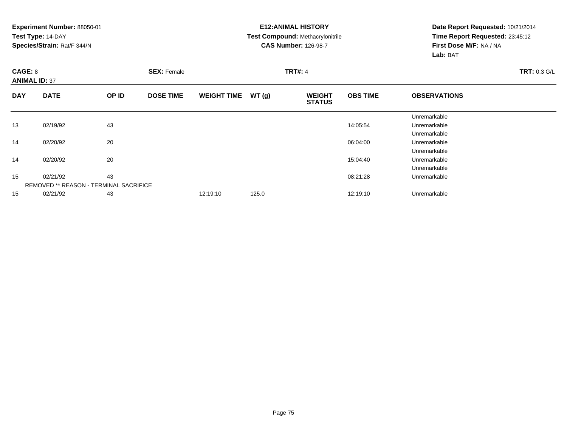#### **E12:ANIMAL HISTORY Test Compound:** Methacrylonitrile**CAS Number:** 126-98-7

| CAGE: 8    | <b>ANIMAL ID: 37</b>                          |       | <b>SEX: Female</b> |                    |       | <b>TRT#: 4</b>                 | <b>TRT: 0.3 G/L</b> |                     |  |
|------------|-----------------------------------------------|-------|--------------------|--------------------|-------|--------------------------------|---------------------|---------------------|--|
| <b>DAY</b> | <b>DATE</b>                                   | OP ID | <b>DOSE TIME</b>   | <b>WEIGHT TIME</b> | WT(g) | <b>WEIGHT</b><br><b>STATUS</b> | <b>OBS TIME</b>     | <b>OBSERVATIONS</b> |  |
|            |                                               |       |                    |                    |       |                                |                     | Unremarkable        |  |
| 13         | 02/19/92                                      | 43    |                    |                    |       |                                | 14:05:54            | Unremarkable        |  |
|            |                                               |       |                    |                    |       |                                |                     | Unremarkable        |  |
| 14         | 02/20/92                                      | 20    |                    |                    |       |                                | 06:04:00            | Unremarkable        |  |
|            |                                               |       |                    |                    |       |                                |                     | Unremarkable        |  |
| 14         | 02/20/92                                      | 20    |                    |                    |       |                                | 15:04:40            | Unremarkable        |  |
|            |                                               |       |                    |                    |       |                                |                     | Unremarkable        |  |
| 15         | 02/21/92                                      | 43    |                    |                    |       |                                | 08:21:28            | Unremarkable        |  |
|            | <b>REMOVED ** REASON - TERMINAL SACRIFICE</b> |       |                    |                    |       |                                |                     |                     |  |
| 15         | 02/21/92                                      | 43    |                    | 12:19:10           | 125.0 |                                | 12:19:10            | Unremarkable        |  |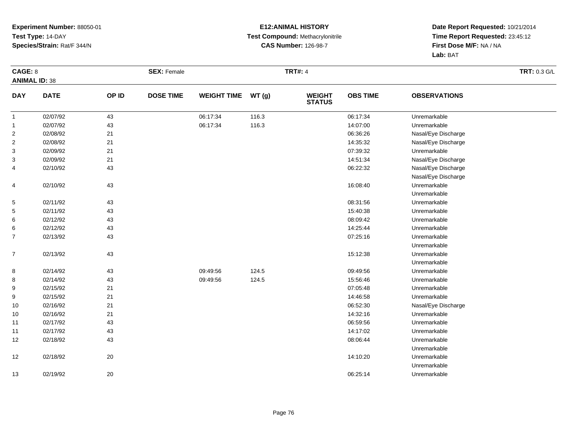#### **E12:ANIMAL HISTORY Test Compound:** Methacrylonitrile**CAS Number:** 126-98-7

| CAGE: 8              |             |       | <b>SEX: Female</b> |                    |       | <b>TRT#: 4</b>                 |                 |                     | TRT: 0.3 G/L |
|----------------------|-------------|-------|--------------------|--------------------|-------|--------------------------------|-----------------|---------------------|--------------|
| <b>ANIMAL ID: 38</b> |             |       |                    |                    |       |                                |                 |                     |              |
| <b>DAY</b>           | <b>DATE</b> | OP ID | <b>DOSE TIME</b>   | <b>WEIGHT TIME</b> | WT(g) | <b>WEIGHT</b><br><b>STATUS</b> | <b>OBS TIME</b> | <b>OBSERVATIONS</b> |              |
| $\mathbf{1}$         | 02/07/92    | 43    |                    | 06:17:34           | 116.3 |                                | 06:17:34        | Unremarkable        |              |
| $\mathbf{1}$         | 02/07/92    | 43    |                    | 06:17:34           | 116.3 |                                | 14:07:00        | Unremarkable        |              |
| $\sqrt{2}$           | 02/08/92    | 21    |                    |                    |       |                                | 06:36:26        | Nasal/Eye Discharge |              |
| $\overline{2}$       | 02/08/92    | 21    |                    |                    |       |                                | 14:35:32        | Nasal/Eye Discharge |              |
| 3                    | 02/09/92    | 21    |                    |                    |       |                                | 07:39:32        | Unremarkable        |              |
| 3                    | 02/09/92    | 21    |                    |                    |       |                                | 14:51:34        | Nasal/Eye Discharge |              |
| 4                    | 02/10/92    | 43    |                    |                    |       |                                | 06:22:32        | Nasal/Eye Discharge |              |
|                      |             |       |                    |                    |       |                                |                 | Nasal/Eye Discharge |              |
| 4                    | 02/10/92    | 43    |                    |                    |       |                                | 16:08:40        | Unremarkable        |              |
|                      |             |       |                    |                    |       |                                |                 | Unremarkable        |              |
| 5                    | 02/11/92    | 43    |                    |                    |       |                                | 08:31:56        | Unremarkable        |              |
| 5                    | 02/11/92    | 43    |                    |                    |       |                                | 15:40:38        | Unremarkable        |              |
| 6                    | 02/12/92    | 43    |                    |                    |       |                                | 08:09:42        | Unremarkable        |              |
| 6                    | 02/12/92    | 43    |                    |                    |       |                                | 14:25:44        | Unremarkable        |              |
| $\overline{7}$       | 02/13/92    | 43    |                    |                    |       |                                | 07:25:16        | Unremarkable        |              |
|                      |             |       |                    |                    |       |                                |                 | Unremarkable        |              |
| $\overline{7}$       | 02/13/92    | 43    |                    |                    |       |                                | 15:12:38        | Unremarkable        |              |
|                      |             |       |                    |                    |       |                                |                 | Unremarkable        |              |
| 8                    | 02/14/92    | 43    |                    | 09:49:56           | 124.5 |                                | 09:49:56        | Unremarkable        |              |
| 8                    | 02/14/92    | 43    |                    | 09:49:56           | 124.5 |                                | 15:56:46        | Unremarkable        |              |
| 9                    | 02/15/92    | 21    |                    |                    |       |                                | 07:05:48        | Unremarkable        |              |
| 9                    | 02/15/92    | 21    |                    |                    |       |                                | 14:46:58        | Unremarkable        |              |
| 10                   | 02/16/92    | 21    |                    |                    |       |                                | 06:52:30        | Nasal/Eye Discharge |              |
| 10                   | 02/16/92    | 21    |                    |                    |       |                                | 14:32:16        | Unremarkable        |              |
| 11                   | 02/17/92    | 43    |                    |                    |       |                                | 06:59:56        | Unremarkable        |              |
| 11                   | 02/17/92    | 43    |                    |                    |       |                                | 14:17:02        | Unremarkable        |              |
| 12                   | 02/18/92    | 43    |                    |                    |       |                                | 08:06:44        | Unremarkable        |              |
|                      |             |       |                    |                    |       |                                |                 | Unremarkable        |              |
| 12                   | 02/18/92    | 20    |                    |                    |       |                                | 14:10:20        | Unremarkable        |              |
|                      |             |       |                    |                    |       |                                |                 | Unremarkable        |              |
| 13                   | 02/19/92    | 20    |                    |                    |       |                                | 06:25:14        | Unremarkable        |              |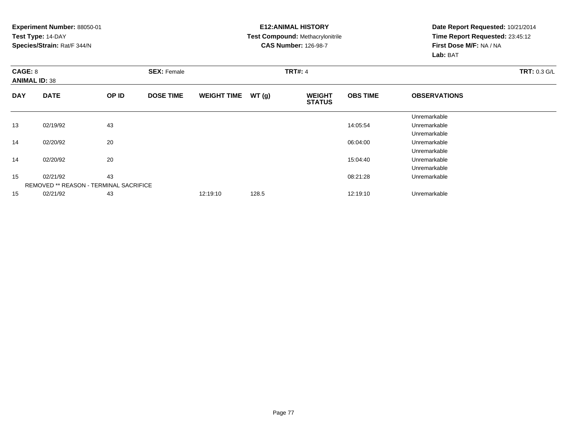#### **E12:ANIMAL HISTORY Test Compound:** Methacrylonitrile**CAS Number:** 126-98-7

| CAGE: 8    | <b>ANIMAL ID: 38</b>                          |       | <b>SEX: Female</b> |                    |       | <b>TRT#: 4</b>                 | <b>TRT: 0.3 G/L</b> |                     |  |
|------------|-----------------------------------------------|-------|--------------------|--------------------|-------|--------------------------------|---------------------|---------------------|--|
| <b>DAY</b> | <b>DATE</b>                                   | OP ID | <b>DOSE TIME</b>   | <b>WEIGHT TIME</b> | WT(g) | <b>WEIGHT</b><br><b>STATUS</b> | <b>OBS TIME</b>     | <b>OBSERVATIONS</b> |  |
|            |                                               |       |                    |                    |       |                                |                     | Unremarkable        |  |
| 13         | 02/19/92                                      | 43    |                    |                    |       |                                | 14:05:54            | Unremarkable        |  |
|            |                                               |       |                    |                    |       |                                |                     | Unremarkable        |  |
| 14         | 02/20/92                                      | 20    |                    |                    |       |                                | 06:04:00            | Unremarkable        |  |
|            |                                               |       |                    |                    |       |                                |                     | Unremarkable        |  |
| 14         | 02/20/92                                      | 20    |                    |                    |       |                                | 15:04:40            | Unremarkable        |  |
|            |                                               |       |                    |                    |       |                                |                     | Unremarkable        |  |
| 15         | 02/21/92                                      | 43    |                    |                    |       |                                | 08:21:28            | Unremarkable        |  |
|            | <b>REMOVED ** REASON - TERMINAL SACRIFICE</b> |       |                    |                    |       |                                |                     |                     |  |
| 15         | 02/21/92                                      | 43    |                    | 12:19:10           | 128.5 |                                | 12:19:10            | Unremarkable        |  |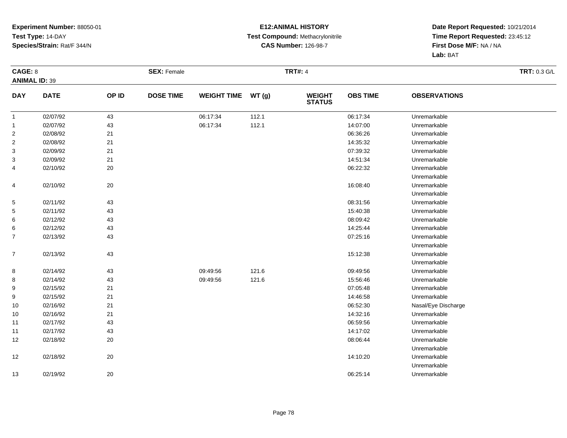#### **E12:ANIMAL HISTORY Test Compound:** Methacrylonitrile**CAS Number:** 126-98-7

| CAGE: 8        |                      |        | <b>SEX: Female</b> |                    |       | <b>TRT#: 4</b>                 |                 |                     | <b>TRT: 0.3 G/L</b> |
|----------------|----------------------|--------|--------------------|--------------------|-------|--------------------------------|-----------------|---------------------|---------------------|
|                | <b>ANIMAL ID: 39</b> |        |                    |                    |       |                                |                 |                     |                     |
| <b>DAY</b>     | <b>DATE</b>          | OP ID  | <b>DOSE TIME</b>   | <b>WEIGHT TIME</b> | WT(g) | <b>WEIGHT</b><br><b>STATUS</b> | <b>OBS TIME</b> | <b>OBSERVATIONS</b> |                     |
| $\mathbf{1}$   | 02/07/92             | 43     |                    | 06:17:34           | 112.1 |                                | 06:17:34        | Unremarkable        |                     |
| $\mathbf{1}$   | 02/07/92             | 43     |                    | 06:17:34           | 112.1 |                                | 14:07:00        | Unremarkable        |                     |
| $\overline{2}$ | 02/08/92             | 21     |                    |                    |       |                                | 06:36:26        | Unremarkable        |                     |
| $\overline{2}$ | 02/08/92             | 21     |                    |                    |       |                                | 14:35:32        | Unremarkable        |                     |
| 3              | 02/09/92             | 21     |                    |                    |       |                                | 07:39:32        | Unremarkable        |                     |
| 3              | 02/09/92             | 21     |                    |                    |       |                                | 14:51:34        | Unremarkable        |                     |
| 4              | 02/10/92             | $20\,$ |                    |                    |       |                                | 06:22:32        | Unremarkable        |                     |
|                |                      |        |                    |                    |       |                                |                 | Unremarkable        |                     |
| 4              | 02/10/92             | 20     |                    |                    |       |                                | 16:08:40        | Unremarkable        |                     |
|                |                      |        |                    |                    |       |                                |                 | Unremarkable        |                     |
| $\,$ 5 $\,$    | 02/11/92             | 43     |                    |                    |       |                                | 08:31:56        | Unremarkable        |                     |
| 5              | 02/11/92             | 43     |                    |                    |       |                                | 15:40:38        | Unremarkable        |                     |
| 6              | 02/12/92             | 43     |                    |                    |       |                                | 08:09:42        | Unremarkable        |                     |
| 6              | 02/12/92             | 43     |                    |                    |       |                                | 14:25:44        | Unremarkable        |                     |
| 7              | 02/13/92             | 43     |                    |                    |       |                                | 07:25:16        | Unremarkable        |                     |
|                |                      |        |                    |                    |       |                                |                 | Unremarkable        |                     |
| $\overline{7}$ | 02/13/92             | 43     |                    |                    |       |                                | 15:12:38        | Unremarkable        |                     |
|                |                      |        |                    |                    |       |                                |                 | Unremarkable        |                     |
| 8              | 02/14/92             | 43     |                    | 09:49:56           | 121.6 |                                | 09:49:56        | Unremarkable        |                     |
| 8              | 02/14/92             | 43     |                    | 09:49:56           | 121.6 |                                | 15:56:46        | Unremarkable        |                     |
| 9              | 02/15/92             | 21     |                    |                    |       |                                | 07:05:48        | Unremarkable        |                     |
| 9              | 02/15/92             | 21     |                    |                    |       |                                | 14:46:58        | Unremarkable        |                     |
| 10             | 02/16/92             | 21     |                    |                    |       |                                | 06:52:30        | Nasal/Eye Discharge |                     |
| 10             | 02/16/92             | 21     |                    |                    |       |                                | 14:32:16        | Unremarkable        |                     |
| 11             | 02/17/92             | 43     |                    |                    |       |                                | 06:59:56        | Unremarkable        |                     |
| 11             | 02/17/92             | 43     |                    |                    |       |                                | 14:17:02        | Unremarkable        |                     |
| 12             | 02/18/92             | $20\,$ |                    |                    |       |                                | 08:06:44        | Unremarkable        |                     |
|                |                      |        |                    |                    |       |                                |                 | Unremarkable        |                     |
| 12             | 02/18/92             | 20     |                    |                    |       |                                | 14:10:20        | Unremarkable        |                     |
|                |                      |        |                    |                    |       |                                |                 | Unremarkable        |                     |
| 13             | 02/19/92             | 20     |                    |                    |       |                                | 06:25:14        | Unremarkable        |                     |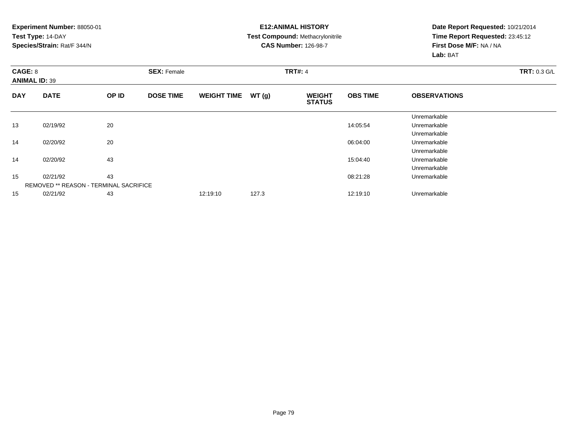#### **E12:ANIMAL HISTORY Test Compound:** Methacrylonitrile**CAS Number:** 126-98-7

| CAGE: 8    | <b>ANIMAL ID: 39</b>                          |       | <b>SEX: Female</b> |                    |       | <b>TRT#: 4</b>                 | <b>TRT: 0.3 G/L</b> |                     |  |
|------------|-----------------------------------------------|-------|--------------------|--------------------|-------|--------------------------------|---------------------|---------------------|--|
| <b>DAY</b> | <b>DATE</b>                                   | OP ID | <b>DOSE TIME</b>   | <b>WEIGHT TIME</b> | WT(g) | <b>WEIGHT</b><br><b>STATUS</b> | <b>OBS TIME</b>     | <b>OBSERVATIONS</b> |  |
|            |                                               |       |                    |                    |       |                                |                     | Unremarkable        |  |
| 13         | 02/19/92                                      | 20    |                    |                    |       |                                | 14:05:54            | Unremarkable        |  |
|            |                                               |       |                    |                    |       |                                |                     | Unremarkable        |  |
| 14         | 02/20/92                                      | 20    |                    |                    |       |                                | 06:04:00            | Unremarkable        |  |
|            |                                               |       |                    |                    |       |                                |                     | Unremarkable        |  |
| 14         | 02/20/92                                      | 43    |                    |                    |       |                                | 15:04:40            | Unremarkable        |  |
|            |                                               |       |                    |                    |       |                                |                     | Unremarkable        |  |
| 15         | 02/21/92                                      | 43    |                    |                    |       |                                | 08:21:28            | Unremarkable        |  |
|            | <b>REMOVED ** REASON - TERMINAL SACRIFICE</b> |       |                    |                    |       |                                |                     |                     |  |
| 15         | 02/21/92                                      | 43    |                    | 12:19:10           | 127.3 |                                | 12:19:10            | Unremarkable        |  |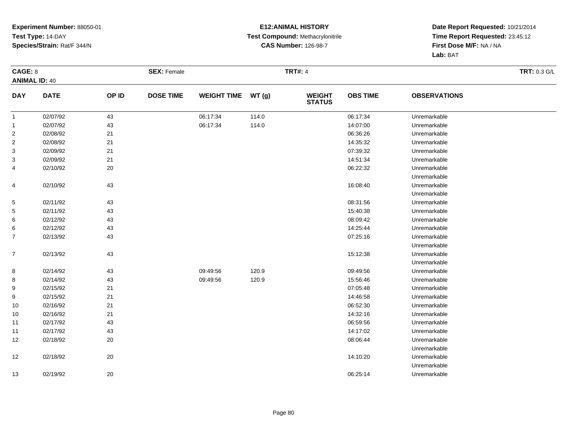#### **E12:ANIMAL HISTORY Test Compound:** Methacrylonitrile**CAS Number:** 126-98-7

| CAGE: 8        |                      |       | <b>SEX: Female</b> |                    |       | <b>TRT#: 4</b>                 |                 |                     | <b>TRT: 0.3 G/L</b> |
|----------------|----------------------|-------|--------------------|--------------------|-------|--------------------------------|-----------------|---------------------|---------------------|
|                | <b>ANIMAL ID: 40</b> |       |                    |                    |       |                                |                 |                     |                     |
| <b>DAY</b>     | <b>DATE</b>          | OP ID | <b>DOSE TIME</b>   | <b>WEIGHT TIME</b> | WT(g) | <b>WEIGHT</b><br><b>STATUS</b> | <b>OBS TIME</b> | <b>OBSERVATIONS</b> |                     |
| $\mathbf{1}$   | 02/07/92             | 43    |                    | 06:17:34           | 114.0 |                                | 06:17:34        | Unremarkable        |                     |
| $\mathbf{1}$   | 02/07/92             | 43    |                    | 06:17:34           | 114.0 |                                | 14:07:00        | Unremarkable        |                     |
| $\overline{2}$ | 02/08/92             | 21    |                    |                    |       |                                | 06:36:26        | Unremarkable        |                     |
| $\overline{2}$ | 02/08/92             | 21    |                    |                    |       |                                | 14:35:32        | Unremarkable        |                     |
| 3              | 02/09/92             | 21    |                    |                    |       |                                | 07:39:32        | Unremarkable        |                     |
| 3              | 02/09/92             | 21    |                    |                    |       |                                | 14:51:34        | Unremarkable        |                     |
| 4              | 02/10/92             | 20    |                    |                    |       |                                | 06:22:32        | Unremarkable        |                     |
|                |                      |       |                    |                    |       |                                |                 | Unremarkable        |                     |
| 4              | 02/10/92             | 43    |                    |                    |       |                                | 16:08:40        | Unremarkable        |                     |
|                |                      |       |                    |                    |       |                                |                 | Unremarkable        |                     |
| $\sqrt{5}$     | 02/11/92             | 43    |                    |                    |       |                                | 08:31:56        | Unremarkable        |                     |
| 5              | 02/11/92             | 43    |                    |                    |       |                                | 15:40:38        | Unremarkable        |                     |
| 6              | 02/12/92             | 43    |                    |                    |       |                                | 08:09:42        | Unremarkable        |                     |
| 6              | 02/12/92             | 43    |                    |                    |       |                                | 14:25:44        | Unremarkable        |                     |
| $\overline{7}$ | 02/13/92             | 43    |                    |                    |       |                                | 07:25:16        | Unremarkable        |                     |
|                |                      |       |                    |                    |       |                                |                 | Unremarkable        |                     |
| $\overline{7}$ | 02/13/92             | 43    |                    |                    |       |                                | 15:12:38        | Unremarkable        |                     |
|                |                      |       |                    |                    |       |                                |                 | Unremarkable        |                     |
| 8              | 02/14/92             | 43    |                    | 09:49:56           | 120.9 |                                | 09:49:56        | Unremarkable        |                     |
| 8              | 02/14/92             | 43    |                    | 09:49:56           | 120.9 |                                | 15:56:46        | Unremarkable        |                     |
| 9              | 02/15/92             | 21    |                    |                    |       |                                | 07:05:48        | Unremarkable        |                     |
| 9              | 02/15/92             | 21    |                    |                    |       |                                | 14:46:58        | Unremarkable        |                     |
| 10             | 02/16/92             | 21    |                    |                    |       |                                | 06:52:30        | Unremarkable        |                     |
| 10             | 02/16/92             | 21    |                    |                    |       |                                | 14:32:16        | Unremarkable        |                     |
| 11             | 02/17/92             | 43    |                    |                    |       |                                | 06:59:56        | Unremarkable        |                     |
| 11             | 02/17/92             | 43    |                    |                    |       |                                | 14:17:02        | Unremarkable        |                     |
| 12             | 02/18/92             | 20    |                    |                    |       |                                | 08:06:44        | Unremarkable        |                     |
|                |                      |       |                    |                    |       |                                |                 | Unremarkable        |                     |
| 12             | 02/18/92             | 20    |                    |                    |       |                                | 14:10:20        | Unremarkable        |                     |
|                |                      |       |                    |                    |       |                                |                 | Unremarkable        |                     |
| 13             | 02/19/92             | 20    |                    |                    |       |                                | 06:25:14        | Unremarkable        |                     |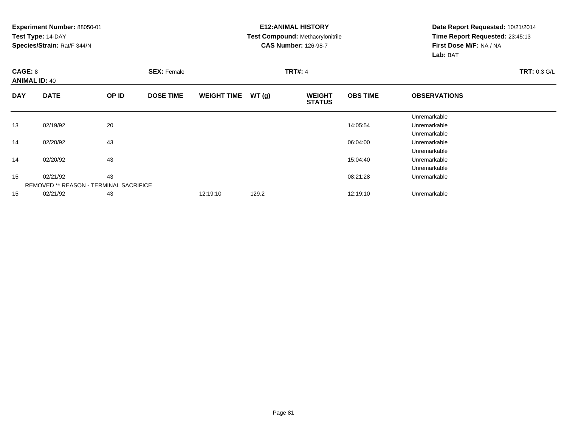#### **E12:ANIMAL HISTORY Test Compound:** Methacrylonitrile**CAS Number:** 126-98-7

| CAGE: 8    | <b>ANIMAL ID: 40</b>                          |       | <b>SEX: Female</b> |                    |       | <b>TRT#: 4</b>                 | <b>TRT: 0.3 G/L</b> |                     |  |
|------------|-----------------------------------------------|-------|--------------------|--------------------|-------|--------------------------------|---------------------|---------------------|--|
| <b>DAY</b> | <b>DATE</b>                                   | OP ID | <b>DOSE TIME</b>   | <b>WEIGHT TIME</b> | WT(g) | <b>WEIGHT</b><br><b>STATUS</b> | <b>OBS TIME</b>     | <b>OBSERVATIONS</b> |  |
|            |                                               |       |                    |                    |       |                                |                     | Unremarkable        |  |
| 13         | 02/19/92                                      | 20    |                    |                    |       |                                | 14:05:54            | Unremarkable        |  |
|            |                                               |       |                    |                    |       |                                |                     | Unremarkable        |  |
| 14         | 02/20/92                                      | 43    |                    |                    |       |                                | 06:04:00            | Unremarkable        |  |
|            |                                               |       |                    |                    |       |                                |                     | Unremarkable        |  |
| 14         | 02/20/92                                      | 43    |                    |                    |       |                                | 15:04:40            | Unremarkable        |  |
|            |                                               |       |                    |                    |       |                                |                     | Unremarkable        |  |
| 15         | 02/21/92                                      | 43    |                    |                    |       |                                | 08:21:28            | Unremarkable        |  |
|            | <b>REMOVED ** REASON - TERMINAL SACRIFICE</b> |       |                    |                    |       |                                |                     |                     |  |
| 15         | 02/21/92                                      | 43    |                    | 12:19:10           | 129.2 |                                | 12:19:10            | Unremarkable        |  |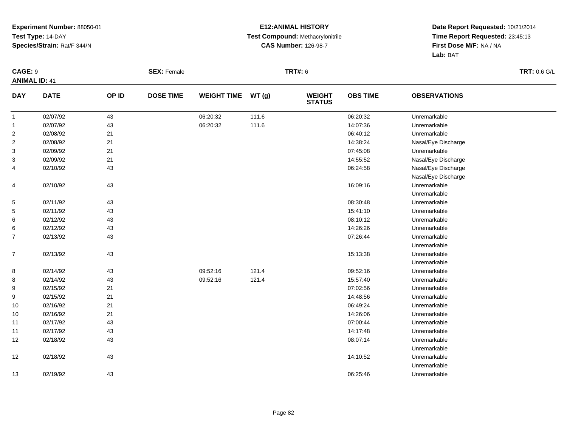#### **E12:ANIMAL HISTORY Test Compound:** Methacrylonitrile**CAS Number:** 126-98-7

| CAGE: 9              |             |       | <b>SEX: Female</b> |                    |       | <b>TRT#: 6</b>                 |                 |                     | <b>TRT: 0.6 G/L</b> |
|----------------------|-------------|-------|--------------------|--------------------|-------|--------------------------------|-----------------|---------------------|---------------------|
| <b>ANIMAL ID: 41</b> |             |       |                    |                    |       |                                |                 |                     |                     |
| <b>DAY</b>           | <b>DATE</b> | OP ID | <b>DOSE TIME</b>   | <b>WEIGHT TIME</b> | WT(g) | <b>WEIGHT</b><br><b>STATUS</b> | <b>OBS TIME</b> | <b>OBSERVATIONS</b> |                     |
| $\mathbf{1}$         | 02/07/92    | 43    |                    | 06:20:32           | 111.6 |                                | 06:20:32        | Unremarkable        |                     |
| $\mathbf{1}$         | 02/07/92    | 43    |                    | 06:20:32           | 111.6 |                                | 14:07:36        | Unremarkable        |                     |
| $\overline{2}$       | 02/08/92    | 21    |                    |                    |       |                                | 06:40:12        | Unremarkable        |                     |
| $\overline{2}$       | 02/08/92    | 21    |                    |                    |       |                                | 14:38:24        | Nasal/Eye Discharge |                     |
| 3                    | 02/09/92    | 21    |                    |                    |       |                                | 07:45:08        | Unremarkable        |                     |
| 3                    | 02/09/92    | 21    |                    |                    |       |                                | 14:55:52        | Nasal/Eye Discharge |                     |
| 4                    | 02/10/92    | 43    |                    |                    |       |                                | 06:24:58        | Nasal/Eye Discharge |                     |
|                      |             |       |                    |                    |       |                                |                 | Nasal/Eye Discharge |                     |
| 4                    | 02/10/92    | 43    |                    |                    |       |                                | 16:09:16        | Unremarkable        |                     |
|                      |             |       |                    |                    |       |                                |                 | Unremarkable        |                     |
| $\sqrt{5}$           | 02/11/92    | 43    |                    |                    |       |                                | 08:30:48        | Unremarkable        |                     |
| 5                    | 02/11/92    | 43    |                    |                    |       |                                | 15:41:10        | Unremarkable        |                     |
| 6                    | 02/12/92    | 43    |                    |                    |       |                                | 08:10:12        | Unremarkable        |                     |
| 6                    | 02/12/92    | 43    |                    |                    |       |                                | 14:26:26        | Unremarkable        |                     |
| $\overline{7}$       | 02/13/92    | 43    |                    |                    |       |                                | 07:26:44        | Unremarkable        |                     |
|                      |             |       |                    |                    |       |                                |                 | Unremarkable        |                     |
| $\overline{7}$       | 02/13/92    | 43    |                    |                    |       |                                | 15:13:38        | Unremarkable        |                     |
|                      |             |       |                    |                    |       |                                |                 | Unremarkable        |                     |
| 8                    | 02/14/92    | 43    |                    | 09:52:16           | 121.4 |                                | 09:52:16        | Unremarkable        |                     |
| 8                    | 02/14/92    | 43    |                    | 09:52:16           | 121.4 |                                | 15:57:40        | Unremarkable        |                     |
| 9                    | 02/15/92    | 21    |                    |                    |       |                                | 07:02:56        | Unremarkable        |                     |
| 9                    | 02/15/92    | 21    |                    |                    |       |                                | 14:48:56        | Unremarkable        |                     |
| 10                   | 02/16/92    | 21    |                    |                    |       |                                | 06:49:24        | Unremarkable        |                     |
| 10                   | 02/16/92    | 21    |                    |                    |       |                                | 14:26:06        | Unremarkable        |                     |
| 11                   | 02/17/92    | 43    |                    |                    |       |                                | 07:00:44        | Unremarkable        |                     |
| 11                   | 02/17/92    | 43    |                    |                    |       |                                | 14:17:48        | Unremarkable        |                     |
| 12                   | 02/18/92    | 43    |                    |                    |       |                                | 08:07:14        | Unremarkable        |                     |
|                      |             |       |                    |                    |       |                                |                 | Unremarkable        |                     |
| 12                   | 02/18/92    | 43    |                    |                    |       |                                | 14:10:52        | Unremarkable        |                     |
|                      |             |       |                    |                    |       |                                |                 | Unremarkable        |                     |
| 13                   | 02/19/92    | 43    |                    |                    |       |                                | 06:25:46        | Unremarkable        |                     |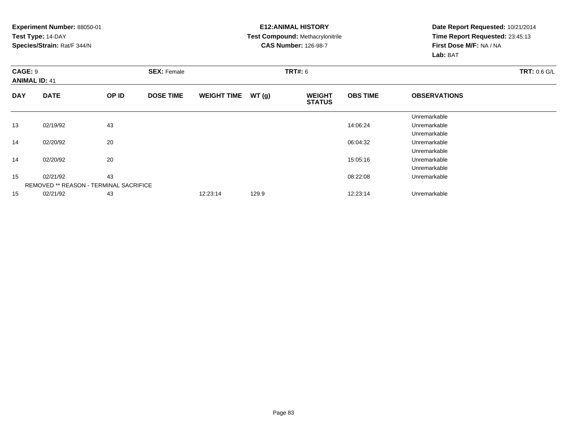#### **E12:ANIMAL HISTORY Test Compound:** Methacrylonitrile**CAS Number:** 126-98-7

| <b>CAGE: 9</b> | <b>ANIMAL ID: 41</b>                          |       | <b>SEX: Female</b> |                    |       | <b>TRT#: 6</b>                 | <b>TRT: 0.6 G/L</b> |                     |  |
|----------------|-----------------------------------------------|-------|--------------------|--------------------|-------|--------------------------------|---------------------|---------------------|--|
| <b>DAY</b>     | <b>DATE</b>                                   | OP ID | <b>DOSE TIME</b>   | <b>WEIGHT TIME</b> | WT(g) | <b>WEIGHT</b><br><b>STATUS</b> | <b>OBS TIME</b>     | <b>OBSERVATIONS</b> |  |
|                |                                               |       |                    |                    |       |                                |                     | Unremarkable        |  |
| 13             | 02/19/92                                      | 43    |                    |                    |       |                                | 14:06:24            | Unremarkable        |  |
|                |                                               |       |                    |                    |       |                                |                     | Unremarkable        |  |
| 14             | 02/20/92                                      | 20    |                    |                    |       |                                | 06:04:32            | Unremarkable        |  |
|                |                                               |       |                    |                    |       |                                |                     | Unremarkable        |  |
| 14             | 02/20/92                                      | 20    |                    |                    |       |                                | 15:05:16            | Unremarkable        |  |
|                |                                               |       |                    |                    |       |                                |                     | Unremarkable        |  |
| 15             | 02/21/92                                      | 43    |                    |                    |       |                                | 08:22:08            | Unremarkable        |  |
|                | <b>REMOVED ** REASON - TERMINAL SACRIFICE</b> |       |                    |                    |       |                                |                     |                     |  |
| 15             | 02/21/92                                      | 43    |                    | 12:23:14           | 129.9 |                                | 12:23:14            | Unremarkable        |  |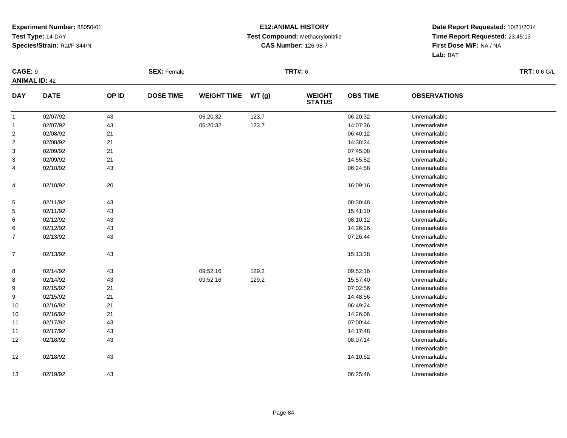#### **E12:ANIMAL HISTORY Test Compound:** Methacrylonitrile**CAS Number:** 126-98-7

| CAGE: 9              |             |       | <b>SEX: Female</b> |                    |       | <b>TRT#: 6</b>                 |                 |                     | <b>TRT: 0.6 G/L</b> |
|----------------------|-------------|-------|--------------------|--------------------|-------|--------------------------------|-----------------|---------------------|---------------------|
| <b>ANIMAL ID: 42</b> |             |       |                    |                    |       |                                |                 |                     |                     |
| <b>DAY</b>           | <b>DATE</b> | OP ID | <b>DOSE TIME</b>   | <b>WEIGHT TIME</b> | WT(g) | <b>WEIGHT</b><br><b>STATUS</b> | <b>OBS TIME</b> | <b>OBSERVATIONS</b> |                     |
| $\mathbf{1}$         | 02/07/92    | 43    |                    | 06:20:32           | 123.7 |                                | 06:20:32        | Unremarkable        |                     |
| $\mathbf{1}$         | 02/07/92    | 43    |                    | 06:20:32           | 123.7 |                                | 14:07:36        | Unremarkable        |                     |
| $\overline{2}$       | 02/08/92    | 21    |                    |                    |       |                                | 06:40:12        | Unremarkable        |                     |
| $\overline{2}$       | 02/08/92    | $21$  |                    |                    |       |                                | 14:38:24        | Unremarkable        |                     |
| 3                    | 02/09/92    | 21    |                    |                    |       |                                | 07:45:08        | Unremarkable        |                     |
| 3                    | 02/09/92    | $21$  |                    |                    |       |                                | 14:55:52        | Unremarkable        |                     |
| 4                    | 02/10/92    | 43    |                    |                    |       |                                | 06:24:58        | Unremarkable        |                     |
|                      |             |       |                    |                    |       |                                |                 | Unremarkable        |                     |
| 4                    | 02/10/92    | 20    |                    |                    |       |                                | 16:09:16        | Unremarkable        |                     |
|                      |             |       |                    |                    |       |                                |                 | Unremarkable        |                     |
| 5                    | 02/11/92    | 43    |                    |                    |       |                                | 08:30:48        | Unremarkable        |                     |
| 5                    | 02/11/92    | 43    |                    |                    |       |                                | 15:41:10        | Unremarkable        |                     |
| 6                    | 02/12/92    | 43    |                    |                    |       |                                | 08:10:12        | Unremarkable        |                     |
| 6                    | 02/12/92    | 43    |                    |                    |       |                                | 14:26:26        | Unremarkable        |                     |
| $\overline{7}$       | 02/13/92    | 43    |                    |                    |       |                                | 07:26:44        | Unremarkable        |                     |
|                      |             |       |                    |                    |       |                                |                 | Unremarkable        |                     |
| $\overline{7}$       | 02/13/92    | 43    |                    |                    |       |                                | 15:13:38        | Unremarkable        |                     |
|                      |             |       |                    |                    |       |                                |                 | Unremarkable        |                     |
| 8                    | 02/14/92    | 43    |                    | 09:52:16           | 129.2 |                                | 09:52:16        | Unremarkable        |                     |
| 8                    | 02/14/92    | 43    |                    | 09:52:16           | 129.2 |                                | 15:57:40        | Unremarkable        |                     |
| 9                    | 02/15/92    | 21    |                    |                    |       |                                | 07:02:56        | Unremarkable        |                     |
| 9                    | 02/15/92    | 21    |                    |                    |       |                                | 14:48:56        | Unremarkable        |                     |
| 10                   | 02/16/92    | $21$  |                    |                    |       |                                | 06:49:24        | Unremarkable        |                     |
| 10                   | 02/16/92    | $21$  |                    |                    |       |                                | 14:26:06        | Unremarkable        |                     |
| 11                   | 02/17/92    | 43    |                    |                    |       |                                | 07:00:44        | Unremarkable        |                     |
| 11                   | 02/17/92    | 43    |                    |                    |       |                                | 14:17:48        | Unremarkable        |                     |
| 12                   | 02/18/92    | 43    |                    |                    |       |                                | 08:07:14        | Unremarkable        |                     |
|                      |             |       |                    |                    |       |                                |                 | Unremarkable        |                     |
| 12                   | 02/18/92    | 43    |                    |                    |       |                                | 14:10:52        | Unremarkable        |                     |
|                      |             |       |                    |                    |       |                                |                 | Unremarkable        |                     |
| 13                   | 02/19/92    | 43    |                    |                    |       |                                | 06:25:46        | Unremarkable        |                     |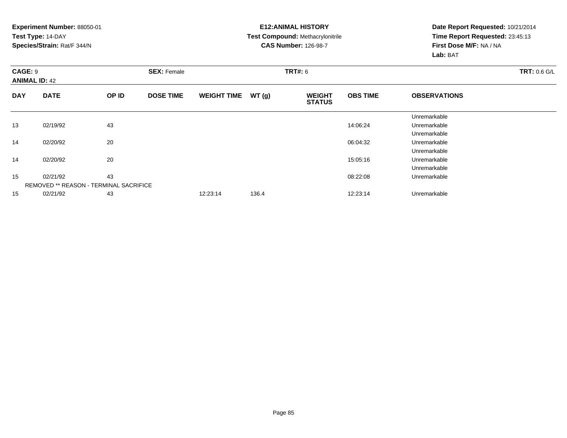#### **E12:ANIMAL HISTORY Test Compound:** Methacrylonitrile**CAS Number:** 126-98-7

| CAGE: 9    | <b>ANIMAL ID: 42</b>                          |       | <b>SEX: Female</b> |                    |       | <b>TRT#: 6</b>                 | <b>TRT: 0.6 G/L</b> |                     |  |
|------------|-----------------------------------------------|-------|--------------------|--------------------|-------|--------------------------------|---------------------|---------------------|--|
| <b>DAY</b> | <b>DATE</b>                                   | OP ID | <b>DOSE TIME</b>   | <b>WEIGHT TIME</b> | WT(g) | <b>WEIGHT</b><br><b>STATUS</b> | <b>OBS TIME</b>     | <b>OBSERVATIONS</b> |  |
|            |                                               |       |                    |                    |       |                                |                     | Unremarkable        |  |
| 13         | 02/19/92                                      | 43    |                    |                    |       |                                | 14:06:24            | Unremarkable        |  |
|            |                                               |       |                    |                    |       |                                |                     | Unremarkable        |  |
| 14         | 02/20/92                                      | 20    |                    |                    |       |                                | 06:04:32            | Unremarkable        |  |
|            |                                               |       |                    |                    |       |                                |                     | Unremarkable        |  |
| 14         | 02/20/92                                      | 20    |                    |                    |       |                                | 15:05:16            | Unremarkable        |  |
|            |                                               |       |                    |                    |       |                                |                     | Unremarkable        |  |
| 15         | 02/21/92                                      | 43    |                    |                    |       |                                | 08:22:08            | Unremarkable        |  |
|            | <b>REMOVED ** REASON - TERMINAL SACRIFICE</b> |       |                    |                    |       |                                |                     |                     |  |
| 15         | 02/21/92                                      | 43    |                    | 12:23:14           | 136.4 |                                | 12:23:14            | Unremarkable        |  |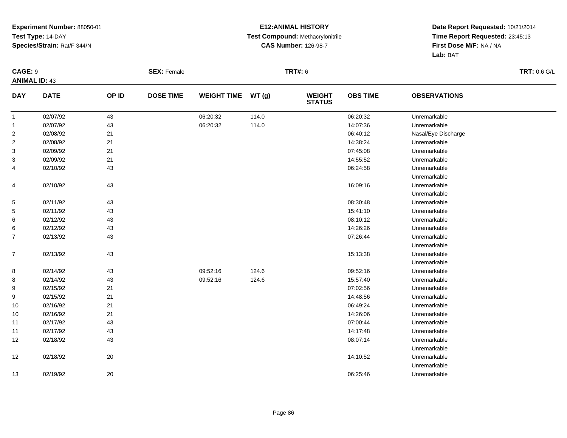#### **E12:ANIMAL HISTORY Test Compound:** Methacrylonitrile**CAS Number:** 126-98-7

| CAGE: 9              |             |        | <b>SEX: Female</b> |                    |       | <b>TRT#: 6</b>                 |                 | <b>TRT: 0.6 G/L</b> |  |
|----------------------|-------------|--------|--------------------|--------------------|-------|--------------------------------|-----------------|---------------------|--|
| <b>ANIMAL ID: 43</b> |             |        |                    |                    |       |                                |                 |                     |  |
| <b>DAY</b>           | <b>DATE</b> | OP ID  | <b>DOSE TIME</b>   | <b>WEIGHT TIME</b> | WT(g) | <b>WEIGHT</b><br><b>STATUS</b> | <b>OBS TIME</b> | <b>OBSERVATIONS</b> |  |
| $\mathbf{1}$         | 02/07/92    | 43     |                    | 06:20:32           | 114.0 |                                | 06:20:32        | Unremarkable        |  |
| $\mathbf{1}$         | 02/07/92    | 43     |                    | 06:20:32           | 114.0 |                                | 14:07:36        | Unremarkable        |  |
| $\overline{2}$       | 02/08/92    | 21     |                    |                    |       |                                | 06:40:12        | Nasal/Eye Discharge |  |
| $\overline{c}$       | 02/08/92    | 21     |                    |                    |       |                                | 14:38:24        | Unremarkable        |  |
| 3                    | 02/09/92    | 21     |                    |                    |       |                                | 07:45:08        | Unremarkable        |  |
| 3                    | 02/09/92    | 21     |                    |                    |       |                                | 14:55:52        | Unremarkable        |  |
| 4                    | 02/10/92    | 43     |                    |                    |       |                                | 06:24:58        | Unremarkable        |  |
|                      |             |        |                    |                    |       |                                |                 | Unremarkable        |  |
| 4                    | 02/10/92    | 43     |                    |                    |       |                                | 16:09:16        | Unremarkable        |  |
|                      |             |        |                    |                    |       |                                |                 | Unremarkable        |  |
| 5                    | 02/11/92    | 43     |                    |                    |       |                                | 08:30:48        | Unremarkable        |  |
| 5                    | 02/11/92    | 43     |                    |                    |       |                                | 15:41:10        | Unremarkable        |  |
| 6                    | 02/12/92    | 43     |                    |                    |       |                                | 08:10:12        | Unremarkable        |  |
| 6                    | 02/12/92    | 43     |                    |                    |       |                                | 14:26:26        | Unremarkable        |  |
| $\overline{7}$       | 02/13/92    | 43     |                    |                    |       |                                | 07:26:44        | Unremarkable        |  |
|                      |             |        |                    |                    |       |                                |                 | Unremarkable        |  |
| $\overline{7}$       | 02/13/92    | 43     |                    |                    |       |                                | 15:13:38        | Unremarkable        |  |
|                      |             |        |                    |                    |       |                                |                 | Unremarkable        |  |
| 8                    | 02/14/92    | 43     |                    | 09:52:16           | 124.6 |                                | 09:52:16        | Unremarkable        |  |
| 8                    | 02/14/92    | 43     |                    | 09:52:16           | 124.6 |                                | 15:57:40        | Unremarkable        |  |
| 9                    | 02/15/92    | 21     |                    |                    |       |                                | 07:02:56        | Unremarkable        |  |
| 9                    | 02/15/92    | 21     |                    |                    |       |                                | 14:48:56        | Unremarkable        |  |
| 10                   | 02/16/92    | 21     |                    |                    |       |                                | 06:49:24        | Unremarkable        |  |
| 10                   | 02/16/92    | 21     |                    |                    |       |                                | 14:26:06        | Unremarkable        |  |
| 11                   | 02/17/92    | 43     |                    |                    |       |                                | 07:00:44        | Unremarkable        |  |
| 11                   | 02/17/92    | 43     |                    |                    |       |                                | 14:17:48        | Unremarkable        |  |
| 12                   | 02/18/92    | 43     |                    |                    |       |                                | 08:07:14        | Unremarkable        |  |
|                      |             |        |                    |                    |       |                                |                 | Unremarkable        |  |
| 12                   | 02/18/92    | 20     |                    |                    |       |                                | 14:10:52        | Unremarkable        |  |
|                      |             |        |                    |                    |       |                                |                 | Unremarkable        |  |
| 13                   | 02/19/92    | $20\,$ |                    |                    |       |                                | 06:25:46        | Unremarkable        |  |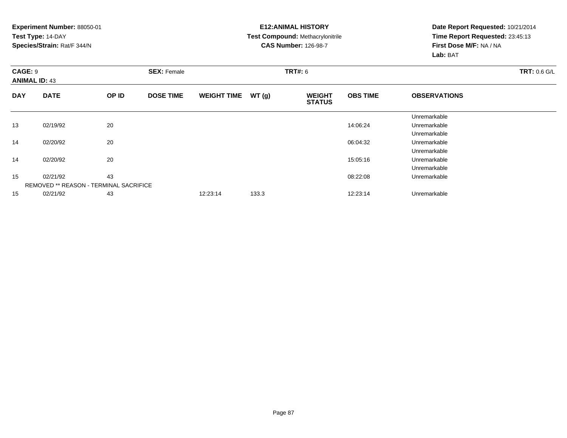#### **E12:ANIMAL HISTORY Test Compound:** Methacrylonitrile**CAS Number:** 126-98-7

| <b>CAGE: 9</b> | <b>ANIMAL ID: 43</b>                          |       | <b>SEX: Female</b> |                    |       | <b>TRT#: 6</b>                 | <b>TRT: 0.6 G/L</b> |                     |  |
|----------------|-----------------------------------------------|-------|--------------------|--------------------|-------|--------------------------------|---------------------|---------------------|--|
| <b>DAY</b>     | <b>DATE</b>                                   | OP ID | <b>DOSE TIME</b>   | <b>WEIGHT TIME</b> | WT(g) | <b>WEIGHT</b><br><b>STATUS</b> | <b>OBS TIME</b>     | <b>OBSERVATIONS</b> |  |
|                |                                               |       |                    |                    |       |                                |                     | Unremarkable        |  |
| 13             | 02/19/92                                      | 20    |                    |                    |       |                                | 14:06:24            | Unremarkable        |  |
|                |                                               |       |                    |                    |       |                                |                     | Unremarkable        |  |
| 14             | 02/20/92                                      | 20    |                    |                    |       |                                | 06:04:32            | Unremarkable        |  |
|                |                                               |       |                    |                    |       |                                |                     | Unremarkable        |  |
| 14             | 02/20/92                                      | 20    |                    |                    |       |                                | 15:05:16            | Unremarkable        |  |
|                |                                               |       |                    |                    |       |                                |                     | Unremarkable        |  |
| 15             | 02/21/92                                      | 43    |                    |                    |       |                                | 08:22:08            | Unremarkable        |  |
|                | <b>REMOVED ** REASON - TERMINAL SACRIFICE</b> |       |                    |                    |       |                                |                     |                     |  |
| 15             | 02/21/92                                      | 43    |                    | 12:23:14           | 133.3 |                                | 12:23:14            | Unremarkable        |  |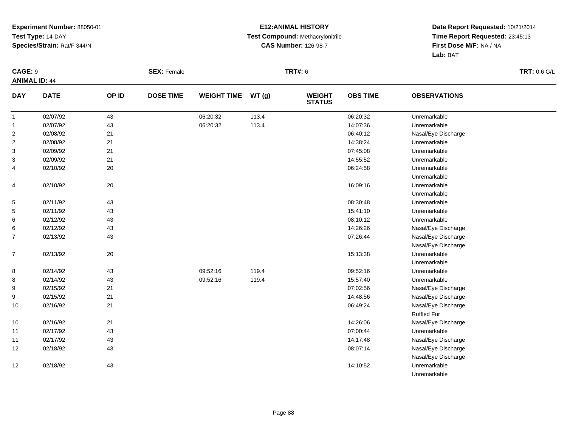#### **E12:ANIMAL HISTORY Test Compound:** Methacrylonitrile**CAS Number:** 126-98-7

| CAGE: 9        |                      |       | <b>SEX: Female</b> |                    |       | <b>TRT#: 6</b>                 |                 |                     | <b>TRT: 0.6 G/L</b> |
|----------------|----------------------|-------|--------------------|--------------------|-------|--------------------------------|-----------------|---------------------|---------------------|
|                | <b>ANIMAL ID: 44</b> |       |                    |                    |       |                                |                 |                     |                     |
| <b>DAY</b>     | <b>DATE</b>          | OP ID | <b>DOSE TIME</b>   | <b>WEIGHT TIME</b> | WT(g) | <b>WEIGHT</b><br><b>STATUS</b> | <b>OBS TIME</b> | <b>OBSERVATIONS</b> |                     |
| $\mathbf{1}$   | 02/07/92             | 43    |                    | 06:20:32           | 113.4 |                                | 06:20:32        | Unremarkable        |                     |
| 1              | 02/07/92             | 43    |                    | 06:20:32           | 113.4 |                                | 14:07:36        | Unremarkable        |                     |
| $\overline{c}$ | 02/08/92             | 21    |                    |                    |       |                                | 06:40:12        | Nasal/Eye Discharge |                     |
| 2              | 02/08/92             | 21    |                    |                    |       |                                | 14:38:24        | Unremarkable        |                     |
| 3              | 02/09/92             | 21    |                    |                    |       |                                | 07:45:08        | Unremarkable        |                     |
| 3              | 02/09/92             | 21    |                    |                    |       |                                | 14:55:52        | Unremarkable        |                     |
| 4              | 02/10/92             | 20    |                    |                    |       |                                | 06:24:58        | Unremarkable        |                     |
|                |                      |       |                    |                    |       |                                |                 | Unremarkable        |                     |
| 4              | 02/10/92             | 20    |                    |                    |       |                                | 16:09:16        | Unremarkable        |                     |
|                |                      |       |                    |                    |       |                                |                 | Unremarkable        |                     |
| 5              | 02/11/92             | 43    |                    |                    |       |                                | 08:30:48        | Unremarkable        |                     |
| 5              | 02/11/92             | 43    |                    |                    |       |                                | 15:41:10        | Unremarkable        |                     |
| 6              | 02/12/92             | 43    |                    |                    |       |                                | 08:10:12        | Unremarkable        |                     |
| 6              | 02/12/92             | 43    |                    |                    |       |                                | 14:26:26        | Nasal/Eye Discharge |                     |
| $\overline{7}$ | 02/13/92             | 43    |                    |                    |       |                                | 07:26:44        | Nasal/Eye Discharge |                     |
|                |                      |       |                    |                    |       |                                |                 | Nasal/Eye Discharge |                     |
| $\overline{7}$ | 02/13/92             | 20    |                    |                    |       |                                | 15:13:38        | Unremarkable        |                     |
|                |                      |       |                    |                    |       |                                |                 | Unremarkable        |                     |
| 8              | 02/14/92             | 43    |                    | 09:52:16           | 119.4 |                                | 09:52:16        | Unremarkable        |                     |
| 8              | 02/14/92             | 43    |                    | 09:52:16           | 119.4 |                                | 15:57:40        | Unremarkable        |                     |
| 9              | 02/15/92             | 21    |                    |                    |       |                                | 07:02:56        | Nasal/Eye Discharge |                     |
| 9              | 02/15/92             | 21    |                    |                    |       |                                | 14:48:56        | Nasal/Eye Discharge |                     |
| 10             | 02/16/92             | 21    |                    |                    |       |                                | 06:49:24        | Nasal/Eye Discharge |                     |
|                |                      |       |                    |                    |       |                                |                 | <b>Ruffled Fur</b>  |                     |
| 10             | 02/16/92             | 21    |                    |                    |       |                                | 14:26:06        | Nasal/Eye Discharge |                     |
| 11             | 02/17/92             | 43    |                    |                    |       |                                | 07:00:44        | Unremarkable        |                     |
| 11             | 02/17/92             | 43    |                    |                    |       |                                | 14:17:48        | Nasal/Eye Discharge |                     |
| 12             | 02/18/92             | 43    |                    |                    |       |                                | 08:07:14        | Nasal/Eye Discharge |                     |
|                |                      |       |                    |                    |       |                                |                 | Nasal/Eye Discharge |                     |
| 12             | 02/18/92             | 43    |                    |                    |       |                                | 14:10:52        | Unremarkable        |                     |
|                |                      |       |                    |                    |       |                                |                 | Unremarkable        |                     |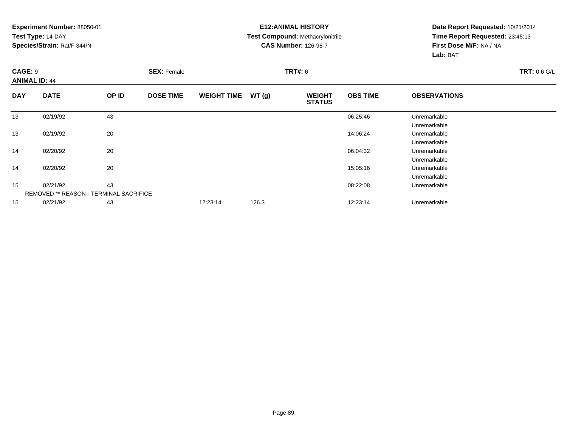#### **E12:ANIMAL HISTORY Test Compound:** Methacrylonitrile**CAS Number:** 126-98-7

|            | <b>CAGE: 9</b><br><b>ANIMAL ID: 44</b>        |       | <b>SEX: Female</b> |                    |       | <b>TRT#: 6</b>                 |                 | <b>TRT: 0.6 G/L</b> |  |
|------------|-----------------------------------------------|-------|--------------------|--------------------|-------|--------------------------------|-----------------|---------------------|--|
|            |                                               |       |                    |                    |       |                                |                 |                     |  |
| <b>DAY</b> | <b>DATE</b>                                   | OP ID | <b>DOSE TIME</b>   | <b>WEIGHT TIME</b> | WT(g) | <b>WEIGHT</b><br><b>STATUS</b> | <b>OBS TIME</b> | <b>OBSERVATIONS</b> |  |
| 13         | 02/19/92                                      | 43    |                    |                    |       |                                | 06:25:46        | Unremarkable        |  |
|            |                                               |       |                    |                    |       |                                |                 | Unremarkable        |  |
| 13         | 02/19/92                                      | 20    |                    |                    |       |                                | 14:06:24        | Unremarkable        |  |
|            |                                               |       |                    |                    |       |                                |                 | Unremarkable        |  |
| 14         | 02/20/92                                      | 20    |                    |                    |       |                                | 06:04:32        | Unremarkable        |  |
|            |                                               |       |                    |                    |       |                                |                 | Unremarkable        |  |
| 14         | 02/20/92                                      | 20    |                    |                    |       |                                | 15:05:16        | Unremarkable        |  |
|            |                                               |       |                    |                    |       |                                |                 | Unremarkable        |  |
| 15         | 02/21/92                                      | 43    |                    |                    |       |                                | 08:22:08        | Unremarkable        |  |
|            | <b>REMOVED ** REASON - TERMINAL SACRIFICE</b> |       |                    |                    |       |                                |                 |                     |  |
| 15         | 02/21/92                                      | 43    |                    | 12:23:14           | 126.3 |                                | 12:23:14        | Unremarkable        |  |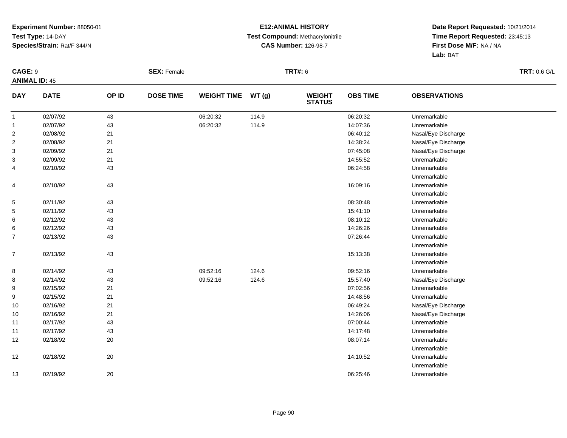#### **E12:ANIMAL HISTORY Test Compound:** Methacrylonitrile**CAS Number:** 126-98-7

| <b>CAGE: 9</b>       |             |        | <b>SEX: Female</b> |                    |       | <b>TRT#: 6</b>                 |                 |                     | <b>TRT: 0.6 G/L</b> |
|----------------------|-------------|--------|--------------------|--------------------|-------|--------------------------------|-----------------|---------------------|---------------------|
| <b>ANIMAL ID: 45</b> |             |        |                    |                    |       |                                |                 |                     |                     |
| <b>DAY</b>           | <b>DATE</b> | OP ID  | <b>DOSE TIME</b>   | <b>WEIGHT TIME</b> | WT(g) | <b>WEIGHT</b><br><b>STATUS</b> | <b>OBS TIME</b> | <b>OBSERVATIONS</b> |                     |
| $\mathbf{1}$         | 02/07/92    | 43     |                    | 06:20:32           | 114.9 |                                | 06:20:32        | Unremarkable        |                     |
| $\mathbf{1}$         | 02/07/92    | 43     |                    | 06:20:32           | 114.9 |                                | 14:07:36        | Unremarkable        |                     |
| $\overline{2}$       | 02/08/92    | 21     |                    |                    |       |                                | 06:40:12        | Nasal/Eye Discharge |                     |
| $\overline{2}$       | 02/08/92    | 21     |                    |                    |       |                                | 14:38:24        | Nasal/Eye Discharge |                     |
| 3                    | 02/09/92    | 21     |                    |                    |       |                                | 07:45:08        | Nasal/Eye Discharge |                     |
| 3                    | 02/09/92    | 21     |                    |                    |       |                                | 14:55:52        | Unremarkable        |                     |
| 4                    | 02/10/92    | 43     |                    |                    |       |                                | 06:24:58        | Unremarkable        |                     |
|                      |             |        |                    |                    |       |                                |                 | Unremarkable        |                     |
| 4                    | 02/10/92    | 43     |                    |                    |       |                                | 16:09:16        | Unremarkable        |                     |
|                      |             |        |                    |                    |       |                                |                 | Unremarkable        |                     |
| 5                    | 02/11/92    | 43     |                    |                    |       |                                | 08:30:48        | Unremarkable        |                     |
| 5                    | 02/11/92    | 43     |                    |                    |       |                                | 15:41:10        | Unremarkable        |                     |
| 6                    | 02/12/92    | 43     |                    |                    |       |                                | 08:10:12        | Unremarkable        |                     |
| 6                    | 02/12/92    | 43     |                    |                    |       |                                | 14:26:26        | Unremarkable        |                     |
| $\overline{7}$       | 02/13/92    | 43     |                    |                    |       |                                | 07:26:44        | Unremarkable        |                     |
|                      |             |        |                    |                    |       |                                |                 | Unremarkable        |                     |
| $\overline{7}$       | 02/13/92    | 43     |                    |                    |       |                                | 15:13:38        | Unremarkable        |                     |
|                      |             |        |                    |                    |       |                                |                 | Unremarkable        |                     |
| 8                    | 02/14/92    | 43     |                    | 09:52:16           | 124.6 |                                | 09:52:16        | Unremarkable        |                     |
| 8                    | 02/14/92    | 43     |                    | 09:52:16           | 124.6 |                                | 15:57:40        | Nasal/Eye Discharge |                     |
| 9                    | 02/15/92    | 21     |                    |                    |       |                                | 07:02:56        | Unremarkable        |                     |
| 9                    | 02/15/92    | 21     |                    |                    |       |                                | 14:48:56        | Unremarkable        |                     |
| 10                   | 02/16/92    | 21     |                    |                    |       |                                | 06:49:24        | Nasal/Eye Discharge |                     |
| 10                   | 02/16/92    | 21     |                    |                    |       |                                | 14:26:06        | Nasal/Eye Discharge |                     |
| 11                   | 02/17/92    | 43     |                    |                    |       |                                | 07:00:44        | Unremarkable        |                     |
| 11                   | 02/17/92    | 43     |                    |                    |       |                                | 14:17:48        | Unremarkable        |                     |
| 12                   | 02/18/92    | 20     |                    |                    |       |                                | 08:07:14        | Unremarkable        |                     |
|                      |             |        |                    |                    |       |                                |                 | Unremarkable        |                     |
| 12                   | 02/18/92    | 20     |                    |                    |       |                                | 14:10:52        | Unremarkable        |                     |
|                      |             |        |                    |                    |       |                                |                 | Unremarkable        |                     |
| 13                   | 02/19/92    | $20\,$ |                    |                    |       |                                | 06:25:46        | Unremarkable        |                     |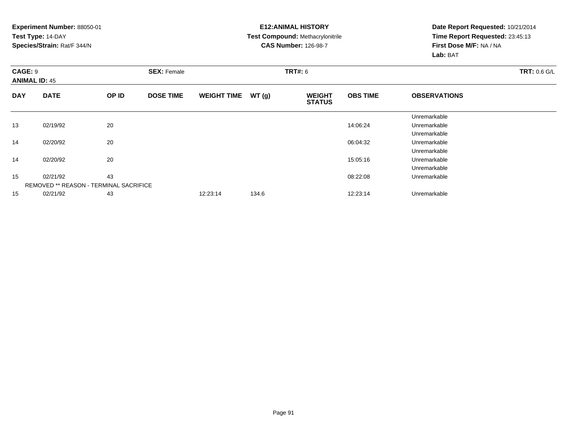#### **E12:ANIMAL HISTORY Test Compound:** Methacrylonitrile**CAS Number:** 126-98-7

| <b>CAGE: 9</b> | <b>ANIMAL ID: 45</b>                          |       | <b>SEX: Female</b> |                    |       | <b>TRT#: 6</b>                 | <b>TRT: 0.6 G/L</b> |                     |  |
|----------------|-----------------------------------------------|-------|--------------------|--------------------|-------|--------------------------------|---------------------|---------------------|--|
| <b>DAY</b>     | <b>DATE</b>                                   | OP ID | <b>DOSE TIME</b>   | <b>WEIGHT TIME</b> | WT(g) | <b>WEIGHT</b><br><b>STATUS</b> | <b>OBS TIME</b>     | <b>OBSERVATIONS</b> |  |
|                |                                               |       |                    |                    |       |                                |                     | Unremarkable        |  |
| 13             | 02/19/92                                      | 20    |                    |                    |       |                                | 14:06:24            | Unremarkable        |  |
|                |                                               |       |                    |                    |       |                                |                     | Unremarkable        |  |
| 14             | 02/20/92                                      | 20    |                    |                    |       |                                | 06:04:32            | Unremarkable        |  |
|                |                                               |       |                    |                    |       |                                |                     | Unremarkable        |  |
| 14             | 02/20/92                                      | 20    |                    |                    |       |                                | 15:05:16            | Unremarkable        |  |
|                |                                               |       |                    |                    |       |                                |                     | Unremarkable        |  |
| 15             | 02/21/92                                      | 43    |                    |                    |       |                                | 08:22:08            | Unremarkable        |  |
|                | <b>REMOVED ** REASON - TERMINAL SACRIFICE</b> |       |                    |                    |       |                                |                     |                     |  |
| 15             | 02/21/92                                      | 43    |                    | 12:23:14           | 134.6 |                                | 12:23:14            | Unremarkable        |  |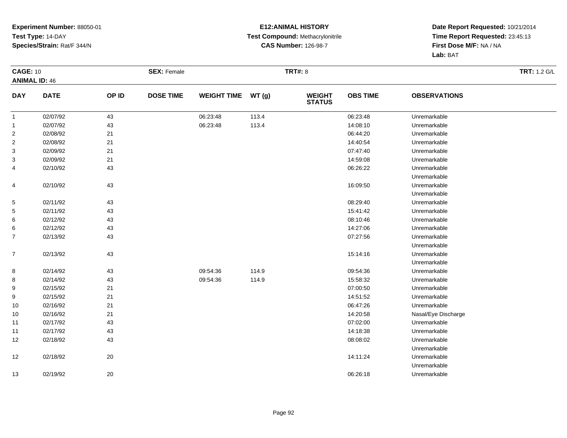#### **E12:ANIMAL HISTORY Test Compound:** Methacrylonitrile**CAS Number:** 126-98-7

| <b>CAGE: 10</b>      |             |       | <b>SEX: Female</b> |                    |       | <b>TRT#: 8</b>                 |                 |                     | <b>TRT: 1.2 G/L</b> |
|----------------------|-------------|-------|--------------------|--------------------|-------|--------------------------------|-----------------|---------------------|---------------------|
| <b>ANIMAL ID: 46</b> |             |       |                    |                    |       |                                |                 |                     |                     |
| <b>DAY</b>           | <b>DATE</b> | OP ID | <b>DOSE TIME</b>   | <b>WEIGHT TIME</b> | WT(g) | <b>WEIGHT</b><br><b>STATUS</b> | <b>OBS TIME</b> | <b>OBSERVATIONS</b> |                     |
| $\overline{1}$       | 02/07/92    | 43    |                    | 06:23:48           | 113.4 |                                | 06:23:48        | Unremarkable        |                     |
| $\overline{1}$       | 02/07/92    | 43    |                    | 06:23:48           | 113.4 |                                | 14:08:10        | Unremarkable        |                     |
| $\overline{c}$       | 02/08/92    | 21    |                    |                    |       |                                | 06:44:20        | Unremarkable        |                     |
| $\overline{2}$       | 02/08/92    | 21    |                    |                    |       |                                | 14:40:54        | Unremarkable        |                     |
| 3                    | 02/09/92    | 21    |                    |                    |       |                                | 07:47:40        | Unremarkable        |                     |
| 3                    | 02/09/92    | 21    |                    |                    |       |                                | 14:59:08        | Unremarkable        |                     |
| 4                    | 02/10/92    | 43    |                    |                    |       |                                | 06:26:22        | Unremarkable        |                     |
|                      |             |       |                    |                    |       |                                |                 | Unremarkable        |                     |
| 4                    | 02/10/92    | 43    |                    |                    |       |                                | 16:09:50        | Unremarkable        |                     |
|                      |             |       |                    |                    |       |                                |                 | Unremarkable        |                     |
| 5                    | 02/11/92    | 43    |                    |                    |       |                                | 08:29:40        | Unremarkable        |                     |
| 5                    | 02/11/92    | 43    |                    |                    |       |                                | 15:41:42        | Unremarkable        |                     |
| 6                    | 02/12/92    | 43    |                    |                    |       |                                | 08:10:46        | Unremarkable        |                     |
| 6                    | 02/12/92    | 43    |                    |                    |       |                                | 14:27:06        | Unremarkable        |                     |
| $\overline{7}$       | 02/13/92    | 43    |                    |                    |       |                                | 07:27:56        | Unremarkable        |                     |
|                      |             |       |                    |                    |       |                                |                 | Unremarkable        |                     |
| $\overline{7}$       | 02/13/92    | 43    |                    |                    |       |                                | 15:14:16        | Unremarkable        |                     |
|                      |             |       |                    |                    |       |                                |                 | Unremarkable        |                     |
| 8                    | 02/14/92    | 43    |                    | 09:54:36           | 114.9 |                                | 09:54:36        | Unremarkable        |                     |
| 8                    | 02/14/92    | 43    |                    | 09:54:36           | 114.9 |                                | 15:58:32        | Unremarkable        |                     |
| 9                    | 02/15/92    | 21    |                    |                    |       |                                | 07:00:50        | Unremarkable        |                     |
| 9                    | 02/15/92    | 21    |                    |                    |       |                                | 14:51:52        | Unremarkable        |                     |
| 10                   | 02/16/92    | 21    |                    |                    |       |                                | 06:47:26        | Unremarkable        |                     |
| 10                   | 02/16/92    | 21    |                    |                    |       |                                | 14:20:58        | Nasal/Eye Discharge |                     |
| 11                   | 02/17/92    | 43    |                    |                    |       |                                | 07:02:00        | Unremarkable        |                     |
| 11                   | 02/17/92    | 43    |                    |                    |       |                                | 14:18:38        | Unremarkable        |                     |
| 12                   | 02/18/92    | 43    |                    |                    |       |                                | 08:08:02        | Unremarkable        |                     |
|                      |             |       |                    |                    |       |                                |                 | Unremarkable        |                     |
| 12                   | 02/18/92    | 20    |                    |                    |       |                                | 14:11:24        | Unremarkable        |                     |
|                      |             |       |                    |                    |       |                                |                 | Unremarkable        |                     |
| 13                   | 02/19/92    | 20    |                    |                    |       |                                | 06:26:18        | Unremarkable        |                     |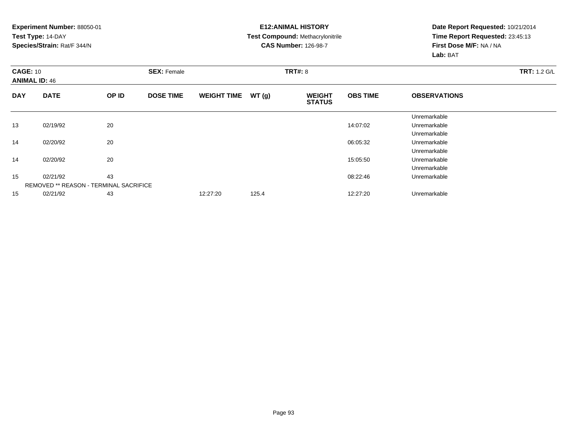#### **E12:ANIMAL HISTORY Test Compound:** Methacrylonitrile**CAS Number:** 126-98-7

|            | <b>CAGE: 10</b><br><b>ANIMAL ID: 46</b>       |       | <b>SEX: Female</b> |                    |       | <b>TRT#: 8</b>                 | <b>TRT: 1.2 G/L</b> |                     |  |
|------------|-----------------------------------------------|-------|--------------------|--------------------|-------|--------------------------------|---------------------|---------------------|--|
| <b>DAY</b> | <b>DATE</b>                                   | OP ID | <b>DOSE TIME</b>   | <b>WEIGHT TIME</b> | WT(g) | <b>WEIGHT</b><br><b>STATUS</b> | <b>OBS TIME</b>     | <b>OBSERVATIONS</b> |  |
|            |                                               |       |                    |                    |       |                                |                     | Unremarkable        |  |
| 13         | 02/19/92                                      | 20    |                    |                    |       |                                | 14:07:02            | Unremarkable        |  |
|            |                                               |       |                    |                    |       |                                |                     | Unremarkable        |  |
| 14         | 02/20/92                                      | 20    |                    |                    |       |                                | 06:05:32            | Unremarkable        |  |
|            |                                               |       |                    |                    |       |                                |                     | Unremarkable        |  |
| 14         | 02/20/92                                      | 20    |                    |                    |       |                                | 15:05:50            | Unremarkable        |  |
|            |                                               |       |                    |                    |       |                                |                     | Unremarkable        |  |
| 15         | 02/21/92                                      | 43    |                    |                    |       |                                | 08:22:46            | Unremarkable        |  |
|            | <b>REMOVED ** REASON - TERMINAL SACRIFICE</b> |       |                    |                    |       |                                |                     |                     |  |
| 15         | 02/21/92                                      | 43    |                    | 12:27:20           | 125.4 |                                | 12:27:20            | Unremarkable        |  |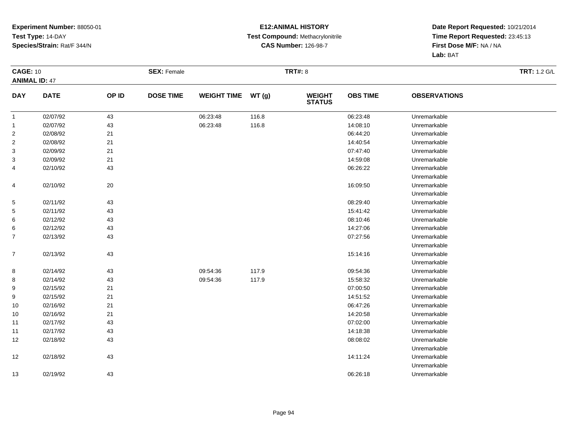#### **E12:ANIMAL HISTORY Test Compound:** Methacrylonitrile**CAS Number:** 126-98-7

| <b>CAGE: 10</b>      |             |       | <b>SEX: Female</b> |                    |       | <b>TRT#: 8</b>                 |                 |                     | <b>TRT: 1.2 G/L</b> |
|----------------------|-------------|-------|--------------------|--------------------|-------|--------------------------------|-----------------|---------------------|---------------------|
| <b>ANIMAL ID: 47</b> |             |       |                    |                    |       |                                |                 |                     |                     |
| <b>DAY</b>           | <b>DATE</b> | OP ID | <b>DOSE TIME</b>   | <b>WEIGHT TIME</b> | WT(g) | <b>WEIGHT</b><br><b>STATUS</b> | <b>OBS TIME</b> | <b>OBSERVATIONS</b> |                     |
| $\mathbf{1}$         | 02/07/92    | 43    |                    | 06:23:48           | 116.8 |                                | 06:23:48        | Unremarkable        |                     |
| $\mathbf{1}$         | 02/07/92    | 43    |                    | 06:23:48           | 116.8 |                                | 14:08:10        | Unremarkable        |                     |
| 2                    | 02/08/92    | 21    |                    |                    |       |                                | 06:44:20        | Unremarkable        |                     |
| $\overline{a}$       | 02/08/92    | 21    |                    |                    |       |                                | 14:40:54        | Unremarkable        |                     |
| 3                    | 02/09/92    | 21    |                    |                    |       |                                | 07:47:40        | Unremarkable        |                     |
| 3                    | 02/09/92    | 21    |                    |                    |       |                                | 14:59:08        | Unremarkable        |                     |
| 4                    | 02/10/92    | 43    |                    |                    |       |                                | 06:26:22        | Unremarkable        |                     |
|                      |             |       |                    |                    |       |                                |                 | Unremarkable        |                     |
| 4                    | 02/10/92    | 20    |                    |                    |       |                                | 16:09:50        | Unremarkable        |                     |
|                      |             |       |                    |                    |       |                                |                 | Unremarkable        |                     |
| 5                    | 02/11/92    | 43    |                    |                    |       |                                | 08:29:40        | Unremarkable        |                     |
| 5                    | 02/11/92    | 43    |                    |                    |       |                                | 15:41:42        | Unremarkable        |                     |
| 6                    | 02/12/92    | 43    |                    |                    |       |                                | 08:10:46        | Unremarkable        |                     |
| 6                    | 02/12/92    | 43    |                    |                    |       |                                | 14:27:06        | Unremarkable        |                     |
| $\overline{7}$       | 02/13/92    | 43    |                    |                    |       |                                | 07:27:56        | Unremarkable        |                     |
|                      |             |       |                    |                    |       |                                |                 | Unremarkable        |                     |
| $\overline{7}$       | 02/13/92    | 43    |                    |                    |       |                                | 15:14:16        | Unremarkable        |                     |
|                      |             |       |                    |                    |       |                                |                 | Unremarkable        |                     |
| 8                    | 02/14/92    | 43    |                    | 09:54:36           | 117.9 |                                | 09:54:36        | Unremarkable        |                     |
| 8                    | 02/14/92    | 43    |                    | 09:54:36           | 117.9 |                                | 15:58:32        | Unremarkable        |                     |
| 9                    | 02/15/92    | 21    |                    |                    |       |                                | 07:00:50        | Unremarkable        |                     |
| 9                    | 02/15/92    | 21    |                    |                    |       |                                | 14:51:52        | Unremarkable        |                     |
| 10                   | 02/16/92    | 21    |                    |                    |       |                                | 06:47:26        | Unremarkable        |                     |
| 10                   | 02/16/92    | 21    |                    |                    |       |                                | 14:20:58        | Unremarkable        |                     |
| 11                   | 02/17/92    | 43    |                    |                    |       |                                | 07:02:00        | Unremarkable        |                     |
| 11                   | 02/17/92    | 43    |                    |                    |       |                                | 14:18:38        | Unremarkable        |                     |
| 12                   | 02/18/92    | 43    |                    |                    |       |                                | 08:08:02        | Unremarkable        |                     |
|                      |             |       |                    |                    |       |                                |                 | Unremarkable        |                     |
| 12                   | 02/18/92    | 43    |                    |                    |       |                                | 14:11:24        | Unremarkable        |                     |
|                      |             |       |                    |                    |       |                                |                 | Unremarkable        |                     |
| 13                   | 02/19/92    | 43    |                    |                    |       |                                | 06:26:18        | Unremarkable        |                     |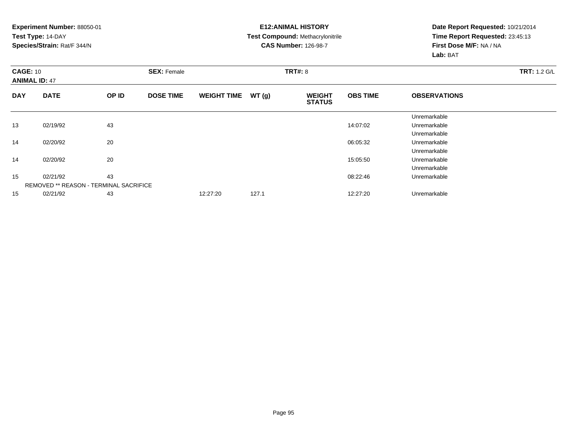#### **E12:ANIMAL HISTORY Test Compound:** Methacrylonitrile**CAS Number:** 126-98-7

|            | <b>CAGE: 10</b><br><b>ANIMAL ID: 47</b>       |       | <b>SEX: Female</b> |                    |       | <b>TRT#: 8</b>                 | <b>TRT: 1.2 G/L</b> |                     |  |
|------------|-----------------------------------------------|-------|--------------------|--------------------|-------|--------------------------------|---------------------|---------------------|--|
| <b>DAY</b> | <b>DATE</b>                                   | OP ID | <b>DOSE TIME</b>   | <b>WEIGHT TIME</b> | WT(g) | <b>WEIGHT</b><br><b>STATUS</b> | <b>OBS TIME</b>     | <b>OBSERVATIONS</b> |  |
|            |                                               |       |                    |                    |       |                                |                     | Unremarkable        |  |
| 13         | 02/19/92                                      | 43    |                    |                    |       |                                | 14:07:02            | Unremarkable        |  |
|            |                                               |       |                    |                    |       |                                |                     | Unremarkable        |  |
| 14         | 02/20/92                                      | 20    |                    |                    |       |                                | 06:05:32            | Unremarkable        |  |
|            |                                               |       |                    |                    |       |                                |                     | Unremarkable        |  |
| 14         | 02/20/92                                      | 20    |                    |                    |       |                                | 15:05:50            | Unremarkable        |  |
|            |                                               |       |                    |                    |       |                                |                     | Unremarkable        |  |
| 15         | 02/21/92                                      | 43    |                    |                    |       |                                | 08:22:46            | Unremarkable        |  |
|            | <b>REMOVED ** REASON - TERMINAL SACRIFICE</b> |       |                    |                    |       |                                |                     |                     |  |
| 15         | 02/21/92                                      | 43    |                    | 12:27:20           | 127.1 |                                | 12:27:20            | Unremarkable        |  |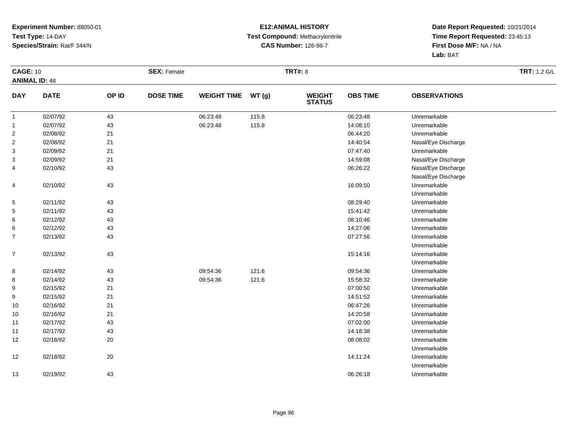#### **E12:ANIMAL HISTORY Test Compound:** Methacrylonitrile**CAS Number:** 126-98-7

| <b>CAGE: 10</b>      |             |       | <b>SEX: Female</b> |                    |       | <b>TRT#: 8</b>                 |                 |                     | <b>TRT: 1.2 G/L</b> |
|----------------------|-------------|-------|--------------------|--------------------|-------|--------------------------------|-----------------|---------------------|---------------------|
| <b>ANIMAL ID: 48</b> |             |       |                    |                    |       |                                |                 |                     |                     |
| <b>DAY</b>           | <b>DATE</b> | OP ID | <b>DOSE TIME</b>   | <b>WEIGHT TIME</b> | WT(g) | <b>WEIGHT</b><br><b>STATUS</b> | <b>OBS TIME</b> | <b>OBSERVATIONS</b> |                     |
| $\mathbf{1}$         | 02/07/92    | 43    |                    | 06:23:48           | 115.8 |                                | 06:23:48        | Unremarkable        |                     |
| $\mathbf{1}$         | 02/07/92    | 43    |                    | 06:23:48           | 115.8 |                                | 14:08:10        | Unremarkable        |                     |
| $\overline{2}$       | 02/08/92    | 21    |                    |                    |       |                                | 06:44:20        | Unremarkable        |                     |
| $\overline{2}$       | 02/08/92    | 21    |                    |                    |       |                                | 14:40:54        | Nasal/Eye Discharge |                     |
| 3                    | 02/09/92    | 21    |                    |                    |       |                                | 07:47:40        | Unremarkable        |                     |
| 3                    | 02/09/92    | 21    |                    |                    |       |                                | 14:59:08        | Nasal/Eye Discharge |                     |
| 4                    | 02/10/92    | 43    |                    |                    |       |                                | 06:26:22        | Nasal/Eye Discharge |                     |
|                      |             |       |                    |                    |       |                                |                 | Nasal/Eye Discharge |                     |
| 4                    | 02/10/92    | 43    |                    |                    |       |                                | 16:09:50        | Unremarkable        |                     |
|                      |             |       |                    |                    |       |                                |                 | Unremarkable        |                     |
| 5                    | 02/11/92    | 43    |                    |                    |       |                                | 08:29:40        | Unremarkable        |                     |
| 5                    | 02/11/92    | 43    |                    |                    |       |                                | 15:41:42        | Unremarkable        |                     |
| 6                    | 02/12/92    | 43    |                    |                    |       |                                | 08:10:46        | Unremarkable        |                     |
| 6                    | 02/12/92    | 43    |                    |                    |       |                                | 14:27:06        | Unremarkable        |                     |
| $\overline{7}$       | 02/13/92    | 43    |                    |                    |       |                                | 07:27:56        | Unremarkable        |                     |
|                      |             |       |                    |                    |       |                                |                 | Unremarkable        |                     |
| $\overline{7}$       | 02/13/92    | 43    |                    |                    |       |                                | 15:14:16        | Unremarkable        |                     |
|                      |             |       |                    |                    |       |                                |                 | Unremarkable        |                     |
| 8                    | 02/14/92    | 43    |                    | 09:54:36           | 121.6 |                                | 09:54:36        | Unremarkable        |                     |
| 8                    | 02/14/92    | 43    |                    | 09:54:36           | 121.6 |                                | 15:58:32        | Unremarkable        |                     |
| 9                    | 02/15/92    | 21    |                    |                    |       |                                | 07:00:50        | Unremarkable        |                     |
| 9                    | 02/15/92    | 21    |                    |                    |       |                                | 14:51:52        | Unremarkable        |                     |
| 10                   | 02/16/92    | 21    |                    |                    |       |                                | 06:47:26        | Unremarkable        |                     |
| 10                   | 02/16/92    | 21    |                    |                    |       |                                | 14:20:58        | Unremarkable        |                     |
| 11                   | 02/17/92    | 43    |                    |                    |       |                                | 07:02:00        | Unremarkable        |                     |
| 11                   | 02/17/92    | 43    |                    |                    |       |                                | 14:18:38        | Unremarkable        |                     |
| 12                   | 02/18/92    | 20    |                    |                    |       |                                | 08:08:02        | Unremarkable        |                     |
|                      |             |       |                    |                    |       |                                |                 | Unremarkable        |                     |
| 12                   | 02/18/92    | 20    |                    |                    |       |                                | 14:11:24        | Unremarkable        |                     |
|                      |             |       |                    |                    |       |                                |                 | Unremarkable        |                     |
| 13                   | 02/19/92    | 43    |                    |                    |       |                                | 06:26:18        | Unremarkable        |                     |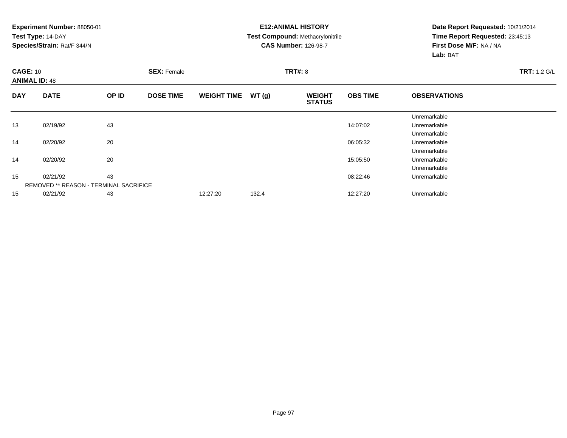#### **E12:ANIMAL HISTORY Test Compound:** Methacrylonitrile**CAS Number:** 126-98-7

| <b>CAGE: 10</b><br><b>ANIMAL ID: 48</b> |                                               |       | <b>SEX: Female</b> |                    |       | <b>TRT#: 8</b>                 | <b>TRT: 1.2 G/L</b> |                     |  |
|-----------------------------------------|-----------------------------------------------|-------|--------------------|--------------------|-------|--------------------------------|---------------------|---------------------|--|
| <b>DAY</b>                              | <b>DATE</b>                                   | OP ID | <b>DOSE TIME</b>   | <b>WEIGHT TIME</b> | WT(g) | <b>WEIGHT</b><br><b>STATUS</b> | <b>OBS TIME</b>     | <b>OBSERVATIONS</b> |  |
|                                         |                                               |       |                    |                    |       |                                |                     | Unremarkable        |  |
| 13                                      | 02/19/92                                      | 43    |                    |                    |       |                                | 14:07:02            | Unremarkable        |  |
|                                         |                                               |       |                    |                    |       |                                |                     | Unremarkable        |  |
| 14                                      | 02/20/92                                      | 20    |                    |                    |       |                                | 06:05:32            | Unremarkable        |  |
|                                         |                                               |       |                    |                    |       |                                |                     | Unremarkable        |  |
| 14                                      | 02/20/92                                      | 20    |                    |                    |       |                                | 15:05:50            | Unremarkable        |  |
|                                         |                                               |       |                    |                    |       |                                |                     | Unremarkable        |  |
| 15                                      | 02/21/92                                      | 43    |                    |                    |       |                                | 08:22:46            | Unremarkable        |  |
|                                         | <b>REMOVED ** REASON - TERMINAL SACRIFICE</b> |       |                    |                    |       |                                |                     |                     |  |
| 15                                      | 02/21/92                                      | 43    |                    | 12:27:20           | 132.4 |                                | 12:27:20            | Unremarkable        |  |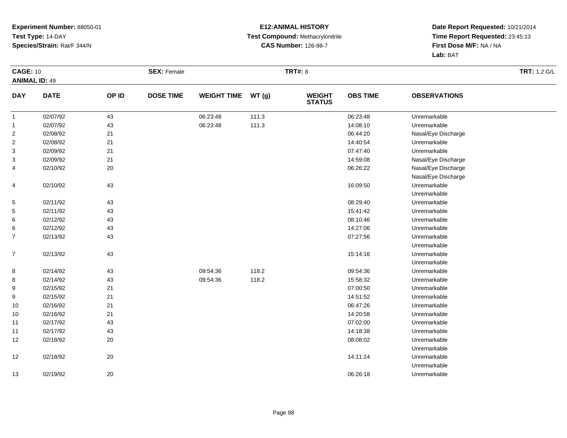#### **E12:ANIMAL HISTORY Test Compound:** Methacrylonitrile**CAS Number:** 126-98-7

|                      | <b>CAGE: 10</b> |        | <b>SEX: Female</b> |                    |       | <b>TRT#: 8</b>                 |                 | <b>TRT: 1.2 G/L</b> |  |
|----------------------|-----------------|--------|--------------------|--------------------|-------|--------------------------------|-----------------|---------------------|--|
| <b>ANIMAL ID: 49</b> |                 |        |                    |                    |       |                                |                 |                     |  |
| <b>DAY</b>           | <b>DATE</b>     | OP ID  | <b>DOSE TIME</b>   | <b>WEIGHT TIME</b> | WT(g) | <b>WEIGHT</b><br><b>STATUS</b> | <b>OBS TIME</b> | <b>OBSERVATIONS</b> |  |
| $\mathbf{1}$         | 02/07/92        | 43     |                    | 06:23:48           | 111.3 |                                | 06:23:48        | Unremarkable        |  |
| $\mathbf{1}$         | 02/07/92        | 43     |                    | 06:23:48           | 111.3 |                                | 14:08:10        | Unremarkable        |  |
| $\overline{2}$       | 02/08/92        | 21     |                    |                    |       |                                | 06:44:20        | Nasal/Eye Discharge |  |
| $\overline{2}$       | 02/08/92        | 21     |                    |                    |       |                                | 14:40:54        | Unremarkable        |  |
| 3                    | 02/09/92        | 21     |                    |                    |       |                                | 07:47:40        | Unremarkable        |  |
| 3                    | 02/09/92        | 21     |                    |                    |       |                                | 14:59:08        | Nasal/Eye Discharge |  |
| 4                    | 02/10/92        | 20     |                    |                    |       |                                | 06:26:22        | Nasal/Eye Discharge |  |
|                      |                 |        |                    |                    |       |                                |                 | Nasal/Eye Discharge |  |
| 4                    | 02/10/92        | 43     |                    |                    |       |                                | 16:09:50        | Unremarkable        |  |
|                      |                 |        |                    |                    |       |                                |                 | Unremarkable        |  |
| 5                    | 02/11/92        | 43     |                    |                    |       |                                | 08:29:40        | Unremarkable        |  |
| 5                    | 02/11/92        | 43     |                    |                    |       |                                | 15:41:42        | Unremarkable        |  |
| 6                    | 02/12/92        | 43     |                    |                    |       |                                | 08:10:46        | Unremarkable        |  |
| 6                    | 02/12/92        | 43     |                    |                    |       |                                | 14:27:06        | Unremarkable        |  |
| $\overline{7}$       | 02/13/92        | 43     |                    |                    |       |                                | 07:27:56        | Unremarkable        |  |
|                      |                 |        |                    |                    |       |                                |                 | Unremarkable        |  |
| $\overline{7}$       | 02/13/92        | 43     |                    |                    |       |                                | 15:14:16        | Unremarkable        |  |
|                      |                 |        |                    |                    |       |                                |                 | Unremarkable        |  |
| 8                    | 02/14/92        | 43     |                    | 09:54:36           | 118.2 |                                | 09:54:36        | Unremarkable        |  |
| 8                    | 02/14/92        | 43     |                    | 09:54:36           | 118.2 |                                | 15:58:32        | Unremarkable        |  |
| 9                    | 02/15/92        | 21     |                    |                    |       |                                | 07:00:50        | Unremarkable        |  |
| 9                    | 02/15/92        | 21     |                    |                    |       |                                | 14:51:52        | Unremarkable        |  |
| 10                   | 02/16/92        | 21     |                    |                    |       |                                | 06:47:26        | Unremarkable        |  |
| 10                   | 02/16/92        | 21     |                    |                    |       |                                | 14:20:58        | Unremarkable        |  |
| 11                   | 02/17/92        | 43     |                    |                    |       |                                | 07:02:00        | Unremarkable        |  |
| 11                   | 02/17/92        | 43     |                    |                    |       |                                | 14:18:38        | Unremarkable        |  |
| 12                   | 02/18/92        | 20     |                    |                    |       |                                | 08:08:02        | Unremarkable        |  |
|                      |                 |        |                    |                    |       |                                |                 | Unremarkable        |  |
| 12                   | 02/18/92        | 20     |                    |                    |       |                                | 14:11:24        | Unremarkable        |  |
|                      |                 |        |                    |                    |       |                                |                 | Unremarkable        |  |
| 13                   | 02/19/92        | $20\,$ |                    |                    |       |                                | 06:26:18        | Unremarkable        |  |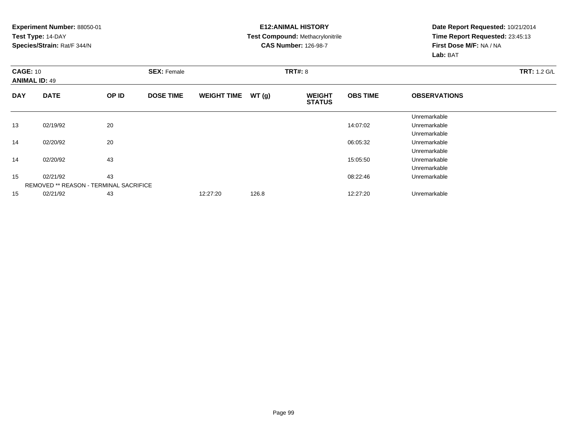#### **E12:ANIMAL HISTORY Test Compound:** Methacrylonitrile**CAS Number:** 126-98-7

| <b>CAGE: 10</b><br><b>ANIMAL ID: 49</b> |                                               |       | <b>SEX: Female</b> |                    |       | <b>TRT#: 8</b>                 | <b>TRT: 1.2 G/L</b> |                     |  |
|-----------------------------------------|-----------------------------------------------|-------|--------------------|--------------------|-------|--------------------------------|---------------------|---------------------|--|
| <b>DAY</b>                              | <b>DATE</b>                                   | OP ID | <b>DOSE TIME</b>   | <b>WEIGHT TIME</b> | WT(g) | <b>WEIGHT</b><br><b>STATUS</b> | <b>OBS TIME</b>     | <b>OBSERVATIONS</b> |  |
|                                         |                                               |       |                    |                    |       |                                |                     | Unremarkable        |  |
| 13                                      | 02/19/92                                      | 20    |                    |                    |       |                                | 14:07:02            | Unremarkable        |  |
|                                         |                                               |       |                    |                    |       |                                |                     | Unremarkable        |  |
| 14                                      | 02/20/92                                      | 20    |                    |                    |       |                                | 06:05:32            | Unremarkable        |  |
|                                         |                                               |       |                    |                    |       |                                |                     | Unremarkable        |  |
| 14                                      | 02/20/92                                      | 43    |                    |                    |       |                                | 15:05:50            | Unremarkable        |  |
|                                         |                                               |       |                    |                    |       |                                |                     | Unremarkable        |  |
| 15                                      | 02/21/92                                      | 43    |                    |                    |       |                                | 08:22:46            | Unremarkable        |  |
|                                         | <b>REMOVED ** REASON - TERMINAL SACRIFICE</b> |       |                    |                    |       |                                |                     |                     |  |
| 15                                      | 02/21/92                                      | 43    |                    | 12:27:20           | 126.8 |                                | 12:27:20            | Unremarkable        |  |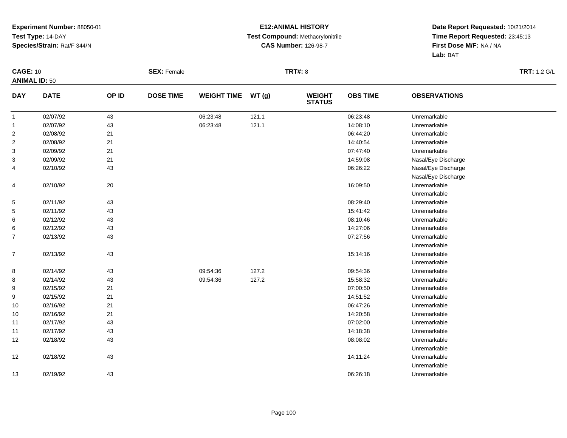#### **E12:ANIMAL HISTORY Test Compound:** Methacrylonitrile**CAS Number:** 126-98-7

|                      | <b>CAGE: 10</b> |       | <b>SEX: Female</b> |                    |       | <b>TRT#: 8</b>                 |                 | <b>TRT: 1.2 G/L</b> |  |
|----------------------|-----------------|-------|--------------------|--------------------|-------|--------------------------------|-----------------|---------------------|--|
| <b>ANIMAL ID: 50</b> |                 |       |                    |                    |       |                                |                 |                     |  |
| <b>DAY</b>           | <b>DATE</b>     | OP ID | <b>DOSE TIME</b>   | <b>WEIGHT TIME</b> | WT(g) | <b>WEIGHT</b><br><b>STATUS</b> | <b>OBS TIME</b> | <b>OBSERVATIONS</b> |  |
| $\mathbf{1}$         | 02/07/92        | 43    |                    | 06:23:48           | 121.1 |                                | 06:23:48        | Unremarkable        |  |
| $\mathbf{1}$         | 02/07/92        | 43    |                    | 06:23:48           | 121.1 |                                | 14:08:10        | Unremarkable        |  |
| $\overline{2}$       | 02/08/92        | 21    |                    |                    |       |                                | 06:44:20        | Unremarkable        |  |
| $\overline{c}$       | 02/08/92        | 21    |                    |                    |       |                                | 14:40:54        | Unremarkable        |  |
| 3                    | 02/09/92        | 21    |                    |                    |       |                                | 07:47:40        | Unremarkable        |  |
| 3                    | 02/09/92        | 21    |                    |                    |       |                                | 14:59:08        | Nasal/Eye Discharge |  |
| 4                    | 02/10/92        | 43    |                    |                    |       |                                | 06:26:22        | Nasal/Eye Discharge |  |
|                      |                 |       |                    |                    |       |                                |                 | Nasal/Eye Discharge |  |
| 4                    | 02/10/92        | 20    |                    |                    |       |                                | 16:09:50        | Unremarkable        |  |
|                      |                 |       |                    |                    |       |                                |                 | Unremarkable        |  |
| 5                    | 02/11/92        | 43    |                    |                    |       |                                | 08:29:40        | Unremarkable        |  |
| 5                    | 02/11/92        | 43    |                    |                    |       |                                | 15:41:42        | Unremarkable        |  |
| 6                    | 02/12/92        | 43    |                    |                    |       |                                | 08:10:46        | Unremarkable        |  |
| 6                    | 02/12/92        | 43    |                    |                    |       |                                | 14:27:06        | Unremarkable        |  |
| $\overline{7}$       | 02/13/92        | 43    |                    |                    |       |                                | 07:27:56        | Unremarkable        |  |
|                      |                 |       |                    |                    |       |                                |                 | Unremarkable        |  |
| $\boldsymbol{7}$     | 02/13/92        | 43    |                    |                    |       |                                | 15:14:16        | Unremarkable        |  |
|                      |                 |       |                    |                    |       |                                |                 | Unremarkable        |  |
| $\bf8$               | 02/14/92        | 43    |                    | 09:54:36           | 127.2 |                                | 09:54:36        | Unremarkable        |  |
| 8                    | 02/14/92        | 43    |                    | 09:54:36           | 127.2 |                                | 15:58:32        | Unremarkable        |  |
| 9                    | 02/15/92        | 21    |                    |                    |       |                                | 07:00:50        | Unremarkable        |  |
| 9                    | 02/15/92        | 21    |                    |                    |       |                                | 14:51:52        | Unremarkable        |  |
| 10                   | 02/16/92        | 21    |                    |                    |       |                                | 06:47:26        | Unremarkable        |  |
| 10                   | 02/16/92        | 21    |                    |                    |       |                                | 14:20:58        | Unremarkable        |  |
| 11                   | 02/17/92        | 43    |                    |                    |       |                                | 07:02:00        | Unremarkable        |  |
| 11                   | 02/17/92        | 43    |                    |                    |       |                                | 14:18:38        | Unremarkable        |  |
| 12                   | 02/18/92        | 43    |                    |                    |       |                                | 08:08:02        | Unremarkable        |  |
|                      |                 |       |                    |                    |       |                                |                 | Unremarkable        |  |
| 12                   | 02/18/92        | 43    |                    |                    |       |                                | 14:11:24        | Unremarkable        |  |
|                      |                 |       |                    |                    |       |                                |                 | Unremarkable        |  |
| 13                   | 02/19/92        | 43    |                    |                    |       |                                | 06:26:18        | Unremarkable        |  |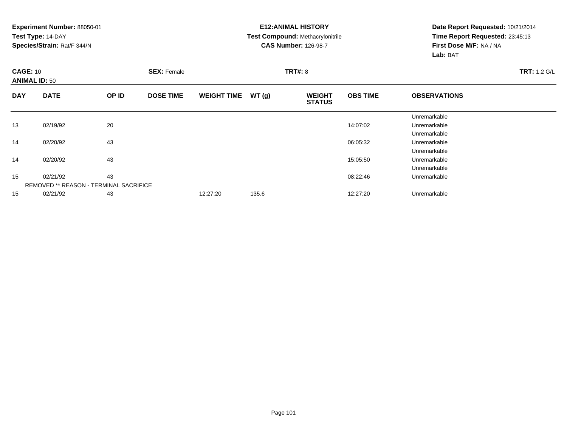#### **E12:ANIMAL HISTORY Test Compound:** Methacrylonitrile**CAS Number:** 126-98-7

| <b>CAGE: 10</b><br><b>ANIMAL ID: 50</b> |                                               |       | <b>SEX: Female</b> |                    |       | <b>TRT#: 8</b>                 |                 |                     |  |  |  |
|-----------------------------------------|-----------------------------------------------|-------|--------------------|--------------------|-------|--------------------------------|-----------------|---------------------|--|--|--|
| <b>DAY</b>                              | <b>DATE</b>                                   | OP ID | <b>DOSE TIME</b>   | <b>WEIGHT TIME</b> | WT(g) | <b>WEIGHT</b><br><b>STATUS</b> | <b>OBS TIME</b> | <b>OBSERVATIONS</b> |  |  |  |
|                                         |                                               |       |                    |                    |       |                                |                 | Unremarkable        |  |  |  |
| 13                                      | 02/19/92                                      | 20    |                    |                    |       |                                | 14:07:02        | Unremarkable        |  |  |  |
|                                         |                                               |       |                    |                    |       |                                |                 | Unremarkable        |  |  |  |
| 14                                      | 02/20/92                                      | 43    |                    |                    |       |                                | 06:05:32        | Unremarkable        |  |  |  |
|                                         |                                               |       |                    |                    |       |                                |                 | Unremarkable        |  |  |  |
| 14                                      | 02/20/92                                      | 43    |                    |                    |       |                                | 15:05:50        | Unremarkable        |  |  |  |
|                                         |                                               |       |                    |                    |       |                                |                 | Unremarkable        |  |  |  |
| 15                                      | 02/21/92                                      | 43    |                    |                    |       |                                | 08:22:46        | Unremarkable        |  |  |  |
|                                         | <b>REMOVED ** REASON - TERMINAL SACRIFICE</b> |       |                    |                    |       |                                |                 |                     |  |  |  |
| 15                                      | 02/21/92                                      | 43    |                    | 12:27:20           | 135.6 |                                | 12:27:20        | Unremarkable        |  |  |  |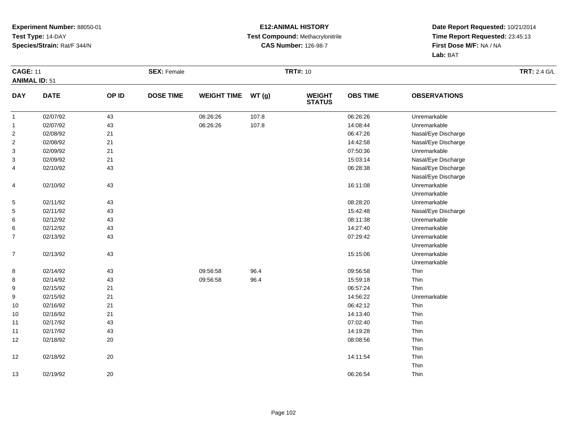#### **E12:ANIMAL HISTORY Test Compound:** Methacrylonitrile**CAS Number:** 126-98-7

|                      | <b>CAGE: 11</b> |        | <b>SEX: Female</b> |                    |       | <b>TRT#: 10</b>                |                 | <b>TRT: 2.4 G/L</b> |  |
|----------------------|-----------------|--------|--------------------|--------------------|-------|--------------------------------|-----------------|---------------------|--|
| <b>ANIMAL ID: 51</b> |                 |        |                    |                    |       |                                |                 |                     |  |
| <b>DAY</b>           | <b>DATE</b>     | OP ID  | <b>DOSE TIME</b>   | <b>WEIGHT TIME</b> | WT(g) | <b>WEIGHT</b><br><b>STATUS</b> | <b>OBS TIME</b> | <b>OBSERVATIONS</b> |  |
| $\mathbf{1}$         | 02/07/92        | 43     |                    | 06:26:26           | 107.8 |                                | 06:26:26        | Unremarkable        |  |
| $\mathbf{1}$         | 02/07/92        | 43     |                    | 06:26:26           | 107.8 |                                | 14:08:44        | Unremarkable        |  |
| $\overline{c}$       | 02/08/92        | 21     |                    |                    |       |                                | 06:47:26        | Nasal/Eye Discharge |  |
| $\overline{2}$       | 02/08/92        | 21     |                    |                    |       |                                | 14:42:58        | Nasal/Eye Discharge |  |
| 3                    | 02/09/92        | 21     |                    |                    |       |                                | 07:50:36        | Unremarkable        |  |
| 3                    | 02/09/92        | 21     |                    |                    |       |                                | 15:03:14        | Nasal/Eye Discharge |  |
| 4                    | 02/10/92        | 43     |                    |                    |       |                                | 06:28:38        | Nasal/Eye Discharge |  |
|                      |                 |        |                    |                    |       |                                |                 | Nasal/Eye Discharge |  |
| 4                    | 02/10/92        | 43     |                    |                    |       |                                | 16:11:08        | Unremarkable        |  |
|                      |                 |        |                    |                    |       |                                |                 | Unremarkable        |  |
| $\mathbf{5}$         | 02/11/92        | 43     |                    |                    |       |                                | 08:28:20        | Unremarkable        |  |
| 5                    | 02/11/92        | 43     |                    |                    |       |                                | 15:42:48        | Nasal/Eye Discharge |  |
| 6                    | 02/12/92        | 43     |                    |                    |       |                                | 08:11:38        | Unremarkable        |  |
| 6                    | 02/12/92        | 43     |                    |                    |       |                                | 14:27:40        | Unremarkable        |  |
| $\overline{7}$       | 02/13/92        | 43     |                    |                    |       |                                | 07:29:42        | Unremarkable        |  |
|                      |                 |        |                    |                    |       |                                |                 | Unremarkable        |  |
| $\overline{7}$       | 02/13/92        | 43     |                    |                    |       |                                | 15:15:06        | Unremarkable        |  |
|                      |                 |        |                    |                    |       |                                |                 | Unremarkable        |  |
| 8                    | 02/14/92        | 43     |                    | 09:56:58           | 96.4  |                                | 09:56:58        | Thin                |  |
| 8                    | 02/14/92        | 43     |                    | 09:56:58           | 96.4  |                                | 15:59:18        | Thin                |  |
| 9                    | 02/15/92        | 21     |                    |                    |       |                                | 06:57:24        | Thin                |  |
| 9                    | 02/15/92        | 21     |                    |                    |       |                                | 14:56:22        | Unremarkable        |  |
| 10                   | 02/16/92        | 21     |                    |                    |       |                                | 06:42:12        | Thin                |  |
| 10                   | 02/16/92        | 21     |                    |                    |       |                                | 14:13:40        | Thin                |  |
| 11                   | 02/17/92        | 43     |                    |                    |       |                                | 07:02:40        | Thin                |  |
| 11                   | 02/17/92        | 43     |                    |                    |       |                                | 14:19:28        | Thin                |  |
| 12                   | 02/18/92        | 20     |                    |                    |       |                                | 08:08:56        | Thin                |  |
|                      |                 |        |                    |                    |       |                                |                 | Thin                |  |
| 12                   | 02/18/92        | 20     |                    |                    |       |                                | 14:11:54        | Thin                |  |
|                      |                 |        |                    |                    |       |                                |                 | Thin                |  |
| 13                   | 02/19/92        | $20\,$ |                    |                    |       |                                | 06:26:54        | Thin                |  |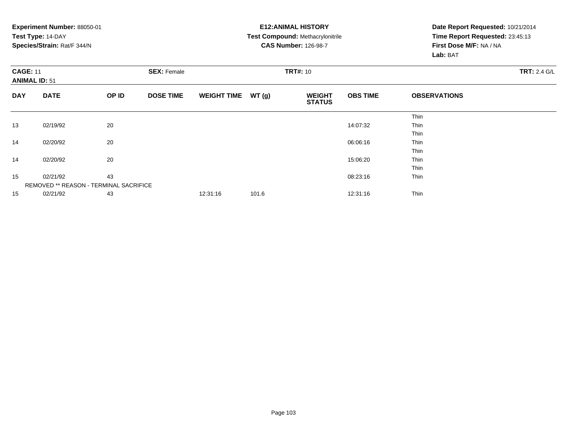|                                         | Experiment Number: 88050-01<br>Test Type: 14-DAY<br>Species/Strain: Rat/F 344/N |       |                                       |                    |       | <b>E12: ANIMAL HISTORY</b><br>Test Compound: Methacrylonitrile<br><b>CAS Number: 126-98-7</b> | Date Report Requested: 10/21/2014<br>Time Report Requested: 23:45:13<br>First Dose M/F: NA / NA<br>Lab: BAT |                     |  |
|-----------------------------------------|---------------------------------------------------------------------------------|-------|---------------------------------------|--------------------|-------|-----------------------------------------------------------------------------------------------|-------------------------------------------------------------------------------------------------------------|---------------------|--|
| <b>CAGE: 11</b><br><b>ANIMAL ID: 51</b> |                                                                                 |       | <b>TRT#: 10</b><br><b>SEX: Female</b> |                    |       |                                                                                               |                                                                                                             | <b>TRT: 2.4 G/L</b> |  |
| <b>DAY</b>                              | <b>DATE</b>                                                                     | OP ID | <b>DOSE TIME</b>                      | <b>WEIGHT TIME</b> | WT(g) | <b>WEIGHT</b><br><b>STATUS</b>                                                                | <b>OBS TIME</b>                                                                                             | <b>OBSERVATIONS</b> |  |
|                                         |                                                                                 |       |                                       |                    |       |                                                                                               |                                                                                                             | Thin                |  |
| 13                                      | 02/19/92                                                                        | 20    |                                       |                    |       |                                                                                               | 14:07:32                                                                                                    | Thin                |  |
|                                         |                                                                                 |       |                                       |                    |       |                                                                                               |                                                                                                             | Thin                |  |
| 14                                      | 02/20/92                                                                        | 20    |                                       |                    |       |                                                                                               | 06:06:16                                                                                                    | <b>Thin</b>         |  |
|                                         |                                                                                 |       |                                       |                    |       |                                                                                               |                                                                                                             | Thin                |  |
| 14                                      | 02/20/92                                                                        | 20    |                                       |                    |       |                                                                                               | 15:06:20                                                                                                    | Thin                |  |
|                                         |                                                                                 |       |                                       |                    |       |                                                                                               |                                                                                                             | Thin                |  |
| 15                                      | 02/21/92                                                                        | 43    |                                       |                    |       |                                                                                               | 08:23:16                                                                                                    | Thin                |  |
|                                         | REMOVED ** REASON - TERMINAL SACRIFICE                                          |       |                                       |                    |       |                                                                                               |                                                                                                             |                     |  |
| 15                                      | 02/21/92                                                                        | 43    |                                       | 12:31:16           | 101.6 |                                                                                               | 12:31:16                                                                                                    | Thin                |  |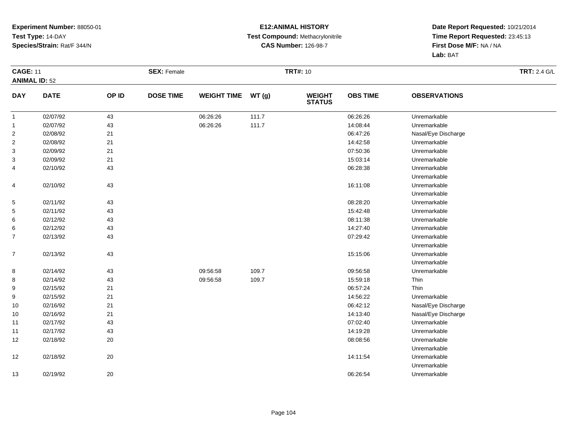#### **E12:ANIMAL HISTORY Test Compound:** Methacrylonitrile**CAS Number:** 126-98-7

|                      | <b>CAGE: 11</b> |       | <b>SEX: Female</b> |                    |       | <b>TRT#: 10</b>                |                 | <b>TRT: 2.4 G/L</b> |  |
|----------------------|-----------------|-------|--------------------|--------------------|-------|--------------------------------|-----------------|---------------------|--|
| <b>ANIMAL ID: 52</b> |                 |       |                    |                    |       |                                |                 |                     |  |
| <b>DAY</b>           | <b>DATE</b>     | OP ID | <b>DOSE TIME</b>   | <b>WEIGHT TIME</b> | WT(g) | <b>WEIGHT</b><br><b>STATUS</b> | <b>OBS TIME</b> | <b>OBSERVATIONS</b> |  |
| $\mathbf{1}$         | 02/07/92        | 43    |                    | 06:26:26           | 111.7 |                                | 06:26:26        | Unremarkable        |  |
| $\mathbf{1}$         | 02/07/92        | 43    |                    | 06:26:26           | 111.7 |                                | 14:08:44        | Unremarkable        |  |
| $\sqrt{2}$           | 02/08/92        | 21    |                    |                    |       |                                | 06:47:26        | Nasal/Eye Discharge |  |
| $\overline{c}$       | 02/08/92        | 21    |                    |                    |       |                                | 14:42:58        | Unremarkable        |  |
| 3                    | 02/09/92        | 21    |                    |                    |       |                                | 07:50:36        | Unremarkable        |  |
| 3                    | 02/09/92        | 21    |                    |                    |       |                                | 15:03:14        | Unremarkable        |  |
| 4                    | 02/10/92        | 43    |                    |                    |       |                                | 06:28:38        | Unremarkable        |  |
|                      |                 |       |                    |                    |       |                                |                 | Unremarkable        |  |
| 4                    | 02/10/92        | 43    |                    |                    |       |                                | 16:11:08        | Unremarkable        |  |
|                      |                 |       |                    |                    |       |                                |                 | Unremarkable        |  |
| 5                    | 02/11/92        | 43    |                    |                    |       |                                | 08:28:20        | Unremarkable        |  |
| 5                    | 02/11/92        | 43    |                    |                    |       |                                | 15:42:48        | Unremarkable        |  |
| 6                    | 02/12/92        | 43    |                    |                    |       |                                | 08:11:38        | Unremarkable        |  |
| 6                    | 02/12/92        | 43    |                    |                    |       |                                | 14:27:40        | Unremarkable        |  |
| $\overline{7}$       | 02/13/92        | 43    |                    |                    |       |                                | 07:29:42        | Unremarkable        |  |
|                      |                 |       |                    |                    |       |                                |                 | Unremarkable        |  |
| $\overline{7}$       | 02/13/92        | 43    |                    |                    |       |                                | 15:15:06        | Unremarkable        |  |
|                      |                 |       |                    |                    |       |                                |                 | Unremarkable        |  |
| 8                    | 02/14/92        | 43    |                    | 09:56:58           | 109.7 |                                | 09:56:58        | Unremarkable        |  |
| 8                    | 02/14/92        | 43    |                    | 09:56:58           | 109.7 |                                | 15:59:18        | Thin                |  |
| 9                    | 02/15/92        | 21    |                    |                    |       |                                | 06:57:24        | Thin                |  |
| 9                    | 02/15/92        | 21    |                    |                    |       |                                | 14:56:22        | Unremarkable        |  |
| 10                   | 02/16/92        | 21    |                    |                    |       |                                | 06:42:12        | Nasal/Eye Discharge |  |
| 10                   | 02/16/92        | 21    |                    |                    |       |                                | 14:13:40        | Nasal/Eye Discharge |  |
| 11                   | 02/17/92        | 43    |                    |                    |       |                                | 07:02:40        | Unremarkable        |  |
| 11                   | 02/17/92        | 43    |                    |                    |       |                                | 14:19:28        | Unremarkable        |  |
| 12                   | 02/18/92        | 20    |                    |                    |       |                                | 08:08:56        | Unremarkable        |  |
|                      |                 |       |                    |                    |       |                                |                 | Unremarkable        |  |
| 12                   | 02/18/92        | 20    |                    |                    |       |                                | 14:11:54        | Unremarkable        |  |
|                      |                 |       |                    |                    |       |                                |                 | Unremarkable        |  |
| 13                   | 02/19/92        | 20    |                    |                    |       |                                | 06:26:54        | Unremarkable        |  |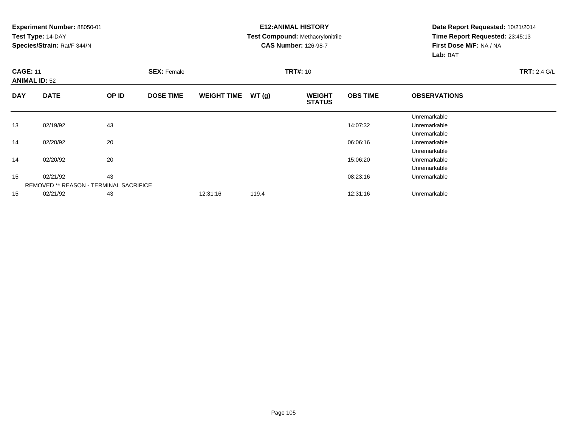**Experiment Number:** 88050-01**Test Type:** 14-DAY **Species/Strain:** Rat/F 344/N**E12:ANIMAL HISTORY Test Compound:** Methacrylonitrile**CAS Number:** 126-98-7**Date Report Requested:** 10/21/2014**Time Report Requested:** 23:45:13**First Dose M/F:** NA / NA**Lab:** BAT**CAGE:** 11 **SEX:** Female **TRT#:** <sup>10</sup> **TRT:** 2.4 G/L **ANIMAL ID:** 52**DAY DATE OP IDDOSE TIME WEIGHT TIME WT** (g) **STATUSOBS TIME OBSERVATIONS** UnremarkableUnremarkable 13 02/19/92 <sup>43</sup> 14:07:32 Unremarkable UnremarkableUnremarkable 14 02/20/92 <sup>20</sup> 06:06:16 Unremarkable UnremarkableUnremarkable 14 02/20/92 <sup>20</sup> 15:06:20 Unremarkable UnremarkableUnremarkable 15 02/21/92 <sup>43</sup> 08:23:16 Unremarkable REMOVED \*\* REASON - TERMINAL SACRIFICE

02/21/92 <sup>43</sup> 12:31:16 119.4 12:31:16 Unremarkable

15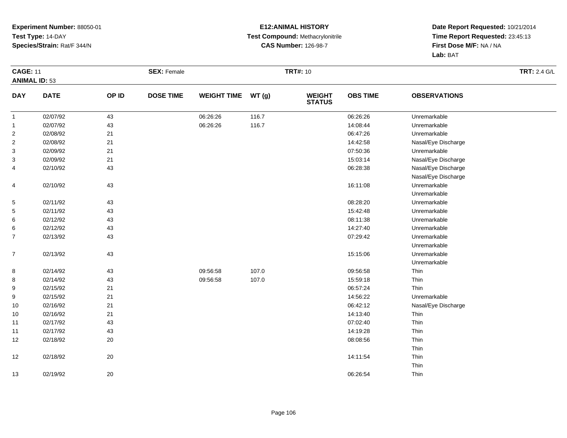#### **E12:ANIMAL HISTORY Test Compound:** Methacrylonitrile**CAS Number:** 126-98-7

| <b>CAGE: 11</b>      |             |        | <b>SEX: Female</b> |                    |       | <b>TRT#: 10</b>                |                 |                     | <b>TRT: 2.4 G/L</b> |
|----------------------|-------------|--------|--------------------|--------------------|-------|--------------------------------|-----------------|---------------------|---------------------|
| <b>ANIMAL ID: 53</b> |             |        |                    |                    |       |                                |                 |                     |                     |
| <b>DAY</b>           | <b>DATE</b> | OP ID  | <b>DOSE TIME</b>   | <b>WEIGHT TIME</b> | WT(g) | <b>WEIGHT</b><br><b>STATUS</b> | <b>OBS TIME</b> | <b>OBSERVATIONS</b> |                     |
| $\mathbf{1}$         | 02/07/92    | 43     |                    | 06:26:26           | 116.7 |                                | 06:26:26        | Unremarkable        |                     |
| $\mathbf{1}$         | 02/07/92    | 43     |                    | 06:26:26           | 116.7 |                                | 14:08:44        | Unremarkable        |                     |
| $\overline{c}$       | 02/08/92    | 21     |                    |                    |       |                                | 06:47:26        | Unremarkable        |                     |
| $\overline{2}$       | 02/08/92    | 21     |                    |                    |       |                                | 14:42:58        | Nasal/Eye Discharge |                     |
| 3                    | 02/09/92    | 21     |                    |                    |       |                                | 07:50:36        | Unremarkable        |                     |
| 3                    | 02/09/92    | 21     |                    |                    |       |                                | 15:03:14        | Nasal/Eye Discharge |                     |
| 4                    | 02/10/92    | 43     |                    |                    |       |                                | 06:28:38        | Nasal/Eye Discharge |                     |
|                      |             |        |                    |                    |       |                                |                 | Nasal/Eye Discharge |                     |
| 4                    | 02/10/92    | 43     |                    |                    |       |                                | 16:11:08        | Unremarkable        |                     |
|                      |             |        |                    |                    |       |                                |                 | Unremarkable        |                     |
| 5                    | 02/11/92    | 43     |                    |                    |       |                                | 08:28:20        | Unremarkable        |                     |
| 5                    | 02/11/92    | 43     |                    |                    |       |                                | 15:42:48        | Unremarkable        |                     |
| 6                    | 02/12/92    | 43     |                    |                    |       |                                | 08:11:38        | Unremarkable        |                     |
| 6                    | 02/12/92    | 43     |                    |                    |       |                                | 14:27:40        | Unremarkable        |                     |
| $\overline{7}$       | 02/13/92    | 43     |                    |                    |       |                                | 07:29:42        | Unremarkable        |                     |
|                      |             |        |                    |                    |       |                                |                 | Unremarkable        |                     |
| $\overline{7}$       | 02/13/92    | 43     |                    |                    |       |                                | 15:15:06        | Unremarkable        |                     |
|                      |             |        |                    |                    |       |                                |                 | Unremarkable        |                     |
| 8                    | 02/14/92    | 43     |                    | 09:56:58           | 107.0 |                                | 09:56:58        | Thin                |                     |
| 8                    | 02/14/92    | 43     |                    | 09:56:58           | 107.0 |                                | 15:59:18        | Thin                |                     |
| 9                    | 02/15/92    | 21     |                    |                    |       |                                | 06:57:24        | Thin                |                     |
| 9                    | 02/15/92    | 21     |                    |                    |       |                                | 14:56:22        | Unremarkable        |                     |
| 10                   | 02/16/92    | 21     |                    |                    |       |                                | 06:42:12        | Nasal/Eye Discharge |                     |
| 10                   | 02/16/92    | 21     |                    |                    |       |                                | 14:13:40        | Thin                |                     |
| 11                   | 02/17/92    | 43     |                    |                    |       |                                | 07:02:40        | Thin                |                     |
| 11                   | 02/17/92    | 43     |                    |                    |       |                                | 14:19:28        | Thin                |                     |
| 12                   | 02/18/92    | $20\,$ |                    |                    |       |                                | 08:08:56        | Thin                |                     |
|                      |             |        |                    |                    |       |                                |                 | Thin                |                     |
| 12                   | 02/18/92    | 20     |                    |                    |       |                                | 14:11:54        | Thin                |                     |
|                      |             |        |                    |                    |       |                                |                 | Thin                |                     |
| 13                   | 02/19/92    | $20\,$ |                    |                    |       |                                | 06:26:54        | Thin                |                     |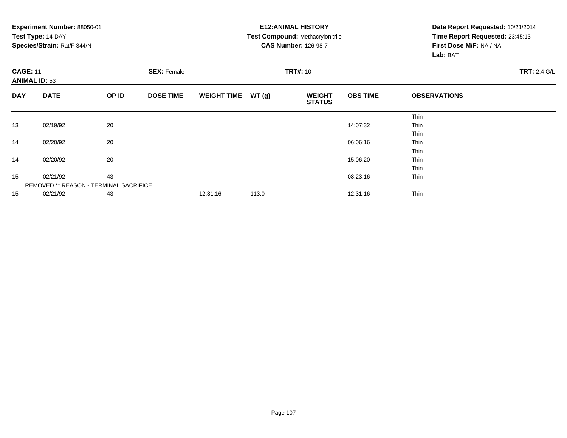|                                         | Experiment Number: 88050-01<br>Test Type: 14-DAY<br>Species/Strain: Rat/F 344/N |                                       |                  |                    |       | <b>E12: ANIMAL HISTORY</b><br>Test Compound: Methacrylonitrile<br><b>CAS Number: 126-98-7</b> | Date Report Requested: 10/21/2014<br>Time Report Requested: 23:45:13<br>First Dose M/F: NA / NA<br>Lab: BAT |                     |  |
|-----------------------------------------|---------------------------------------------------------------------------------|---------------------------------------|------------------|--------------------|-------|-----------------------------------------------------------------------------------------------|-------------------------------------------------------------------------------------------------------------|---------------------|--|
| <b>CAGE: 11</b><br><b>ANIMAL ID: 53</b> |                                                                                 | <b>SEX: Female</b><br><b>TRT#: 10</b> |                  |                    |       |                                                                                               | <b>TRT: 2.4 G/L</b>                                                                                         |                     |  |
| <b>DAY</b>                              | <b>DATE</b>                                                                     | OP ID                                 | <b>DOSE TIME</b> | <b>WEIGHT TIME</b> | WT(g) | <b>WEIGHT</b><br><b>STATUS</b>                                                                | <b>OBS TIME</b>                                                                                             | <b>OBSERVATIONS</b> |  |
|                                         |                                                                                 |                                       |                  |                    |       |                                                                                               |                                                                                                             | Thin                |  |
| 13                                      | 02/19/92                                                                        | 20                                    |                  |                    |       |                                                                                               | 14:07:32                                                                                                    | Thin                |  |
|                                         |                                                                                 |                                       |                  |                    |       |                                                                                               |                                                                                                             | Thin                |  |
| 14                                      | 02/20/92                                                                        | 20                                    |                  |                    |       |                                                                                               | 06:06:16                                                                                                    | <b>Thin</b>         |  |
|                                         |                                                                                 |                                       |                  |                    |       |                                                                                               |                                                                                                             | Thin                |  |
| 14                                      | 02/20/92                                                                        | 20                                    |                  |                    |       |                                                                                               | 15:06:20                                                                                                    | Thin                |  |
|                                         |                                                                                 |                                       |                  |                    |       |                                                                                               |                                                                                                             | Thin                |  |
| 15                                      | 02/21/92                                                                        | 43                                    |                  |                    |       |                                                                                               | 08:23:16                                                                                                    | Thin                |  |
|                                         | REMOVED ** REASON - TERMINAL SACRIFICE                                          |                                       |                  |                    |       |                                                                                               |                                                                                                             |                     |  |
| 15                                      | 02/21/92                                                                        | 43                                    |                  | 12:31:16           | 113.0 |                                                                                               | 12:31:16                                                                                                    | Thin                |  |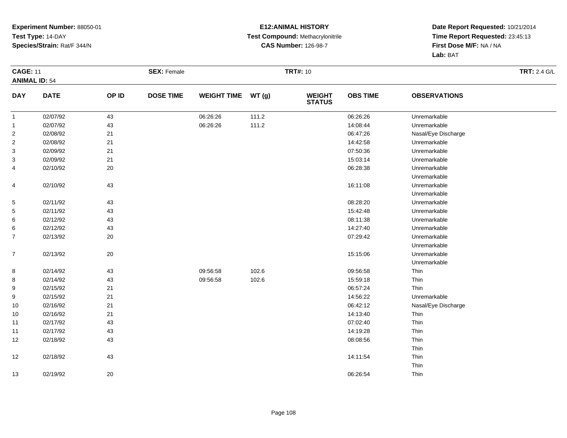#### **E12:ANIMAL HISTORY Test Compound:** Methacrylonitrile**CAS Number:** 126-98-7

|                      | <b>CAGE: 11</b> |        | <b>SEX: Female</b> |                    |       | <b>TRT#: 10</b>                |                 | <b>TRT: 2.4 G/L</b> |  |
|----------------------|-----------------|--------|--------------------|--------------------|-------|--------------------------------|-----------------|---------------------|--|
| <b>ANIMAL ID: 54</b> |                 |        |                    |                    |       |                                |                 |                     |  |
| <b>DAY</b>           | <b>DATE</b>     | OP ID  | <b>DOSE TIME</b>   | <b>WEIGHT TIME</b> | WT(g) | <b>WEIGHT</b><br><b>STATUS</b> | <b>OBS TIME</b> | <b>OBSERVATIONS</b> |  |
| $\overline{1}$       | 02/07/92        | 43     |                    | 06:26:26           | 111.2 |                                | 06:26:26        | Unremarkable        |  |
| $\mathbf{1}$         | 02/07/92        | 43     |                    | 06:26:26           | 111.2 |                                | 14:08:44        | Unremarkable        |  |
| $\overline{c}$       | 02/08/92        | 21     |                    |                    |       |                                | 06:47:26        | Nasal/Eye Discharge |  |
| $\overline{c}$       | 02/08/92        | 21     |                    |                    |       |                                | 14:42:58        | Unremarkable        |  |
| 3                    | 02/09/92        | 21     |                    |                    |       |                                | 07:50:36        | Unremarkable        |  |
| 3                    | 02/09/92        | 21     |                    |                    |       |                                | 15:03:14        | Unremarkable        |  |
| 4                    | 02/10/92        | 20     |                    |                    |       |                                | 06:28:38        | Unremarkable        |  |
|                      |                 |        |                    |                    |       |                                |                 | Unremarkable        |  |
| 4                    | 02/10/92        | 43     |                    |                    |       |                                | 16:11:08        | Unremarkable        |  |
|                      |                 |        |                    |                    |       |                                |                 | Unremarkable        |  |
| 5                    | 02/11/92        | 43     |                    |                    |       |                                | 08:28:20        | Unremarkable        |  |
| 5                    | 02/11/92        | 43     |                    |                    |       |                                | 15:42:48        | Unremarkable        |  |
| 6                    | 02/12/92        | 43     |                    |                    |       |                                | 08:11:38        | Unremarkable        |  |
| 6                    | 02/12/92        | 43     |                    |                    |       |                                | 14:27:40        | Unremarkable        |  |
| $\overline{7}$       | 02/13/92        | 20     |                    |                    |       |                                | 07:29:42        | Unremarkable        |  |
|                      |                 |        |                    |                    |       |                                |                 | Unremarkable        |  |
| $\boldsymbol{7}$     | 02/13/92        | $20\,$ |                    |                    |       |                                | 15:15:06        | Unremarkable        |  |
|                      |                 |        |                    |                    |       |                                |                 | Unremarkable        |  |
| 8                    | 02/14/92        | 43     |                    | 09:56:58           | 102.6 |                                | 09:56:58        | Thin                |  |
| 8                    | 02/14/92        | 43     |                    | 09:56:58           | 102.6 |                                | 15:59:18        | Thin                |  |
| 9                    | 02/15/92        | 21     |                    |                    |       |                                | 06:57:24        | Thin                |  |
| 9                    | 02/15/92        | 21     |                    |                    |       |                                | 14:56:22        | Unremarkable        |  |
| 10                   | 02/16/92        | 21     |                    |                    |       |                                | 06:42:12        | Nasal/Eye Discharge |  |
| 10                   | 02/16/92        | 21     |                    |                    |       |                                | 14:13:40        | Thin                |  |
| 11                   | 02/17/92        | 43     |                    |                    |       |                                | 07:02:40        | Thin                |  |
| 11                   | 02/17/92        | 43     |                    |                    |       |                                | 14:19:28        | Thin                |  |
| 12                   | 02/18/92        | 43     |                    |                    |       |                                | 08:08:56        | Thin                |  |
|                      |                 |        |                    |                    |       |                                |                 | Thin                |  |
| 12                   | 02/18/92        | 43     |                    |                    |       |                                | 14:11:54        | Thin                |  |
|                      |                 |        |                    |                    |       |                                |                 | Thin                |  |
| 13                   | 02/19/92        | $20\,$ |                    |                    |       |                                | 06:26:54        | Thin                |  |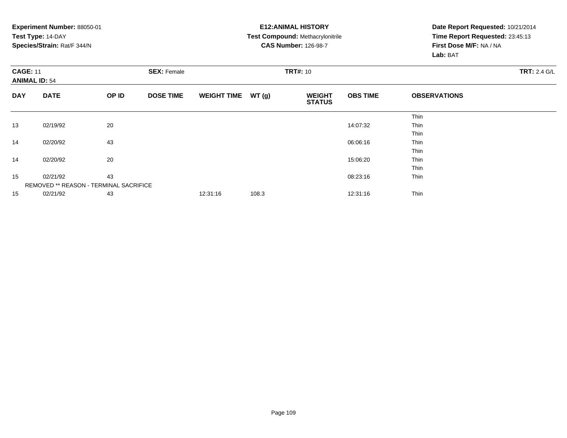|                                         | Experiment Number: 88050-01<br>Test Type: 14-DAY<br>Species/Strain: Rat/F 344/N |       |                    |                    |                 | <b>E12: ANIMAL HISTORY</b><br>Test Compound: Methacrylonitrile<br><b>CAS Number: 126-98-7</b> | Date Report Requested: 10/21/2014<br>Time Report Requested: 23:45:13<br>First Dose M/F: NA / NA<br>Lab: BAT |                     |                     |
|-----------------------------------------|---------------------------------------------------------------------------------|-------|--------------------|--------------------|-----------------|-----------------------------------------------------------------------------------------------|-------------------------------------------------------------------------------------------------------------|---------------------|---------------------|
| <b>CAGE: 11</b><br><b>ANIMAL ID: 54</b> |                                                                                 |       | <b>SEX: Female</b> |                    | <b>TRT#: 10</b> |                                                                                               |                                                                                                             |                     | <b>TRT: 2.4 G/L</b> |
| <b>DAY</b>                              | <b>DATE</b>                                                                     | OP ID | <b>DOSE TIME</b>   | <b>WEIGHT TIME</b> | WT(g)           | <b>WEIGHT</b><br><b>STATUS</b>                                                                | <b>OBS TIME</b>                                                                                             | <b>OBSERVATIONS</b> |                     |
|                                         |                                                                                 |       |                    |                    |                 |                                                                                               |                                                                                                             | Thin                |                     |
| 13                                      | 02/19/92                                                                        | 20    |                    |                    |                 |                                                                                               | 14:07:32                                                                                                    | Thin                |                     |
|                                         |                                                                                 |       |                    |                    |                 |                                                                                               |                                                                                                             | Thin                |                     |
| 14                                      | 02/20/92                                                                        | 43    |                    |                    |                 |                                                                                               | 06:06:16                                                                                                    | <b>Thin</b>         |                     |
|                                         |                                                                                 |       |                    |                    |                 |                                                                                               |                                                                                                             | Thin                |                     |
| 14                                      | 02/20/92                                                                        | 20    |                    |                    |                 |                                                                                               | 15:06:20                                                                                                    | Thin                |                     |
|                                         |                                                                                 |       |                    |                    |                 |                                                                                               |                                                                                                             | Thin                |                     |
| 15                                      | 43<br>02/21/92                                                                  |       |                    |                    |                 |                                                                                               | 08:23:16                                                                                                    | Thin                |                     |
|                                         | REMOVED ** REASON - TERMINAL SACRIFICE                                          |       |                    |                    |                 |                                                                                               |                                                                                                             |                     |                     |
| 15                                      | 02/21/92                                                                        | 43    |                    | 12:31:16           | 108.3           |                                                                                               | 12:31:16                                                                                                    | Thin                |                     |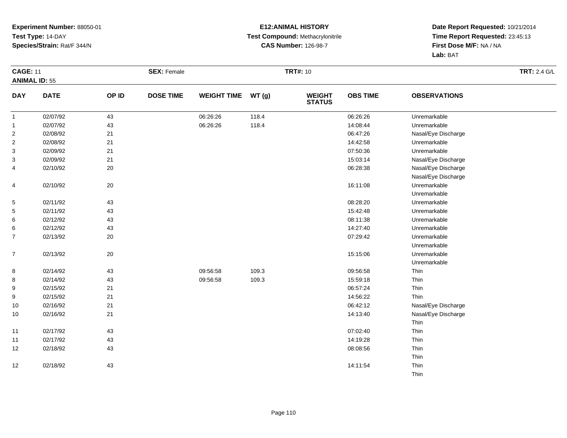### **E12:ANIMAL HISTORY Test Compound:** Methacrylonitrile**CAS Number:** 126-98-7

|                      | <b>CAGE: 11</b> |       | <b>SEX: Female</b> |                    |       | <b>TRT#: 10</b>                | <b>TRT: 2.4 G/L</b> |                     |  |
|----------------------|-----------------|-------|--------------------|--------------------|-------|--------------------------------|---------------------|---------------------|--|
| <b>ANIMAL ID: 55</b> |                 |       |                    |                    |       |                                |                     |                     |  |
| <b>DAY</b>           | <b>DATE</b>     | OP ID | <b>DOSE TIME</b>   | <b>WEIGHT TIME</b> | WT(g) | <b>WEIGHT</b><br><b>STATUS</b> | <b>OBS TIME</b>     | <b>OBSERVATIONS</b> |  |
| $\mathbf{1}$         | 02/07/92        | 43    |                    | 06:26:26           | 118.4 |                                | 06:26:26            | Unremarkable        |  |
| $\overline{1}$       | 02/07/92        | 43    |                    | 06:26:26           | 118.4 |                                | 14:08:44            | Unremarkable        |  |
| $\overline{c}$       | 02/08/92        | 21    |                    |                    |       |                                | 06:47:26            | Nasal/Eye Discharge |  |
| $\overline{c}$       | 02/08/92        | 21    |                    |                    |       |                                | 14:42:58            | Unremarkable        |  |
| 3                    | 02/09/92        | 21    |                    |                    |       |                                | 07:50:36            | Unremarkable        |  |
| 3                    | 02/09/92        | 21    |                    |                    |       |                                | 15:03:14            | Nasal/Eye Discharge |  |
| 4                    | 02/10/92        | 20    |                    |                    |       |                                | 06:28:38            | Nasal/Eye Discharge |  |
|                      |                 |       |                    |                    |       |                                |                     | Nasal/Eye Discharge |  |
| 4                    | 02/10/92        | 20    |                    |                    |       |                                | 16:11:08            | Unremarkable        |  |
|                      |                 |       |                    |                    |       |                                |                     | Unremarkable        |  |
| $\sqrt{5}$           | 02/11/92        | 43    |                    |                    |       |                                | 08:28:20            | Unremarkable        |  |
| 5                    | 02/11/92        | 43    |                    |                    |       |                                | 15:42:48            | Unremarkable        |  |
| 6                    | 02/12/92        | 43    |                    |                    |       |                                | 08:11:38            | Unremarkable        |  |
| 6                    | 02/12/92        | 43    |                    |                    |       |                                | 14:27:40            | Unremarkable        |  |
| $\overline{7}$       | 02/13/92        | 20    |                    |                    |       |                                | 07:29:42            | Unremarkable        |  |
|                      |                 |       |                    |                    |       |                                |                     | Unremarkable        |  |
| $\overline{7}$       | 02/13/92        | 20    |                    |                    |       |                                | 15:15:06            | Unremarkable        |  |
|                      |                 |       |                    |                    |       |                                |                     | Unremarkable        |  |
| 8                    | 02/14/92        | 43    |                    | 09:56:58           | 109.3 |                                | 09:56:58            | Thin                |  |
| 8                    | 02/14/92        | 43    |                    | 09:56:58           | 109.3 |                                | 15:59:18            | Thin                |  |
| 9                    | 02/15/92        | 21    |                    |                    |       |                                | 06:57:24            | Thin                |  |
| 9                    | 02/15/92        | 21    |                    |                    |       |                                | 14:56:22            | Thin                |  |
| 10                   | 02/16/92        | 21    |                    |                    |       |                                | 06:42:12            | Nasal/Eye Discharge |  |
| 10                   | 02/16/92        | 21    |                    |                    |       |                                | 14:13:40            | Nasal/Eye Discharge |  |
|                      |                 |       |                    |                    |       |                                |                     | Thin                |  |
| 11                   | 02/17/92        | 43    |                    |                    |       |                                | 07:02:40            | Thin                |  |
| 11                   | 02/17/92        | 43    |                    |                    |       |                                | 14:19:28            | Thin                |  |
| 12                   | 02/18/92        | 43    |                    |                    |       |                                | 08:08:56            | Thin                |  |
|                      |                 |       |                    |                    |       |                                |                     | Thin                |  |
| 12                   | 02/18/92        | 43    |                    |                    |       |                                | 14:11:54            | Thin                |  |
|                      |                 |       |                    |                    |       |                                |                     | Thin                |  |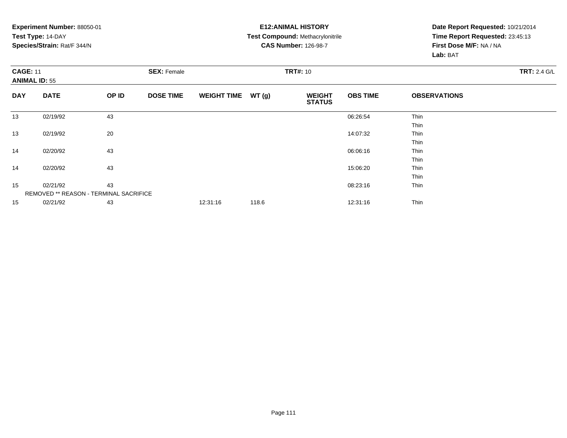### **E12:ANIMAL HISTORY Test Compound:** Methacrylonitrile**CAS Number:** 126-98-7

| <b>CAGE: 11</b><br><b>ANIMAL ID: 55</b> |                                        |       | <b>SEX: Female</b> |                    |       | <b>TRT#: 10</b>                |                 |                     |  |  |  |
|-----------------------------------------|----------------------------------------|-------|--------------------|--------------------|-------|--------------------------------|-----------------|---------------------|--|--|--|
| <b>DAY</b>                              | <b>DATE</b>                            | OP ID | <b>DOSE TIME</b>   | <b>WEIGHT TIME</b> | WT(g) | <b>WEIGHT</b><br><b>STATUS</b> | <b>OBS TIME</b> | <b>OBSERVATIONS</b> |  |  |  |
| 13                                      | 02/19/92                               | 43    |                    |                    |       |                                | 06:26:54        | Thin                |  |  |  |
|                                         |                                        |       |                    |                    |       |                                |                 | Thin                |  |  |  |
| 13                                      | 02/19/92                               | 20    |                    |                    |       |                                | 14:07:32        | Thin                |  |  |  |
|                                         |                                        |       |                    |                    |       |                                |                 | Thin                |  |  |  |
| 14                                      | 02/20/92                               | 43    |                    |                    |       |                                | 06:06:16        | Thin                |  |  |  |
|                                         |                                        |       |                    |                    |       |                                |                 | Thin                |  |  |  |
| 14                                      | 02/20/92                               | 43    |                    |                    |       |                                | 15:06:20        | Thin                |  |  |  |
|                                         |                                        |       |                    |                    |       |                                |                 | Thin                |  |  |  |
| 15                                      | 02/21/92                               | 43    |                    |                    |       |                                | 08:23:16        | Thin                |  |  |  |
|                                         | REMOVED ** REASON - TERMINAL SACRIFICE |       |                    |                    |       |                                |                 |                     |  |  |  |
| 15                                      | 02/21/92                               | 43    |                    | 12:31:16           | 118.6 |                                | 12:31:16        | Thin                |  |  |  |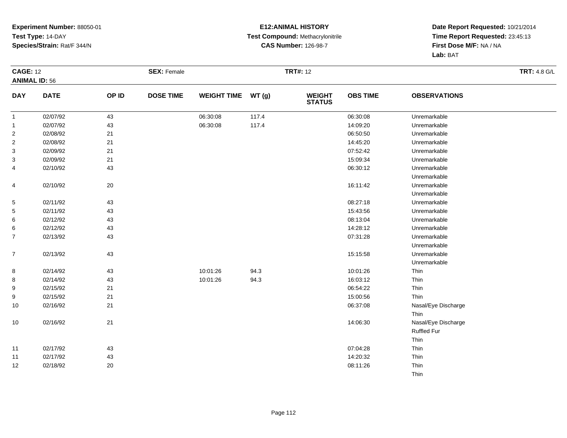### **E12:ANIMAL HISTORY Test Compound:** Methacrylonitrile**CAS Number:** 126-98-7

|                | <b>CAGE: 12</b>      |        | <b>SEX: Female</b> |                    |       | <b>TRT#: 12</b>                |                 | <b>TRT: 4.8 G/L</b> |  |
|----------------|----------------------|--------|--------------------|--------------------|-------|--------------------------------|-----------------|---------------------|--|
|                | <b>ANIMAL ID: 56</b> |        |                    |                    |       |                                |                 |                     |  |
| <b>DAY</b>     | <b>DATE</b>          | OP ID  | <b>DOSE TIME</b>   | <b>WEIGHT TIME</b> | WT(g) | <b>WEIGHT</b><br><b>STATUS</b> | <b>OBS TIME</b> | <b>OBSERVATIONS</b> |  |
| $\mathbf{1}$   | 02/07/92             | 43     |                    | 06:30:08           | 117.4 |                                | 06:30:08        | Unremarkable        |  |
| $\mathbf{1}$   | 02/07/92             | 43     |                    | 06:30:08           | 117.4 |                                | 14:09:20        | Unremarkable        |  |
| $\overline{2}$ | 02/08/92             | 21     |                    |                    |       |                                | 06:50:50        | Unremarkable        |  |
| $\overline{2}$ | 02/08/92             | 21     |                    |                    |       |                                | 14:45:20        | Unremarkable        |  |
| 3              | 02/09/92             | 21     |                    |                    |       |                                | 07:52:42        | Unremarkable        |  |
| 3              | 02/09/92             | 21     |                    |                    |       |                                | 15:09:34        | Unremarkable        |  |
| 4              | 02/10/92             | 43     |                    |                    |       |                                | 06:30:12        | Unremarkable        |  |
|                |                      |        |                    |                    |       |                                |                 | Unremarkable        |  |
| 4              | 02/10/92             | $20\,$ |                    |                    |       |                                | 16:11:42        | Unremarkable        |  |
|                |                      |        |                    |                    |       |                                |                 | Unremarkable        |  |
| $\overline{5}$ | 02/11/92             | 43     |                    |                    |       |                                | 08:27:18        | Unremarkable        |  |
| 5              | 02/11/92             | 43     |                    |                    |       |                                | 15:43:56        | Unremarkable        |  |
| 6              | 02/12/92             | 43     |                    |                    |       |                                | 08:13:04        | Unremarkable        |  |
| 6              | 02/12/92             | 43     |                    |                    |       |                                | 14:28:12        | Unremarkable        |  |
| $\overline{7}$ | 02/13/92             | 43     |                    |                    |       |                                | 07:31:28        | Unremarkable        |  |
|                |                      |        |                    |                    |       |                                |                 | Unremarkable        |  |
| $\overline{7}$ | 02/13/92             | 43     |                    |                    |       |                                | 15:15:58        | Unremarkable        |  |
|                |                      |        |                    |                    |       |                                |                 | Unremarkable        |  |
| 8              | 02/14/92             | 43     |                    | 10:01:26           | 94.3  |                                | 10:01:26        | Thin                |  |
| 8              | 02/14/92             | 43     |                    | 10:01:26           | 94.3  |                                | 16:03:12        | Thin                |  |
| 9              | 02/15/92             | 21     |                    |                    |       |                                | 06:54:22        | Thin                |  |
| 9              | 02/15/92             | 21     |                    |                    |       |                                | 15:00:56        | Thin                |  |
| 10             | 02/16/92             | 21     |                    |                    |       |                                | 06:37:08        | Nasal/Eye Discharge |  |
|                |                      |        |                    |                    |       |                                |                 | Thin                |  |
| $10$           | 02/16/92             | 21     |                    |                    |       |                                | 14:06:30        | Nasal/Eye Discharge |  |
|                |                      |        |                    |                    |       |                                |                 | <b>Ruffled Fur</b>  |  |
|                |                      |        |                    |                    |       |                                |                 | Thin                |  |
| 11             | 02/17/92             | 43     |                    |                    |       |                                | 07:04:28        | Thin                |  |
| 11             | 02/17/92             | 43     |                    |                    |       |                                | 14:20:32        | Thin                |  |
| 12             | 02/18/92             | 20     |                    |                    |       |                                | 08:11:26        | Thin                |  |
|                |                      |        |                    |                    |       |                                |                 | Thin                |  |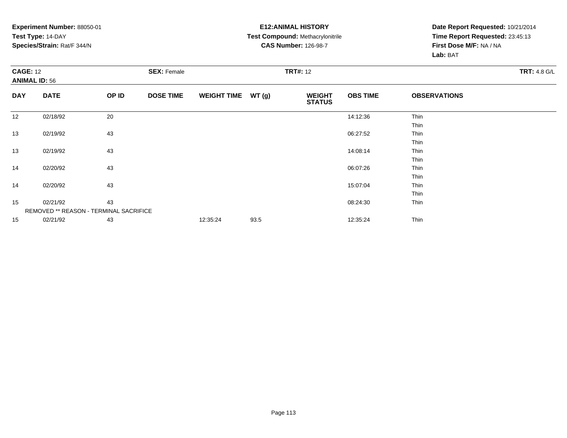### **E12:ANIMAL HISTORY Test Compound:** Methacrylonitrile**CAS Number:** 126-98-7

| <b>CAGE: 12</b><br><b>ANIMAL ID: 56</b> |                                        | <b>SEX: Female</b> |                  |                    | <b>TRT#: 12</b> |                                |                 |                     |  |  |
|-----------------------------------------|----------------------------------------|--------------------|------------------|--------------------|-----------------|--------------------------------|-----------------|---------------------|--|--|
| <b>DAY</b>                              | <b>DATE</b>                            | OP ID              | <b>DOSE TIME</b> | <b>WEIGHT TIME</b> | WT(g)           | <b>WEIGHT</b><br><b>STATUS</b> | <b>OBS TIME</b> | <b>OBSERVATIONS</b> |  |  |
| 12                                      | 02/18/92                               | 20                 |                  |                    |                 |                                | 14:12:36        | Thin                |  |  |
|                                         |                                        |                    |                  |                    |                 |                                |                 | Thin                |  |  |
| 13                                      | 02/19/92                               | 43                 |                  |                    |                 |                                | 06:27:52        | Thin                |  |  |
|                                         |                                        |                    |                  |                    |                 |                                |                 | Thin                |  |  |
| 13                                      | 02/19/92                               | 43                 |                  |                    |                 |                                | 14:08:14        | Thin                |  |  |
|                                         |                                        |                    |                  |                    |                 |                                |                 | Thin                |  |  |
| 14                                      | 02/20/92                               | 43                 |                  |                    |                 |                                | 06:07:26        | Thin                |  |  |
|                                         |                                        |                    |                  |                    |                 |                                |                 | Thin                |  |  |
| 14                                      | 02/20/92                               | 43                 |                  |                    |                 |                                | 15:07:04        | Thin                |  |  |
|                                         |                                        |                    |                  |                    |                 |                                |                 | Thin                |  |  |
| 15                                      | 02/21/92                               | 43                 |                  |                    |                 |                                | 08:24:30        | Thin                |  |  |
|                                         | REMOVED ** REASON - TERMINAL SACRIFICE |                    |                  |                    |                 |                                |                 |                     |  |  |
| 15                                      | 02/21/92                               | 43                 |                  | 12:35:24           | 93.5            |                                | 12:35:24        | Thin                |  |  |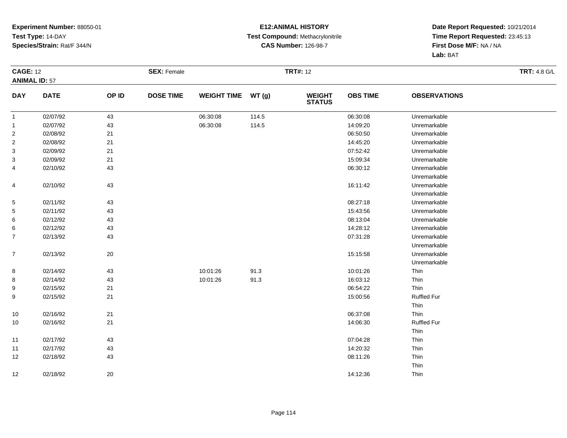### **E12:ANIMAL HISTORY Test Compound:** Methacrylonitrile**CAS Number:** 126-98-7

|                      | <b>CAGE: 12</b> |        | <b>SEX: Female</b> |                    |       | <b>TRT#: 12</b>                | <b>TRT: 4.8 G/L</b> |                     |  |
|----------------------|-----------------|--------|--------------------|--------------------|-------|--------------------------------|---------------------|---------------------|--|
| <b>ANIMAL ID: 57</b> |                 |        |                    |                    |       |                                |                     |                     |  |
| <b>DAY</b>           | <b>DATE</b>     | OP ID  | <b>DOSE TIME</b>   | <b>WEIGHT TIME</b> | WT(g) | <b>WEIGHT</b><br><b>STATUS</b> | <b>OBS TIME</b>     | <b>OBSERVATIONS</b> |  |
| $\overline{1}$       | 02/07/92        | 43     |                    | 06:30:08           | 114.5 |                                | 06:30:08            | Unremarkable        |  |
| $\mathbf{1}$         | 02/07/92        | 43     |                    | 06:30:08           | 114.5 |                                | 14:09:20            | Unremarkable        |  |
| $\overline{a}$       | 02/08/92        | 21     |                    |                    |       |                                | 06:50:50            | Unremarkable        |  |
| $\overline{2}$       | 02/08/92        | 21     |                    |                    |       |                                | 14:45:20            | Unremarkable        |  |
| 3                    | 02/09/92        | 21     |                    |                    |       |                                | 07:52:42            | Unremarkable        |  |
| 3                    | 02/09/92        | 21     |                    |                    |       |                                | 15:09:34            | Unremarkable        |  |
| 4                    | 02/10/92        | 43     |                    |                    |       |                                | 06:30:12            | Unremarkable        |  |
|                      |                 |        |                    |                    |       |                                |                     | Unremarkable        |  |
| 4                    | 02/10/92        | 43     |                    |                    |       |                                | 16:11:42            | Unremarkable        |  |
|                      |                 |        |                    |                    |       |                                |                     | Unremarkable        |  |
| $\sqrt{5}$           | 02/11/92        | 43     |                    |                    |       |                                | 08:27:18            | Unremarkable        |  |
| 5                    | 02/11/92        | 43     |                    |                    |       |                                | 15:43:56            | Unremarkable        |  |
| 6                    | 02/12/92        | 43     |                    |                    |       |                                | 08:13:04            | Unremarkable        |  |
| 6                    | 02/12/92        | 43     |                    |                    |       |                                | 14:28:12            | Unremarkable        |  |
| $\overline{7}$       | 02/13/92        | 43     |                    |                    |       |                                | 07:31:28            | Unremarkable        |  |
|                      |                 |        |                    |                    |       |                                |                     | Unremarkable        |  |
| $\overline{7}$       | 02/13/92        | $20\,$ |                    |                    |       |                                | 15:15:58            | Unremarkable        |  |
|                      |                 |        |                    |                    |       |                                |                     | Unremarkable        |  |
| 8                    | 02/14/92        | 43     |                    | 10:01:26           | 91.3  |                                | 10:01:26            | Thin                |  |
| 8                    | 02/14/92        | 43     |                    | 10:01:26           | 91.3  |                                | 16:03:12            | Thin                |  |
| 9                    | 02/15/92        | 21     |                    |                    |       |                                | 06:54:22            | Thin                |  |
| 9                    | 02/15/92        | 21     |                    |                    |       |                                | 15:00:56            | <b>Ruffled Fur</b>  |  |
|                      |                 |        |                    |                    |       |                                |                     | Thin                |  |
| 10                   | 02/16/92        | 21     |                    |                    |       |                                | 06:37:08            | Thin                |  |
| 10                   | 02/16/92        | 21     |                    |                    |       |                                | 14:06:30            | <b>Ruffled Fur</b>  |  |
|                      |                 |        |                    |                    |       |                                |                     | Thin                |  |
| 11                   | 02/17/92        | 43     |                    |                    |       |                                | 07:04:28            | Thin                |  |
| 11                   | 02/17/92        | 43     |                    |                    |       |                                | 14:20:32            | Thin                |  |
| 12                   | 02/18/92        | 43     |                    |                    |       |                                | 08:11:26            | Thin                |  |
|                      |                 |        |                    |                    |       |                                |                     | Thin                |  |
| 12                   | 02/18/92        | $20\,$ |                    |                    |       |                                | 14:12:36            | Thin                |  |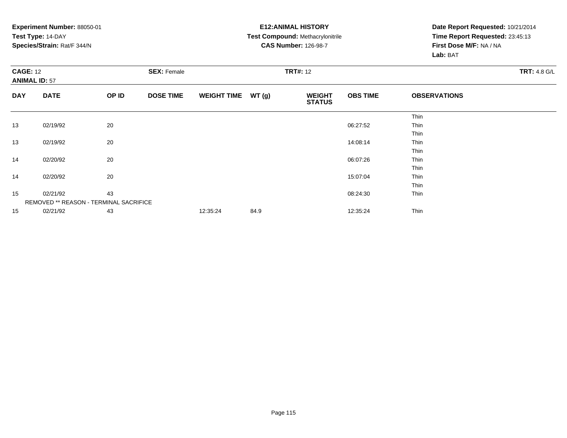**Experiment Number:** 88050-01**Test Type:** 14-DAY **Species/Strain:** Rat/F 344/N**E12:ANIMAL HISTORY Test Compound:** Methacrylonitrile**CAS Number:** 126-98-7**Date Report Requested:** 10/21/2014**Time Report Requested:** 23:45:13**First Dose M/F:** NA / NA**Lab:** BAT**CAGE:** 12 **SEX:** Female **TRT#:** <sup>12</sup> **TRT:** 4.8 G/L **ANIMAL ID:** 57**DAY DATE OP IDDOSE TIME WEIGHT TIME WT** (g) **STATUSOBS TIME OBSERVATIONS** ThinThin 13 02/19/92 <sup>20</sup> 06:27:52 Thin ThinThin 13 02/19/92 <sup>20</sup> 14:08:14 Thin ThinThin 14 02/20/92 <sup>20</sup> 06:07:26 Thin ThinThin 14 02/20/92 <sup>20</sup> 15:07:04 Thin ThinThin 15 02/21/92 <sup>43</sup> 08:24:30 Thin REMOVED \*\* REASON - TERMINAL SACRIFICE155 02/21/92 43 43 12:35:24 84.9 12:45 12:35 12:45 12:35:24 Thin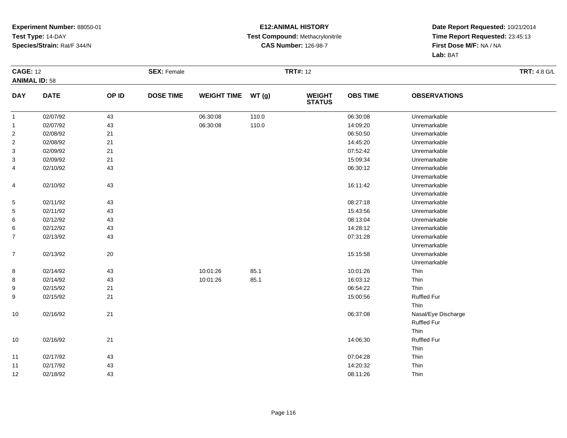### **E12:ANIMAL HISTORY Test Compound:** Methacrylonitrile**CAS Number:** 126-98-7

|                      | <b>CAGE: 12</b> |       | <b>SEX: Female</b> |                    |       | <b>TRT#: 12</b>          |                 | <b>TRT: 4.8 G/L</b> |  |
|----------------------|-----------------|-------|--------------------|--------------------|-------|--------------------------|-----------------|---------------------|--|
| <b>ANIMAL ID: 58</b> |                 |       |                    |                    |       |                          |                 |                     |  |
| <b>DAY</b>           | <b>DATE</b>     | OP ID | <b>DOSE TIME</b>   | <b>WEIGHT TIME</b> | WT(g) | <b>WEIGHT<br/>STATUS</b> | <b>OBS TIME</b> | <b>OBSERVATIONS</b> |  |
| $\overline{1}$       | 02/07/92        | 43    |                    | 06:30:08           | 110.0 |                          | 06:30:08        | Unremarkable        |  |
| $\overline{1}$       | 02/07/92        | 43    |                    | 06:30:08           | 110.0 |                          | 14:09:20        | Unremarkable        |  |
| $\overline{2}$       | 02/08/92        | 21    |                    |                    |       |                          | 06:50:50        | Unremarkable        |  |
| 2                    | 02/08/92        | 21    |                    |                    |       |                          | 14:45:20        | Unremarkable        |  |
| 3                    | 02/09/92        | 21    |                    |                    |       |                          | 07:52:42        | Unremarkable        |  |
| 3                    | 02/09/92        | 21    |                    |                    |       |                          | 15:09:34        | Unremarkable        |  |
| 4                    | 02/10/92        | 43    |                    |                    |       |                          | 06:30:12        | Unremarkable        |  |
|                      |                 |       |                    |                    |       |                          |                 | Unremarkable        |  |
| 4                    | 02/10/92        | 43    |                    |                    |       |                          | 16:11:42        | Unremarkable        |  |
|                      |                 |       |                    |                    |       |                          |                 | Unremarkable        |  |
| $\overline{5}$       | 02/11/92        | 43    |                    |                    |       |                          | 08:27:18        | Unremarkable        |  |
| 5                    | 02/11/92        | 43    |                    |                    |       |                          | 15:43:56        | Unremarkable        |  |
| 6                    | 02/12/92        | 43    |                    |                    |       |                          | 08:13:04        | Unremarkable        |  |
| 6                    | 02/12/92        | 43    |                    |                    |       |                          | 14:28:12        | Unremarkable        |  |
| $\overline{7}$       | 02/13/92        | 43    |                    |                    |       |                          | 07:31:28        | Unremarkable        |  |
|                      |                 |       |                    |                    |       |                          |                 | Unremarkable        |  |
| $\overline{7}$       | 02/13/92        | 20    |                    |                    |       |                          | 15:15:58        | Unremarkable        |  |
|                      |                 |       |                    |                    |       |                          |                 | Unremarkable        |  |
| 8                    | 02/14/92        | 43    |                    | 10:01:26           | 85.1  |                          | 10:01:26        | Thin                |  |
| 8                    | 02/14/92        | 43    |                    | 10:01:26           | 85.1  |                          | 16:03:12        | Thin                |  |
| 9                    | 02/15/92        | 21    |                    |                    |       |                          | 06:54:22        | Thin                |  |
| 9                    | 02/15/92        | 21    |                    |                    |       |                          | 15:00:56        | <b>Ruffled Fur</b>  |  |
|                      |                 |       |                    |                    |       |                          |                 | Thin                |  |
| 10                   | 02/16/92        | 21    |                    |                    |       |                          | 06:37:08        | Nasal/Eye Discharge |  |
|                      |                 |       |                    |                    |       |                          |                 | <b>Ruffled Fur</b>  |  |
|                      |                 |       |                    |                    |       |                          |                 | Thin                |  |
| 10                   | 02/16/92        | 21    |                    |                    |       |                          | 14:06:30        | <b>Ruffled Fur</b>  |  |
|                      |                 |       |                    |                    |       |                          |                 | Thin                |  |
| 11                   | 02/17/92        | 43    |                    |                    |       |                          | 07:04:28        | Thin                |  |
| 11                   | 02/17/92        | 43    |                    |                    |       |                          | 14:20:32        | Thin                |  |
| 12                   | 02/18/92        | 43    |                    |                    |       |                          | 08:11:26        | Thin                |  |
|                      |                 |       |                    |                    |       |                          |                 |                     |  |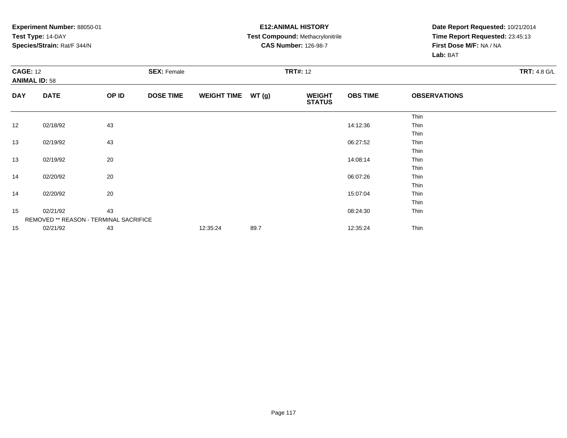**Experiment Number:** 88050-01**Test Type:** 14-DAY **Species/Strain:** Rat/F 344/N **Test Compound:** Methacrylonitrile**CAS Number:** 126-98-7**Date Report Requested:** 10/21/2014**Time Report Requested:** 23:45:13**First Dose M/F:** NA / NA**Lab:** BAT**CAGE:** 12 **SEX:** Female **TRT#:** <sup>12</sup> **TRT:** 4.8 G/L **ANIMAL ID:** 58**DAY DATE OP IDDOSE TIME WEIGHT TIME WT** (g) **STATUSOBS TIME OBSERVATIONS** ThinThin 12 02/18/92 <sup>43</sup> 14:12:36 Thin ThinThin 13 02/19/92 <sup>43</sup> 06:27:52 Thin ThinThin 13 02/19/92 <sup>20</sup> 14:08:14 Thin ThinThin 14 02/20/92 <sup>20</sup> 06:07:26 Thin ThinThin 14 02/20/92 <sup>20</sup> 15:07:04 Thin ThinThin 15 02/21/92 <sup>43</sup> 08:24:30 Thin REMOVED \*\* REASON - TERMINAL SACRIFICE155 02/21/92 43 43 12:35:24 89.7 12:35 12:35 12:35 12:35:24 Thin

**E12:ANIMAL HISTORY**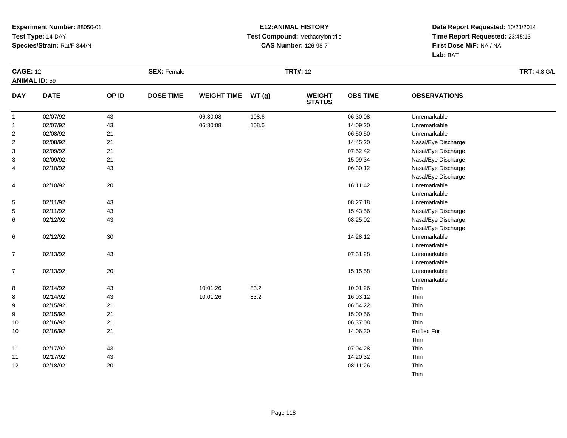### **E12:ANIMAL HISTORY Test Compound:** Methacrylonitrile**CAS Number:** 126-98-7

| <b>CAGE: 12</b>      |             |        | <b>SEX: Female</b> |                    |       | <b>TRT#: 12</b>                |                 |                     | <b>TRT: 4.8 G/L</b> |
|----------------------|-------------|--------|--------------------|--------------------|-------|--------------------------------|-----------------|---------------------|---------------------|
| <b>ANIMAL ID: 59</b> |             |        |                    |                    |       |                                |                 |                     |                     |
| <b>DAY</b>           | <b>DATE</b> | OP ID  | <b>DOSE TIME</b>   | <b>WEIGHT TIME</b> | WT(g) | <b>WEIGHT</b><br><b>STATUS</b> | <b>OBS TIME</b> | <b>OBSERVATIONS</b> |                     |
| $\mathbf{1}$         | 02/07/92    | 43     |                    | 06:30:08           | 108.6 |                                | 06:30:08        | Unremarkable        |                     |
| $\mathbf{1}$         | 02/07/92    | 43     |                    | 06:30:08           | 108.6 |                                | 14:09:20        | Unremarkable        |                     |
| $\overline{2}$       | 02/08/92    | 21     |                    |                    |       |                                | 06:50:50        | Unremarkable        |                     |
| 2                    | 02/08/92    | 21     |                    |                    |       |                                | 14:45:20        | Nasal/Eye Discharge |                     |
| 3                    | 02/09/92    | 21     |                    |                    |       |                                | 07:52:42        | Nasal/Eye Discharge |                     |
| 3                    | 02/09/92    | 21     |                    |                    |       |                                | 15:09:34        | Nasal/Eye Discharge |                     |
| 4                    | 02/10/92    | 43     |                    |                    |       |                                | 06:30:12        | Nasal/Eye Discharge |                     |
|                      |             |        |                    |                    |       |                                |                 | Nasal/Eye Discharge |                     |
| 4                    | 02/10/92    | $20\,$ |                    |                    |       |                                | 16:11:42        | Unremarkable        |                     |
|                      |             |        |                    |                    |       |                                |                 | Unremarkable        |                     |
| 5                    | 02/11/92    | 43     |                    |                    |       |                                | 08:27:18        | Unremarkable        |                     |
| 5                    | 02/11/92    | 43     |                    |                    |       |                                | 15:43:56        | Nasal/Eye Discharge |                     |
| 6                    | 02/12/92    | 43     |                    |                    |       |                                | 08:25:02        | Nasal/Eye Discharge |                     |
|                      |             |        |                    |                    |       |                                |                 | Nasal/Eye Discharge |                     |
| 6                    | 02/12/92    | 30     |                    |                    |       |                                | 14:28:12        | Unremarkable        |                     |
|                      |             |        |                    |                    |       |                                |                 | Unremarkable        |                     |
| $\overline{7}$       | 02/13/92    | 43     |                    |                    |       |                                | 07:31:28        | Unremarkable        |                     |
|                      |             |        |                    |                    |       |                                |                 | Unremarkable        |                     |
| 7                    | 02/13/92    | 20     |                    |                    |       |                                | 15:15:58        | Unremarkable        |                     |
|                      |             |        |                    |                    |       |                                |                 | Unremarkable        |                     |
| 8                    | 02/14/92    | 43     |                    | 10:01:26           | 83.2  |                                | 10:01:26        | Thin                |                     |
| 8                    | 02/14/92    | 43     |                    | 10:01:26           | 83.2  |                                | 16:03:12        | Thin                |                     |
| 9                    | 02/15/92    | 21     |                    |                    |       |                                | 06:54:22        | Thin                |                     |
| 9                    | 02/15/92    | 21     |                    |                    |       |                                | 15:00:56        | Thin                |                     |
| 10                   | 02/16/92    | 21     |                    |                    |       |                                | 06:37:08        | Thin                |                     |
| 10                   | 02/16/92    | 21     |                    |                    |       |                                | 14:06:30        | <b>Ruffled Fur</b>  |                     |
|                      |             |        |                    |                    |       |                                |                 | Thin                |                     |
| 11                   | 02/17/92    | 43     |                    |                    |       |                                | 07:04:28        | Thin                |                     |
| 11                   | 02/17/92    | 43     |                    |                    |       |                                | 14:20:32        | Thin                |                     |
| 12                   | 02/18/92    | 20     |                    |                    |       |                                | 08:11:26        | Thin                |                     |
|                      |             |        |                    |                    |       |                                |                 | Thin                |                     |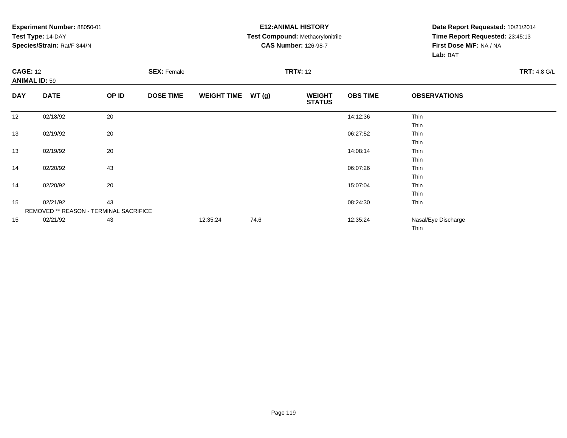### **E12:ANIMAL HISTORY Test Compound:** Methacrylonitrile**CAS Number:** 126-98-7

| <b>CAGE: 12</b><br><b>ANIMAL ID: 59</b> |                                        | <b>SEX: Female</b> |                  |                    | <b>TRT#: 12</b> |                                |                 |                     |  |  |
|-----------------------------------------|----------------------------------------|--------------------|------------------|--------------------|-----------------|--------------------------------|-----------------|---------------------|--|--|
| <b>DAY</b>                              | <b>DATE</b>                            | OP ID              | <b>DOSE TIME</b> | <b>WEIGHT TIME</b> | WT (g)          | <b>WEIGHT</b><br><b>STATUS</b> | <b>OBS TIME</b> | <b>OBSERVATIONS</b> |  |  |
| 12                                      | 02/18/92                               | 20                 |                  |                    |                 |                                | 14:12:36        | Thin                |  |  |
|                                         |                                        |                    |                  |                    |                 |                                |                 | Thin                |  |  |
| 13                                      | 02/19/92                               | 20                 |                  |                    |                 |                                | 06:27:52        | Thin                |  |  |
|                                         |                                        |                    |                  |                    |                 |                                |                 | Thin                |  |  |
| 13                                      | 02/19/92                               | 20                 |                  |                    |                 |                                | 14:08:14        | Thin                |  |  |
|                                         |                                        |                    |                  |                    |                 |                                |                 | Thin                |  |  |
| 14                                      | 02/20/92                               | 43                 |                  |                    |                 |                                | 06:07:26        | Thin                |  |  |
|                                         |                                        |                    |                  |                    |                 |                                |                 | Thin                |  |  |
| 14                                      | 02/20/92                               | 20                 |                  |                    |                 |                                | 15:07:04        | Thin                |  |  |
|                                         |                                        |                    |                  |                    |                 |                                |                 | Thin                |  |  |
| 15                                      | 02/21/92                               | 43                 |                  |                    |                 |                                | 08:24:30        | Thin                |  |  |
|                                         | REMOVED ** REASON - TERMINAL SACRIFICE |                    |                  |                    |                 |                                |                 |                     |  |  |
| 15                                      | 02/21/92                               | 43                 |                  | 12:35:24           | 74.6            |                                | 12:35:24        | Nasal/Eye Discharge |  |  |
|                                         |                                        |                    |                  |                    |                 |                                |                 | <b>Thin</b>         |  |  |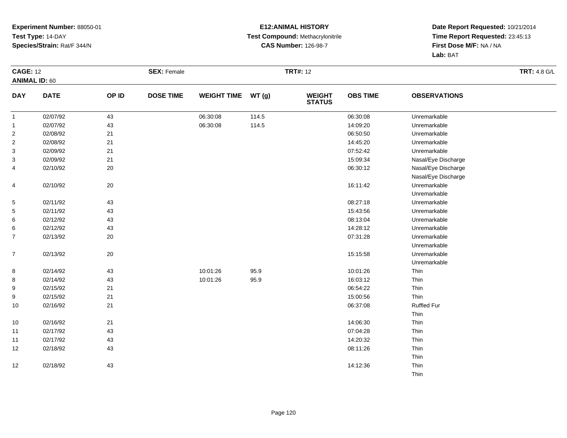### **E12:ANIMAL HISTORY Test Compound:** Methacrylonitrile**CAS Number:** 126-98-7

| <b>CAGE: 12</b>      |             |       | <b>SEX: Female</b> |                    |       | <b>TRT#: 12</b>                |                 |                     | <b>TRT: 4.8 G/L</b> |
|----------------------|-------------|-------|--------------------|--------------------|-------|--------------------------------|-----------------|---------------------|---------------------|
| <b>ANIMAL ID: 60</b> |             |       |                    |                    |       |                                |                 |                     |                     |
| <b>DAY</b>           | <b>DATE</b> | OP ID | <b>DOSE TIME</b>   | <b>WEIGHT TIME</b> | WT(g) | <b>WEIGHT</b><br><b>STATUS</b> | <b>OBS TIME</b> | <b>OBSERVATIONS</b> |                     |
| $\mathbf{1}$         | 02/07/92    | 43    |                    | 06:30:08           | 114.5 |                                | 06:30:08        | Unremarkable        |                     |
| $\mathbf{1}$         | 02/07/92    | 43    |                    | 06:30:08           | 114.5 |                                | 14:09:20        | Unremarkable        |                     |
| $\overline{c}$       | 02/08/92    | 21    |                    |                    |       |                                | 06:50:50        | Unremarkable        |                     |
| 2                    | 02/08/92    | 21    |                    |                    |       |                                | 14:45:20        | Unremarkable        |                     |
| 3                    | 02/09/92    | 21    |                    |                    |       |                                | 07:52:42        | Unremarkable        |                     |
| 3                    | 02/09/92    | 21    |                    |                    |       |                                | 15:09:34        | Nasal/Eye Discharge |                     |
| 4                    | 02/10/92    | 20    |                    |                    |       |                                | 06:30:12        | Nasal/Eye Discharge |                     |
|                      |             |       |                    |                    |       |                                |                 | Nasal/Eye Discharge |                     |
| 4                    | 02/10/92    | 20    |                    |                    |       |                                | 16:11:42        | Unremarkable        |                     |
|                      |             |       |                    |                    |       |                                |                 | Unremarkable        |                     |
| 5                    | 02/11/92    | 43    |                    |                    |       |                                | 08:27:18        | Unremarkable        |                     |
| 5                    | 02/11/92    | 43    |                    |                    |       |                                | 15:43:56        | Unremarkable        |                     |
| 6                    | 02/12/92    | 43    |                    |                    |       |                                | 08:13:04        | Unremarkable        |                     |
| 6                    | 02/12/92    | 43    |                    |                    |       |                                | 14:28:12        | Unremarkable        |                     |
| $\overline{7}$       | 02/13/92    | 20    |                    |                    |       |                                | 07:31:28        | Unremarkable        |                     |
|                      |             |       |                    |                    |       |                                |                 | Unremarkable        |                     |
| $\overline{7}$       | 02/13/92    | 20    |                    |                    |       |                                | 15:15:58        | Unremarkable        |                     |
|                      |             |       |                    |                    |       |                                |                 | Unremarkable        |                     |
| 8                    | 02/14/92    | 43    |                    | 10:01:26           | 95.9  |                                | 10:01:26        | Thin                |                     |
| 8                    | 02/14/92    | 43    |                    | 10:01:26           | 95.9  |                                | 16:03:12        | Thin                |                     |
| 9                    | 02/15/92    | 21    |                    |                    |       |                                | 06:54:22        | Thin                |                     |
| 9                    | 02/15/92    | 21    |                    |                    |       |                                | 15:00:56        | Thin                |                     |
| 10                   | 02/16/92    | 21    |                    |                    |       |                                | 06:37:08        | <b>Ruffled Fur</b>  |                     |
|                      |             |       |                    |                    |       |                                |                 | Thin                |                     |
| $10$                 | 02/16/92    | 21    |                    |                    |       |                                | 14:06:30        | Thin                |                     |
| 11                   | 02/17/92    | 43    |                    |                    |       |                                | 07:04:28        | Thin                |                     |
| 11                   | 02/17/92    | 43    |                    |                    |       |                                | 14:20:32        | Thin                |                     |
| 12                   | 02/18/92    | 43    |                    |                    |       |                                | 08:11:26        | Thin                |                     |
|                      |             |       |                    |                    |       |                                |                 | Thin                |                     |
| 12                   | 02/18/92    | 43    |                    |                    |       |                                | 14:12:36        | Thin                |                     |
|                      |             |       |                    |                    |       |                                |                 | Thin                |                     |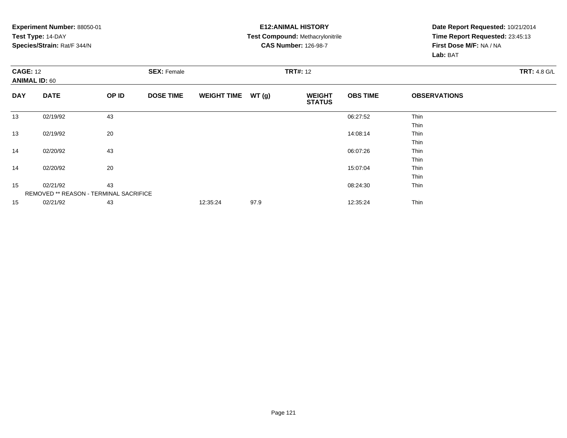### **E12:ANIMAL HISTORY Test Compound:** Methacrylonitrile**CAS Number:** 126-98-7

| <b>CAGE: 12</b><br><b>ANIMAL ID: 60</b> |                                               |       | <b>SEX: Female</b> |                    |       | <b>TRT#: 12</b>                |                 |                     |  |  |  |
|-----------------------------------------|-----------------------------------------------|-------|--------------------|--------------------|-------|--------------------------------|-----------------|---------------------|--|--|--|
| <b>DAY</b>                              | <b>DATE</b>                                   | OP ID | <b>DOSE TIME</b>   | <b>WEIGHT TIME</b> | WT(g) | <b>WEIGHT</b><br><b>STATUS</b> | <b>OBS TIME</b> | <b>OBSERVATIONS</b> |  |  |  |
| 13                                      | 02/19/92                                      | 43    |                    |                    |       |                                | 06:27:52        | Thin                |  |  |  |
|                                         |                                               |       |                    |                    |       |                                |                 | Thin                |  |  |  |
| 13                                      | 02/19/92                                      | 20    |                    |                    |       |                                | 14:08:14        | Thin                |  |  |  |
|                                         |                                               |       |                    |                    |       |                                |                 | Thin                |  |  |  |
| 14                                      | 02/20/92                                      | 43    |                    |                    |       |                                | 06:07:26        | Thin                |  |  |  |
|                                         |                                               |       |                    |                    |       |                                |                 | Thin                |  |  |  |
| 14                                      | 02/20/92                                      | 20    |                    |                    |       |                                | 15:07:04        | Thin                |  |  |  |
|                                         |                                               |       |                    |                    |       |                                |                 | Thin                |  |  |  |
| 15                                      | 02/21/92                                      | 43    |                    |                    |       |                                | 08:24:30        | Thin                |  |  |  |
|                                         | <b>REMOVED ** REASON - TERMINAL SACRIFICE</b> |       |                    |                    |       |                                |                 |                     |  |  |  |
| 15                                      | 02/21/92                                      | 43    |                    | 12:35:24           | 97.9  |                                | 12:35:24        | Thin                |  |  |  |